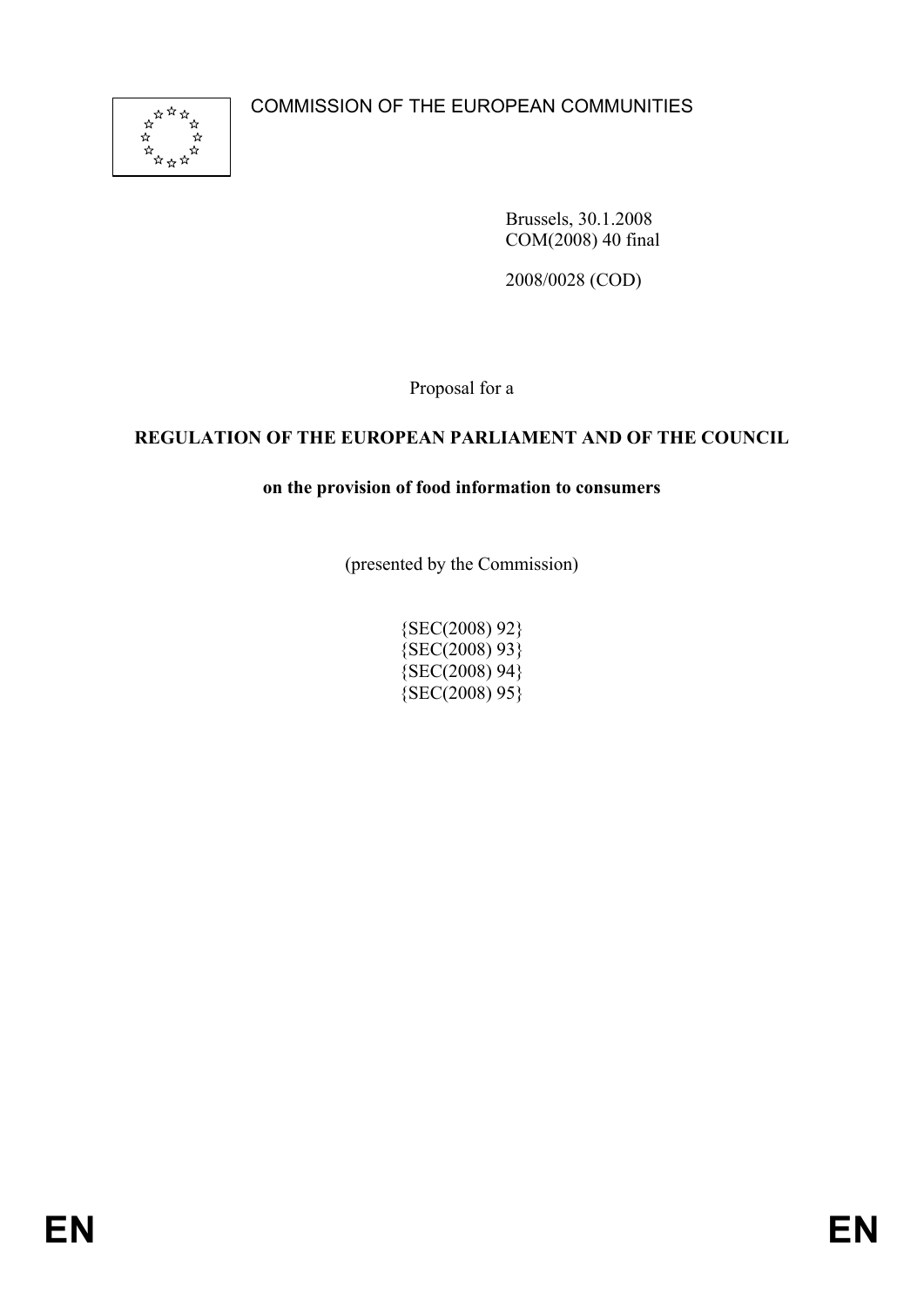

Brussels, 30.1.2008 COM(2008) 40 final

2008/0028 (COD)

Proposal for a

# **REGULATION OF THE EUROPEAN PARLIAMENT AND OF THE COUNCIL**

# **on the provision of food information to consumers**

(presented by the Commission)

{SEC(2008) 92} {SEC(2008) 93} {SEC(2008) 94}  ${SEC(2008)95}$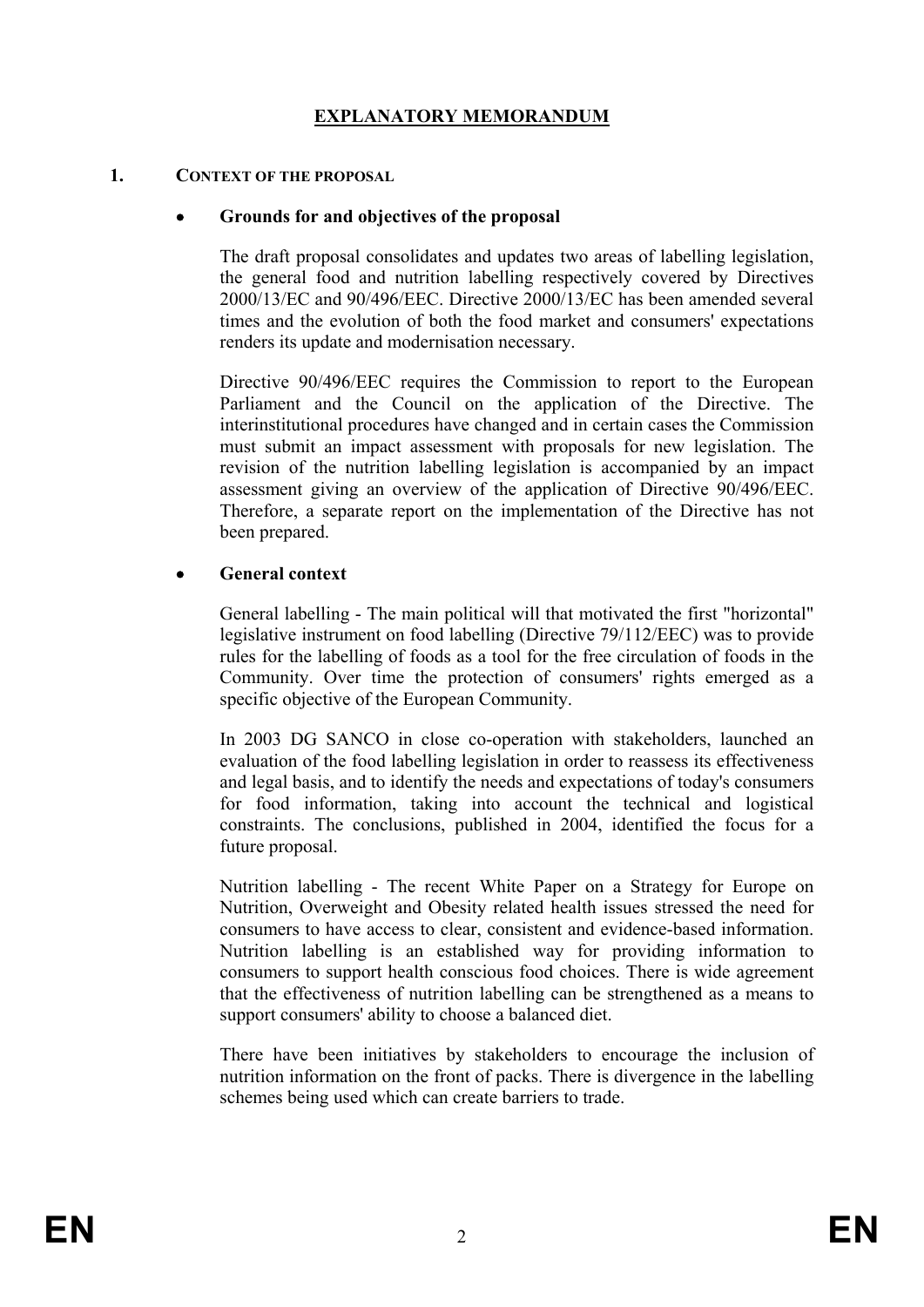# **EXPLANATORY MEMORANDUM**

### **1. CONTEXT OF THE PROPOSAL**

### • **Grounds for and objectives of the proposal**

 The draft proposal consolidates and updates two areas of labelling legislation, the general food and nutrition labelling respectively covered by Directives 2000/13/EC and 90/496/EEC. Directive 2000/13/EC has been amended several times and the evolution of both the food market and consumers' expectations renders its update and modernisation necessary.

 Directive 90/496/EEC requires the Commission to report to the European Parliament and the Council on the application of the Directive. The interinstitutional procedures have changed and in certain cases the Commission must submit an impact assessment with proposals for new legislation. The revision of the nutrition labelling legislation is accompanied by an impact assessment giving an overview of the application of Directive 90/496/EEC. Therefore, a separate report on the implementation of the Directive has not been prepared.

### • **General context**

 General labelling - The main political will that motivated the first "horizontal" legislative instrument on food labelling (Directive 79/112/EEC) was to provide rules for the labelling of foods as a tool for the free circulation of foods in the Community. Over time the protection of consumers' rights emerged as a specific objective of the European Community.

 In 2003 DG SANCO in close co-operation with stakeholders, launched an evaluation of the food labelling legislation in order to reassess its effectiveness and legal basis, and to identify the needs and expectations of today's consumers for food information, taking into account the technical and logistical constraints. The conclusions, published in 2004, identified the focus for a future proposal.

 Nutrition labelling - The recent White Paper on a Strategy for Europe on Nutrition, Overweight and Obesity related health issues stressed the need for consumers to have access to clear, consistent and evidence-based information. Nutrition labelling is an established way for providing information to consumers to support health conscious food choices. There is wide agreement that the effectiveness of nutrition labelling can be strengthened as a means to support consumers' ability to choose a balanced diet.

 There have been initiatives by stakeholders to encourage the inclusion of nutrition information on the front of packs. There is divergence in the labelling schemes being used which can create barriers to trade.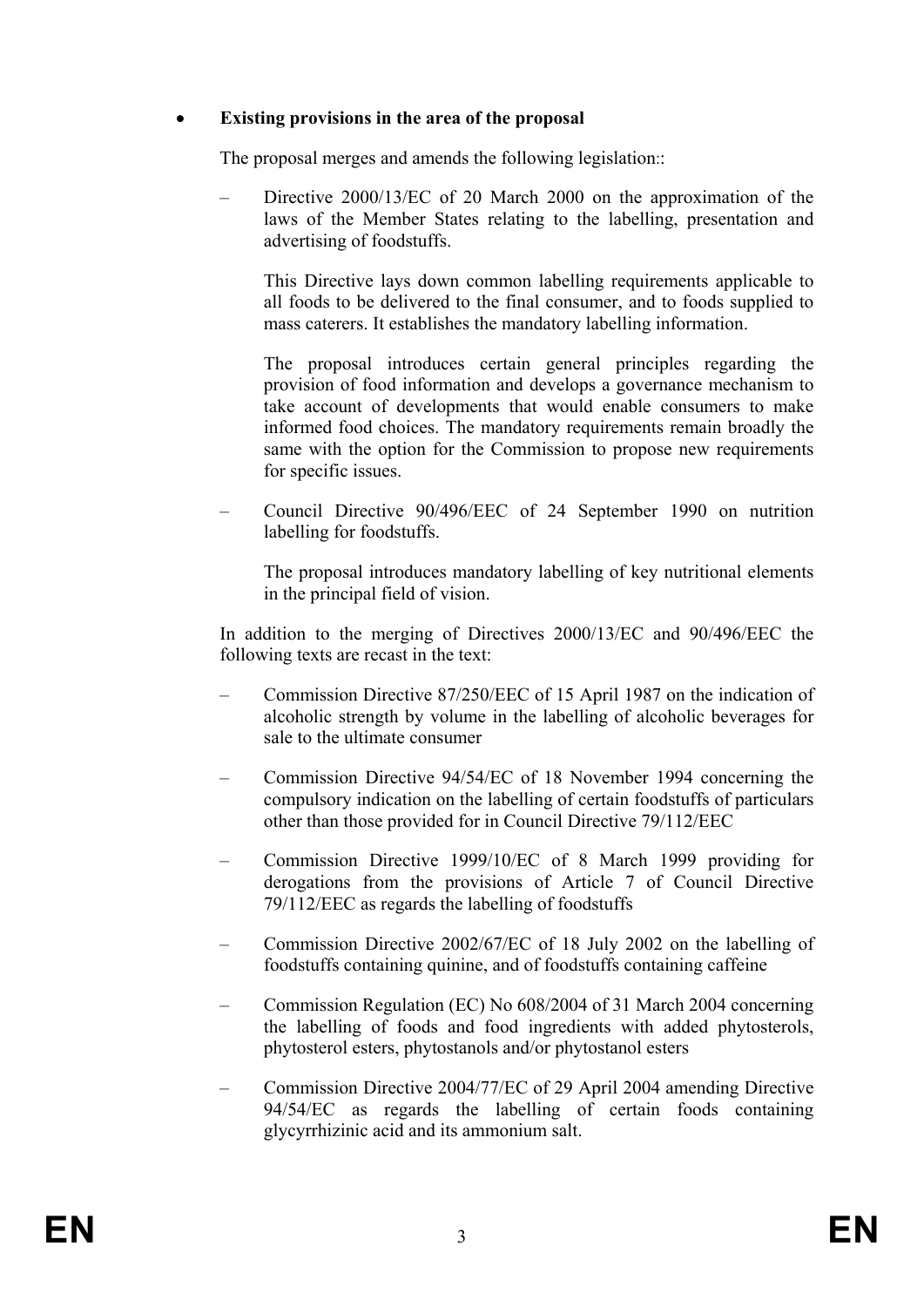# • **Existing provisions in the area of the proposal**

The proposal merges and amends the following legislation::

– Directive 2000/13/EC of 20 March 2000 on the approximation of the laws of the Member States relating to the labelling, presentation and advertising of foodstuffs.

 This Directive lays down common labelling requirements applicable to all foods to be delivered to the final consumer, and to foods supplied to mass caterers. It establishes the mandatory labelling information.

 The proposal introduces certain general principles regarding the provision of food information and develops a governance mechanism to take account of developments that would enable consumers to make informed food choices. The mandatory requirements remain broadly the same with the option for the Commission to propose new requirements for specific issues.

– Council Directive 90/496/EEC of 24 September 1990 on nutrition labelling for foodstuffs.

 The proposal introduces mandatory labelling of key nutritional elements in the principal field of vision.

 In addition to the merging of Directives 2000/13/EC and 90/496/EEC the following texts are recast in the text:

- Commission Directive 87/250/EEC of 15 April 1987 on the indication of alcoholic strength by volume in the labelling of alcoholic beverages for sale to the ultimate consumer
- Commission Directive 94/54/EC of 18 November 1994 concerning the compulsory indication on the labelling of certain foodstuffs of particulars other than those provided for in Council Directive 79/112/EEC
- Commission Directive 1999/10/EC of 8 March 1999 providing for derogations from the provisions of Article 7 of Council Directive 79/112/EEC as regards the labelling of foodstuffs
- Commission Directive 2002/67/EC of 18 July 2002 on the labelling of foodstuffs containing quinine, and of foodstuffs containing caffeine
- Commission Regulation (EC) No 608/2004 of 31 March 2004 concerning the labelling of foods and food ingredients with added phytosterols, phytosterol esters, phytostanols and/or phytostanol esters
- Commission Directive 2004/77/EC of 29 April 2004 amending Directive 94/54/EC as regards the labelling of certain foods containing glycyrrhizinic acid and its ammonium salt.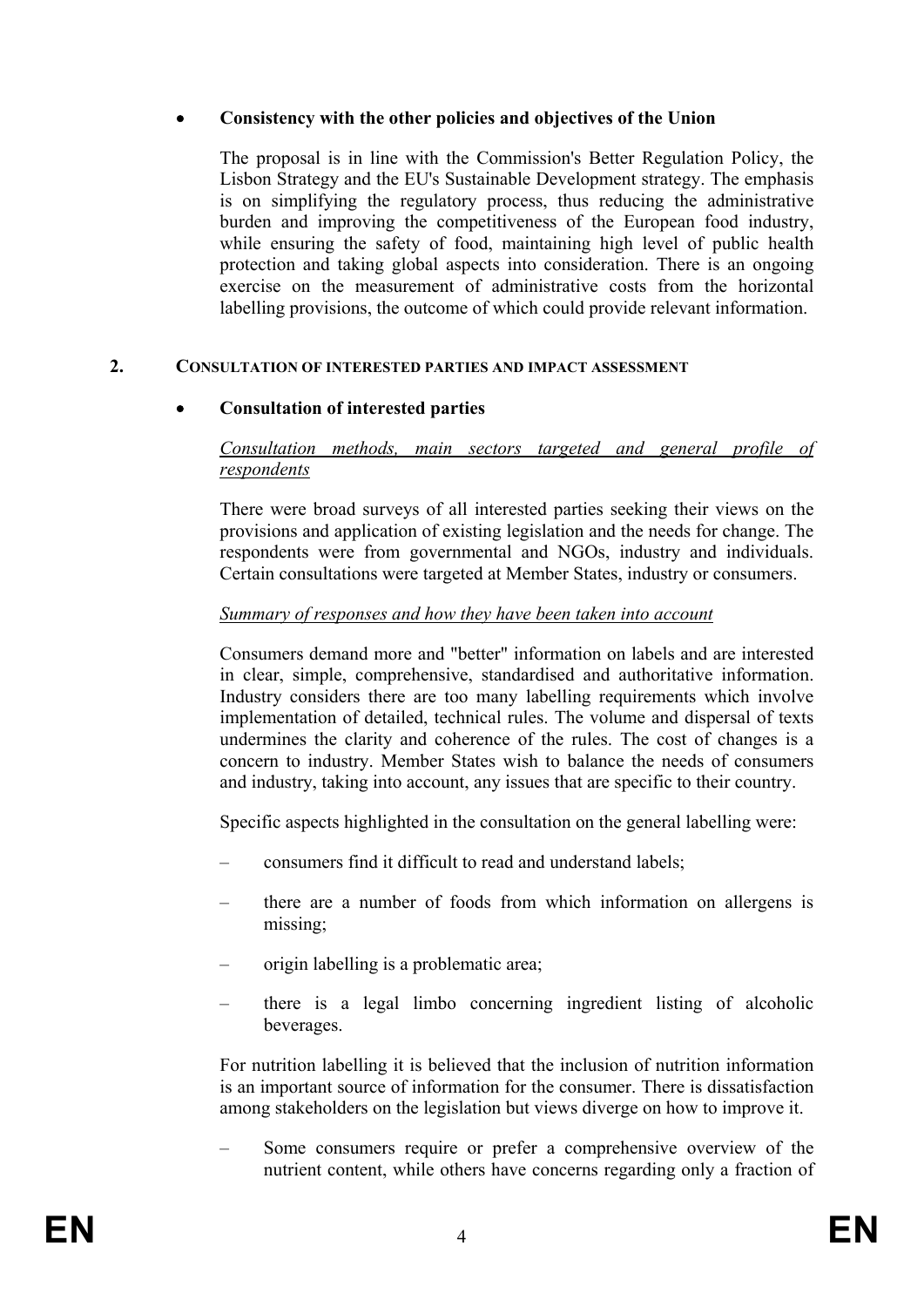# • **Consistency with the other policies and objectives of the Union**

 The proposal is in line with the Commission's Better Regulation Policy, the Lisbon Strategy and the EU's Sustainable Development strategy. The emphasis is on simplifying the regulatory process, thus reducing the administrative burden and improving the competitiveness of the European food industry, while ensuring the safety of food, maintaining high level of public health protection and taking global aspects into consideration. There is an ongoing exercise on the measurement of administrative costs from the horizontal labelling provisions, the outcome of which could provide relevant information.

### **2. CONSULTATION OF INTERESTED PARTIES AND IMPACT ASSESSMENT**

# • **Consultation of interested parties**

# *Consultation methods, main sectors targeted and general profile of respondents*

 There were broad surveys of all interested parties seeking their views on the provisions and application of existing legislation and the needs for change. The respondents were from governmental and NGOs, industry and individuals. Certain consultations were targeted at Member States, industry or consumers.

# *Summary of responses and how they have been taken into account*

 Consumers demand more and "better" information on labels and are interested in clear, simple, comprehensive, standardised and authoritative information. Industry considers there are too many labelling requirements which involve implementation of detailed, technical rules. The volume and dispersal of texts undermines the clarity and coherence of the rules. The cost of changes is a concern to industry. Member States wish to balance the needs of consumers and industry, taking into account, any issues that are specific to their country.

Specific aspects highlighted in the consultation on the general labelling were:

- consumers find it difficult to read and understand labels;
- there are a number of foods from which information on allergens is missing;
- origin labelling is a problematic area;
- there is a legal limbo concerning ingredient listing of alcoholic beverages.

 For nutrition labelling it is believed that the inclusion of nutrition information is an important source of information for the consumer. There is dissatisfaction among stakeholders on the legislation but views diverge on how to improve it.

– Some consumers require or prefer a comprehensive overview of the nutrient content, while others have concerns regarding only a fraction of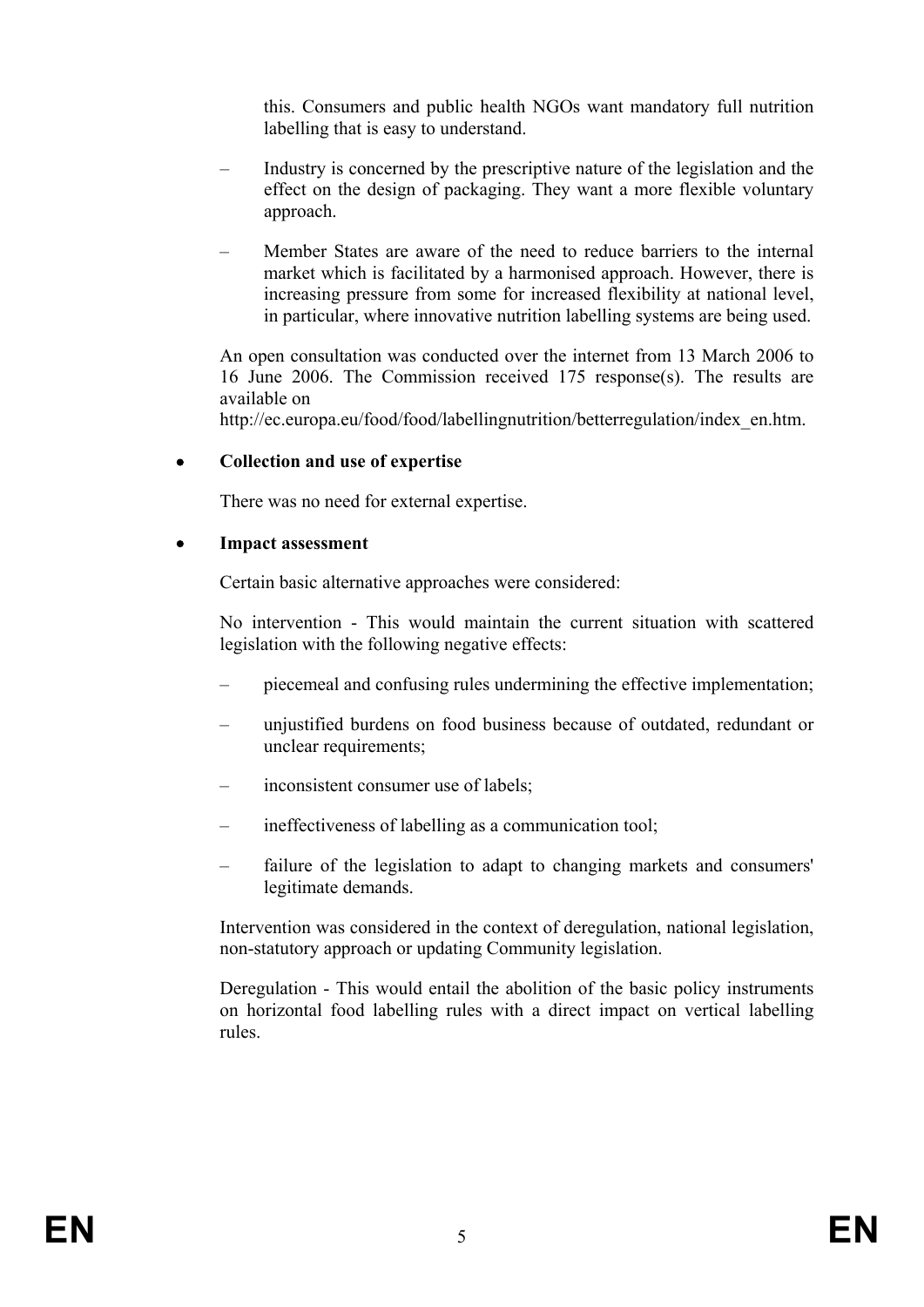this. Consumers and public health NGOs want mandatory full nutrition labelling that is easy to understand.

- Industry is concerned by the prescriptive nature of the legislation and the effect on the design of packaging. They want a more flexible voluntary approach.
- Member States are aware of the need to reduce barriers to the internal market which is facilitated by a harmonised approach. However, there is increasing pressure from some for increased flexibility at national level, in particular, where innovative nutrition labelling systems are being used.

 An open consultation was conducted over the internet from 13 March 2006 to 16 June 2006. The Commission received 175 response(s). The results are available on

http://ec.europa.eu/food/food/labellingnutrition/betterregulation/index\_en.htm.

### • **Collection and use of expertise**

There was no need for external expertise.

### • **Impact assessment**

Certain basic alternative approaches were considered:

 No intervention - This would maintain the current situation with scattered legislation with the following negative effects:

- piecemeal and confusing rules undermining the effective implementation;
- unjustified burdens on food business because of outdated, redundant or unclear requirements;
- inconsistent consumer use of labels;
- ineffectiveness of labelling as a communication tool;
- failure of the legislation to adapt to changing markets and consumers' legitimate demands.

 Intervention was considered in the context of deregulation, national legislation, non-statutory approach or updating Community legislation.

 Deregulation - This would entail the abolition of the basic policy instruments on horizontal food labelling rules with a direct impact on vertical labelling rules.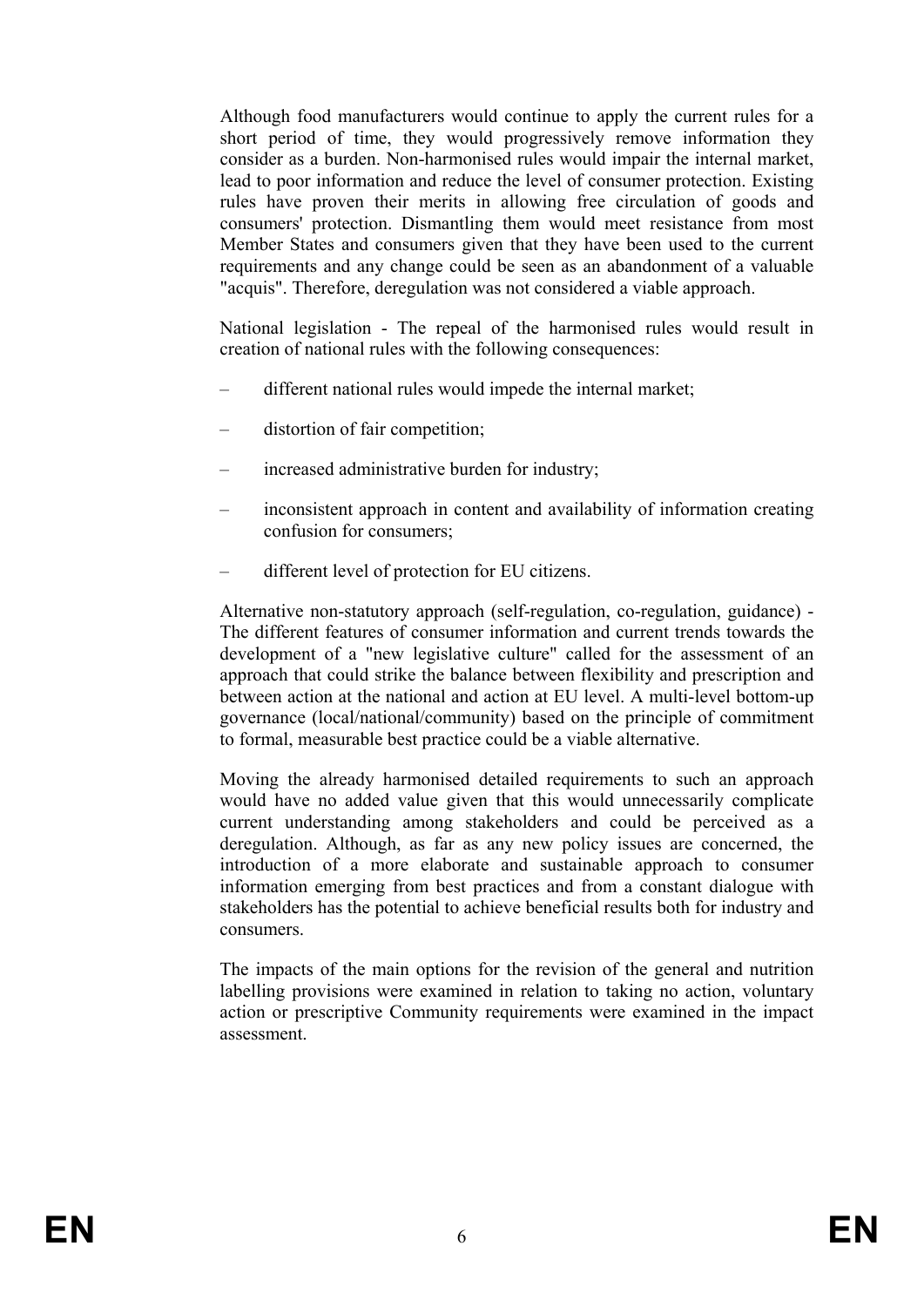Although food manufacturers would continue to apply the current rules for a short period of time, they would progressively remove information they consider as a burden. Non-harmonised rules would impair the internal market, lead to poor information and reduce the level of consumer protection. Existing rules have proven their merits in allowing free circulation of goods and consumers' protection. Dismantling them would meet resistance from most Member States and consumers given that they have been used to the current requirements and any change could be seen as an abandonment of a valuable "acquis". Therefore, deregulation was not considered a viable approach.

 National legislation - The repeal of the harmonised rules would result in creation of national rules with the following consequences:

- different national rules would impede the internal market;
- distortion of fair competition;
- increased administrative burden for industry;
- inconsistent approach in content and availability of information creating confusion for consumers;
- different level of protection for EU citizens.

 Alternative non-statutory approach (self-regulation, co-regulation, guidance) - The different features of consumer information and current trends towards the development of a "new legislative culture" called for the assessment of an approach that could strike the balance between flexibility and prescription and between action at the national and action at EU level. A multi-level bottom-up governance (local/national/community) based on the principle of commitment to formal, measurable best practice could be a viable alternative.

 Moving the already harmonised detailed requirements to such an approach would have no added value given that this would unnecessarily complicate current understanding among stakeholders and could be perceived as a deregulation. Although, as far as any new policy issues are concerned, the introduction of a more elaborate and sustainable approach to consumer information emerging from best practices and from a constant dialogue with stakeholders has the potential to achieve beneficial results both for industry and consumers.

 The impacts of the main options for the revision of the general and nutrition labelling provisions were examined in relation to taking no action, voluntary action or prescriptive Community requirements were examined in the impact assessment.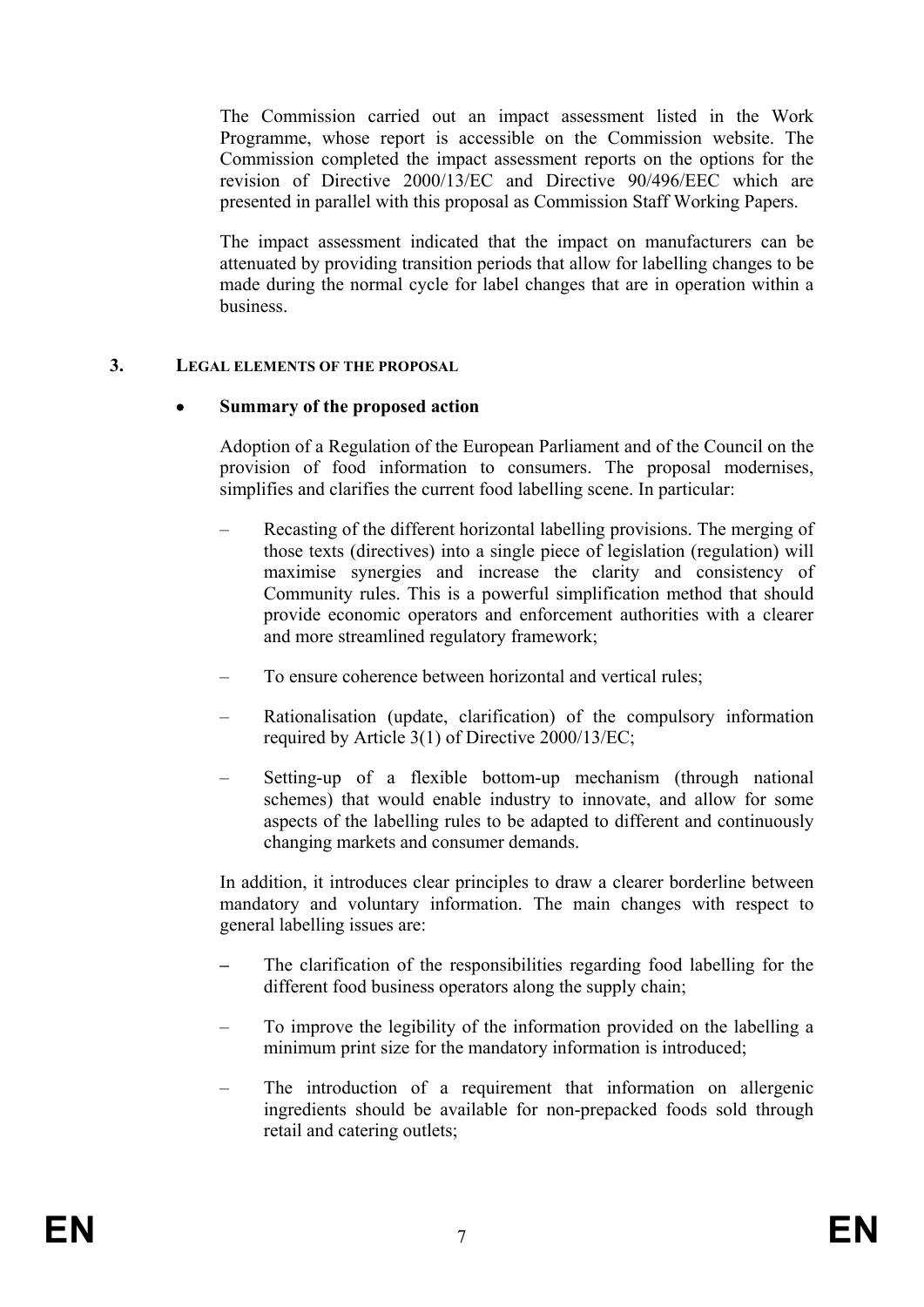The Commission carried out an impact assessment listed in the Work Programme, whose report is accessible on the Commission website. The Commission completed the impact assessment reports on the options for the revision of Directive 2000/13/EC and Directive 90/496/EEC which are presented in parallel with this proposal as Commission Staff Working Papers.

 The impact assessment indicated that the impact on manufacturers can be attenuated by providing transition periods that allow for labelling changes to be made during the normal cycle for label changes that are in operation within a business.

### **3. LEGAL ELEMENTS OF THE PROPOSAL**

### • **Summary of the proposed action**

 Adoption of a Regulation of the European Parliament and of the Council on the provision of food information to consumers. The proposal modernises, simplifies and clarifies the current food labelling scene. In particular:

- Recasting of the different horizontal labelling provisions. The merging of those texts (directives) into a single piece of legislation (regulation) will maximise synergies and increase the clarity and consistency of Community rules. This is a powerful simplification method that should provide economic operators and enforcement authorities with a clearer and more streamlined regulatory framework;
- To ensure coherence between horizontal and vertical rules;
- Rationalisation (update, clarification) of the compulsory information required by Article 3(1) of Directive 2000/13/EC;
- Setting-up of a flexible bottom-up mechanism (through national schemes) that would enable industry to innovate, and allow for some aspects of the labelling rules to be adapted to different and continuously changing markets and consumer demands.

 In addition, it introduces clear principles to draw a clearer borderline between mandatory and voluntary information. The main changes with respect to general labelling issues are:

- **–** The clarification of the responsibilities regarding food labelling for the different food business operators along the supply chain;
- To improve the legibility of the information provided on the labelling a minimum print size for the mandatory information is introduced;
- The introduction of a requirement that information on allergenic ingredients should be available for non-prepacked foods sold through retail and catering outlets;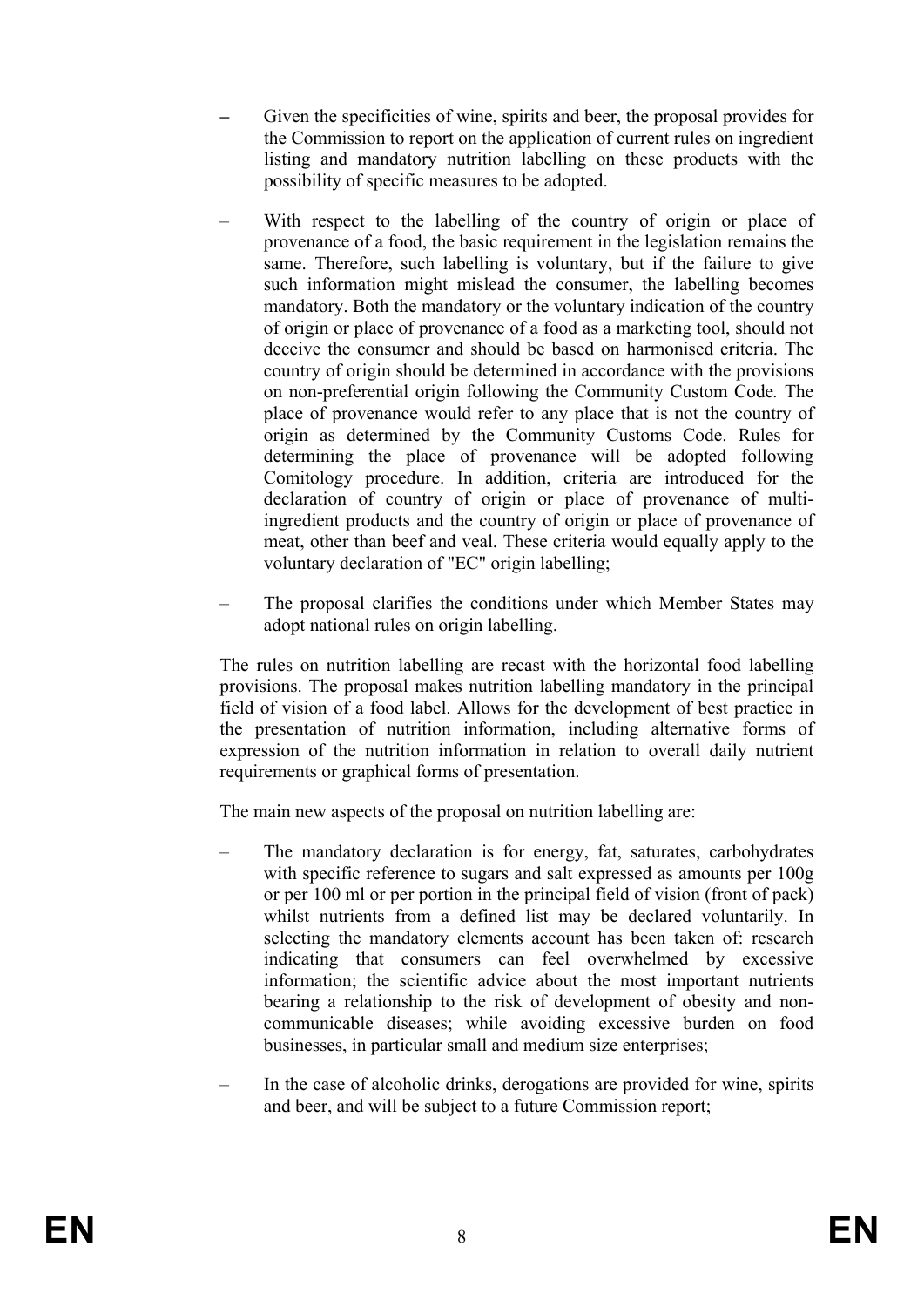- **–** Given the specificities of wine, spirits and beer, the proposal provides for the Commission to report on the application of current rules on ingredient listing and mandatory nutrition labelling on these products with the possibility of specific measures to be adopted.
- With respect to the labelling of the country of origin or place of provenance of a food, the basic requirement in the legislation remains the same. Therefore, such labelling is voluntary, but if the failure to give such information might mislead the consumer, the labelling becomes mandatory. Both the mandatory or the voluntary indication of the country of origin or place of provenance of a food as a marketing tool, should not deceive the consumer and should be based on harmonised criteria. The country of origin should be determined in accordance with the provisions on non-preferential origin following the Community Custom Code*.* The place of provenance would refer to any place that is not the country of origin as determined by the Community Customs Code. Rules for determining the place of provenance will be adopted following Comitology procedure. In addition, criteria are introduced for the declaration of country of origin or place of provenance of multiingredient products and the country of origin or place of provenance of meat, other than beef and veal. These criteria would equally apply to the voluntary declaration of "EC" origin labelling;
- The proposal clarifies the conditions under which Member States may adopt national rules on origin labelling.

 The rules on nutrition labelling are recast with the horizontal food labelling provisions. The proposal makes nutrition labelling mandatory in the principal field of vision of a food label. Allows for the development of best practice in the presentation of nutrition information, including alternative forms of expression of the nutrition information in relation to overall daily nutrient requirements or graphical forms of presentation.

The main new aspects of the proposal on nutrition labelling are:

- The mandatory declaration is for energy, fat, saturates, carbohydrates with specific reference to sugars and salt expressed as amounts per 100g or per 100 ml or per portion in the principal field of vision (front of pack) whilst nutrients from a defined list may be declared voluntarily. In selecting the mandatory elements account has been taken of: research indicating that consumers can feel overwhelmed by excessive information; the scientific advice about the most important nutrients bearing a relationship to the risk of development of obesity and noncommunicable diseases; while avoiding excessive burden on food businesses, in particular small and medium size enterprises;
- In the case of alcoholic drinks, derogations are provided for wine, spirits and beer, and will be subject to a future Commission report;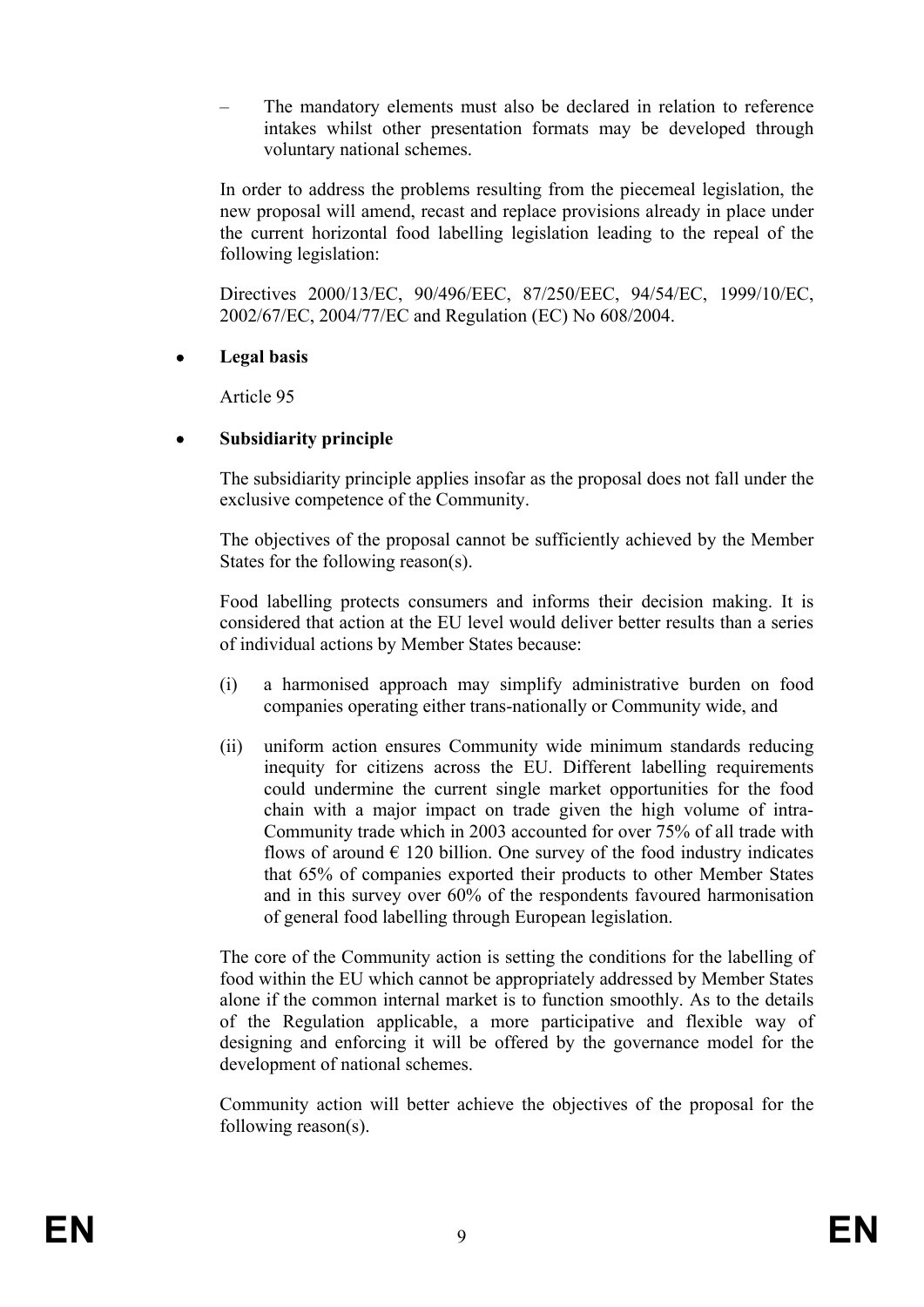– The mandatory elements must also be declared in relation to reference intakes whilst other presentation formats may be developed through voluntary national schemes.

 In order to address the problems resulting from the piecemeal legislation, the new proposal will amend, recast and replace provisions already in place under the current horizontal food labelling legislation leading to the repeal of the following legislation:

 Directives 2000/13/EC, 90/496/EEC, 87/250/EEC, 94/54/EC, 1999/10/EC, 2002/67/EC, 2004/77/EC and Regulation (EC) No 608/2004.

### • **Legal basis**

Article 95

# • **Subsidiarity principle**

 The subsidiarity principle applies insofar as the proposal does not fall under the exclusive competence of the Community.

 The objectives of the proposal cannot be sufficiently achieved by the Member States for the following reason(s).

 Food labelling protects consumers and informs their decision making. It is considered that action at the EU level would deliver better results than a series of individual actions by Member States because:

- (i) a harmonised approach may simplify administrative burden on food companies operating either trans-nationally or Community wide, and
- (ii) uniform action ensures Community wide minimum standards reducing inequity for citizens across the EU. Different labelling requirements could undermine the current single market opportunities for the food chain with a major impact on trade given the high volume of intra-Community trade which in 2003 accounted for over 75% of all trade with flows of around  $\epsilon$  120 billion. One survey of the food industry indicates that 65% of companies exported their products to other Member States and in this survey over 60% of the respondents favoured harmonisation of general food labelling through European legislation.

 The core of the Community action is setting the conditions for the labelling of food within the EU which cannot be appropriately addressed by Member States alone if the common internal market is to function smoothly. As to the details of the Regulation applicable, a more participative and flexible way of designing and enforcing it will be offered by the governance model for the development of national schemes.

 Community action will better achieve the objectives of the proposal for the following reason(s).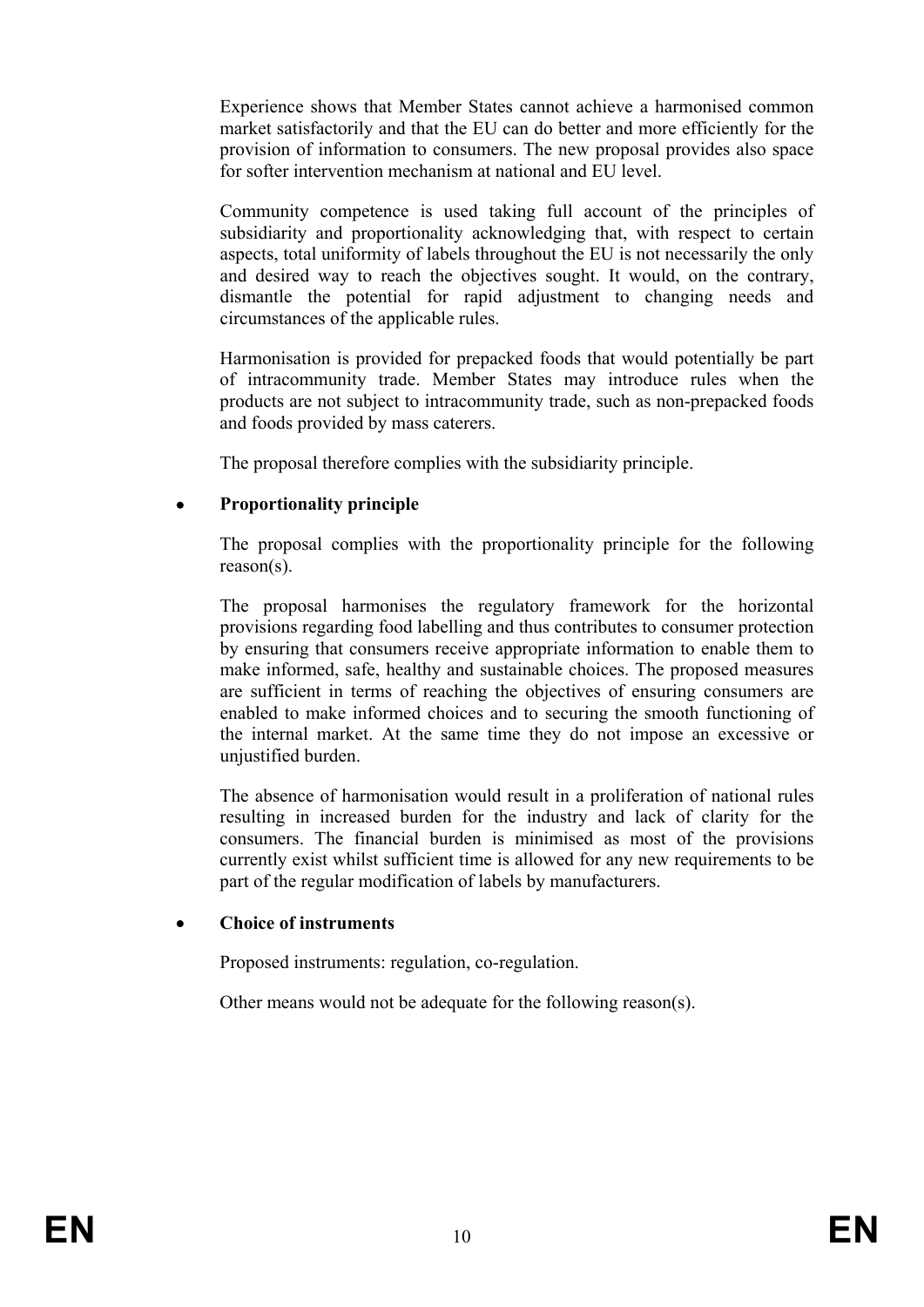Experience shows that Member States cannot achieve a harmonised common market satisfactorily and that the EU can do better and more efficiently for the provision of information to consumers. The new proposal provides also space for softer intervention mechanism at national and EU level.

 Community competence is used taking full account of the principles of subsidiarity and proportionality acknowledging that, with respect to certain aspects, total uniformity of labels throughout the EU is not necessarily the only and desired way to reach the objectives sought. It would, on the contrary, dismantle the potential for rapid adjustment to changing needs and circumstances of the applicable rules.

 Harmonisation is provided for prepacked foods that would potentially be part of intracommunity trade. Member States may introduce rules when the products are not subject to intracommunity trade, such as non-prepacked foods and foods provided by mass caterers.

The proposal therefore complies with the subsidiarity principle.

# • **Proportionality principle**

 The proposal complies with the proportionality principle for the following reason(s).

 The proposal harmonises the regulatory framework for the horizontal provisions regarding food labelling and thus contributes to consumer protection by ensuring that consumers receive appropriate information to enable them to make informed, safe, healthy and sustainable choices. The proposed measures are sufficient in terms of reaching the objectives of ensuring consumers are enabled to make informed choices and to securing the smooth functioning of the internal market. At the same time they do not impose an excessive or unjustified burden.

 The absence of harmonisation would result in a proliferation of national rules resulting in increased burden for the industry and lack of clarity for the consumers. The financial burden is minimised as most of the provisions currently exist whilst sufficient time is allowed for any new requirements to be part of the regular modification of labels by manufacturers.

# • **Choice of instruments**

Proposed instruments: regulation, co-regulation.

Other means would not be adequate for the following reason(s).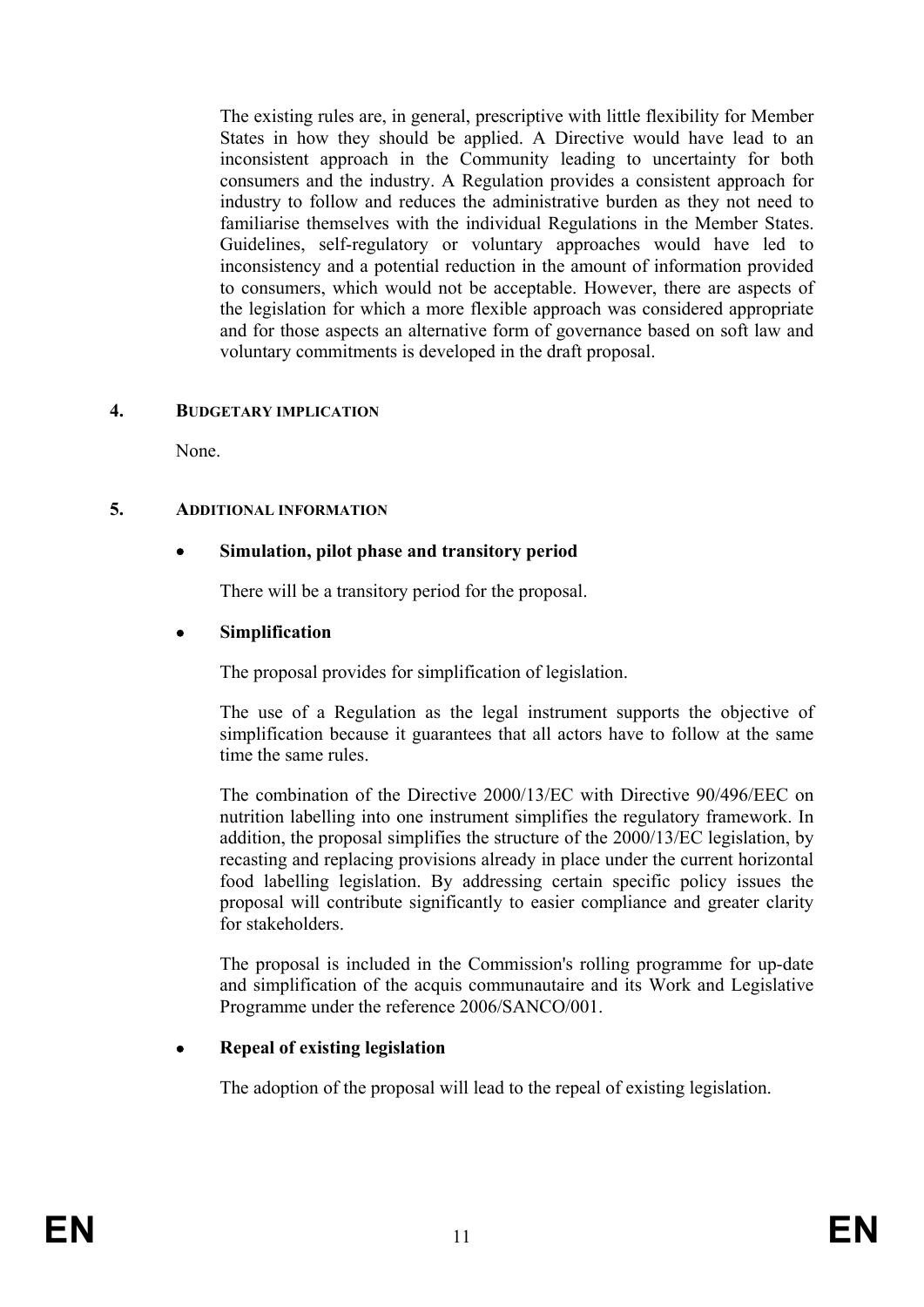The existing rules are, in general, prescriptive with little flexibility for Member States in how they should be applied. A Directive would have lead to an inconsistent approach in the Community leading to uncertainty for both consumers and the industry. A Regulation provides a consistent approach for industry to follow and reduces the administrative burden as they not need to familiarise themselves with the individual Regulations in the Member States. Guidelines, self-regulatory or voluntary approaches would have led to inconsistency and a potential reduction in the amount of information provided to consumers, which would not be acceptable. However, there are aspects of the legislation for which a more flexible approach was considered appropriate and for those aspects an alternative form of governance based on soft law and voluntary commitments is developed in the draft proposal.

### **4. BUDGETARY IMPLICATION**

None.

# **5. ADDITIONAL INFORMATION**

# • **Simulation, pilot phase and transitory period**

There will be a transitory period for the proposal.

# • **Simplification**

The proposal provides for simplification of legislation.

 The use of a Regulation as the legal instrument supports the objective of simplification because it guarantees that all actors have to follow at the same time the same rules.

 The combination of the Directive 2000/13/EC with Directive 90/496/EEC on nutrition labelling into one instrument simplifies the regulatory framework. In addition, the proposal simplifies the structure of the 2000/13/EC legislation, by recasting and replacing provisions already in place under the current horizontal food labelling legislation. By addressing certain specific policy issues the proposal will contribute significantly to easier compliance and greater clarity for stakeholders.

 The proposal is included in the Commission's rolling programme for up-date and simplification of the acquis communautaire and its Work and Legislative Programme under the reference 2006/SANCO/001.

# • **Repeal of existing legislation**

The adoption of the proposal will lead to the repeal of existing legislation.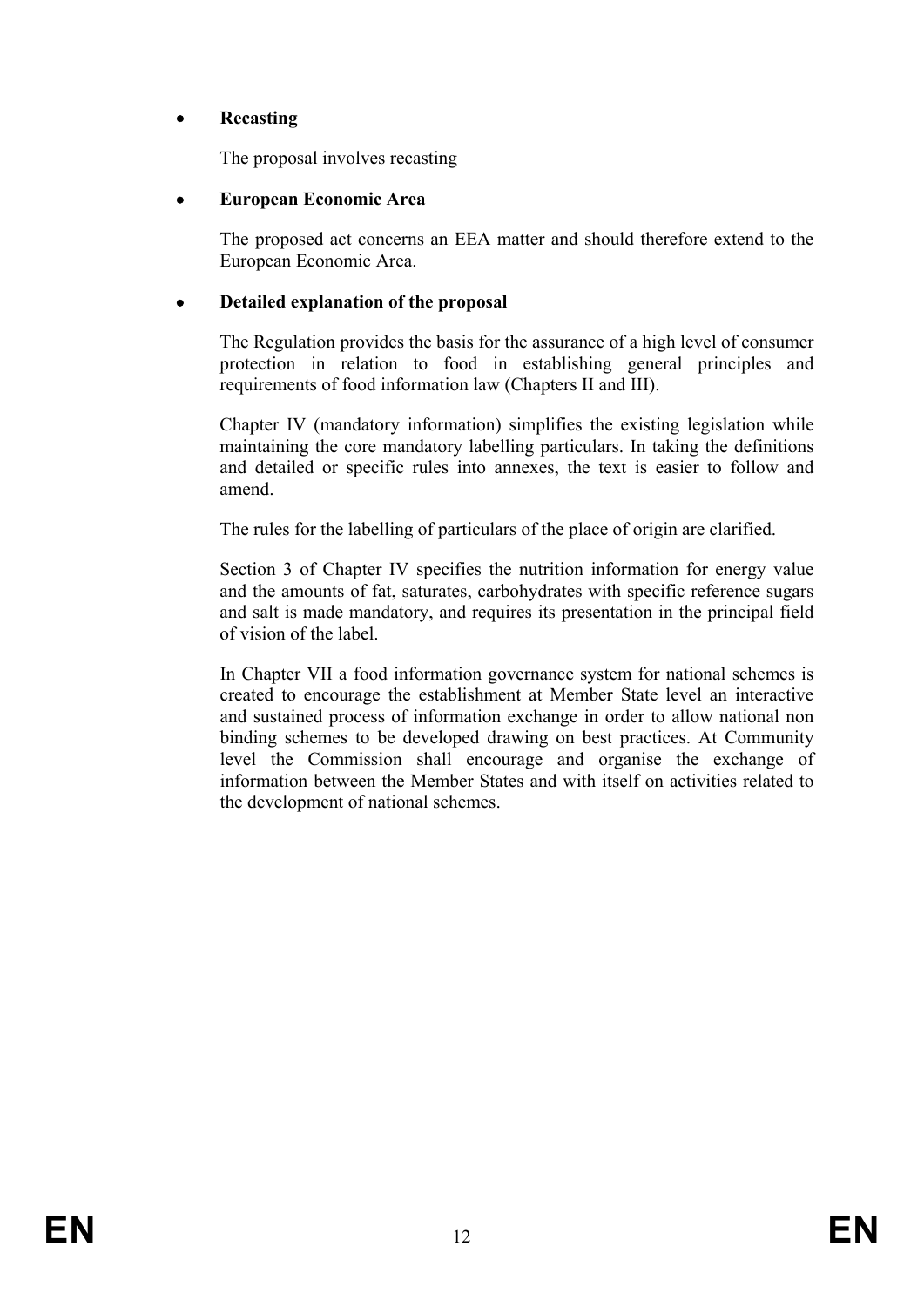# • **Recasting**

The proposal involves recasting

# • **European Economic Area**

 The proposed act concerns an EEA matter and should therefore extend to the European Economic Area.

# • **Detailed explanation of the proposal**

 The Regulation provides the basis for the assurance of a high level of consumer protection in relation to food in establishing general principles and requirements of food information law (Chapters II and III).

 Chapter IV (mandatory information) simplifies the existing legislation while maintaining the core mandatory labelling particulars. In taking the definitions and detailed or specific rules into annexes, the text is easier to follow and amend.

The rules for the labelling of particulars of the place of origin are clarified.

 Section 3 of Chapter IV specifies the nutrition information for energy value and the amounts of fat, saturates, carbohydrates with specific reference sugars and salt is made mandatory, and requires its presentation in the principal field of vision of the label.

 In Chapter VII a food information governance system for national schemes is created to encourage the establishment at Member State level an interactive and sustained process of information exchange in order to allow national non binding schemes to be developed drawing on best practices. At Community level the Commission shall encourage and organise the exchange of information between the Member States and with itself on activities related to the development of national schemes.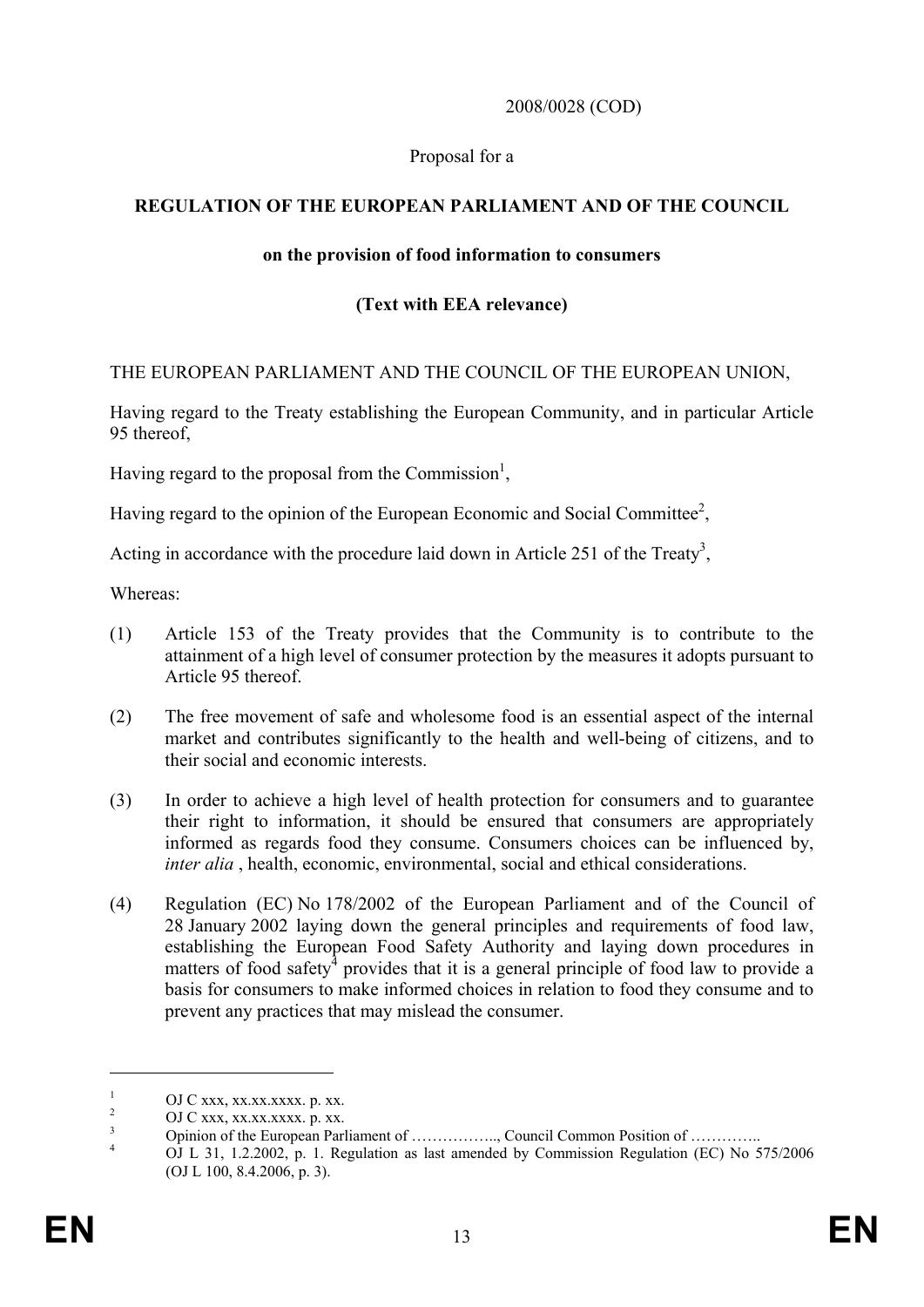### 2008/0028 (COD)

### Proposal for a

# **REGULATION OF THE EUROPEAN PARLIAMENT AND OF THE COUNCIL**

### **on the provision of food information to consumers**

# **(Text with EEA relevance)**

### THE EUROPEAN PARLIAMENT AND THE COUNCIL OF THE EUROPEAN UNION,

Having regard to the Treaty establishing the European Community, and in particular Article 95 thereof,

Having regard to the proposal from the Commission<sup>1</sup>,

Having regard to the opinion of the European Economic and Social Committee<sup>2</sup>,

Acting in accordance with the procedure laid down in Article 251 of the Treaty<sup>3</sup>,

Whereas:

- (1) Article 153 of the Treaty provides that the Community is to contribute to the attainment of a high level of consumer protection by the measures it adopts pursuant to Article 95 thereof.
- (2) The free movement of safe and wholesome food is an essential aspect of the internal market and contributes significantly to the health and well-being of citizens, and to their social and economic interests.
- (3) In order to achieve a high level of health protection for consumers and to guarantee their right to information, it should be ensured that consumers are appropriately informed as regards food they consume. Consumers choices can be influenced by, *inter alia* , health, economic, environmental, social and ethical considerations.
- (4) Regulation (EC) No 178/2002 of the European Parliament and of the Council of 28 January 2002 laying down the general principles and requirements of food law, establishing the European Food Safety Authority and laying down procedures in matters of food safety<sup>4</sup> provides that it is a general principle of food law to provide a basis for consumers to make informed choices in relation to food they consume and to prevent any practices that may mislead the consumer.

<sup>1</sup> OJ C xxx, xx.xx.xxxx. p. xx.

<sup>2</sup> OJ C xxx, xx.xx.xxxx. p. xx.

<sup>3</sup> Opinion of the European Parliament of …………….., Council Common Position of ………….. 4

OJ L 31, 1.2.2002, p. 1. Regulation as last amended by Commission Regulation (EC) No 575/2006 (OJ L 100, 8.4.2006, p. 3).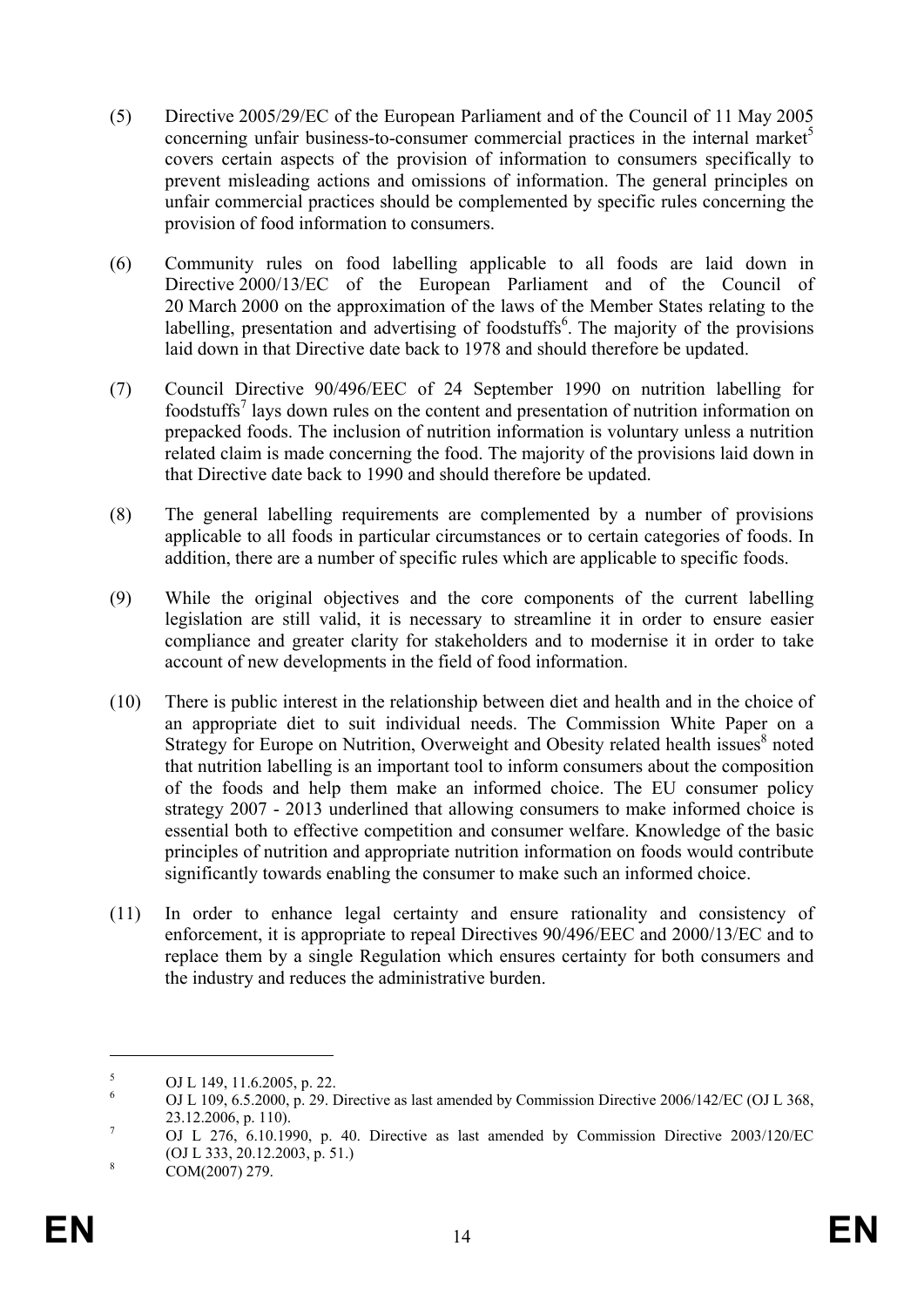- (5) Directive 2005/29/EC of the European Parliament and of the Council of 11 May 2005 concerning unfair business-to-consumer commercial practices in the internal market $\delta$ covers certain aspects of the provision of information to consumers specifically to prevent misleading actions and omissions of information. The general principles on unfair commercial practices should be complemented by specific rules concerning the provision of food information to consumers.
- (6) Community rules on food labelling applicable to all foods are laid down in Directive 2000/13/EC of the European Parliament and of the Council of 20 March 2000 on the approximation of the laws of the Member States relating to the labelling, presentation and advertising of foodstuffs<sup>6</sup>. The majority of the provisions laid down in that Directive date back to 1978 and should therefore be updated.
- (7) Council Directive 90/496/EEC of 24 September 1990 on nutrition labelling for foodstuffs<sup>7</sup> lays down rules on the content and presentation of nutrition information on prepacked foods. The inclusion of nutrition information is voluntary unless a nutrition related claim is made concerning the food. The majority of the provisions laid down in that Directive date back to 1990 and should therefore be updated.
- (8) The general labelling requirements are complemented by a number of provisions applicable to all foods in particular circumstances or to certain categories of foods. In addition, there are a number of specific rules which are applicable to specific foods.
- (9) While the original objectives and the core components of the current labelling legislation are still valid, it is necessary to streamline it in order to ensure easier compliance and greater clarity for stakeholders and to modernise it in order to take account of new developments in the field of food information.
- (10) There is public interest in the relationship between diet and health and in the choice of an appropriate diet to suit individual needs. The Commission White Paper on a Strategy for Europe on Nutrition, Overweight and Obesity related health issues<sup>8</sup> noted that nutrition labelling is an important tool to inform consumers about the composition of the foods and help them make an informed choice. The EU consumer policy strategy 2007 - 2013 underlined that allowing consumers to make informed choice is essential both to effective competition and consumer welfare. Knowledge of the basic principles of nutrition and appropriate nutrition information on foods would contribute significantly towards enabling the consumer to make such an informed choice.
- (11) In order to enhance legal certainty and ensure rationality and consistency of enforcement, it is appropriate to repeal Directives 90/496/EEC and 2000/13/EC and to replace them by a single Regulation which ensures certainty for both consumers and the industry and reduces the administrative burden.

<u>.</u>

<sup>5</sup> OJ L 149, 11.6.2005, p. 22.

<sup>6</sup> OJ L 109, 6.5.2000, p. 29. Directive as last amended by Commission Directive 2006/142/EC (OJ L 368, 23.12.2006, p. 110).

OJ L 276, 6.10.1990, p. 40. Directive as last amended by Commission Directive 2003/120/EC (OJ L 333, 20.12.2003, p. 51.)

COM(2007) 279.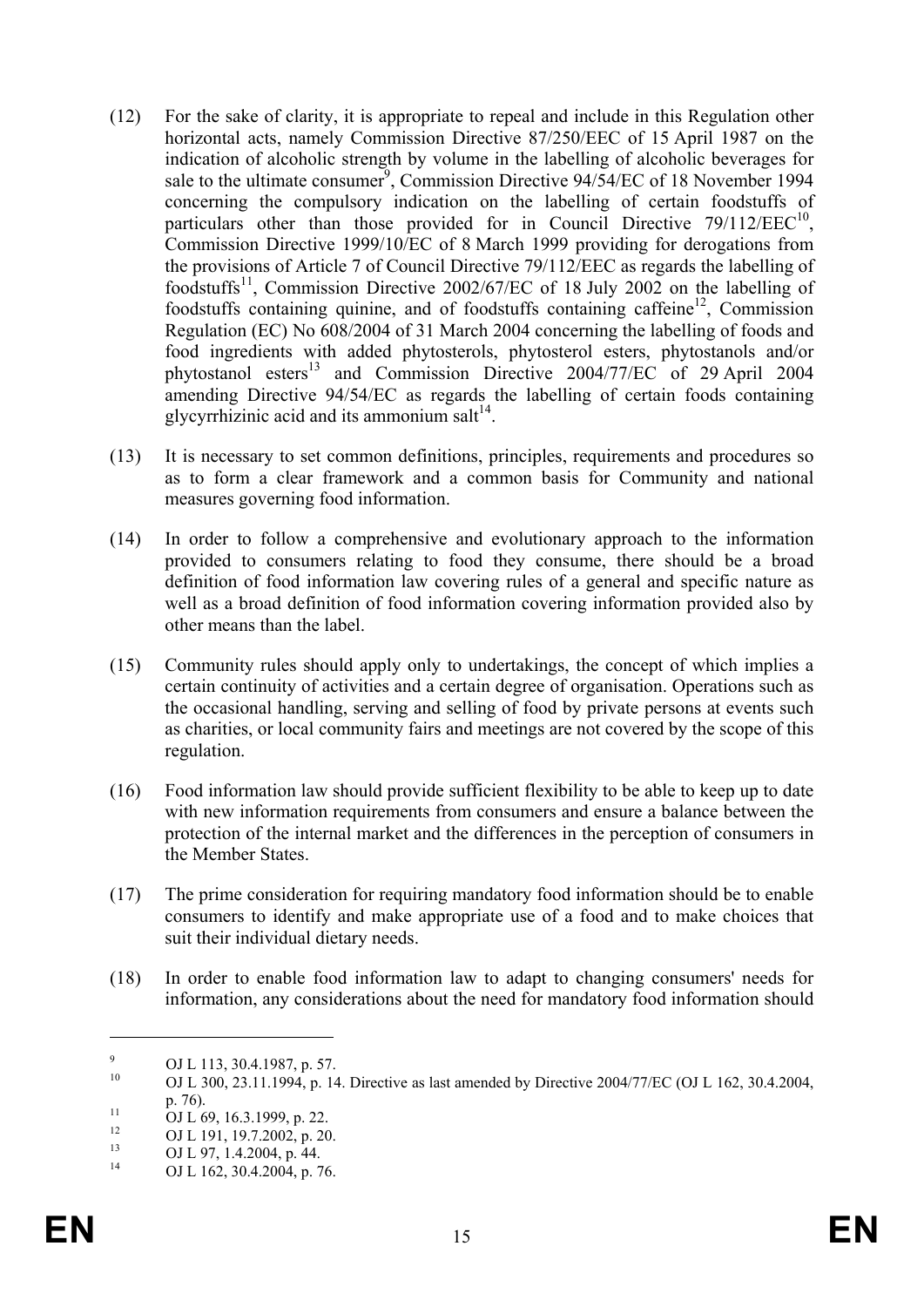- (12) For the sake of clarity, it is appropriate to repeal and include in this Regulation other horizontal acts, namely Commission Directive 87/250/EEC of 15 April 1987 on the indication of alcoholic strength by volume in the labelling of alcoholic beverages for sale to the ultimate consumer<sup>9</sup>, Commission Directive  $94/54/EC$  of 18 November 1994 concerning the compulsory indication on the labelling of certain foodstuffs of particulars other than those provided for in Council Directive  $79/112/EEC^{10}$ , Commission Directive 1999/10/EC of 8 March 1999 providing for derogations from the provisions of Article 7 of Council Directive 79/112/EEC as regards the labelling of foodstuffs<sup>11</sup>, Commission Directive 2002/67/EC of 18 July 2002 on the labelling of foodstuffs containing quinine, and of foodstuffs containing caffeine<sup>12</sup>, Commission Regulation (EC) No 608/2004 of 31 March 2004 concerning the labelling of foods and food ingredients with added phytosterols, phytosterol esters, phytostanols and/or phytostanol esters<sup>13</sup> and Commission Directive 2004/77/EC of 29 April 2004 amending Directive 94/54/EC as regards the labelling of certain foods containing glycyrrhizinic acid and its ammonium salt $^{14}$ .
- (13) It is necessary to set common definitions, principles, requirements and procedures so as to form a clear framework and a common basis for Community and national measures governing food information.
- (14) In order to follow a comprehensive and evolutionary approach to the information provided to consumers relating to food they consume, there should be a broad definition of food information law covering rules of a general and specific nature as well as a broad definition of food information covering information provided also by other means than the label.
- (15) Community rules should apply only to undertakings, the concept of which implies a certain continuity of activities and a certain degree of organisation. Operations such as the occasional handling, serving and selling of food by private persons at events such as charities, or local community fairs and meetings are not covered by the scope of this regulation.
- (16) Food information law should provide sufficient flexibility to be able to keep up to date with new information requirements from consumers and ensure a balance between the protection of the internal market and the differences in the perception of consumers in the Member States.
- (17) The prime consideration for requiring mandatory food information should be to enable consumers to identify and make appropriate use of a food and to make choices that suit their individual dietary needs.
- (18) In order to enable food information law to adapt to changing consumers' needs for information, any considerations about the need for mandatory food information should

<sup>9</sup>  $^{9}$  OJ L 113, 30.4.1987, p. 57.

<sup>10</sup> OJ L 300, 23.11.1994, p. 14. Directive as last amended by Directive 2004/77/EC (OJ L 162, 30.4.2004, p. 76).<br>
OJ L 69, 16.3.1999, p. 22.<br>
<sup>12</sup> OJ L 12.12.2000, 20

<sup>&</sup>lt;sup>12</sup> OJ L 191, 19.7.2002, p. 20.<br><sup>13</sup> OJ L 97, 1.4.2004, p. 44.

 $13$  OJ L 97, 1.4.2004, p. 44.

OJ L 162, 30.4.2004, p. 76.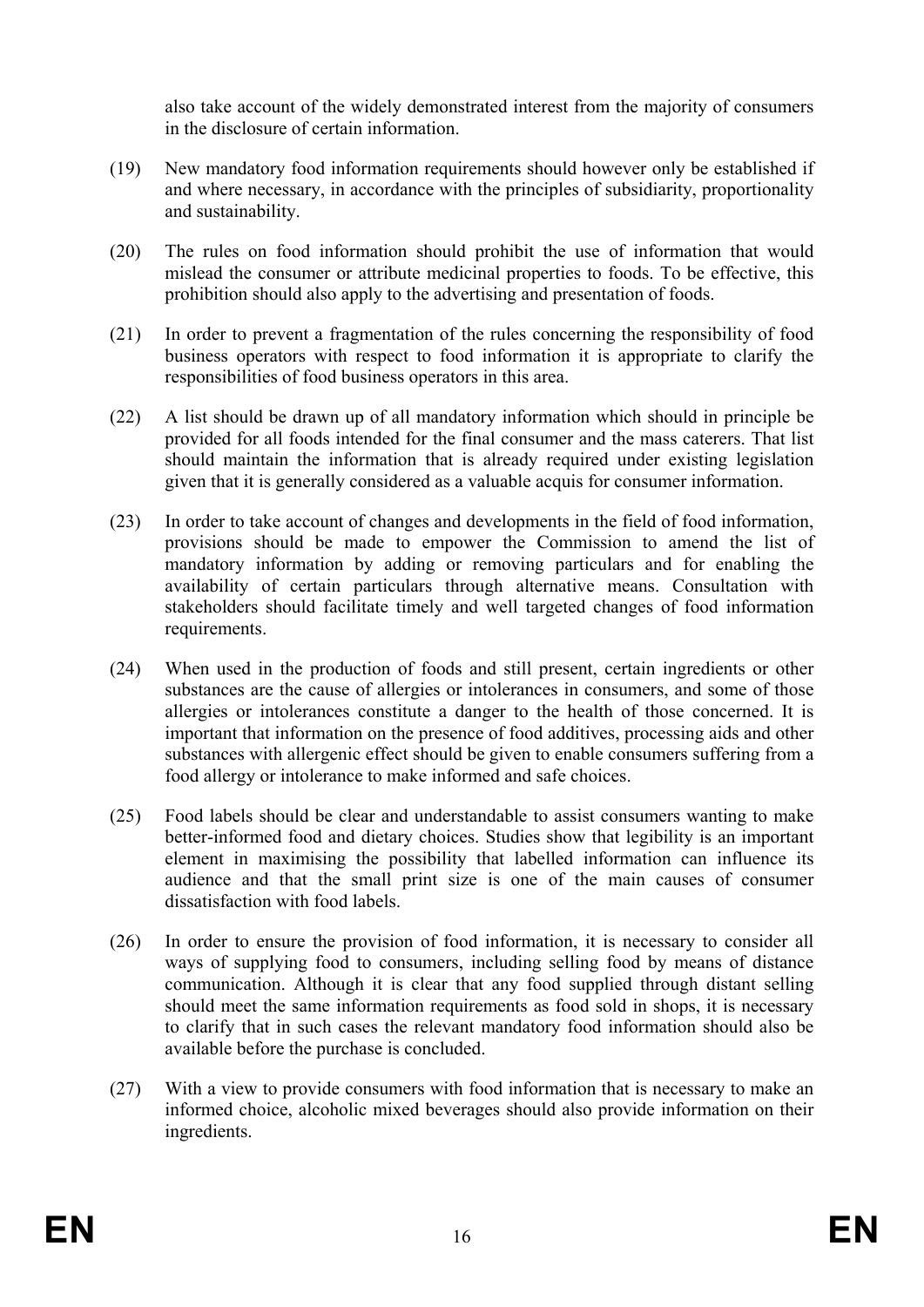also take account of the widely demonstrated interest from the majority of consumers in the disclosure of certain information.

- (19) New mandatory food information requirements should however only be established if and where necessary, in accordance with the principles of subsidiarity, proportionality and sustainability.
- (20) The rules on food information should prohibit the use of information that would mislead the consumer or attribute medicinal properties to foods. To be effective, this prohibition should also apply to the advertising and presentation of foods.
- (21) In order to prevent a fragmentation of the rules concerning the responsibility of food business operators with respect to food information it is appropriate to clarify the responsibilities of food business operators in this area.
- (22) A list should be drawn up of all mandatory information which should in principle be provided for all foods intended for the final consumer and the mass caterers. That list should maintain the information that is already required under existing legislation given that it is generally considered as a valuable acquis for consumer information.
- (23) In order to take account of changes and developments in the field of food information, provisions should be made to empower the Commission to amend the list of mandatory information by adding or removing particulars and for enabling the availability of certain particulars through alternative means. Consultation with stakeholders should facilitate timely and well targeted changes of food information requirements.
- (24) When used in the production of foods and still present, certain ingredients or other substances are the cause of allergies or intolerances in consumers, and some of those allergies or intolerances constitute a danger to the health of those concerned. It is important that information on the presence of food additives, processing aids and other substances with allergenic effect should be given to enable consumers suffering from a food allergy or intolerance to make informed and safe choices.
- (25) Food labels should be clear and understandable to assist consumers wanting to make better-informed food and dietary choices. Studies show that legibility is an important element in maximising the possibility that labelled information can influence its audience and that the small print size is one of the main causes of consumer dissatisfaction with food labels.
- (26) In order to ensure the provision of food information, it is necessary to consider all ways of supplying food to consumers, including selling food by means of distance communication. Although it is clear that any food supplied through distant selling should meet the same information requirements as food sold in shops, it is necessary to clarify that in such cases the relevant mandatory food information should also be available before the purchase is concluded.
- (27) With a view to provide consumers with food information that is necessary to make an informed choice, alcoholic mixed beverages should also provide information on their ingredients.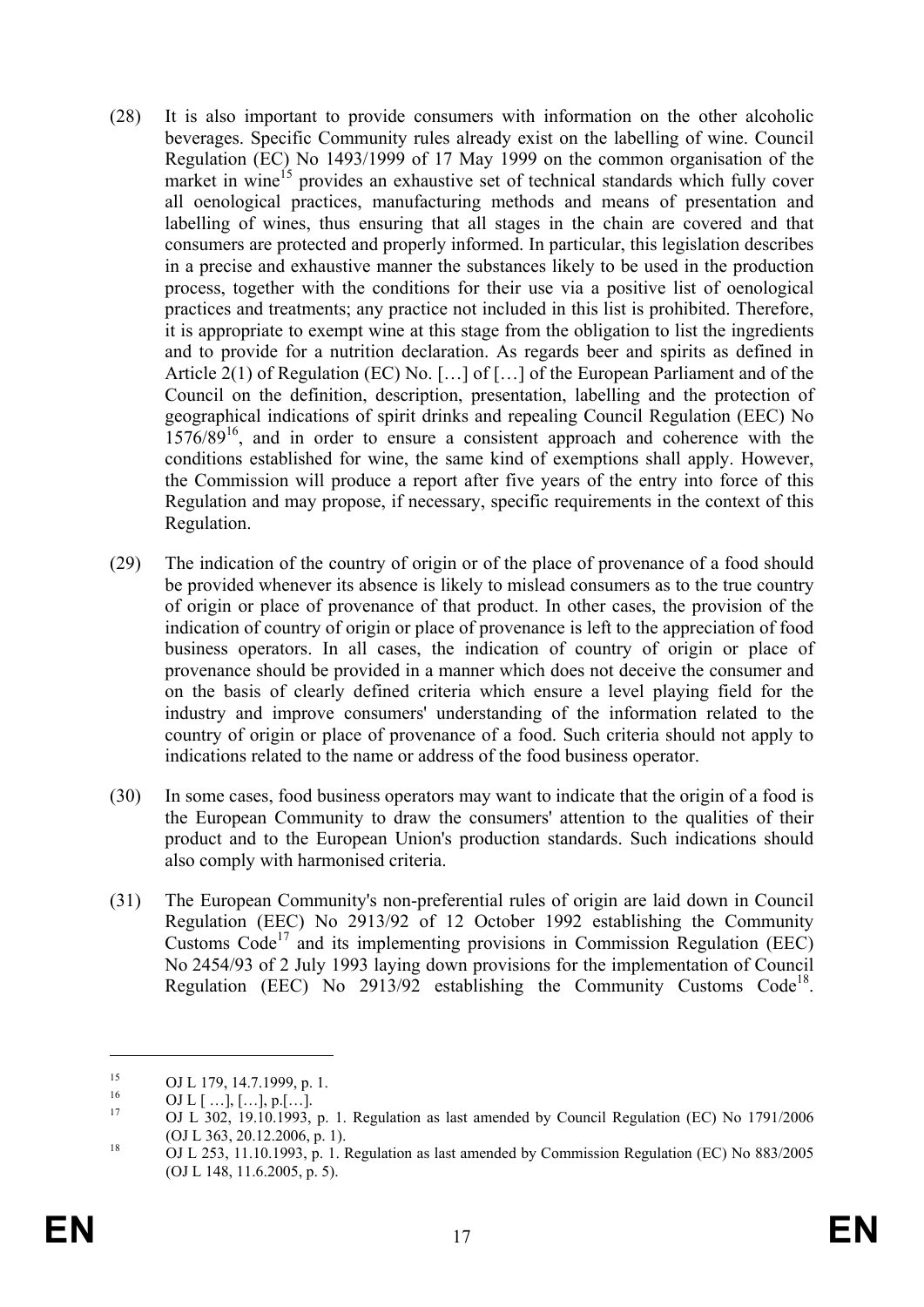- (28) It is also important to provide consumers with information on the other alcoholic beverages. Specific Community rules already exist on the labelling of wine. Council Regulation (EC) No 1493/1999 of 17 May 1999 on the common organisation of the market in wine<sup>15</sup> provides an exhaustive set of technical standards which fully cover all oenological practices, manufacturing methods and means of presentation and labelling of wines, thus ensuring that all stages in the chain are covered and that consumers are protected and properly informed. In particular, this legislation describes in a precise and exhaustive manner the substances likely to be used in the production process, together with the conditions for their use via a positive list of oenological practices and treatments; any practice not included in this list is prohibited. Therefore, it is appropriate to exempt wine at this stage from the obligation to list the ingredients and to provide for a nutrition declaration. As regards beer and spirits as defined in Article 2(1) of Regulation (EC) No. […] of […] of the European Parliament and of the Council on the definition, description, presentation, labelling and the protection of geographical indications of spirit drinks and repealing Council Regulation (EEC) No 1576/89<sup>16</sup>, and in order to ensure a consistent approach and coherence with the conditions established for wine, the same kind of exemptions shall apply. However, the Commission will produce a report after five years of the entry into force of this Regulation and may propose, if necessary, specific requirements in the context of this Regulation.
- (29) The indication of the country of origin or of the place of provenance of a food should be provided whenever its absence is likely to mislead consumers as to the true country of origin or place of provenance of that product. In other cases, the provision of the indication of country of origin or place of provenance is left to the appreciation of food business operators. In all cases, the indication of country of origin or place of provenance should be provided in a manner which does not deceive the consumer and on the basis of clearly defined criteria which ensure a level playing field for the industry and improve consumers' understanding of the information related to the country of origin or place of provenance of a food. Such criteria should not apply to indications related to the name or address of the food business operator.
- (30) In some cases, food business operators may want to indicate that the origin of a food is the European Community to draw the consumers' attention to the qualities of their product and to the European Union's production standards. Such indications should also comply with harmonised criteria.
- (31) The European Community's non-preferential rules of origin are laid down in Council Regulation (EEC) No 2913/92 of 12 October 1992 establishing the Community Customs Code<sup>17</sup> and its implementing provisions in Commission Regulation (EEC) No 2454/93 of 2 July 1993 laying down provisions for the implementation of Council Regulation (EEC) No 2913/92 establishing the Community Customs Code<sup>18</sup>.

<u>.</u>

<sup>&</sup>lt;sup>15</sup> OJ L 179, 14.7.1999, p. 1.

 $\frac{16}{17}$  OJ L [...], [...], p.[...].

OJ L 302, 19.10.1993, p. 1. Regulation as last amended by Council Regulation (EC) No 1791/2006 (OJ L 363, 20.12.2006, p. 1).

<sup>&</sup>lt;sup>18</sup> OJ L 253, 11.10.1993, p. 1. Regulation as last amended by Commission Regulation (EC) No 883/2005 (OJ L 148, 11.6.2005, p. 5).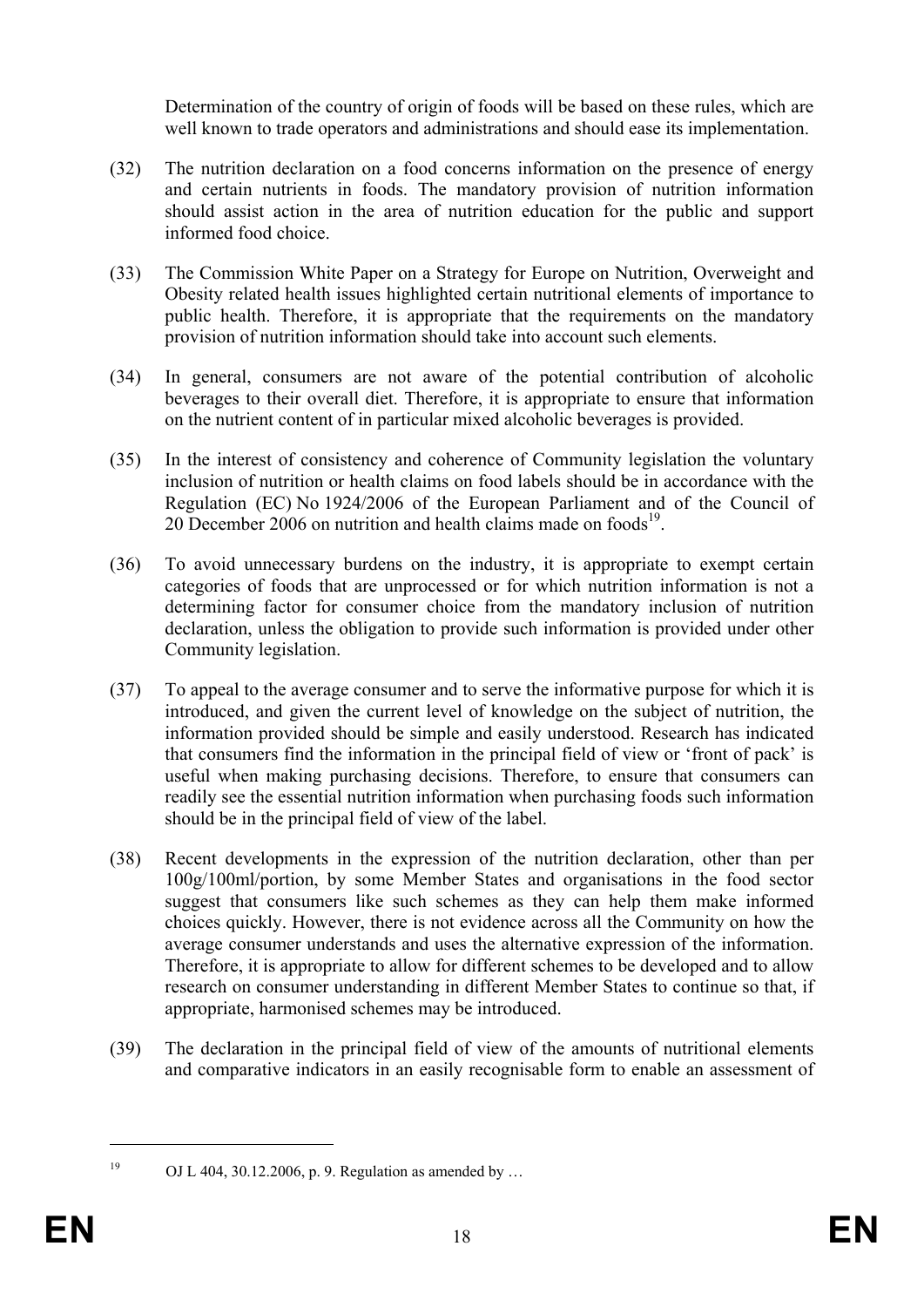Determination of the country of origin of foods will be based on these rules, which are well known to trade operators and administrations and should ease its implementation.

- (32) The nutrition declaration on a food concerns information on the presence of energy and certain nutrients in foods. The mandatory provision of nutrition information should assist action in the area of nutrition education for the public and support informed food choice.
- (33) The Commission White Paper on a Strategy for Europe on Nutrition, Overweight and Obesity related health issues highlighted certain nutritional elements of importance to public health. Therefore, it is appropriate that the requirements on the mandatory provision of nutrition information should take into account such elements.
- (34) In general, consumers are not aware of the potential contribution of alcoholic beverages to their overall diet. Therefore, it is appropriate to ensure that information on the nutrient content of in particular mixed alcoholic beverages is provided.
- (35) In the interest of consistency and coherence of Community legislation the voluntary inclusion of nutrition or health claims on food labels should be in accordance with the Regulation (EC) No 1924/2006 of the European Parliament and of the Council of 20 December 2006 on nutrition and health claims made on foods $19$ .
- (36) To avoid unnecessary burdens on the industry, it is appropriate to exempt certain categories of foods that are unprocessed or for which nutrition information is not a determining factor for consumer choice from the mandatory inclusion of nutrition declaration, unless the obligation to provide such information is provided under other Community legislation.
- (37) To appeal to the average consumer and to serve the informative purpose for which it is introduced, and given the current level of knowledge on the subject of nutrition, the information provided should be simple and easily understood. Research has indicated that consumers find the information in the principal field of view or 'front of pack' is useful when making purchasing decisions. Therefore, to ensure that consumers can readily see the essential nutrition information when purchasing foods such information should be in the principal field of view of the label.
- (38) Recent developments in the expression of the nutrition declaration, other than per 100g/100ml/portion, by some Member States and organisations in the food sector suggest that consumers like such schemes as they can help them make informed choices quickly. However, there is not evidence across all the Community on how the average consumer understands and uses the alternative expression of the information. Therefore, it is appropriate to allow for different schemes to be developed and to allow research on consumer understanding in different Member States to continue so that, if appropriate, harmonised schemes may be introduced.
- (39) The declaration in the principal field of view of the amounts of nutritional elements and comparative indicators in an easily recognisable form to enable an assessment of

<sup>1</sup> 

<sup>&</sup>lt;sup>19</sup> OJ L 404, 30.12.2006, p. 9. Regulation as amended by ...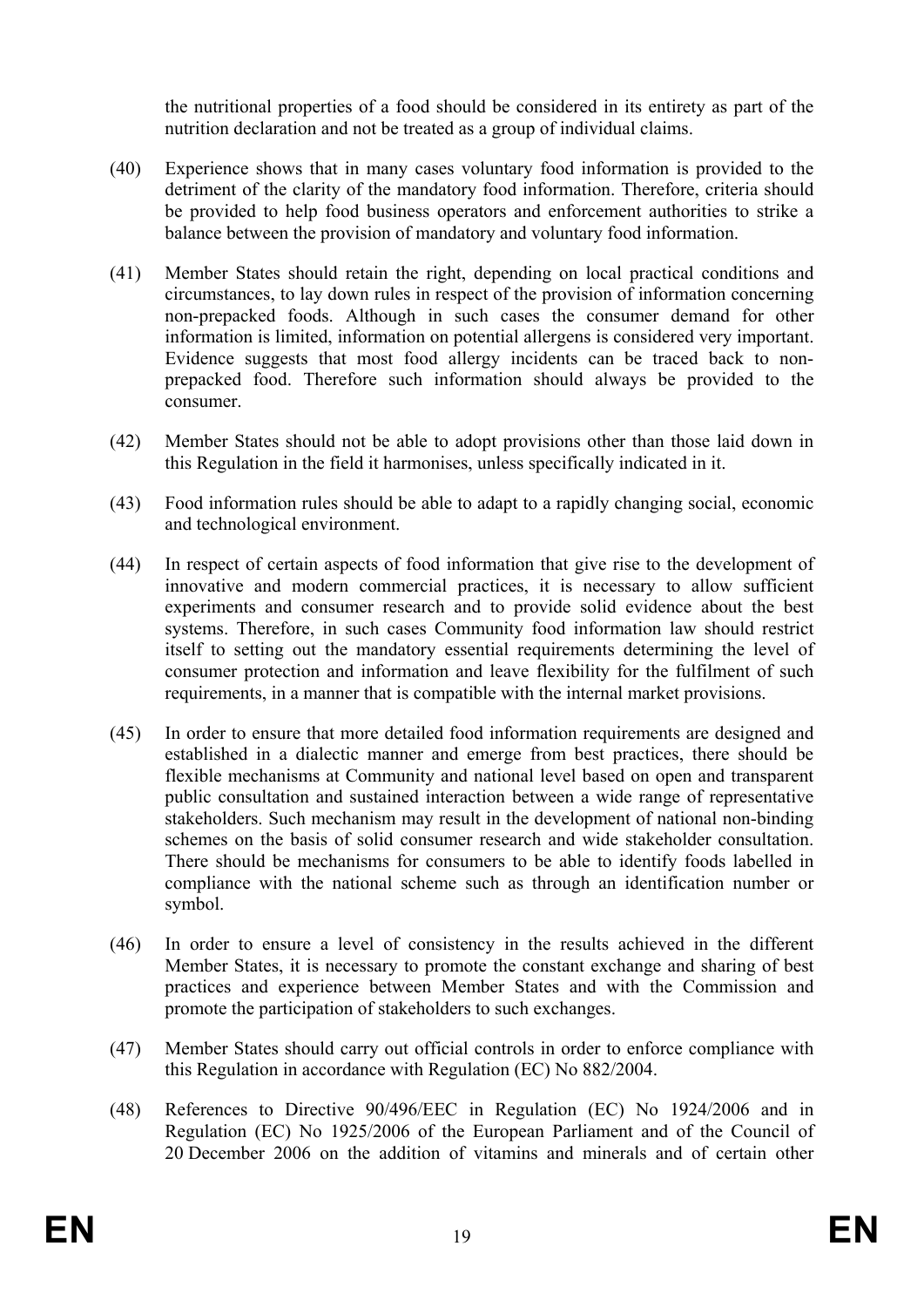the nutritional properties of a food should be considered in its entirety as part of the nutrition declaration and not be treated as a group of individual claims.

- (40) Experience shows that in many cases voluntary food information is provided to the detriment of the clarity of the mandatory food information. Therefore, criteria should be provided to help food business operators and enforcement authorities to strike a balance between the provision of mandatory and voluntary food information.
- (41) Member States should retain the right, depending on local practical conditions and circumstances, to lay down rules in respect of the provision of information concerning non-prepacked foods. Although in such cases the consumer demand for other information is limited, information on potential allergens is considered very important. Evidence suggests that most food allergy incidents can be traced back to nonprepacked food. Therefore such information should always be provided to the consumer.
- (42) Member States should not be able to adopt provisions other than those laid down in this Regulation in the field it harmonises, unless specifically indicated in it.
- (43) Food information rules should be able to adapt to a rapidly changing social, economic and technological environment.
- (44) In respect of certain aspects of food information that give rise to the development of innovative and modern commercial practices, it is necessary to allow sufficient experiments and consumer research and to provide solid evidence about the best systems. Therefore, in such cases Community food information law should restrict itself to setting out the mandatory essential requirements determining the level of consumer protection and information and leave flexibility for the fulfilment of such requirements, in a manner that is compatible with the internal market provisions.
- (45) In order to ensure that more detailed food information requirements are designed and established in a dialectic manner and emerge from best practices, there should be flexible mechanisms at Community and national level based on open and transparent public consultation and sustained interaction between a wide range of representative stakeholders. Such mechanism may result in the development of national non-binding schemes on the basis of solid consumer research and wide stakeholder consultation. There should be mechanisms for consumers to be able to identify foods labelled in compliance with the national scheme such as through an identification number or symbol.
- (46) In order to ensure a level of consistency in the results achieved in the different Member States, it is necessary to promote the constant exchange and sharing of best practices and experience between Member States and with the Commission and promote the participation of stakeholders to such exchanges.
- (47) Member States should carry out official controls in order to enforce compliance with this Regulation in accordance with Regulation (EC) No 882/2004.
- (48) References to Directive 90/496/EEC in Regulation (EC) No 1924/2006 and in Regulation (EC) No 1925/2006 of the European Parliament and of the Council of 20 December 2006 on the addition of vitamins and minerals and of certain other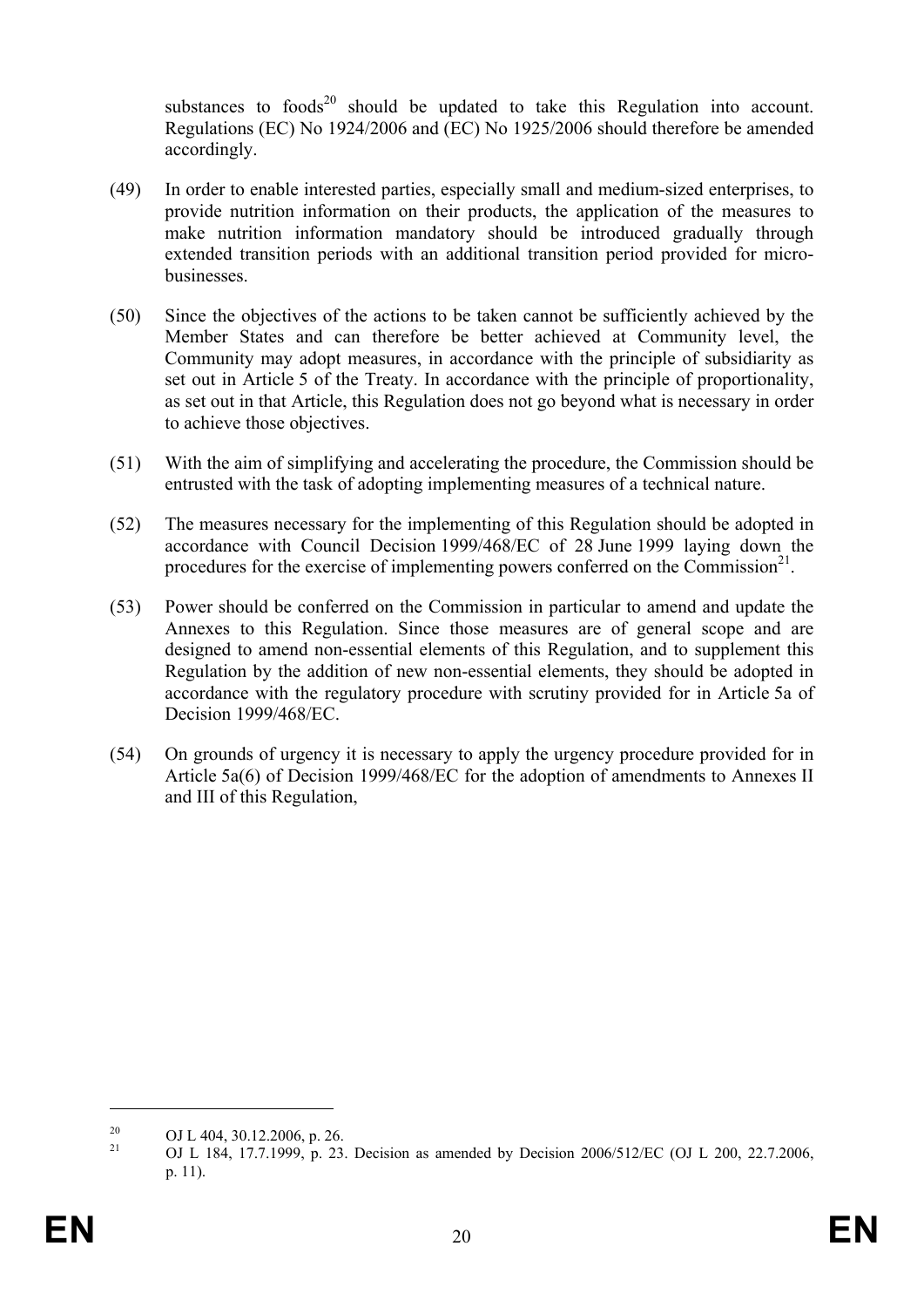substances to foods $20$  should be updated to take this Regulation into account. Regulations (EC) No 1924/2006 and (EC) No 1925/2006 should therefore be amended accordingly.

- (49) In order to enable interested parties, especially small and medium-sized enterprises, to provide nutrition information on their products, the application of the measures to make nutrition information mandatory should be introduced gradually through extended transition periods with an additional transition period provided for microbusinesses.
- (50) Since the objectives of the actions to be taken cannot be sufficiently achieved by the Member States and can therefore be better achieved at Community level, the Community may adopt measures, in accordance with the principle of subsidiarity as set out in Article 5 of the Treaty. In accordance with the principle of proportionality, as set out in that Article, this Regulation does not go beyond what is necessary in order to achieve those objectives.
- (51) With the aim of simplifying and accelerating the procedure, the Commission should be entrusted with the task of adopting implementing measures of a technical nature.
- (52) The measures necessary for the implementing of this Regulation should be adopted in accordance with Council Decision 1999/468/EC of 28 June 1999 laying down the procedures for the exercise of implementing powers conferred on the Commission<sup>21</sup>.
- (53) Power should be conferred on the Commission in particular to amend and update the Annexes to this Regulation. Since those measures are of general scope and are designed to amend non-essential elements of this Regulation, and to supplement this Regulation by the addition of new non-essential elements, they should be adopted in accordance with the regulatory procedure with scrutiny provided for in Article 5a of Decision 1999/468/EC.
- (54) On grounds of urgency it is necessary to apply the urgency procedure provided for in Article 5a(6) of Decision 1999/468/EC for the adoption of amendments to Annexes II and III of this Regulation,

<u>.</u>

<sup>&</sup>lt;sup>20</sup> OJ L 404, 30.12.2006, p. 26.<br><sup>21</sup> OJ L 184, 17,7,1000, p. 22.

<sup>21</sup> OJ L 184, 17.7.1999, p. 23. Decision as amended by Decision 2006/512/EC (OJ L 200, 22.7.2006, p. 11).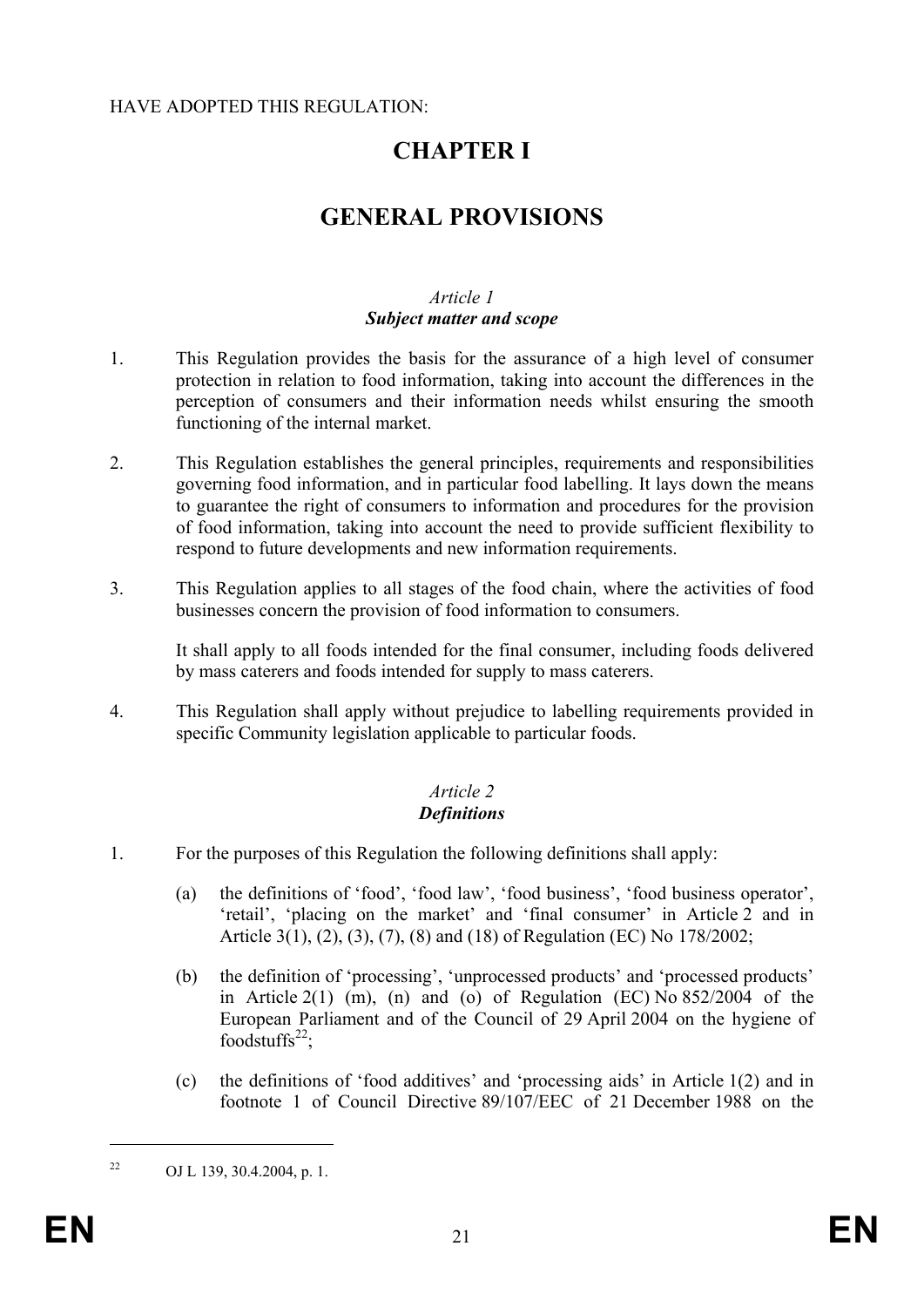### HAVE ADOPTED THIS REGULATION:

# **CHAPTER I**

# **GENERAL PROVISIONS**

### *Article 1 Subject matter and scope*

- 1. This Regulation provides the basis for the assurance of a high level of consumer protection in relation to food information, taking into account the differences in the perception of consumers and their information needs whilst ensuring the smooth functioning of the internal market.
- 2. This Regulation establishes the general principles, requirements and responsibilities governing food information, and in particular food labelling. It lays down the means to guarantee the right of consumers to information and procedures for the provision of food information, taking into account the need to provide sufficient flexibility to respond to future developments and new information requirements.
- 3. This Regulation applies to all stages of the food chain, where the activities of food businesses concern the provision of food information to consumers.

It shall apply to all foods intended for the final consumer, including foods delivered by mass caterers and foods intended for supply to mass caterers.

4. This Regulation shall apply without prejudice to labelling requirements provided in specific Community legislation applicable to particular foods.

### *Article 2 Definitions*

- 1. For the purposes of this Regulation the following definitions shall apply:
	- (a) the definitions of 'food', 'food law', 'food business', 'food business operator', 'retail', 'placing on the market' and 'final consumer' in Article 2 and in Article 3(1), (2), (3), (7), (8) and (18) of Regulation (EC) No 178/2002;
	- (b) the definition of 'processing', 'unprocessed products' and 'processed products' in Article 2(1) (m), (n) and (o) of Regulation (EC) No  $852/2004$  of the European Parliament and of the Council of 29 April 2004 on the hygiene of foodstuffs $^{22}$ ;
	- (c) the definitions of 'food additives' and 'processing aids' in Article 1(2) and in footnote 1 of Council Directive 89/107/EEC of 21 December 1988 on the

<sup>&</sup>lt;sup>22</sup> OJ L 139, 30.4.2004, p. 1.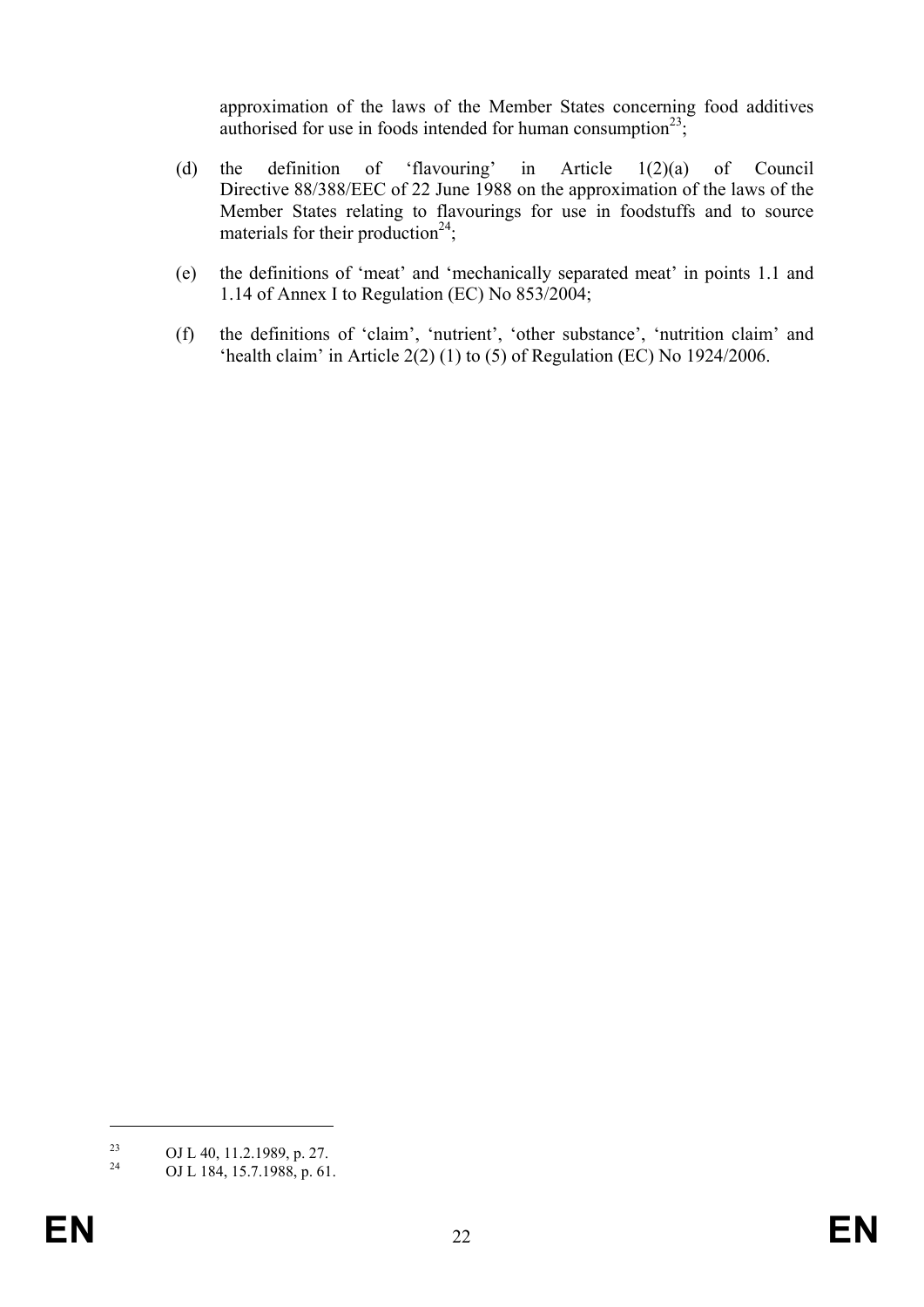approximation of the laws of the Member States concerning food additives authorised for use in foods intended for human consumption<sup>23</sup>;

- (d) the definition of 'flavouring' in Article 1(2)(a) of Council Directive 88/388/EEC of 22 June 1988 on the approximation of the laws of the Member States relating to flavourings for use in foodstuffs and to source materials for their production<sup>24</sup>;
- (e) the definitions of 'meat' and 'mechanically separated meat' in points 1.1 and 1.14 of Annex I to Regulation (EC) No 853/2004;
- (f) the definitions of 'claim', 'nutrient', 'other substance', 'nutrition claim' and 'health claim' in Article 2(2) (1) to (5) of Regulation (EC) No 1924/2006.

<sup>&</sup>lt;sup>23</sup> OJ L 40, 11.2.1989, p. 27.<br><sup>24</sup> OJ L 184, 15, 7, 1988, p. 61.

OJ L 184, 15.7.1988, p. 61.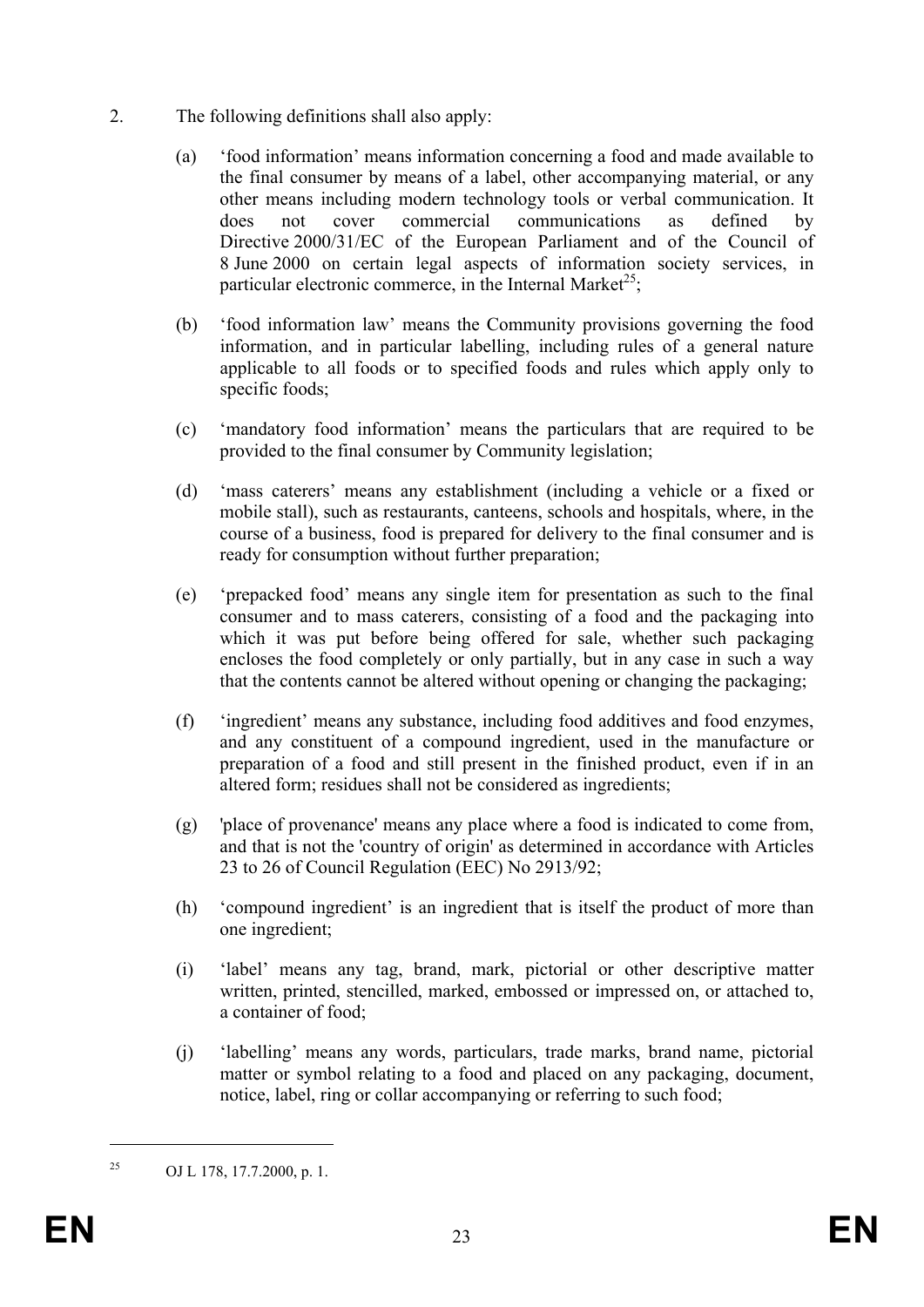- 2. The following definitions shall also apply:
	- (a) 'food information' means information concerning a food and made available to the final consumer by means of a label, other accompanying material, or any other means including modern technology tools or verbal communication. It does not cover commercial communications as defined by Directive 2000/31/EC of the European Parliament and of the Council of 8 June 2000 on certain legal aspects of information society services, in particular electronic commerce, in the Internal Market<sup>25</sup>;
	- (b) 'food information law' means the Community provisions governing the food information, and in particular labelling, including rules of a general nature applicable to all foods or to specified foods and rules which apply only to specific foods;
	- (c) 'mandatory food information' means the particulars that are required to be provided to the final consumer by Community legislation;
	- (d) 'mass caterers' means any establishment (including a vehicle or a fixed or mobile stall), such as restaurants, canteens, schools and hospitals, where, in the course of a business, food is prepared for delivery to the final consumer and is ready for consumption without further preparation;
	- (e) 'prepacked food' means any single item for presentation as such to the final consumer and to mass caterers, consisting of a food and the packaging into which it was put before being offered for sale, whether such packaging encloses the food completely or only partially, but in any case in such a way that the contents cannot be altered without opening or changing the packaging;
	- (f) 'ingredient' means any substance, including food additives and food enzymes, and any constituent of a compound ingredient, used in the manufacture or preparation of a food and still present in the finished product, even if in an altered form; residues shall not be considered as ingredients;
	- (g) 'place of provenance' means any place where a food is indicated to come from, and that is not the 'country of origin' as determined in accordance with Articles 23 to 26 of Council Regulation (EEC) No 2913/92;
	- (h) 'compound ingredient' is an ingredient that is itself the product of more than one ingredient;
	- (i) 'label' means any tag, brand, mark, pictorial or other descriptive matter written, printed, stencilled, marked, embossed or impressed on, or attached to, a container of food;
	- (j) 'labelling' means any words, particulars, trade marks, brand name, pictorial matter or symbol relating to a food and placed on any packaging, document, notice, label, ring or collar accompanying or referring to such food;

<sup>&</sup>lt;sup>25</sup> OJ L 178, 17.7.2000, p. 1.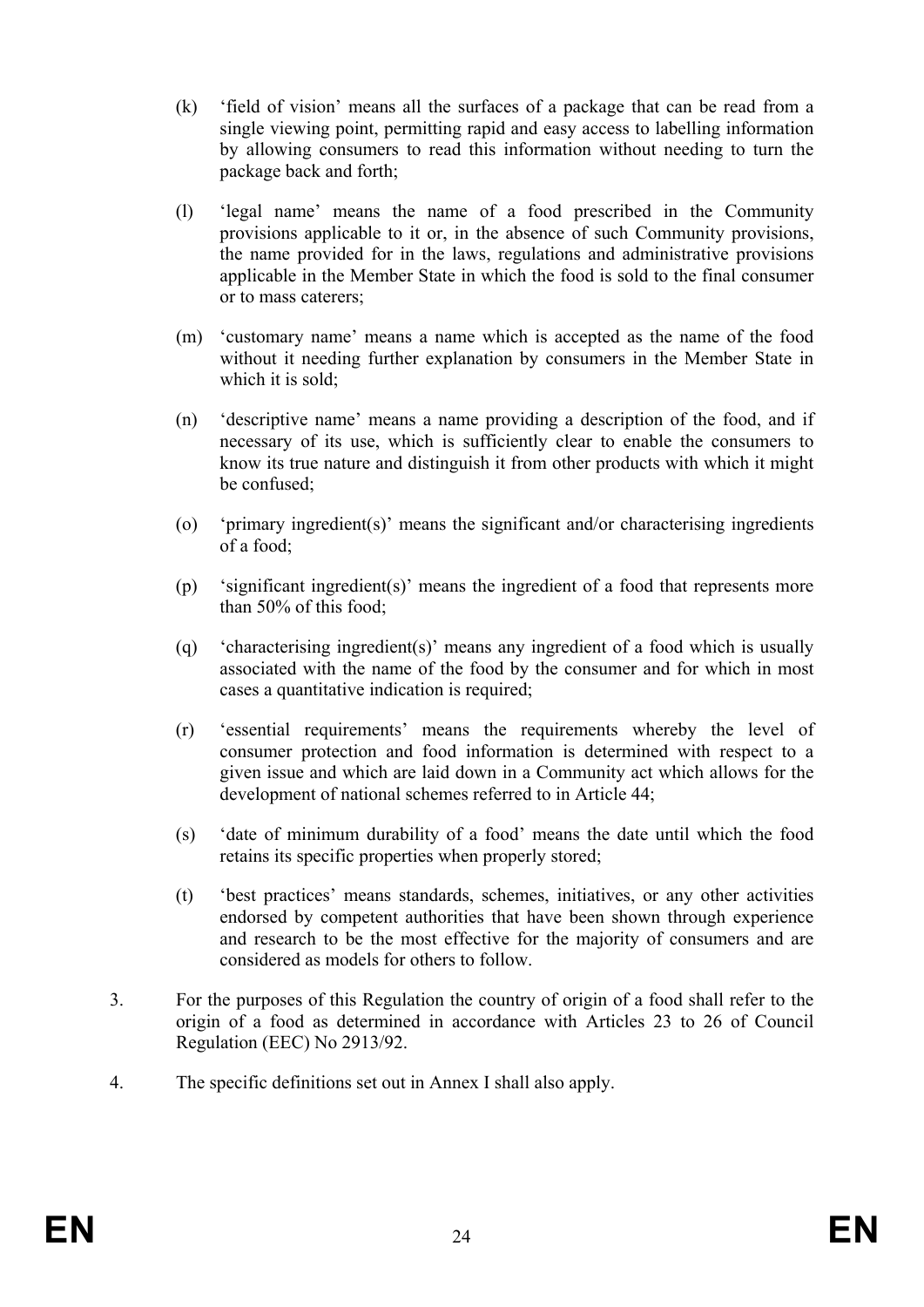- (k) 'field of vision' means all the surfaces of a package that can be read from a single viewing point, permitting rapid and easy access to labelling information by allowing consumers to read this information without needing to turn the package back and forth;
- (l) 'legal name' means the name of a food prescribed in the Community provisions applicable to it or, in the absence of such Community provisions, the name provided for in the laws, regulations and administrative provisions applicable in the Member State in which the food is sold to the final consumer or to mass caterers;
- (m) 'customary name' means a name which is accepted as the name of the food without it needing further explanation by consumers in the Member State in which it is sold:
- (n) 'descriptive name' means a name providing a description of the food, and if necessary of its use, which is sufficiently clear to enable the consumers to know its true nature and distinguish it from other products with which it might be confused;
- (o) 'primary ingredient(s)' means the significant and/or characterising ingredients of a food;
- (p) 'significant ingredient(s)' means the ingredient of a food that represents more than 50% of this food;
- (q) 'characterising ingredient(s)' means any ingredient of a food which is usually associated with the name of the food by the consumer and for which in most cases a quantitative indication is required;
- (r) 'essential requirements' means the requirements whereby the level of consumer protection and food information is determined with respect to a given issue and which are laid down in a Community act which allows for the development of national schemes referred to in Article 44;
- (s) 'date of minimum durability of a food' means the date until which the food retains its specific properties when properly stored;
- (t) 'best practices' means standards, schemes, initiatives, or any other activities endorsed by competent authorities that have been shown through experience and research to be the most effective for the majority of consumers and are considered as models for others to follow.
- 3. For the purposes of this Regulation the country of origin of a food shall refer to the origin of a food as determined in accordance with Articles 23 to 26 of Council Regulation (EEC) No 2913/92.
- 4. The specific definitions set out in Annex I shall also apply.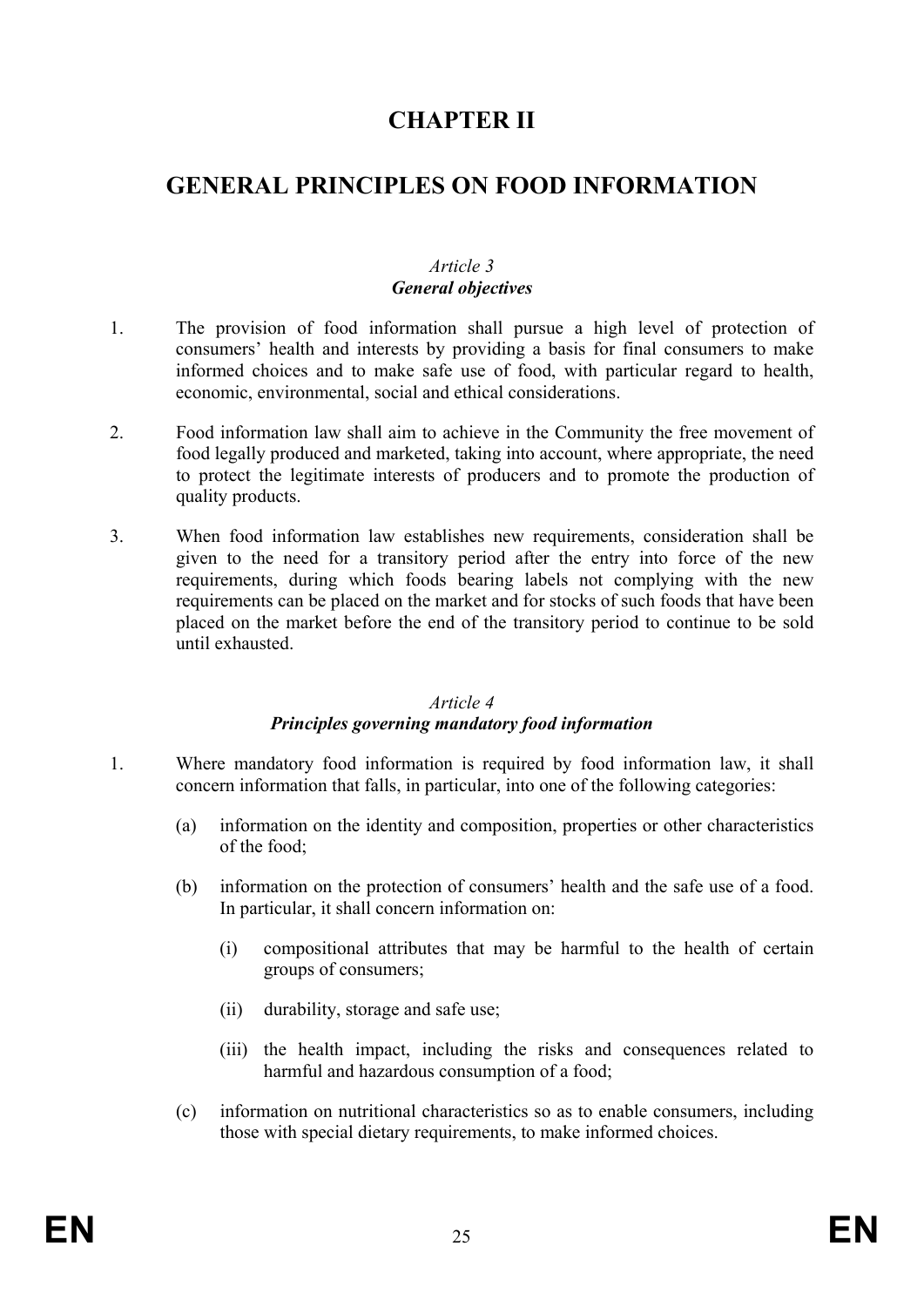# **CHAPTER II**

# **GENERAL PRINCIPLES ON FOOD INFORMATION**

### *Article 3 General objectives*

- 1. The provision of food information shall pursue a high level of protection of consumers' health and interests by providing a basis for final consumers to make informed choices and to make safe use of food, with particular regard to health, economic, environmental, social and ethical considerations.
- 2. Food information law shall aim to achieve in the Community the free movement of food legally produced and marketed, taking into account, where appropriate, the need to protect the legitimate interests of producers and to promote the production of quality products.
- 3. When food information law establishes new requirements, consideration shall be given to the need for a transitory period after the entry into force of the new requirements, during which foods bearing labels not complying with the new requirements can be placed on the market and for stocks of such foods that have been placed on the market before the end of the transitory period to continue to be sold until exhausted.

#### *Article 4*

### *Principles governing mandatory food information*

- 1. Where mandatory food information is required by food information law, it shall concern information that falls, in particular, into one of the following categories:
	- (a) information on the identity and composition, properties or other characteristics of the food;
	- (b) information on the protection of consumers' health and the safe use of a food. In particular, it shall concern information on:
		- (i) compositional attributes that may be harmful to the health of certain groups of consumers;
		- (ii) durability, storage and safe use;
		- (iii) the health impact, including the risks and consequences related to harmful and hazardous consumption of a food;
	- (c) information on nutritional characteristics so as to enable consumers, including those with special dietary requirements, to make informed choices.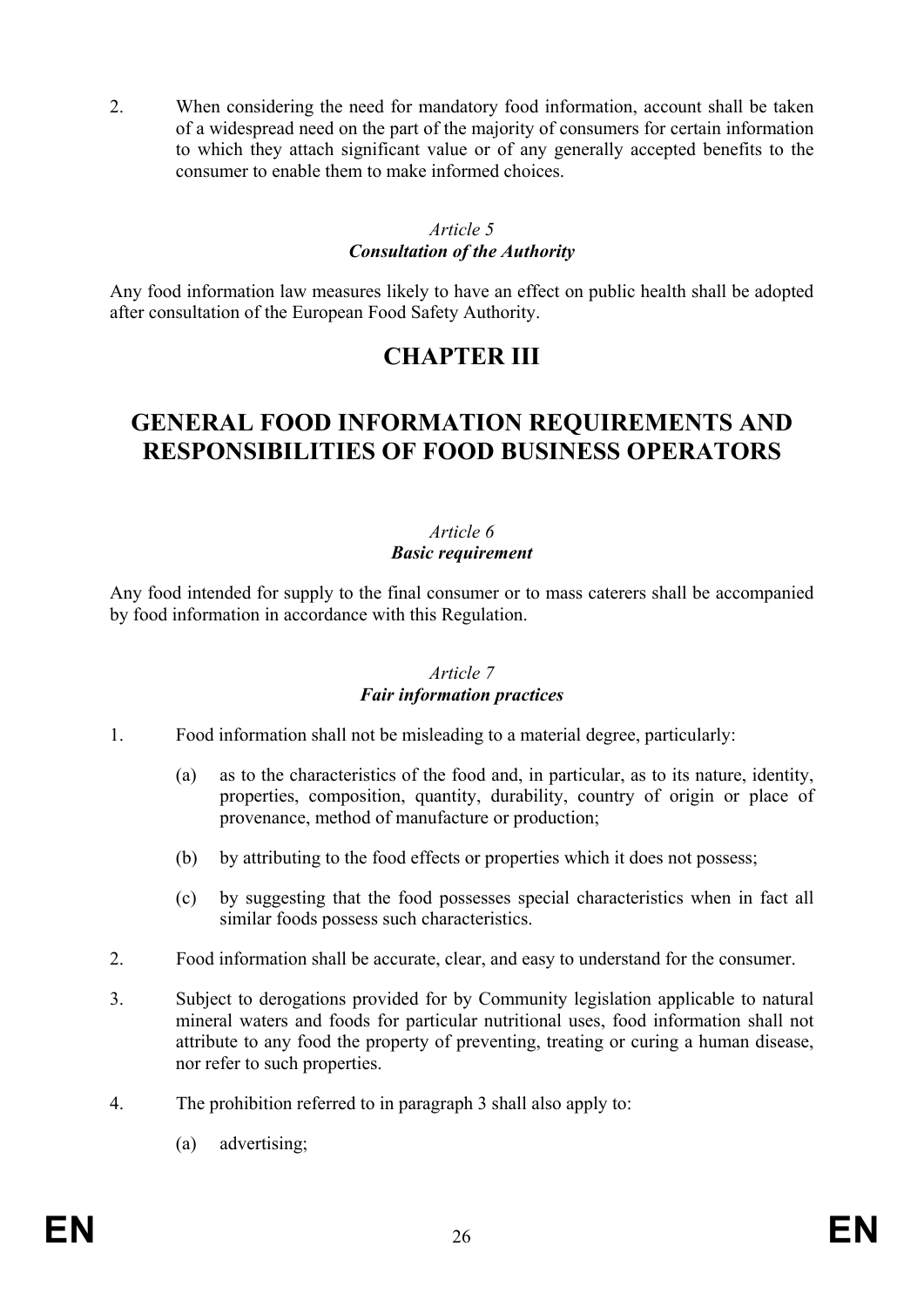2. When considering the need for mandatory food information, account shall be taken of a widespread need on the part of the majority of consumers for certain information to which they attach significant value or of any generally accepted benefits to the consumer to enable them to make informed choices.

#### *Article 5 Consultation of the Authority*

Any food information law measures likely to have an effect on public health shall be adopted after consultation of the European Food Safety Authority.

# **CHAPTER III**

# **GENERAL FOOD INFORMATION REQUIREMENTS AND RESPONSIBILITIES OF FOOD BUSINESS OPERATORS**

# *Article 6*

# *Basic requirement*

Any food intended for supply to the final consumer or to mass caterers shall be accompanied by food information in accordance with this Regulation.

### *Article 7 Fair information practices*

- 1. Food information shall not be misleading to a material degree, particularly:
	- (a) as to the characteristics of the food and, in particular, as to its nature, identity, properties, composition, quantity, durability, country of origin or place of provenance, method of manufacture or production;
	- (b) by attributing to the food effects or properties which it does not possess;
	- (c) by suggesting that the food possesses special characteristics when in fact all similar foods possess such characteristics.
- 2. Food information shall be accurate, clear, and easy to understand for the consumer.
- 3. Subject to derogations provided for by Community legislation applicable to natural mineral waters and foods for particular nutritional uses, food information shall not attribute to any food the property of preventing, treating or curing a human disease, nor refer to such properties.
- 4. The prohibition referred to in paragraph 3 shall also apply to:
	- (a) advertising;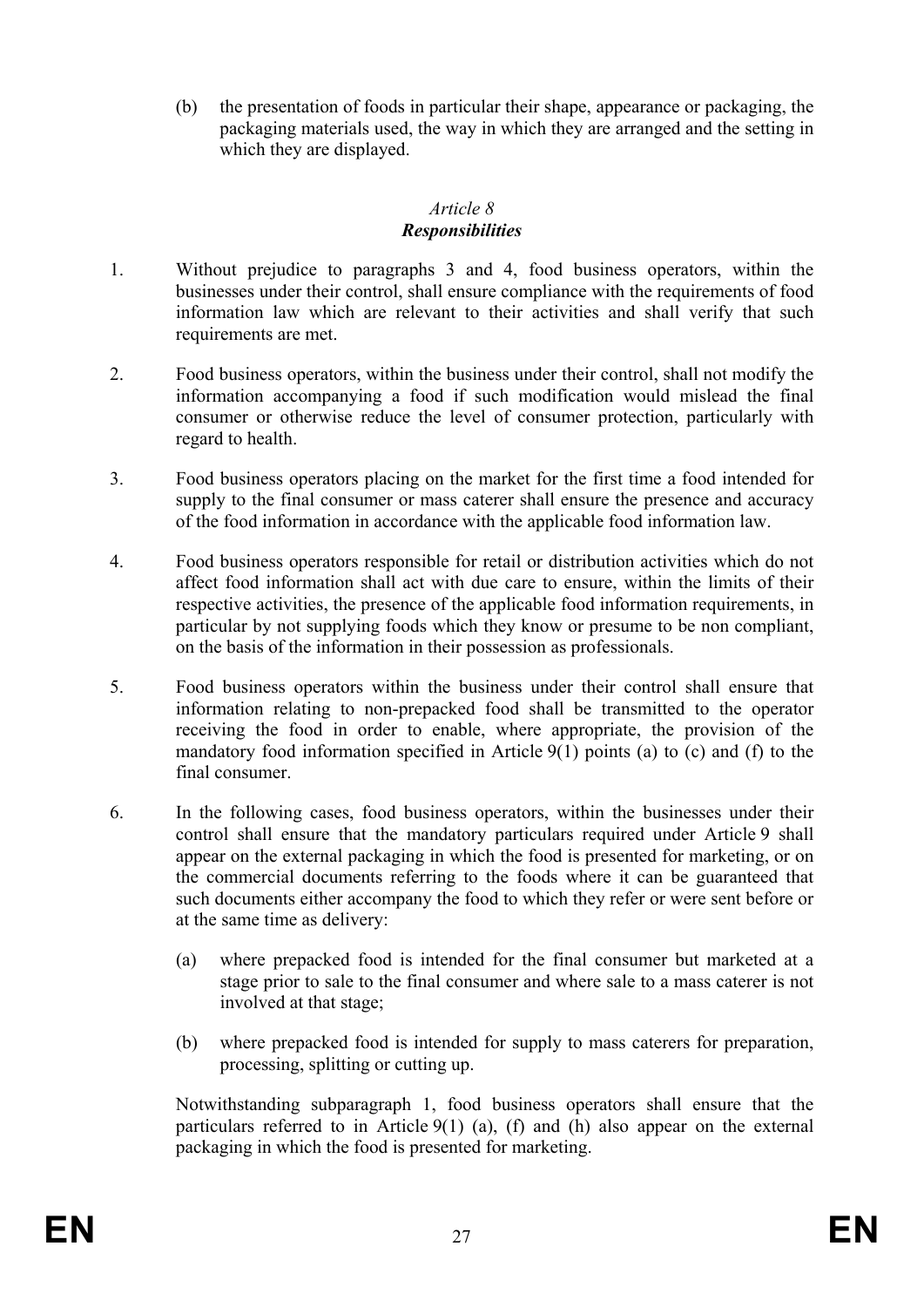(b) the presentation of foods in particular their shape, appearance or packaging, the packaging materials used, the way in which they are arranged and the setting in which they are displayed.

#### *Article 8 Responsibilities*

- 1. Without prejudice to paragraphs 3 and 4, food business operators, within the businesses under their control, shall ensure compliance with the requirements of food information law which are relevant to their activities and shall verify that such requirements are met.
- 2. Food business operators, within the business under their control, shall not modify the information accompanying a food if such modification would mislead the final consumer or otherwise reduce the level of consumer protection, particularly with regard to health.
- 3. Food business operators placing on the market for the first time a food intended for supply to the final consumer or mass caterer shall ensure the presence and accuracy of the food information in accordance with the applicable food information law.
- 4. Food business operators responsible for retail or distribution activities which do not affect food information shall act with due care to ensure, within the limits of their respective activities, the presence of the applicable food information requirements, in particular by not supplying foods which they know or presume to be non compliant, on the basis of the information in their possession as professionals.
- 5. Food business operators within the business under their control shall ensure that information relating to non-prepacked food shall be transmitted to the operator receiving the food in order to enable, where appropriate, the provision of the mandatory food information specified in Article 9(1) points (a) to (c) and (f) to the final consumer.
- 6. In the following cases, food business operators, within the businesses under their control shall ensure that the mandatory particulars required under Article 9 shall appear on the external packaging in which the food is presented for marketing, or on the commercial documents referring to the foods where it can be guaranteed that such documents either accompany the food to which they refer or were sent before or at the same time as delivery:
	- (a) where prepacked food is intended for the final consumer but marketed at a stage prior to sale to the final consumer and where sale to a mass caterer is not involved at that stage;
	- (b) where prepacked food is intended for supply to mass caterers for preparation, processing, splitting or cutting up.

Notwithstanding subparagraph 1, food business operators shall ensure that the particulars referred to in Article  $9(1)$  (a), (f) and (h) also appear on the external packaging in which the food is presented for marketing.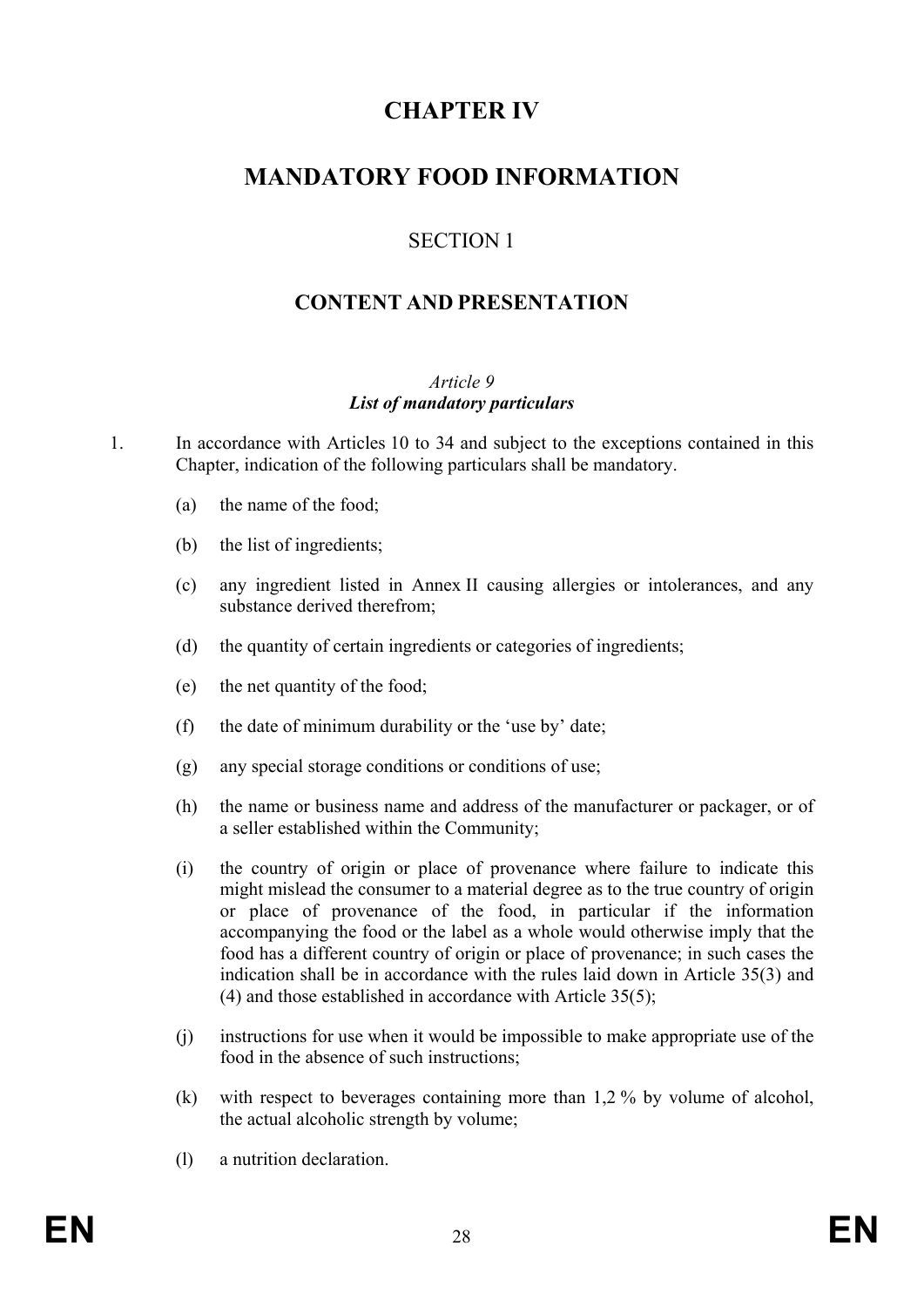# **CHAPTER IV**

# **MANDATORY FOOD INFORMATION**

# SECTION 1

# **CONTENT AND PRESENTATION**

### *Article 9 List of mandatory particulars*

- 1. In accordance with Articles 10 to 34 and subject to the exceptions contained in this Chapter, indication of the following particulars shall be mandatory.
	- (a) the name of the food;
	- (b) the list of ingredients;
	- (c) any ingredient listed in Annex II causing allergies or intolerances, and any substance derived therefrom;
	- (d) the quantity of certain ingredients or categories of ingredients;
	- (e) the net quantity of the food;
	- (f) the date of minimum durability or the 'use by' date;
	- (g) any special storage conditions or conditions of use;
	- (h) the name or business name and address of the manufacturer or packager, or of a seller established within the Community;
	- (i) the country of origin or place of provenance where failure to indicate this might mislead the consumer to a material degree as to the true country of origin or place of provenance of the food, in particular if the information accompanying the food or the label as a whole would otherwise imply that the food has a different country of origin or place of provenance; in such cases the indication shall be in accordance with the rules laid down in Article 35(3) and (4) and those established in accordance with Article 35(5);
	- (j) instructions for use when it would be impossible to make appropriate use of the food in the absence of such instructions;
	- (k) with respect to beverages containing more than 1,2 % by volume of alcohol, the actual alcoholic strength by volume;
	- (l) a nutrition declaration.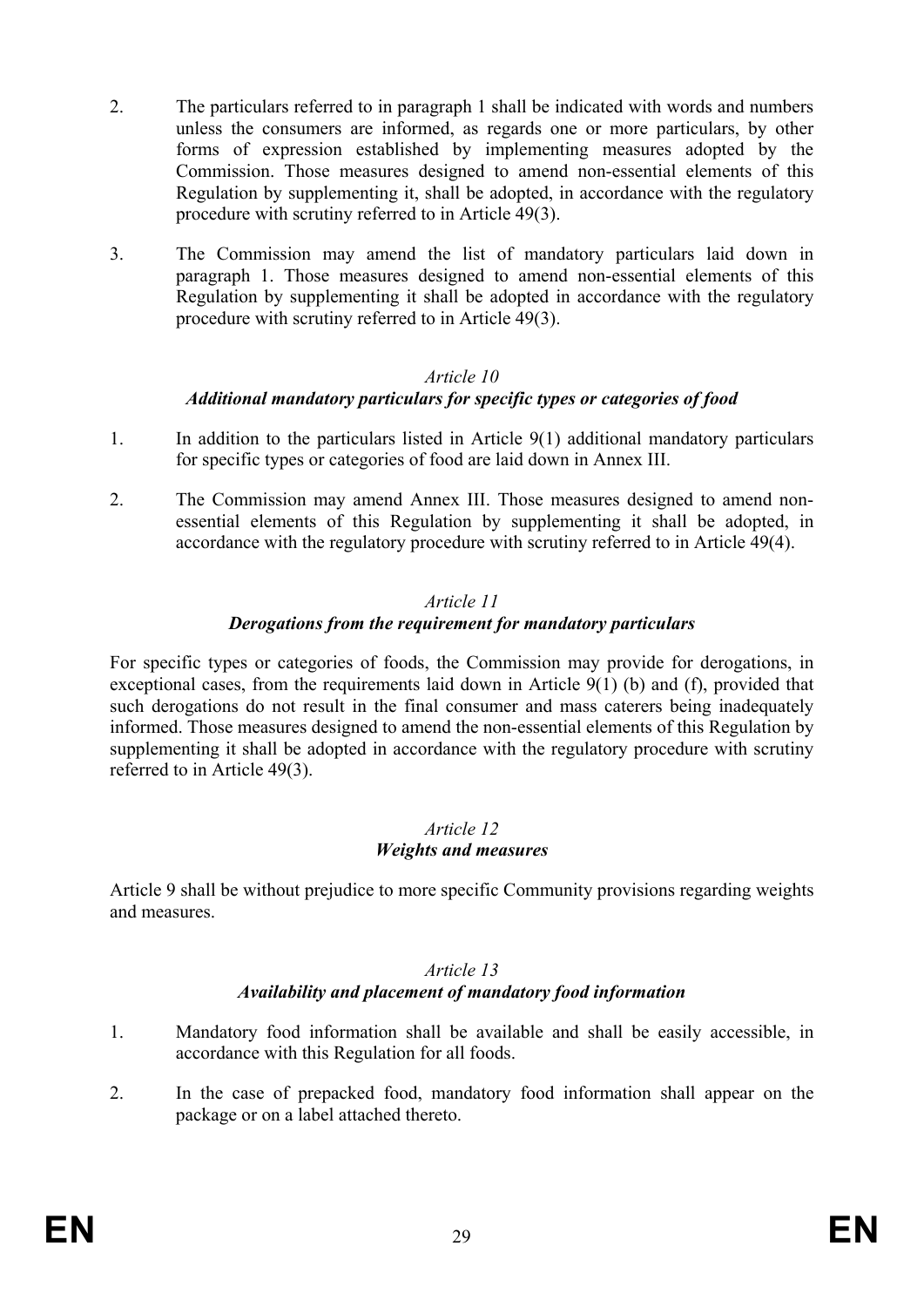- 2. The particulars referred to in paragraph 1 shall be indicated with words and numbers unless the consumers are informed, as regards one or more particulars, by other forms of expression established by implementing measures adopted by the Commission. Those measures designed to amend non-essential elements of this Regulation by supplementing it, shall be adopted, in accordance with the regulatory procedure with scrutiny referred to in Article 49(3).
- 3. The Commission may amend the list of mandatory particulars laid down in paragraph 1. Those measures designed to amend non-essential elements of this Regulation by supplementing it shall be adopted in accordance with the regulatory procedure with scrutiny referred to in Article 49(3).

# *Additional mandatory particulars for specific types or categories of food*

- 1. In addition to the particulars listed in Article 9(1) additional mandatory particulars for specific types or categories of food are laid down in Annex III.
- 2. The Commission may amend Annex III. Those measures designed to amend nonessential elements of this Regulation by supplementing it shall be adopted, in accordance with the regulatory procedure with scrutiny referred to in Article 49(4).

### *Article 11 Derogations from the requirement for mandatory particulars*

For specific types or categories of foods, the Commission may provide for derogations, in exceptional cases, from the requirements laid down in Article 9(1) (b) and (f), provided that such derogations do not result in the final consumer and mass caterers being inadequately informed. Those measures designed to amend the non-essential elements of this Regulation by supplementing it shall be adopted in accordance with the regulatory procedure with scrutiny referred to in Article 49(3).

### *Article 12 Weights and measures*

Article 9 shall be without prejudice to more specific Community provisions regarding weights and measures.

### *Article 13 Availability and placement of mandatory food information*

- 1. Mandatory food information shall be available and shall be easily accessible, in accordance with this Regulation for all foods.
- 2. In the case of prepacked food, mandatory food information shall appear on the package or on a label attached thereto.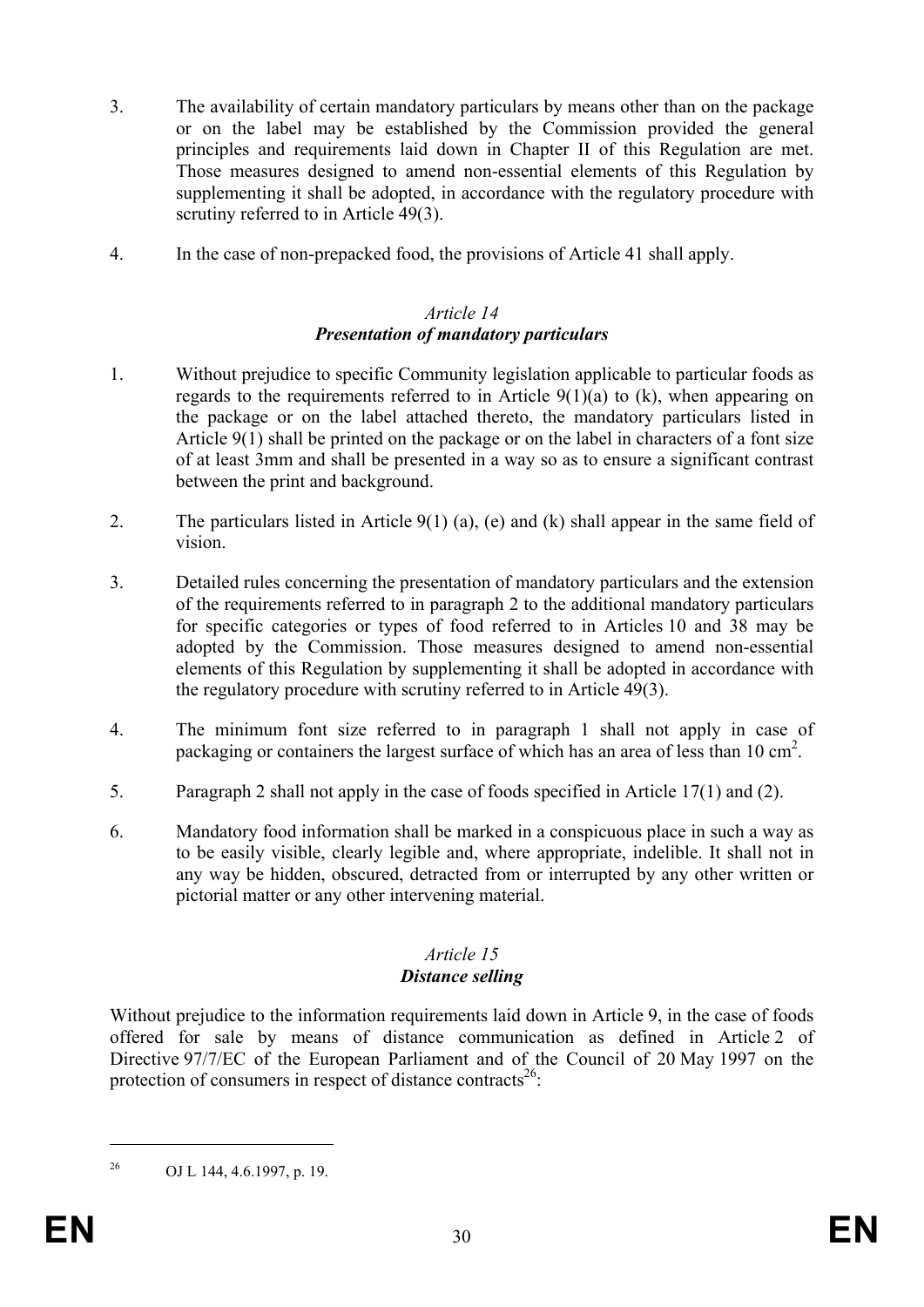- 3. The availability of certain mandatory particulars by means other than on the package or on the label may be established by the Commission provided the general principles and requirements laid down in Chapter II of this Regulation are met. Those measures designed to amend non-essential elements of this Regulation by supplementing it shall be adopted, in accordance with the regulatory procedure with scrutiny referred to in Article 49(3).
- 4. In the case of non-prepacked food, the provisions of Article 41 shall apply.

### *Article 14 Presentation of mandatory particulars*

- 1. Without prejudice to specific Community legislation applicable to particular foods as regards to the requirements referred to in Article  $9(1)(a)$  to  $(k)$ , when appearing on the package or on the label attached thereto, the mandatory particulars listed in Article 9(1) shall be printed on the package or on the label in characters of a font size of at least 3mm and shall be presented in a way so as to ensure a significant contrast between the print and background.
- 2. The particulars listed in Article 9(1) (a), (e) and (k) shall appear in the same field of vision.
- 3. Detailed rules concerning the presentation of mandatory particulars and the extension of the requirements referred to in paragraph 2 to the additional mandatory particulars for specific categories or types of food referred to in Articles 10 and 38 may be adopted by the Commission. Those measures designed to amend non-essential elements of this Regulation by supplementing it shall be adopted in accordance with the regulatory procedure with scrutiny referred to in Article 49(3).
- 4. The minimum font size referred to in paragraph 1 shall not apply in case of packaging or containers the largest surface of which has an area of less than 10 cm<sup>2</sup>.
- 5. Paragraph 2 shall not apply in the case of foods specified in Article 17(1) and (2).
- 6. Mandatory food information shall be marked in a conspicuous place in such a way as to be easily visible, clearly legible and, where appropriate, indelible. It shall not in any way be hidden, obscured, detracted from or interrupted by any other written or pictorial matter or any other intervening material.

### *Article 15 Distance selling*

Without prejudice to the information requirements laid down in Article 9, in the case of foods offered for sale by means of distance communication as defined in Article 2 of Directive 97/7/EC of the European Parliament and of the Council of 20 May 1997 on the protection of consumers in respect of distance contracts<sup>26</sup>:

<sup>26</sup> OJ L 144, 4.6.1997, p. 19.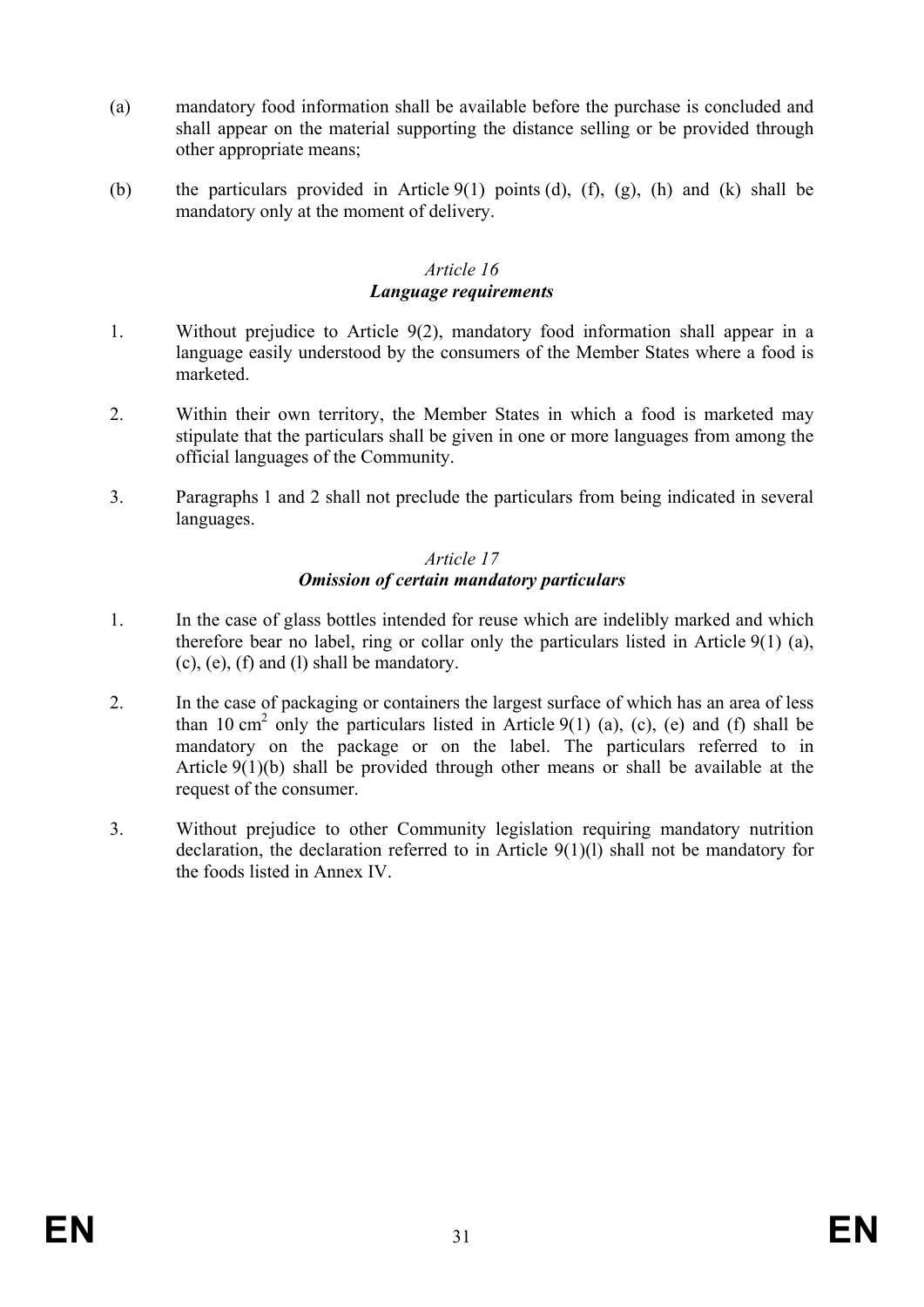- (a) mandatory food information shall be available before the purchase is concluded and shall appear on the material supporting the distance selling or be provided through other appropriate means;
- (b) the particulars provided in Article  $9(1)$  points (d), (f), (g), (h) and (k) shall be mandatory only at the moment of delivery.

### *Article 16 Language requirements*

- 1. Without prejudice to Article 9(2), mandatory food information shall appear in a language easily understood by the consumers of the Member States where a food is marketed.
- 2. Within their own territory, the Member States in which a food is marketed may stipulate that the particulars shall be given in one or more languages from among the official languages of the Community.
- 3. Paragraphs 1 and 2 shall not preclude the particulars from being indicated in several languages.

### *Article 17 Omission of certain mandatory particulars*

- 1. In the case of glass bottles intended for reuse which are indelibly marked and which therefore bear no label, ring or collar only the particulars listed in Article 9(1) (a), (c), (e), (f) and (l) shall be mandatory.
- 2. In the case of packaging or containers the largest surface of which has an area of less than 10 cm<sup>2</sup> only the particulars listed in Article 9(1) (a), (c), (e) and (f) shall be mandatory on the package or on the label. The particulars referred to in Article 9(1)(b) shall be provided through other means or shall be available at the request of the consumer.
- 3. Without prejudice to other Community legislation requiring mandatory nutrition declaration, the declaration referred to in Article 9(1)(l) shall not be mandatory for the foods listed in Annex IV.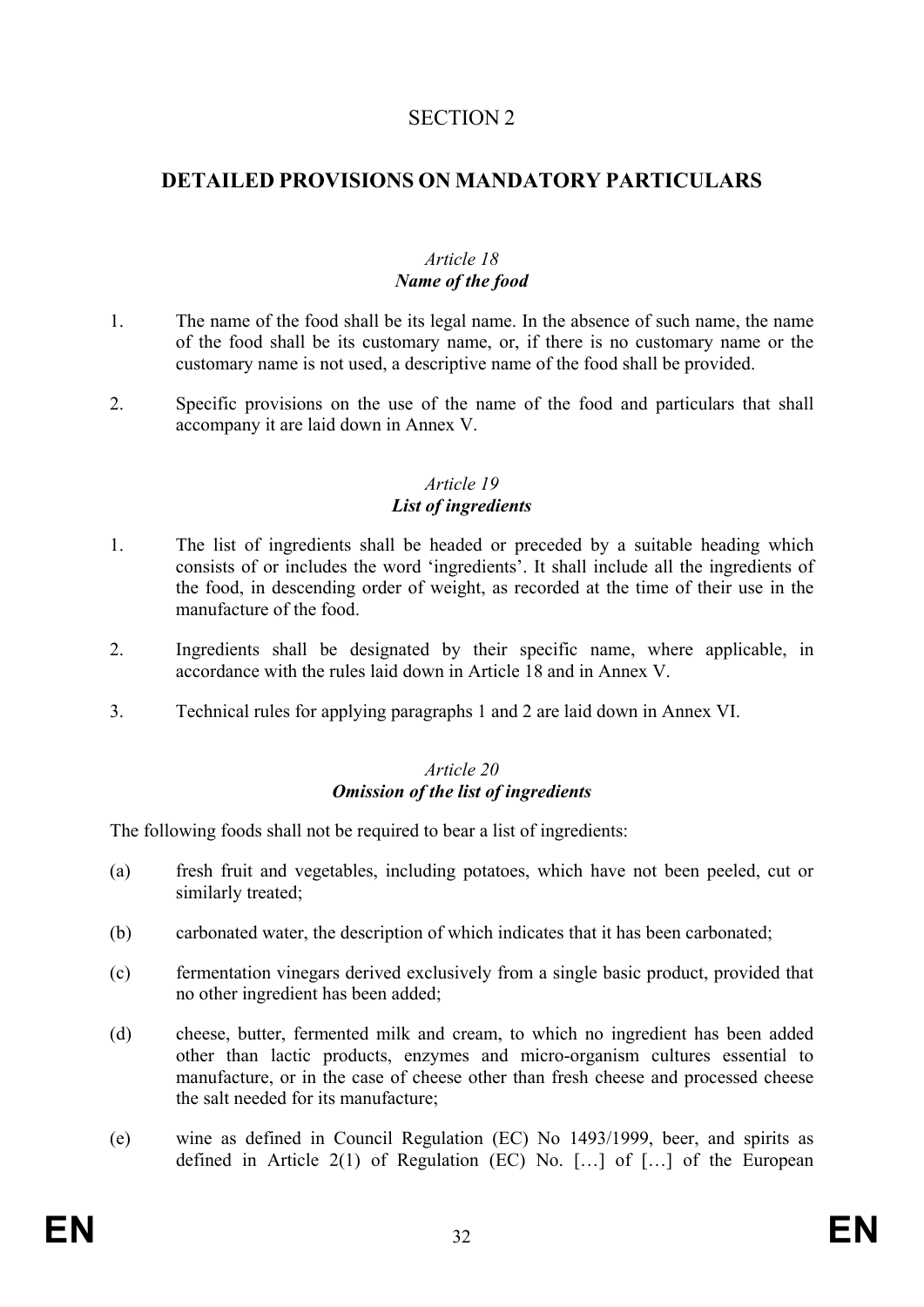# SECTION 2

# **DETAILED PROVISIONS ON MANDATORY PARTICULARS**

### *Article 18 Name of the food*

- 1. The name of the food shall be its legal name. In the absence of such name, the name of the food shall be its customary name, or, if there is no customary name or the customary name is not used, a descriptive name of the food shall be provided.
- 2. Specific provisions on the use of the name of the food and particulars that shall accompany it are laid down in Annex V.

### *Article 19 List of ingredients*

- 1. The list of ingredients shall be headed or preceded by a suitable heading which consists of or includes the word 'ingredients'. It shall include all the ingredients of the food, in descending order of weight, as recorded at the time of their use in the manufacture of the food.
- 2. Ingredients shall be designated by their specific name, where applicable, in accordance with the rules laid down in Article 18 and in Annex V.
- 3. Technical rules for applying paragraphs 1 and 2 are laid down in Annex VI.

### *Article 20 Omission of the list of ingredients*

The following foods shall not be required to bear a list of ingredients:

- (a) fresh fruit and vegetables, including potatoes, which have not been peeled, cut or similarly treated;
- (b) carbonated water, the description of which indicates that it has been carbonated;
- (c) fermentation vinegars derived exclusively from a single basic product, provided that no other ingredient has been added;
- (d) cheese, butter, fermented milk and cream, to which no ingredient has been added other than lactic products, enzymes and micro-organism cultures essential to manufacture, or in the case of cheese other than fresh cheese and processed cheese the salt needed for its manufacture;
- (e) wine as defined in Council Regulation (EC) No 1493/1999, beer, and spirits as defined in Article 2(1) of Regulation (EC) No. […] of […] of the European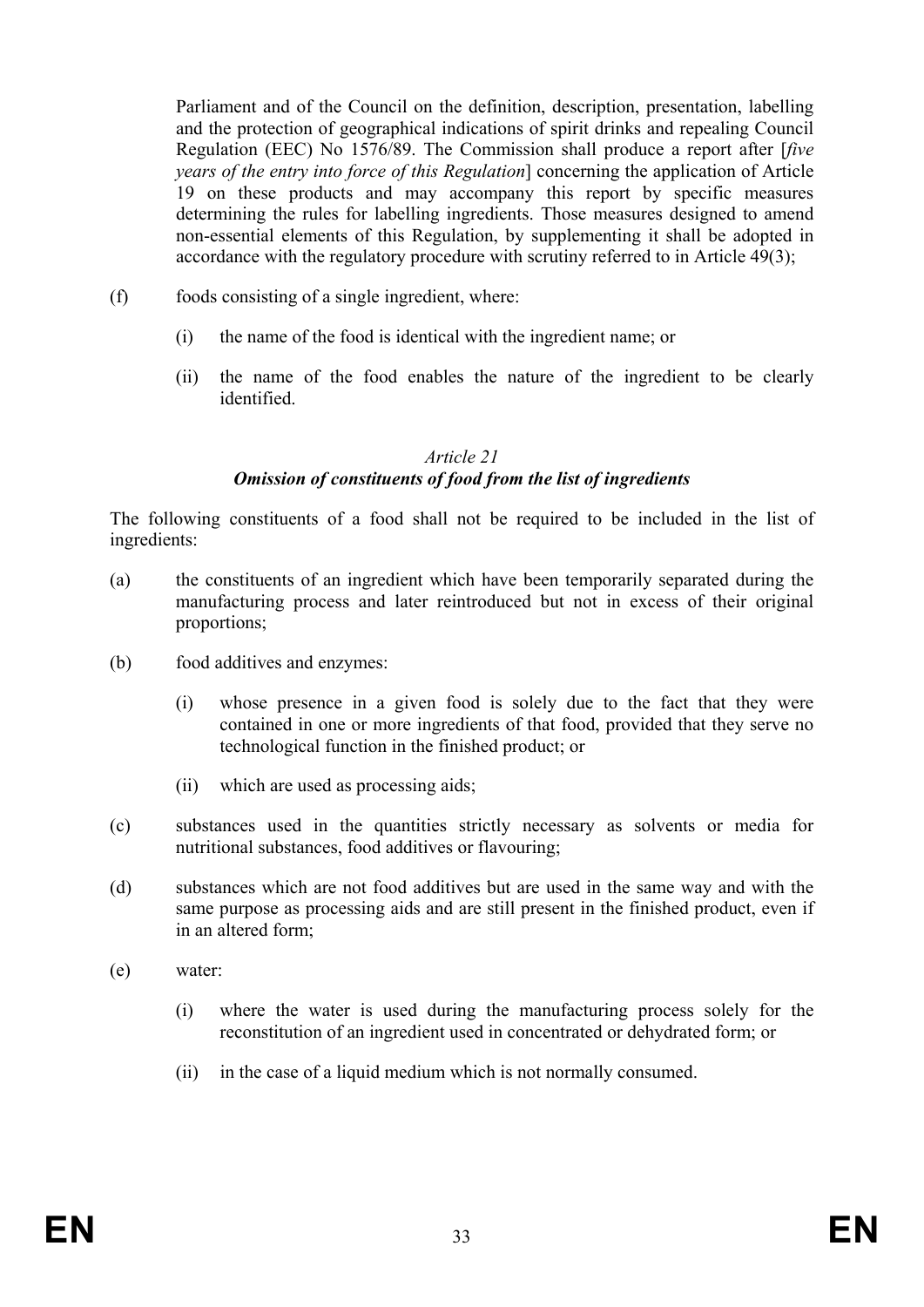Parliament and of the Council on the definition, description, presentation, labelling and the protection of geographical indications of spirit drinks and repealing Council Regulation (EEC) No 1576/89. The Commission shall produce a report after [*five years of the entry into force of this Regulation*] concerning the application of Article 19 on these products and may accompany this report by specific measures determining the rules for labelling ingredients. Those measures designed to amend non-essential elements of this Regulation, by supplementing it shall be adopted in accordance with the regulatory procedure with scrutiny referred to in Article 49(3);

- (f) foods consisting of a single ingredient, where:
	- (i) the name of the food is identical with the ingredient name; or
	- (ii) the name of the food enables the nature of the ingredient to be clearly identified.

# *Article 21*

# *Omission of constituents of food from the list of ingredients*

The following constituents of a food shall not be required to be included in the list of ingredients:

- (a) the constituents of an ingredient which have been temporarily separated during the manufacturing process and later reintroduced but not in excess of their original proportions;
- (b) food additives and enzymes:
	- (i) whose presence in a given food is solely due to the fact that they were contained in one or more ingredients of that food, provided that they serve no technological function in the finished product; or
	- (ii) which are used as processing aids;
- (c) substances used in the quantities strictly necessary as solvents or media for nutritional substances, food additives or flavouring;
- (d) substances which are not food additives but are used in the same way and with the same purpose as processing aids and are still present in the finished product, even if in an altered form;
- (e) water:
	- (i) where the water is used during the manufacturing process solely for the reconstitution of an ingredient used in concentrated or dehydrated form; or
	- (ii) in the case of a liquid medium which is not normally consumed.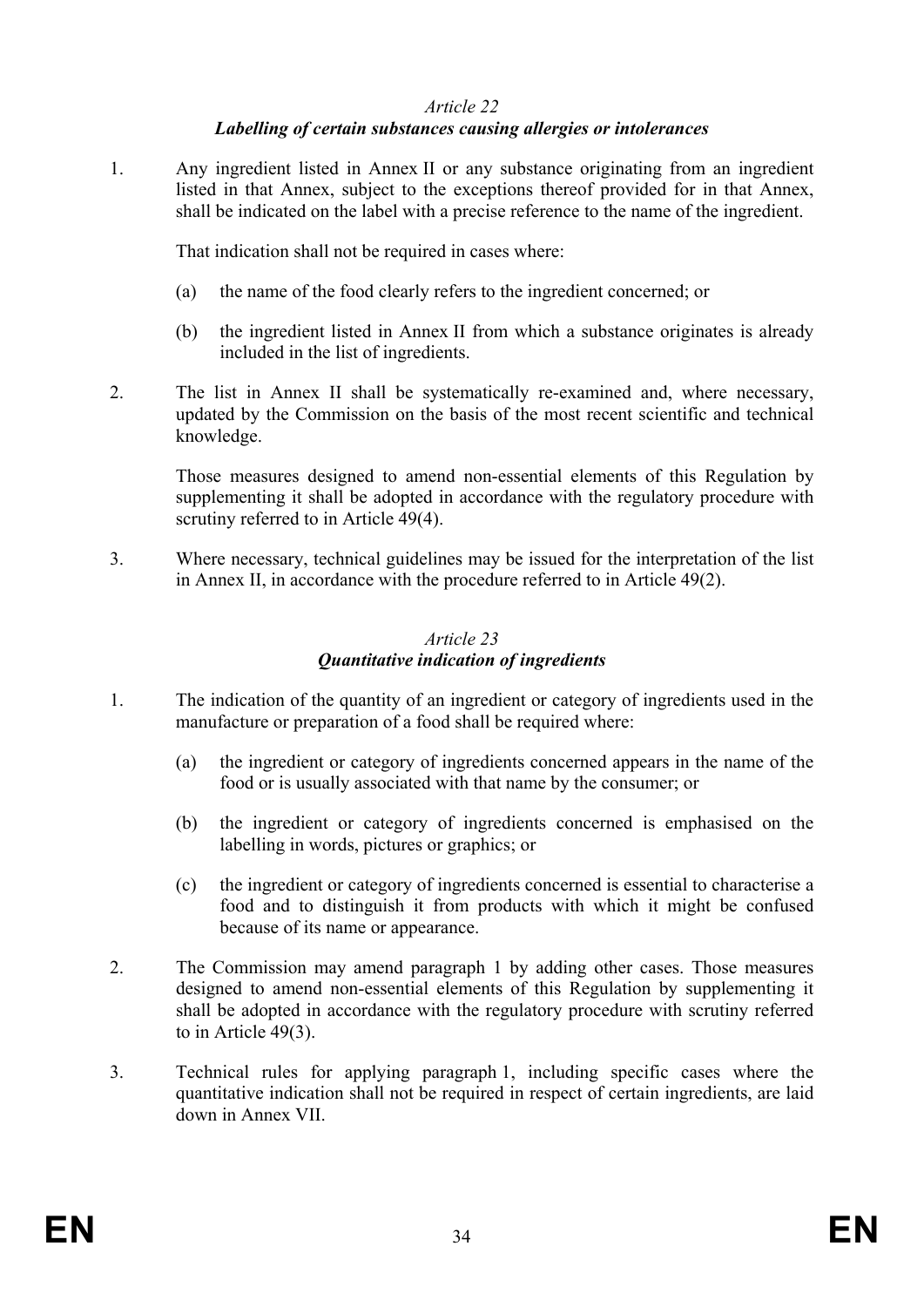### *Labelling of certain substances causing allergies or intolerances*

1. Any ingredient listed in Annex II or any substance originating from an ingredient listed in that Annex, subject to the exceptions thereof provided for in that Annex, shall be indicated on the label with a precise reference to the name of the ingredient.

That indication shall not be required in cases where:

- (a) the name of the food clearly refers to the ingredient concerned; or
- (b) the ingredient listed in Annex II from which a substance originates is already included in the list of ingredients.
- 2. The list in Annex II shall be systematically re-examined and, where necessary, updated by the Commission on the basis of the most recent scientific and technical knowledge.

Those measures designed to amend non-essential elements of this Regulation by supplementing it shall be adopted in accordance with the regulatory procedure with scrutiny referred to in Article 49(4).

3. Where necessary, technical guidelines may be issued for the interpretation of the list in Annex II, in accordance with the procedure referred to in Article 49(2).

#### *Article 23 Quantitative indication of ingredients*

- 1. The indication of the quantity of an ingredient or category of ingredients used in the manufacture or preparation of a food shall be required where:
	- (a) the ingredient or category of ingredients concerned appears in the name of the food or is usually associated with that name by the consumer; or
	- (b) the ingredient or category of ingredients concerned is emphasised on the labelling in words, pictures or graphics; or
	- (c) the ingredient or category of ingredients concerned is essential to characterise a food and to distinguish it from products with which it might be confused because of its name or appearance.
- 2. The Commission may amend paragraph 1 by adding other cases. Those measures designed to amend non-essential elements of this Regulation by supplementing it shall be adopted in accordance with the regulatory procedure with scrutiny referred to in Article 49(3).
- 3. Technical rules for applying paragraph 1, including specific cases where the quantitative indication shall not be required in respect of certain ingredients, are laid down in Annex VII.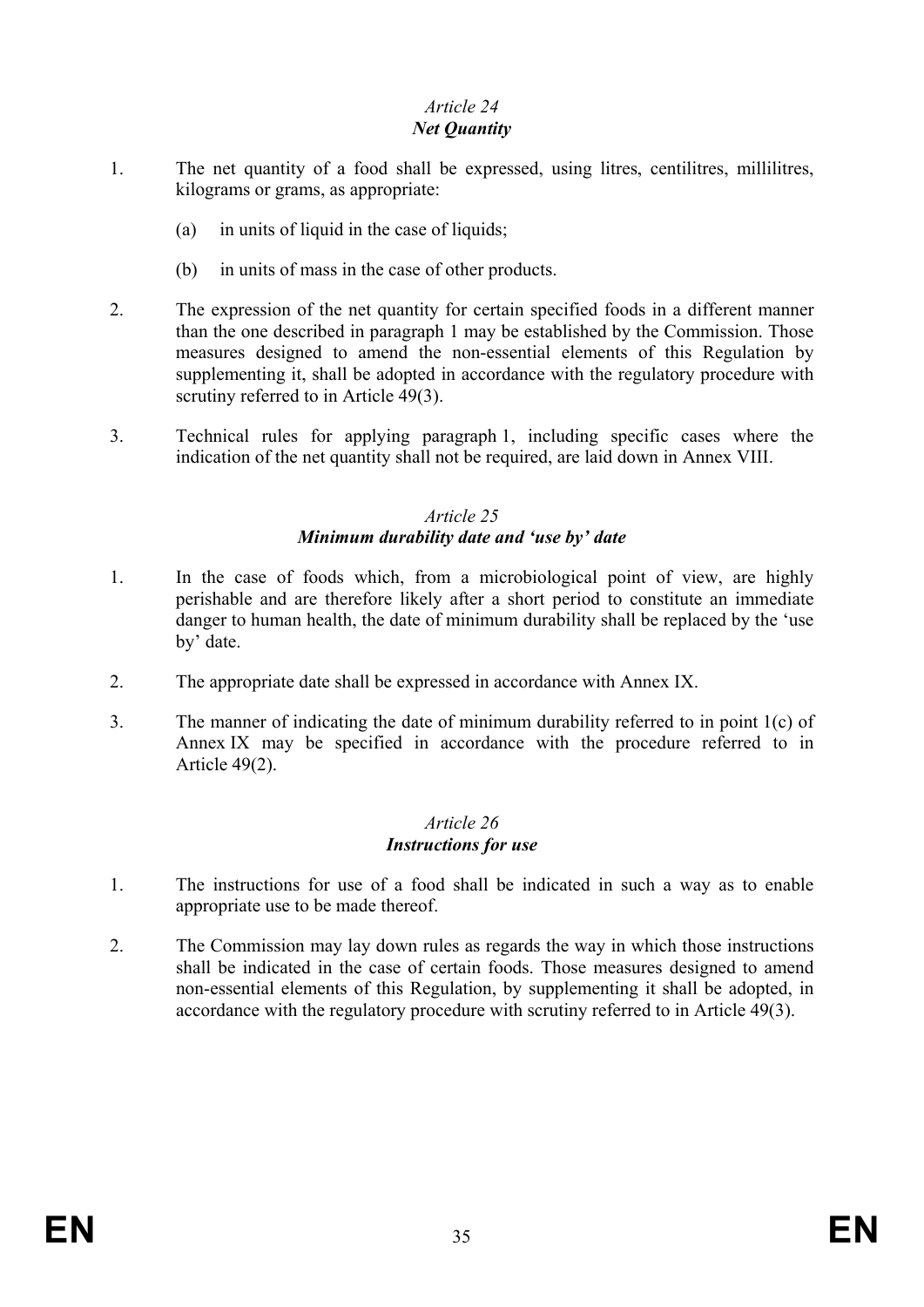# *Net Quantity*

- 1. The net quantity of a food shall be expressed, using litres, centilitres, millilitres, kilograms or grams, as appropriate:
	- (a) in units of liquid in the case of liquids;
	- (b) in units of mass in the case of other products.
- 2. The expression of the net quantity for certain specified foods in a different manner than the one described in paragraph 1 may be established by the Commission. Those measures designed to amend the non-essential elements of this Regulation by supplementing it, shall be adopted in accordance with the regulatory procedure with scrutiny referred to in Article 49(3).
- 3. Technical rules for applying paragraph 1, including specific cases where the indication of the net quantity shall not be required, are laid down in Annex VIII.

# *Article 25 Minimum durability date and 'use by' date*

- 1. In the case of foods which, from a microbiological point of view, are highly perishable and are therefore likely after a short period to constitute an immediate danger to human health, the date of minimum durability shall be replaced by the 'use by' date.
- 2. The appropriate date shall be expressed in accordance with Annex IX.
- 3. The manner of indicating the date of minimum durability referred to in point 1(c) of Annex IX may be specified in accordance with the procedure referred to in Article 49(2).

### *Article 26 Instructions for use*

- 1. The instructions for use of a food shall be indicated in such a way as to enable appropriate use to be made thereof.
- 2. The Commission may lay down rules as regards the way in which those instructions shall be indicated in the case of certain foods. Those measures designed to amend non-essential elements of this Regulation, by supplementing it shall be adopted, in accordance with the regulatory procedure with scrutiny referred to in Article 49(3).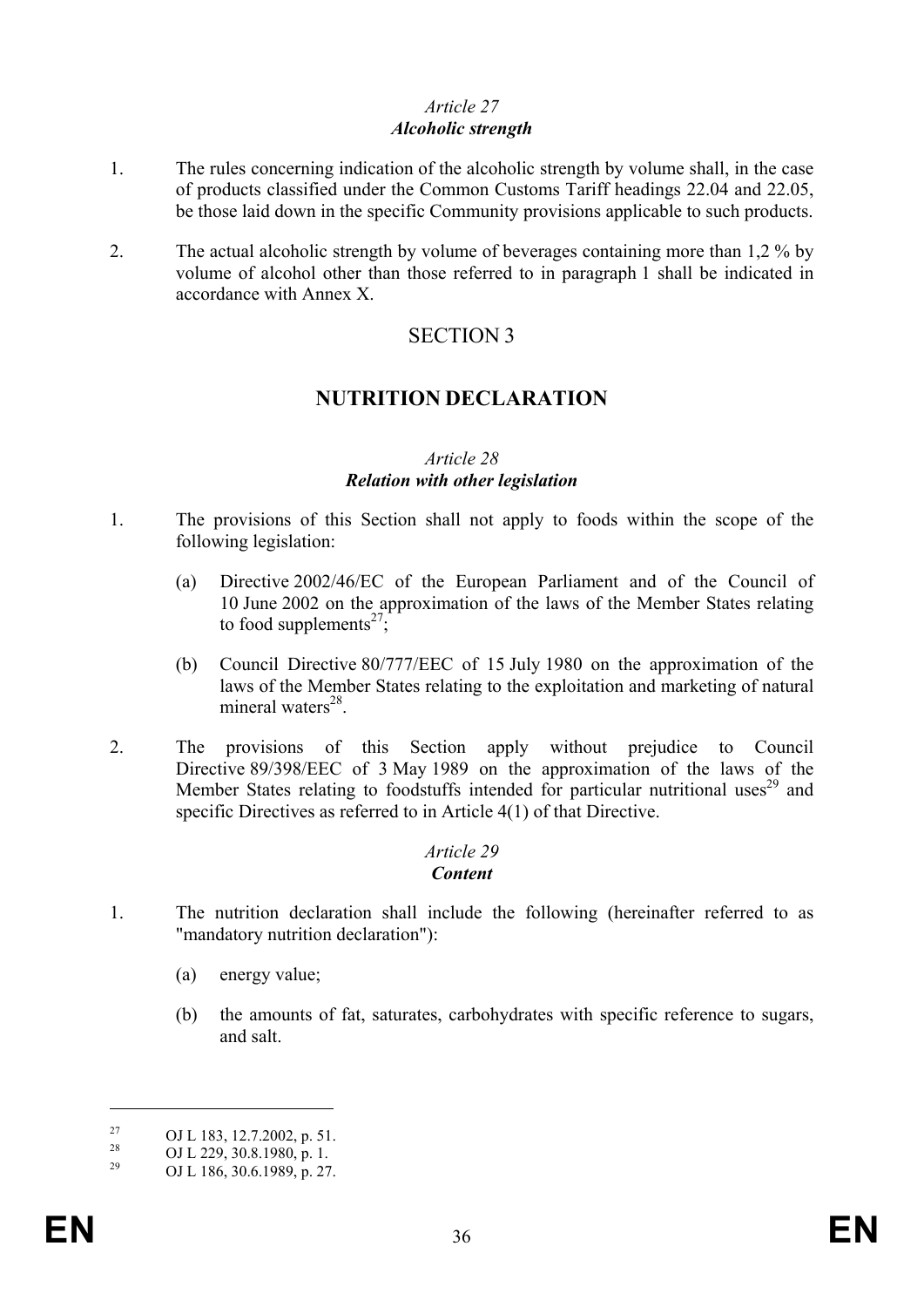### *Alcoholic strength*

- 1. The rules concerning indication of the alcoholic strength by volume shall, in the case of products classified under the Common Customs Tariff headings 22.04 and 22.05, be those laid down in the specific Community provisions applicable to such products.
- 2. The actual alcoholic strength by volume of beverages containing more than 1,2 % by volume of alcohol other than those referred to in paragraph 1 shall be indicated in accordance with Annex X.

# SECTION 3

# **NUTRITION DECLARATION**

### *Article 28 Relation with other legislation*

- 1. The provisions of this Section shall not apply to foods within the scope of the following legislation:
	- (a) Directive 2002/46/EC of the European Parliament and of the Council of 10 June 2002 on the approximation of the laws of the Member States relating to food supplements<sup>27</sup>;
	- (b) Council Directive 80/777/EEC of 15 July 1980 on the approximation of the laws of the Member States relating to the exploitation and marketing of natural mineral waters $^{28}$ .
- 2. The provisions of this Section apply without prejudice to Council Directive 89/398/EEC of 3 May 1989 on the approximation of the laws of the Member States relating to foodstuffs intended for particular nutritional uses<sup>29</sup> and specific Directives as referred to in Article 4(1) of that Directive.

# *Article 29 Content*

- 1. The nutrition declaration shall include the following (hereinafter referred to as "mandatory nutrition declaration"):
	- (a) energy value;
	- (b) the amounts of fat, saturates, carbohydrates with specific reference to sugars, and salt.

<u>.</u>

<sup>&</sup>lt;sup>27</sup> OJ L 183, 12.7.2002, p. 51.<br><sup>28</sup> OJ L 220, 20, 8, 1080, p. 1.

<sup>&</sup>lt;sup>28</sup> OJ L 229, 30.8.1980, p. 1.<br><sup>29</sup> OJ L 186, 20.6.1980, p. 27.

<sup>29</sup> OJ L 186, 30.6.1989, p. 27.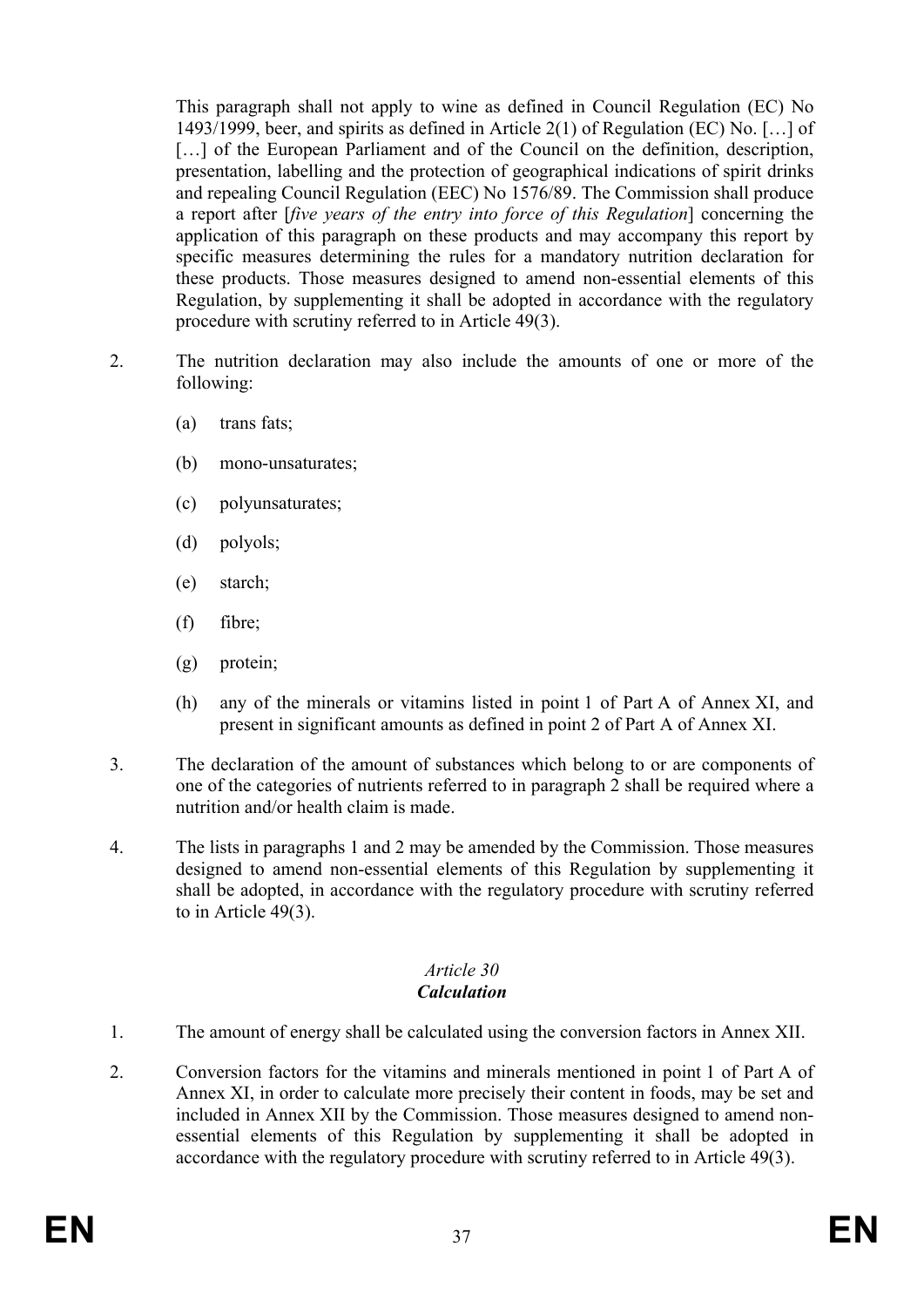This paragraph shall not apply to wine as defined in Council Regulation (EC) No 1493/1999, beer, and spirits as defined in Article 2(1) of Regulation (EC) No. […] of [...] of the European Parliament and of the Council on the definition, description, presentation, labelling and the protection of geographical indications of spirit drinks and repealing Council Regulation (EEC) No 1576/89. The Commission shall produce a report after [*five years of the entry into force of this Regulation*] concerning the application of this paragraph on these products and may accompany this report by specific measures determining the rules for a mandatory nutrition declaration for these products. Those measures designed to amend non-essential elements of this Regulation, by supplementing it shall be adopted in accordance with the regulatory procedure with scrutiny referred to in Article 49(3).

- 2. The nutrition declaration may also include the amounts of one or more of the following:
	- (a) trans fats;
	- (b) mono-unsaturates;
	- (c) polyunsaturates;
	- (d) polyols;
	- (e) starch;
	- (f) fibre;
	- (g) protein;
	- (h) any of the minerals or vitamins listed in point 1 of Part A of Annex XI, and present in significant amounts as defined in point 2 of Part A of Annex XI.
- 3. The declaration of the amount of substances which belong to or are components of one of the categories of nutrients referred to in paragraph 2 shall be required where a nutrition and/or health claim is made.
- 4. The lists in paragraphs 1 and 2 may be amended by the Commission. Those measures designed to amend non-essential elements of this Regulation by supplementing it shall be adopted, in accordance with the regulatory procedure with scrutiny referred to in Article 49(3).

#### *Article 30 Calculation*

- 1. The amount of energy shall be calculated using the conversion factors in Annex XII.
- 2. Conversion factors for the vitamins and minerals mentioned in point 1 of Part A of Annex XI, in order to calculate more precisely their content in foods, may be set and included in Annex XII by the Commission. Those measures designed to amend nonessential elements of this Regulation by supplementing it shall be adopted in accordance with the regulatory procedure with scrutiny referred to in Article 49(3).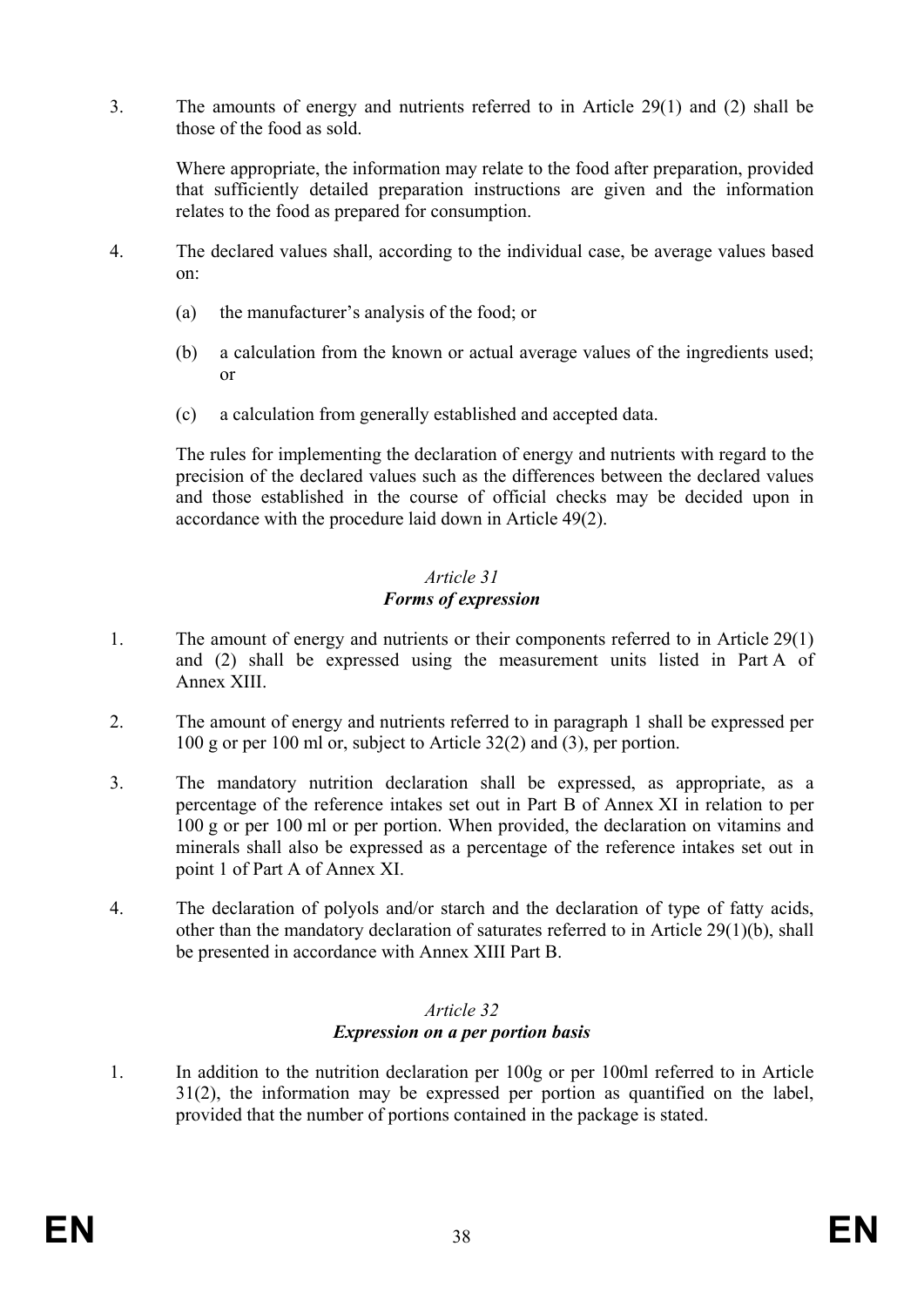3. The amounts of energy and nutrients referred to in Article 29(1) and (2) shall be those of the food as sold.

Where appropriate, the information may relate to the food after preparation, provided that sufficiently detailed preparation instructions are given and the information relates to the food as prepared for consumption.

- 4. The declared values shall, according to the individual case, be average values based on:
	- (a) the manufacturer's analysis of the food; or
	- (b) a calculation from the known or actual average values of the ingredients used; or
	- (c) a calculation from generally established and accepted data.

The rules for implementing the declaration of energy and nutrients with regard to the precision of the declared values such as the differences between the declared values and those established in the course of official checks may be decided upon in accordance with the procedure laid down in Article 49(2).

## *Article 31 Forms of expression*

- 1. The amount of energy and nutrients or their components referred to in Article 29(1) and (2) shall be expressed using the measurement units listed in Part A of Annex XIII.
- 2. The amount of energy and nutrients referred to in paragraph 1 shall be expressed per 100 g or per 100 ml or, subject to Article 32(2) and (3), per portion.
- 3. The mandatory nutrition declaration shall be expressed, as appropriate, as a percentage of the reference intakes set out in Part B of Annex XI in relation to per 100 g or per 100 ml or per portion. When provided, the declaration on vitamins and minerals shall also be expressed as a percentage of the reference intakes set out in point 1 of Part A of Annex XI.
- 4. The declaration of polyols and/or starch and the declaration of type of fatty acids, other than the mandatory declaration of saturates referred to in Article 29(1)(b), shall be presented in accordance with Annex XIII Part B.

## *Article 32 Expression on a per portion basis*

1. In addition to the nutrition declaration per 100g or per 100ml referred to in Article 31(2), the information may be expressed per portion as quantified on the label, provided that the number of portions contained in the package is stated.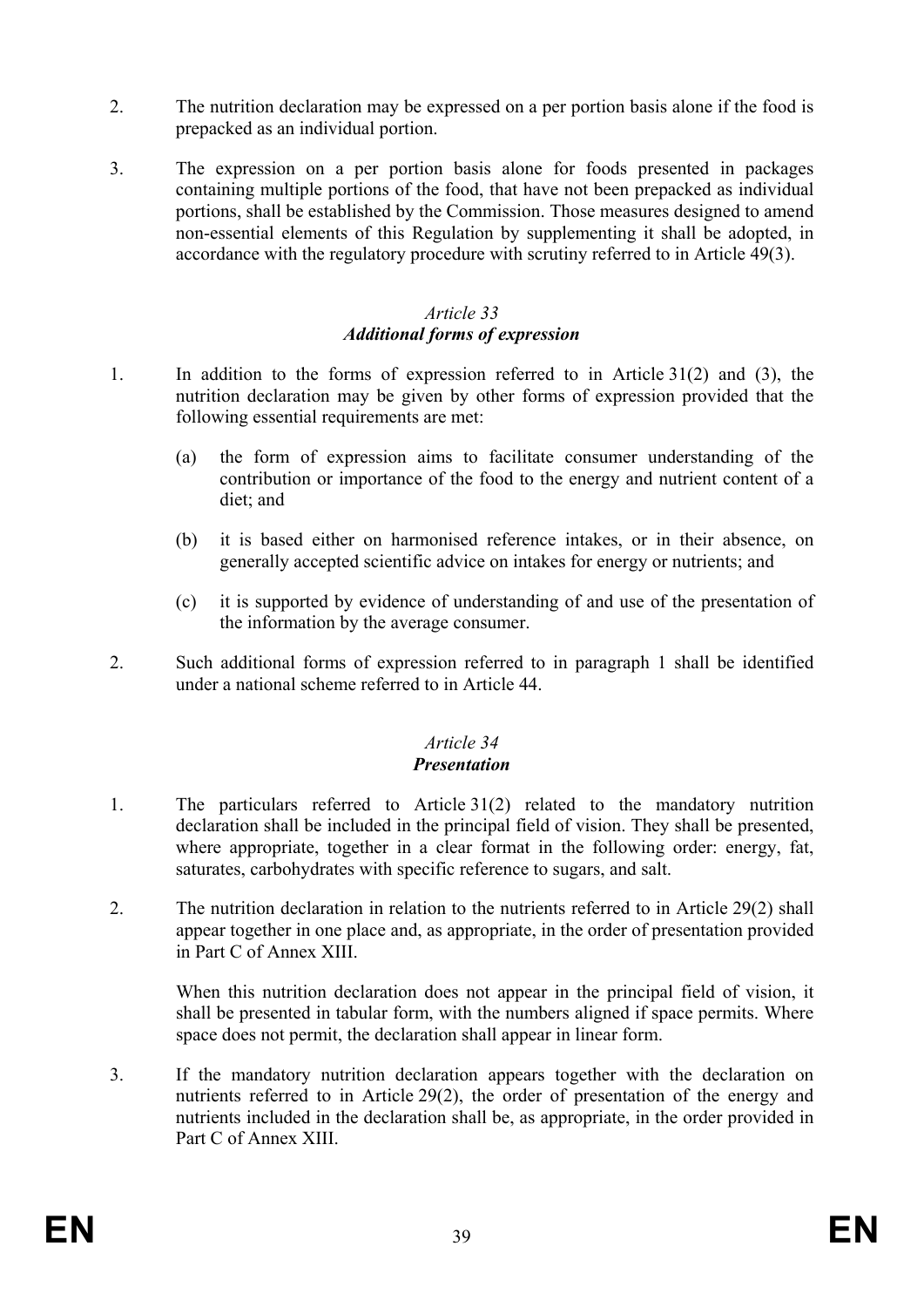- 2. The nutrition declaration may be expressed on a per portion basis alone if the food is prepacked as an individual portion.
- 3. The expression on a per portion basis alone for foods presented in packages containing multiple portions of the food, that have not been prepacked as individual portions, shall be established by the Commission. Those measures designed to amend non-essential elements of this Regulation by supplementing it shall be adopted, in accordance with the regulatory procedure with scrutiny referred to in Article 49(3).

### *Article 33 Additional forms of expression*

- 1. In addition to the forms of expression referred to in Article 31(2) and (3), the nutrition declaration may be given by other forms of expression provided that the following essential requirements are met:
	- (a) the form of expression aims to facilitate consumer understanding of the contribution or importance of the food to the energy and nutrient content of a diet; and
	- (b) it is based either on harmonised reference intakes, or in their absence, on generally accepted scientific advice on intakes for energy or nutrients; and
	- (c) it is supported by evidence of understanding of and use of the presentation of the information by the average consumer.
- 2. Such additional forms of expression referred to in paragraph 1 shall be identified under a national scheme referred to in Article 44.

#### *Article 34 Presentation*

- 1. The particulars referred to Article 31(2) related to the mandatory nutrition declaration shall be included in the principal field of vision. They shall be presented, where appropriate, together in a clear format in the following order: energy, fat, saturates, carbohydrates with specific reference to sugars, and salt.
- 2. The nutrition declaration in relation to the nutrients referred to in Article 29(2) shall appear together in one place and, as appropriate, in the order of presentation provided in Part C of Annex XIII.

When this nutrition declaration does not appear in the principal field of vision, it shall be presented in tabular form, with the numbers aligned if space permits. Where space does not permit, the declaration shall appear in linear form.

3. If the mandatory nutrition declaration appears together with the declaration on nutrients referred to in Article 29(2), the order of presentation of the energy and nutrients included in the declaration shall be, as appropriate, in the order provided in Part C of Annex XIII.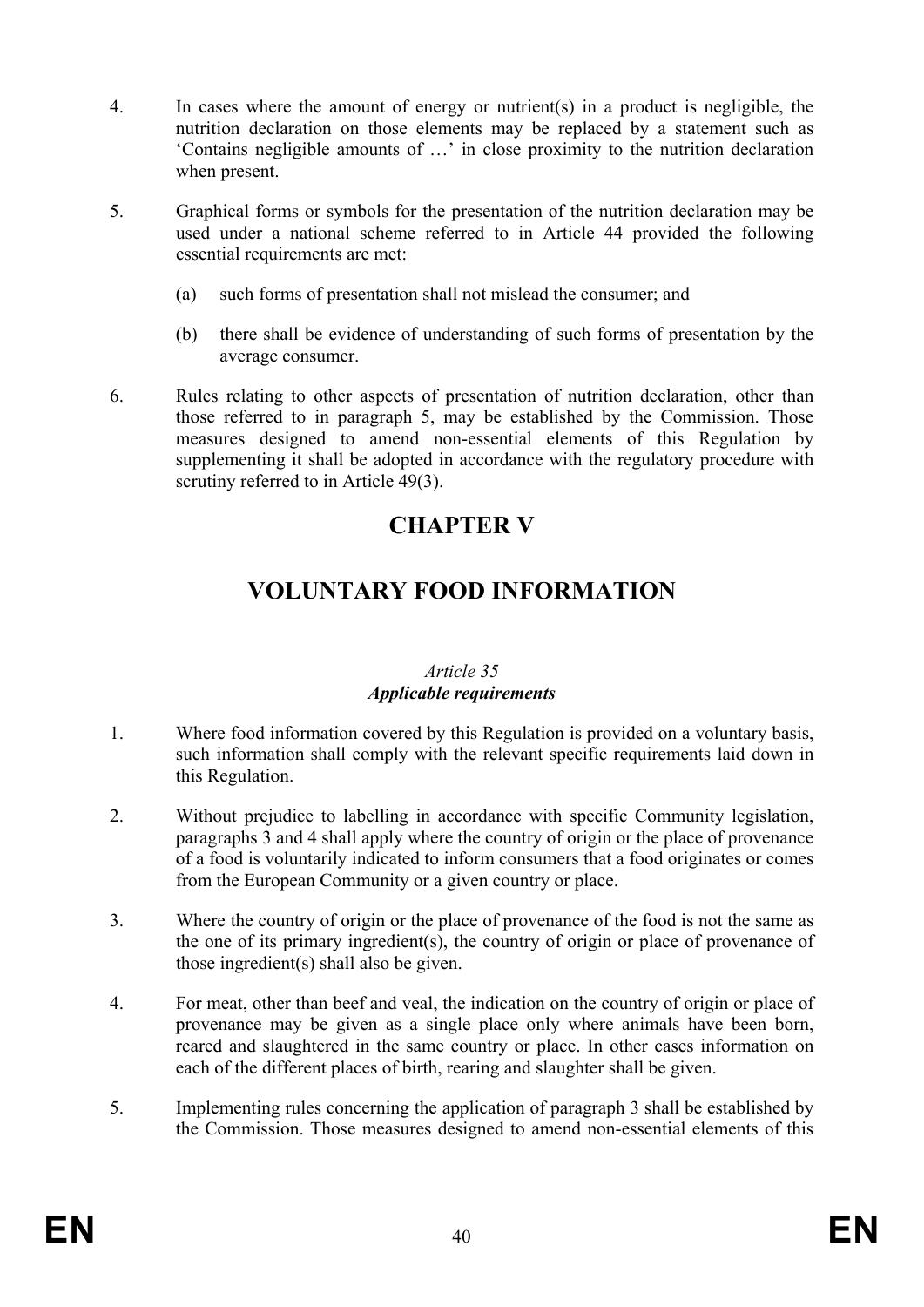- 4. In cases where the amount of energy or nutrient(s) in a product is negligible, the nutrition declaration on those elements may be replaced by a statement such as 'Contains negligible amounts of …' in close proximity to the nutrition declaration when present.
- 5. Graphical forms or symbols for the presentation of the nutrition declaration may be used under a national scheme referred to in Article 44 provided the following essential requirements are met:
	- (a) such forms of presentation shall not mislead the consumer; and
	- (b) there shall be evidence of understanding of such forms of presentation by the average consumer.
- 6. Rules relating to other aspects of presentation of nutrition declaration, other than those referred to in paragraph 5, may be established by the Commission. Those measures designed to amend non-essential elements of this Regulation by supplementing it shall be adopted in accordance with the regulatory procedure with scrutiny referred to in Article 49(3).

# **CHAPTER V**

# **VOLUNTARY FOOD INFORMATION**

### *Article 35 Applicable requirements*

- 1. Where food information covered by this Regulation is provided on a voluntary basis, such information shall comply with the relevant specific requirements laid down in this Regulation.
- 2. Without prejudice to labelling in accordance with specific Community legislation, paragraphs 3 and 4 shall apply where the country of origin or the place of provenance of a food is voluntarily indicated to inform consumers that a food originates or comes from the European Community or a given country or place.
- 3. Where the country of origin or the place of provenance of the food is not the same as the one of its primary ingredient(s), the country of origin or place of provenance of those ingredient(s) shall also be given.
- 4. For meat, other than beef and veal, the indication on the country of origin or place of provenance may be given as a single place only where animals have been born, reared and slaughtered in the same country or place. In other cases information on each of the different places of birth, rearing and slaughter shall be given.
- 5. Implementing rules concerning the application of paragraph 3 shall be established by the Commission. Those measures designed to amend non-essential elements of this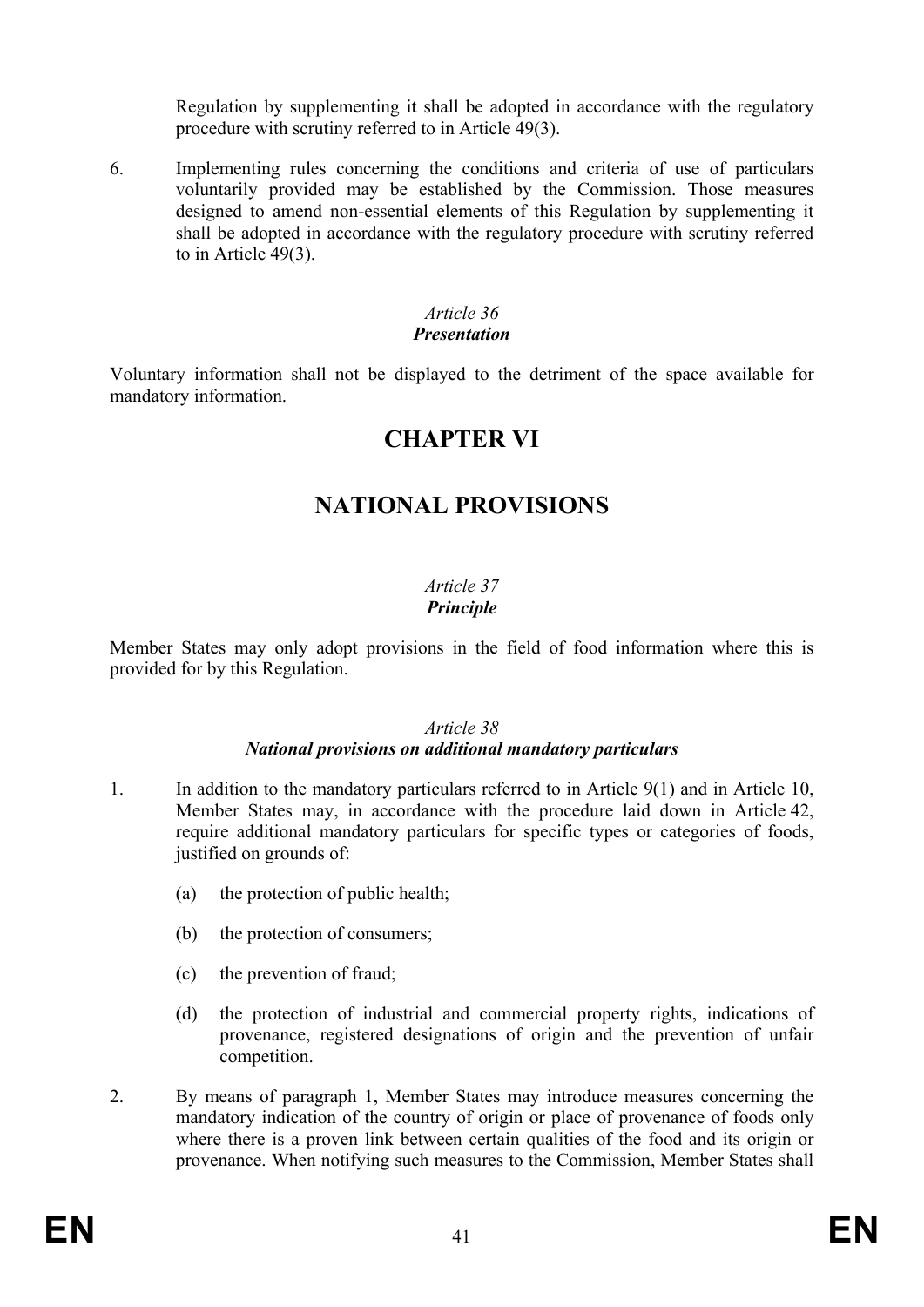Regulation by supplementing it shall be adopted in accordance with the regulatory procedure with scrutiny referred to in Article 49(3).

6. Implementing rules concerning the conditions and criteria of use of particulars voluntarily provided may be established by the Commission. Those measures designed to amend non-essential elements of this Regulation by supplementing it shall be adopted in accordance with the regulatory procedure with scrutiny referred to in Article 49(3).

### *Article 36*

### *Presentation*

Voluntary information shall not be displayed to the detriment of the space available for mandatory information.

# **CHAPTER VI**

# **NATIONAL PROVISIONS**

### *Article 37 Principle*

Member States may only adopt provisions in the field of food information where this is provided for by this Regulation.

### *Article 38*

### *National provisions on additional mandatory particulars*

- 1. In addition to the mandatory particulars referred to in Article 9(1) and in Article 10, Member States may, in accordance with the procedure laid down in Article 42, require additional mandatory particulars for specific types or categories of foods, justified on grounds of:
	- (a) the protection of public health;
	- (b) the protection of consumers;
	- (c) the prevention of fraud;
	- (d) the protection of industrial and commercial property rights, indications of provenance, registered designations of origin and the prevention of unfair competition.
- 2. By means of paragraph 1, Member States may introduce measures concerning the mandatory indication of the country of origin or place of provenance of foods only where there is a proven link between certain qualities of the food and its origin or provenance. When notifying such measures to the Commission, Member States shall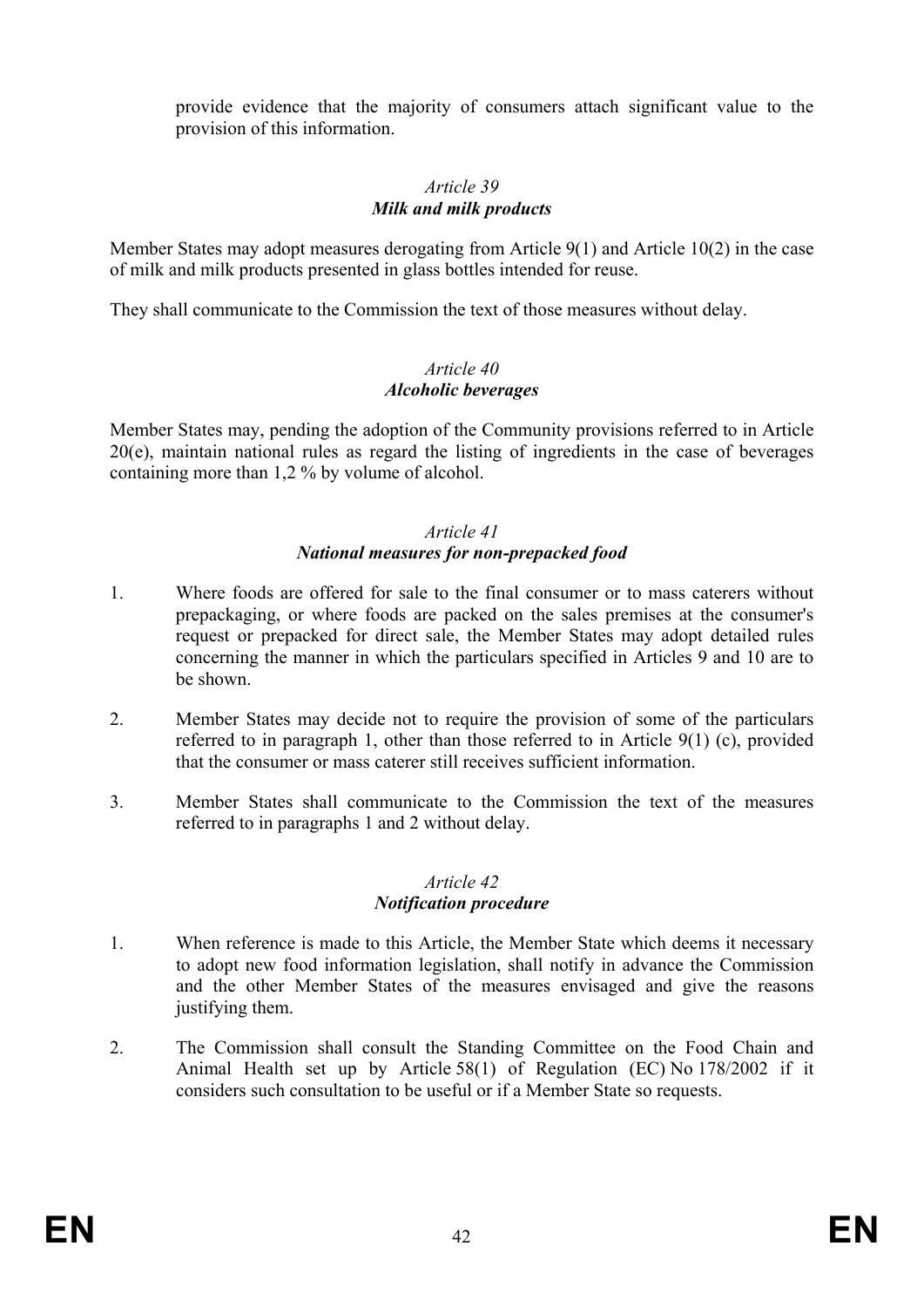provide evidence that the majority of consumers attach significant value to the provision of this information.

### *Article 39 Milk and milk products*

Member States may adopt measures derogating from Article 9(1) and Article 10(2) in the case of milk and milk products presented in glass bottles intended for reuse.

They shall communicate to the Commission the text of those measures without delay.

### *Article 40 Alcoholic beverages*

Member States may, pending the adoption of the Community provisions referred to in Article 20(e), maintain national rules as regard the listing of ingredients in the case of beverages containing more than 1,2 % by volume of alcohol.

### *Article 41 National measures for non-prepacked food*

- 1. Where foods are offered for sale to the final consumer or to mass caterers without prepackaging, or where foods are packed on the sales premises at the consumer's request or prepacked for direct sale, the Member States may adopt detailed rules concerning the manner in which the particulars specified in Articles 9 and 10 are to be shown.
- 2. Member States may decide not to require the provision of some of the particulars referred to in paragraph 1, other than those referred to in Article 9(1) (c), provided that the consumer or mass caterer still receives sufficient information.
- 3. Member States shall communicate to the Commission the text of the measures referred to in paragraphs 1 and 2 without delay.

### *Article 42 Notification procedure*

- 1. When reference is made to this Article, the Member State which deems it necessary to adopt new food information legislation, shall notify in advance the Commission and the other Member States of the measures envisaged and give the reasons justifying them.
- 2. The Commission shall consult the Standing Committee on the Food Chain and Animal Health set up by Article 58(1) of Regulation (EC) No 178/2002 if it considers such consultation to be useful or if a Member State so requests.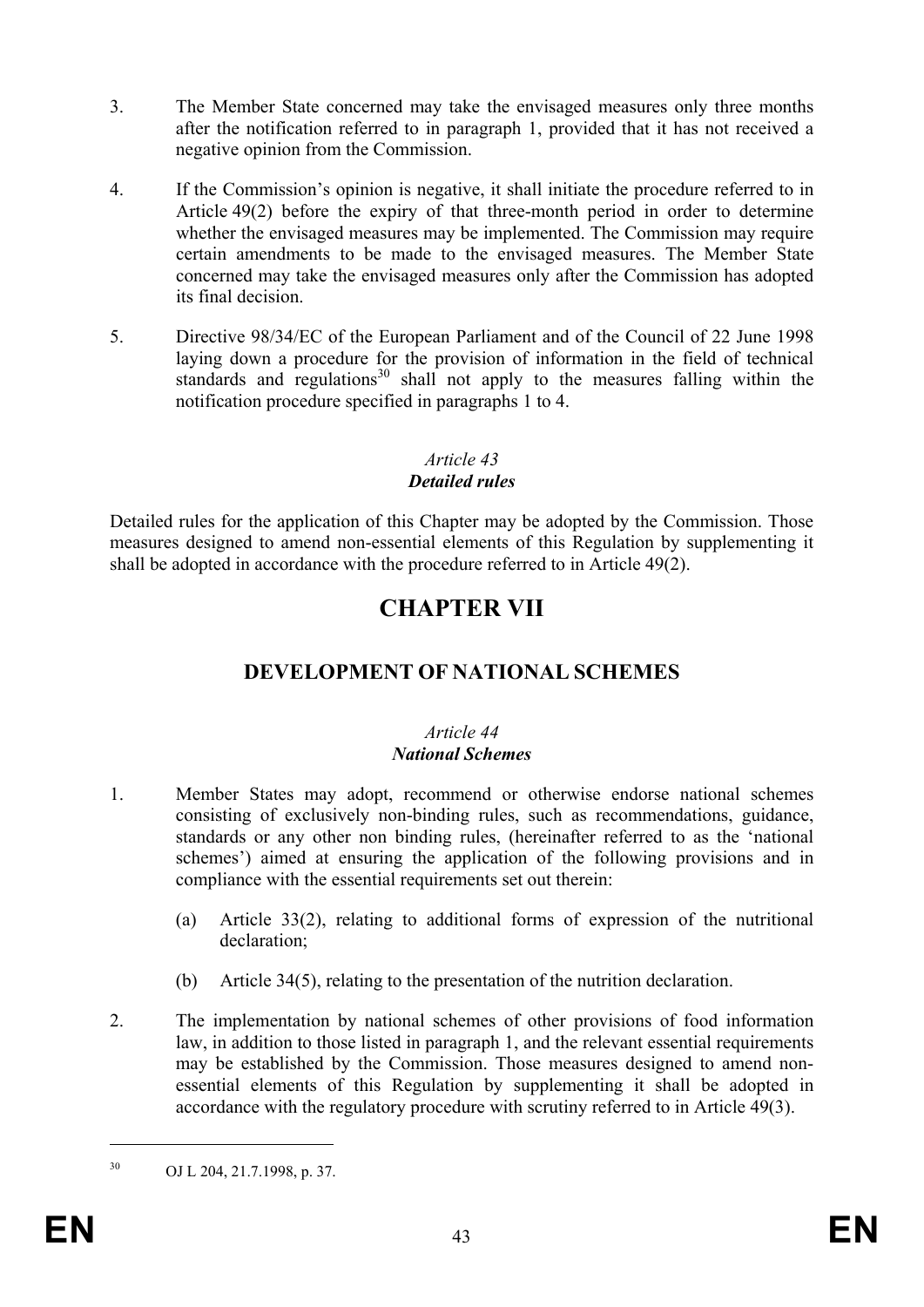- 3. The Member State concerned may take the envisaged measures only three months after the notification referred to in paragraph 1, provided that it has not received a negative opinion from the Commission.
- 4. If the Commission's opinion is negative, it shall initiate the procedure referred to in Article 49(2) before the expiry of that three-month period in order to determine whether the envisaged measures may be implemented. The Commission may require certain amendments to be made to the envisaged measures. The Member State concerned may take the envisaged measures only after the Commission has adopted its final decision.
- 5. Directive 98/34/EC of the European Parliament and of the Council of 22 June 1998 laying down a procedure for the provision of information in the field of technical standards and regulations<sup>30</sup> shall not apply to the measures falling within the notification procedure specified in paragraphs 1 to 4.

# *Article 43*

## *Detailed rules*

Detailed rules for the application of this Chapter may be adopted by the Commission. Those measures designed to amend non-essential elements of this Regulation by supplementing it shall be adopted in accordance with the procedure referred to in Article 49(2).

# **CHAPTER VII**

# **DEVELOPMENT OF NATIONAL SCHEMES**

## *Article 44 National Schemes*

- 1. Member States may adopt, recommend or otherwise endorse national schemes consisting of exclusively non-binding rules, such as recommendations, guidance, standards or any other non binding rules, (hereinafter referred to as the 'national schemes') aimed at ensuring the application of the following provisions and in compliance with the essential requirements set out therein:
	- (a) Article 33(2), relating to additional forms of expression of the nutritional declaration;
	- (b) Article 34(5), relating to the presentation of the nutrition declaration.
- 2. The implementation by national schemes of other provisions of food information law, in addition to those listed in paragraph 1, and the relevant essential requirements may be established by the Commission. Those measures designed to amend nonessential elements of this Regulation by supplementing it shall be adopted in accordance with the regulatory procedure with scrutiny referred to in Article 49(3).

1

<sup>30</sup> OJ L 204, 21.7.1998, p. 37.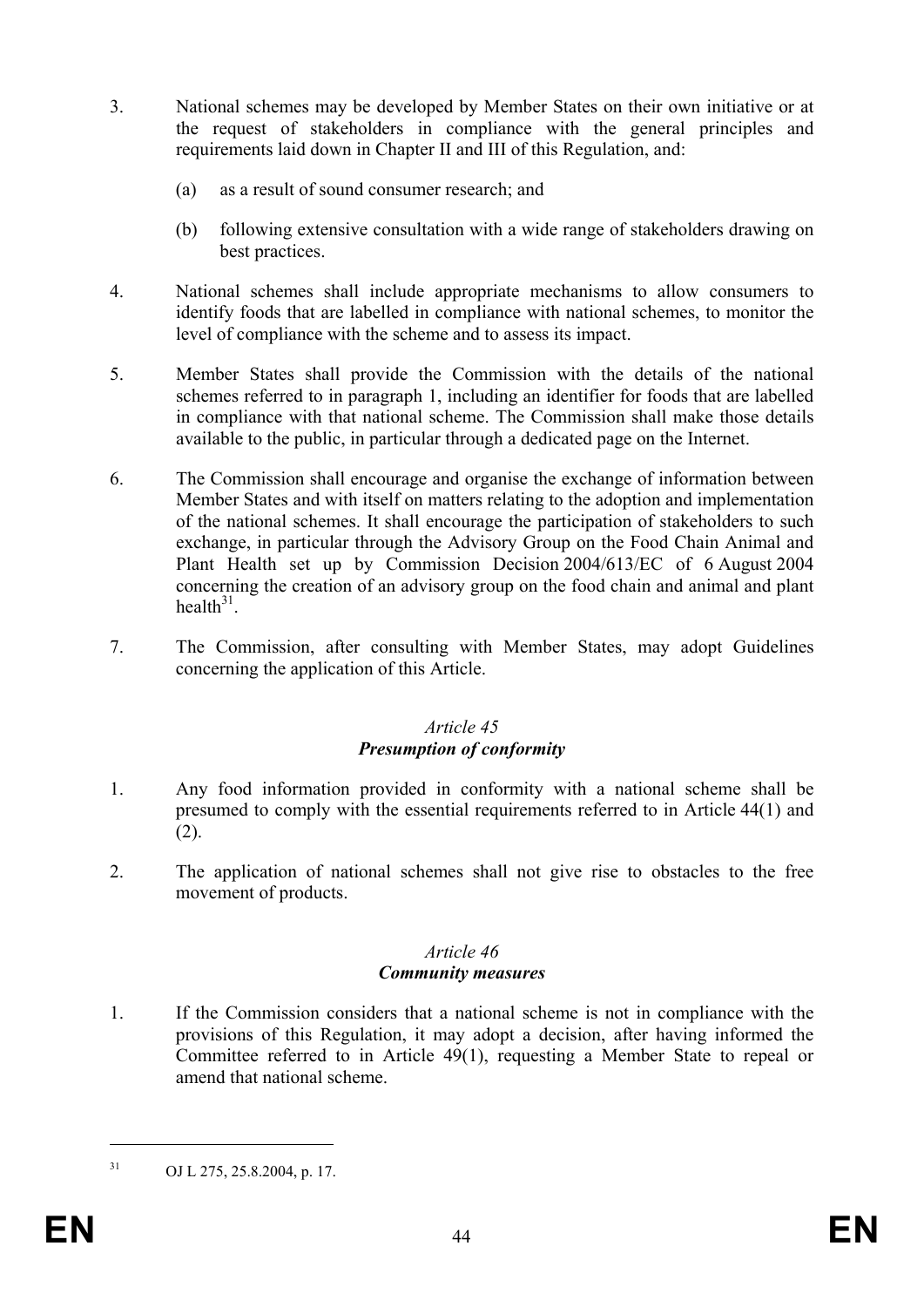- 3. National schemes may be developed by Member States on their own initiative or at the request of stakeholders in compliance with the general principles and requirements laid down in Chapter II and III of this Regulation, and:
	- (a) as a result of sound consumer research; and
	- (b) following extensive consultation with a wide range of stakeholders drawing on best practices.
- 4. National schemes shall include appropriate mechanisms to allow consumers to identify foods that are labelled in compliance with national schemes, to monitor the level of compliance with the scheme and to assess its impact.
- 5. Member States shall provide the Commission with the details of the national schemes referred to in paragraph 1, including an identifier for foods that are labelled in compliance with that national scheme. The Commission shall make those details available to the public, in particular through a dedicated page on the Internet.
- 6. The Commission shall encourage and organise the exchange of information between Member States and with itself on matters relating to the adoption and implementation of the national schemes. It shall encourage the participation of stakeholders to such exchange, in particular through the Advisory Group on the Food Chain Animal and Plant Health set up by Commission Decision 2004/613/EC of 6 August 2004 concerning the creation of an advisory group on the food chain and animal and plant health $31$
- 7. The Commission, after consulting with Member States, may adopt Guidelines concerning the application of this Article.

## *Article 45 Presumption of conformity*

- 1. Any food information provided in conformity with a national scheme shall be presumed to comply with the essential requirements referred to in Article 44(1) and (2).
- 2. The application of national schemes shall not give rise to obstacles to the free movement of products.

#### *Article 46 Community measures*

1. If the Commission considers that a national scheme is not in compliance with the provisions of this Regulation, it may adopt a decision, after having informed the Committee referred to in Article 49(1), requesting a Member State to repeal or amend that national scheme.

1

 $31$  OJ L 275, 25.8.2004, p. 17.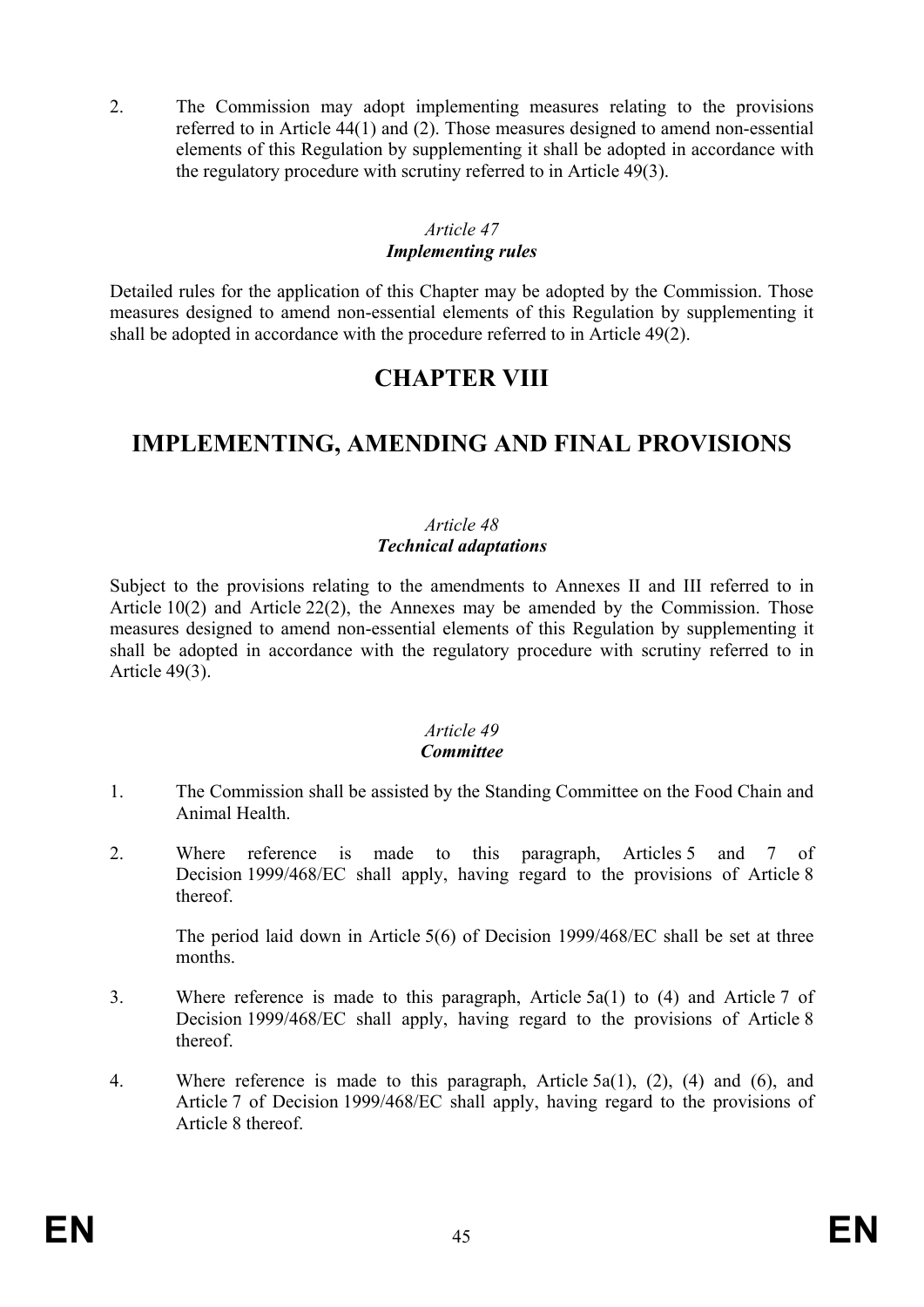2. The Commission may adopt implementing measures relating to the provisions referred to in Article 44(1) and (2). Those measures designed to amend non-essential elements of this Regulation by supplementing it shall be adopted in accordance with the regulatory procedure with scrutiny referred to in Article 49(3).

#### *Article 47 Implementing rules*

Detailed rules for the application of this Chapter may be adopted by the Commission. Those measures designed to amend non-essential elements of this Regulation by supplementing it shall be adopted in accordance with the procedure referred to in Article 49(2).

# **CHAPTER VIII**

# **IMPLEMENTING, AMENDING AND FINAL PROVISIONS**

## *Article 48 Technical adaptations*

Subject to the provisions relating to the amendments to Annexes II and III referred to in Article 10(2) and Article 22(2), the Annexes may be amended by the Commission. Those measures designed to amend non-essential elements of this Regulation by supplementing it shall be adopted in accordance with the regulatory procedure with scrutiny referred to in Article 49(3).

#### *Article 49 Committee*

- 1. The Commission shall be assisted by the Standing Committee on the Food Chain and Animal Health.
- 2. Where reference is made to this paragraph, Articles 5 and 7 of Decision 1999/468/EC shall apply, having regard to the provisions of Article 8 thereof.

The period laid down in Article 5(6) of Decision 1999/468/EC shall be set at three months.

- 3. Where reference is made to this paragraph, Article 5a(1) to (4) and Article 7 of Decision 1999/468/EC shall apply, having regard to the provisions of Article 8 thereof.
- 4. Where reference is made to this paragraph, Article 5a(1), (2), (4) and (6), and Article 7 of Decision 1999/468/EC shall apply, having regard to the provisions of Article 8 thereof.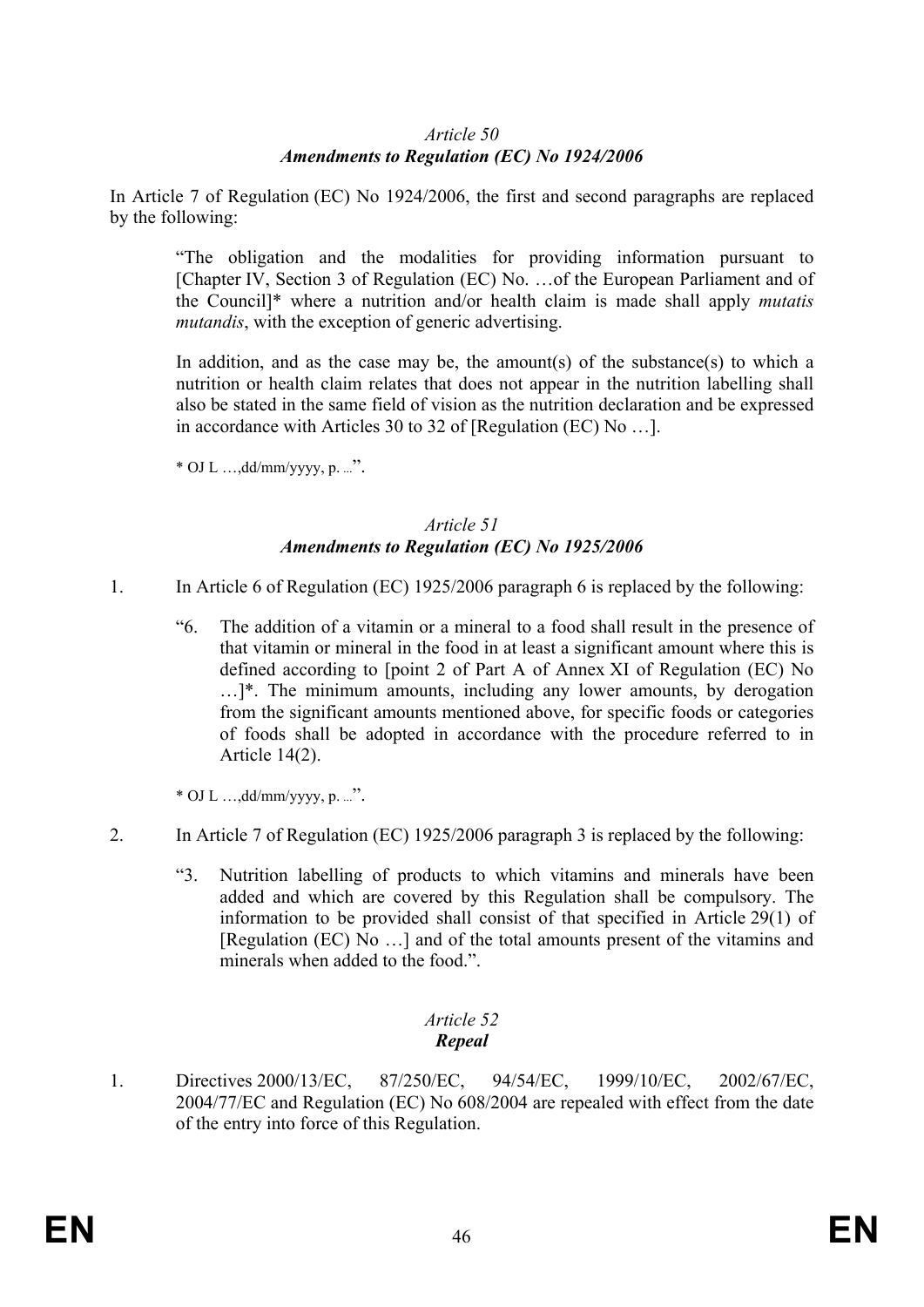## *Article 50 Amendments to Regulation (EC) No 1924/2006*

In Article 7 of Regulation (EC) No 1924/2006, the first and second paragraphs are replaced by the following:

"The obligation and the modalities for providing information pursuant to [Chapter IV, Section 3 of Regulation (EC) No. …of the European Parliament and of the Council]\* where a nutrition and/or health claim is made shall apply *mutatis mutandis*, with the exception of generic advertising.

In addition, and as the case may be, the amount(s) of the substance(s) to which a nutrition or health claim relates that does not appear in the nutrition labelling shall also be stated in the same field of vision as the nutrition declaration and be expressed in accordance with Articles 30 to 32 of [Regulation (EC) No …].

 $*$  OJ L ..., dd/mm/yyyy, p. ...".

### *Article 51 Amendments to Regulation (EC) No 1925/2006*

- 1. In Article 6 of Regulation (EC) 1925/2006 paragraph 6 is replaced by the following:
	- "6. The addition of a vitamin or a mineral to a food shall result in the presence of that vitamin or mineral in the food in at least a significant amount where this is defined according to [point 2 of Part A of Annex XI of Regulation (EC) No …]\*. The minimum amounts, including any lower amounts, by derogation from the significant amounts mentioned above, for specific foods or categories of foods shall be adopted in accordance with the procedure referred to in Article 14(2).

\* OJ L …,dd/mm/yyyy, p. ...".

- 2. In Article 7 of Regulation (EC) 1925/2006 paragraph 3 is replaced by the following:
	- "3. Nutrition labelling of products to which vitamins and minerals have been added and which are covered by this Regulation shall be compulsory. The information to be provided shall consist of that specified in Article 29(1) of [Regulation (EC) No …] and of the total amounts present of the vitamins and minerals when added to the food.".

## *Article 52 Repeal*

1. Directives 2000/13/EC, 87/250/EC, 94/54/EC, 1999/10/EC, 2002/67/EC, 2004/77/EC and Regulation (EC) No 608/2004 are repealed with effect from the date of the entry into force of this Regulation.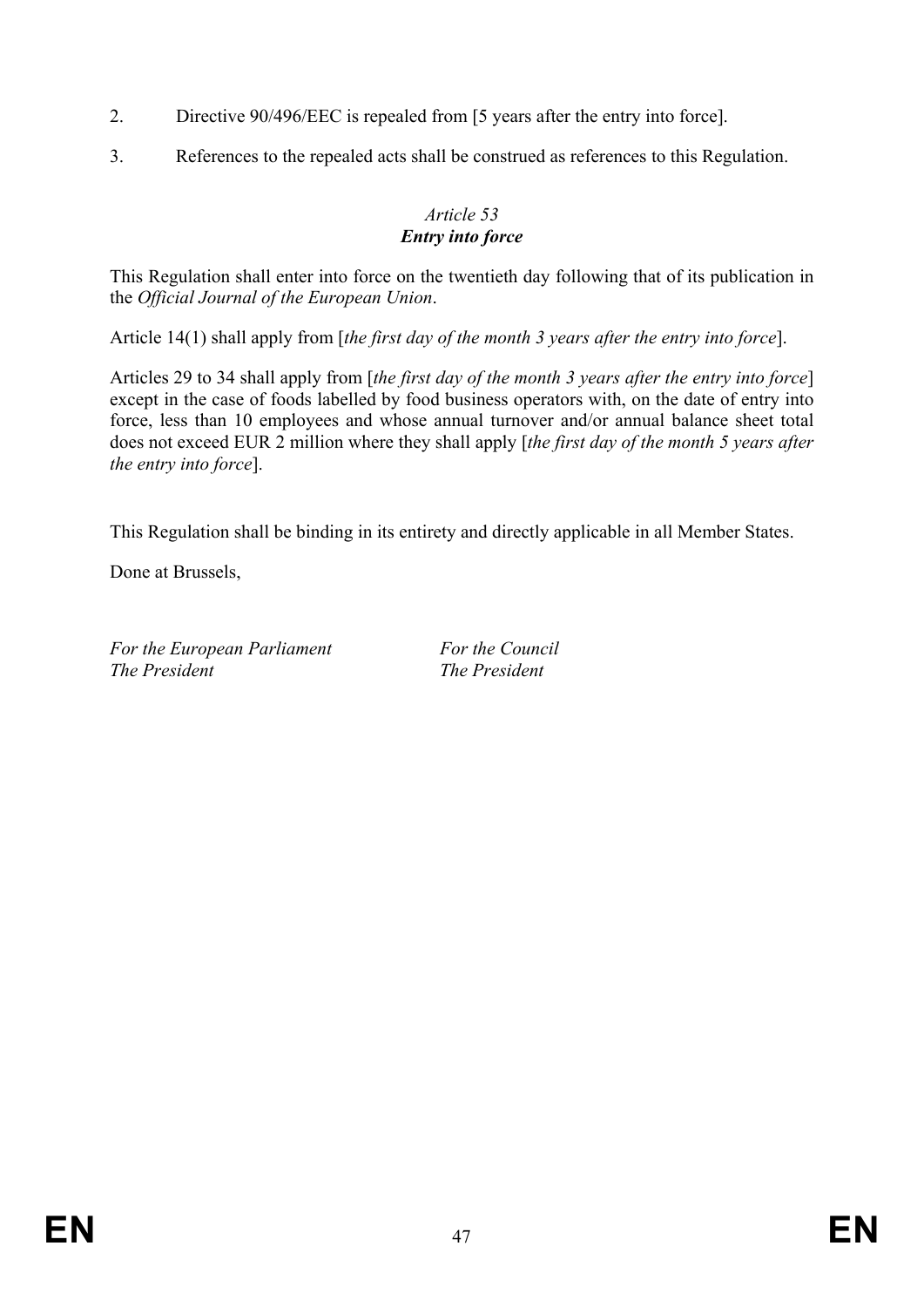- 2. Directive 90/496/EEC is repealed from [5 years after the entry into force].
- 3. References to the repealed acts shall be construed as references to this Regulation.

# *Article 53 Entry into force*

This Regulation shall enter into force on the twentieth day following that of its publication in the *Official Journal of the European Union*.

Article 14(1) shall apply from [*the first day of the month 3 years after the entry into force*].

Articles 29 to 34 shall apply from [*the first day of the month 3 years after the entry into force*] except in the case of foods labelled by food business operators with, on the date of entry into force, less than 10 employees and whose annual turnover and/or annual balance sheet total does not exceed EUR 2 million where they shall apply [*the first day of the month 5 years after the entry into force*].

This Regulation shall be binding in its entirety and directly applicable in all Member States.

Done at Brussels,

For the European Parliament For the Council *The President The President*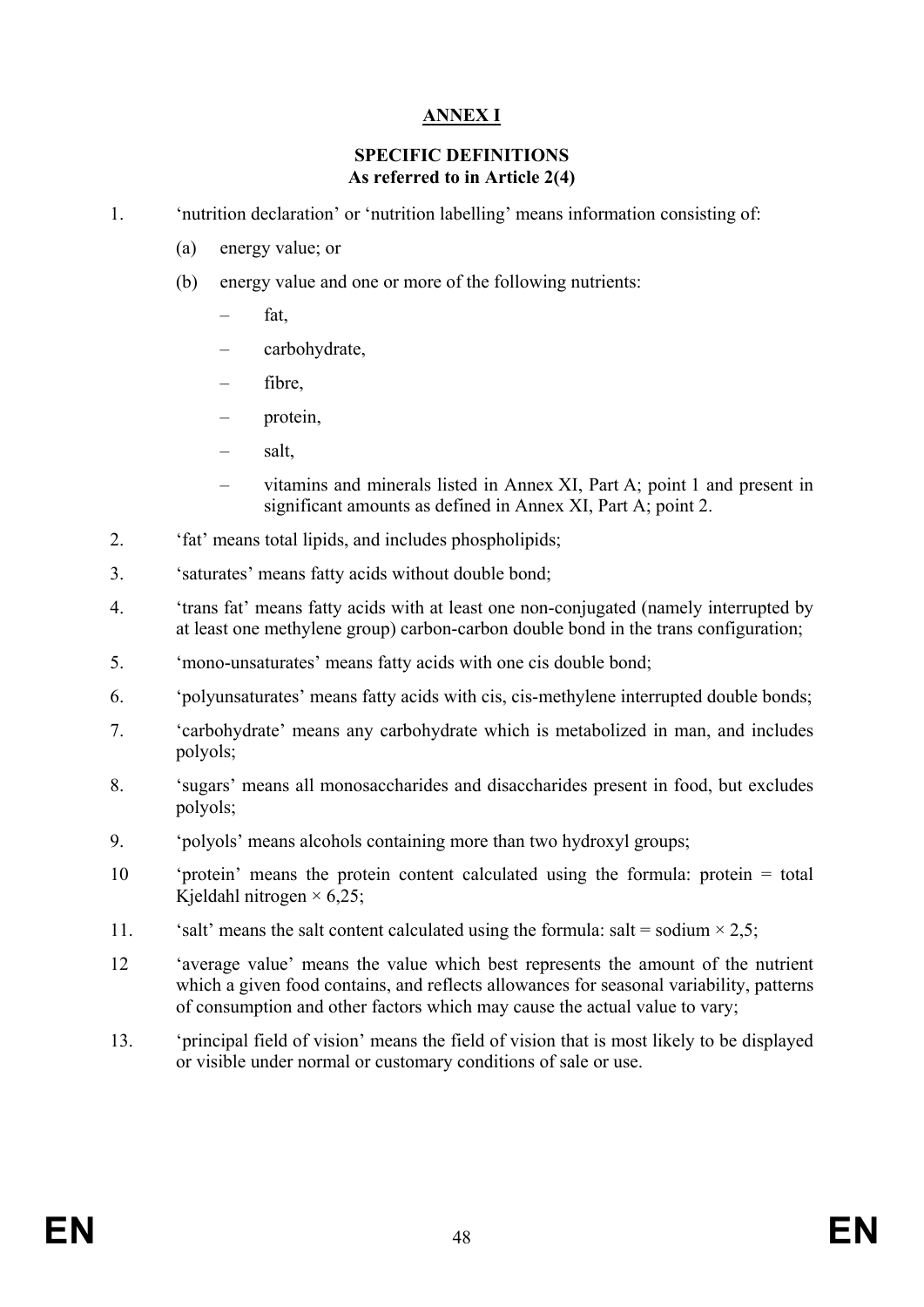# **ANNEX I**

### **SPECIFIC DEFINITIONS As referred to in Article 2(4)**

1. 'nutrition declaration' or 'nutrition labelling' means information consisting of:

- (a) energy value; or
- (b) energy value and one or more of the following nutrients:
	- fat.
	- carbohydrate,
	- fibre,
	- protein,
	- salt,
	- vitamins and minerals listed in Annex XI, Part A; point 1 and present in significant amounts as defined in Annex XI, Part A; point 2.
- 2. 'fat' means total lipids, and includes phospholipids;
- 3. 'saturates' means fatty acids without double bond;
- 4. 'trans fat' means fatty acids with at least one non-conjugated (namely interrupted by at least one methylene group) carbon-carbon double bond in the trans configuration;
- 5. 'mono-unsaturates' means fatty acids with one cis double bond;
- 6. 'polyunsaturates' means fatty acids with cis, cis-methylene interrupted double bonds;
- 7. 'carbohydrate' means any carbohydrate which is metabolized in man, and includes polyols;
- 8. 'sugars' means all monosaccharides and disaccharides present in food, but excludes polyols;
- 9. 'polyols' means alcohols containing more than two hydroxyl groups;
- 10 'protein' means the protein content calculated using the formula: protein = total Kjeldahl nitrogen  $\times$  6,25;
- 11. 'salt' means the salt content calculated using the formula: salt = sodium  $\times$  2.5;
- 12 'average value' means the value which best represents the amount of the nutrient which a given food contains, and reflects allowances for seasonal variability, patterns of consumption and other factors which may cause the actual value to vary;
- 13. 'principal field of vision' means the field of vision that is most likely to be displayed or visible under normal or customary conditions of sale or use.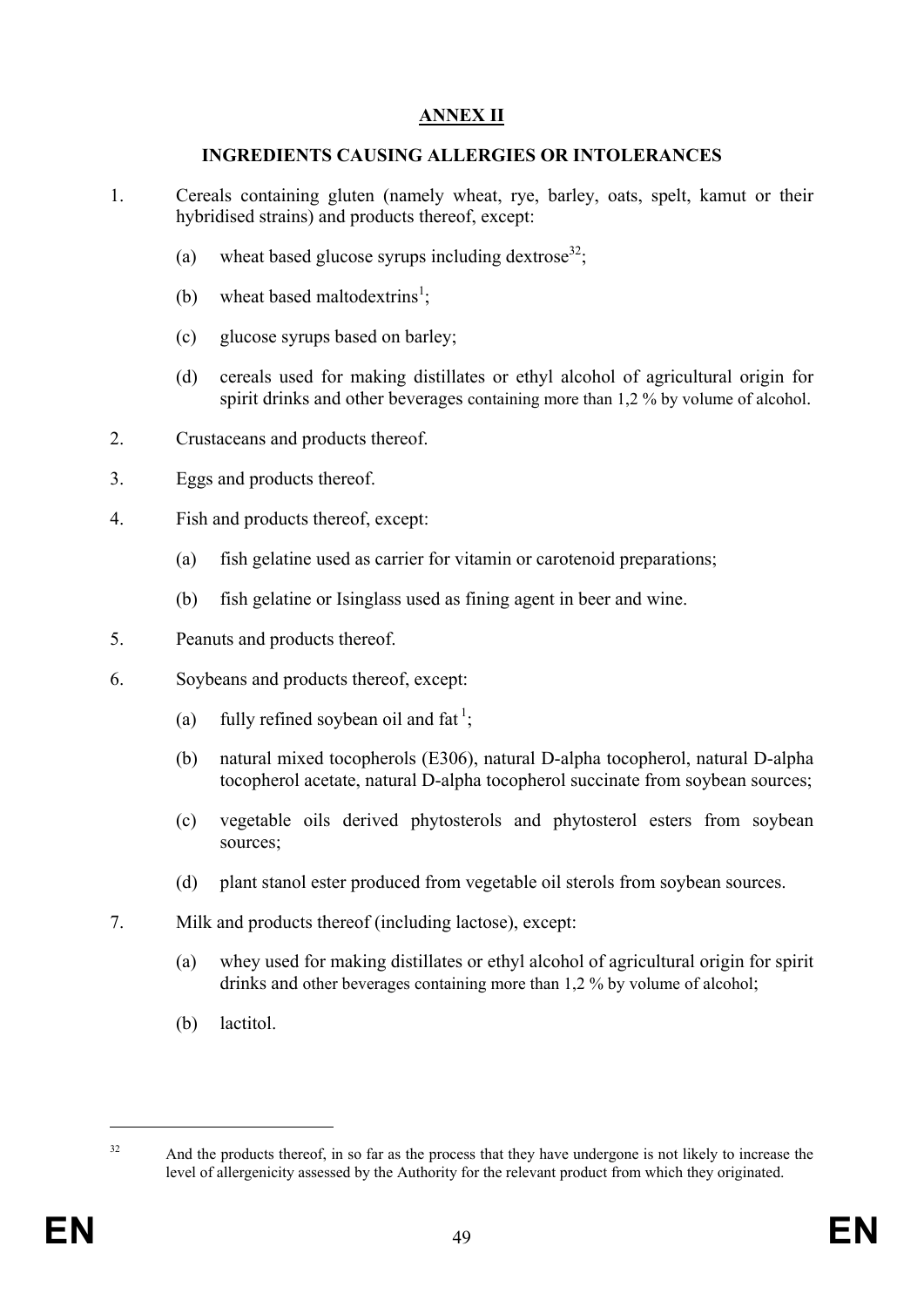# **ANNEX II**

### **INGREDIENTS CAUSING ALLERGIES OR INTOLERANCES**

- 1. Cereals containing gluten (namely wheat, rye, barley, oats, spelt, kamut or their hybridised strains) and products thereof, except:
	- (a) wheat based glucose syrups including dextrose<sup>32</sup>;
	- (b) wheat based maltodextrins<sup>1</sup>;
	- (c) glucose syrups based on barley;
	- (d) cereals used for making distillates or ethyl alcohol of agricultural origin for spirit drinks and other beverages containing more than 1,2 % by volume of alcohol.
- 2. Crustaceans and products thereof.
- 3. Eggs and products thereof.
- 4. Fish and products thereof, except:
	- (a) fish gelatine used as carrier for vitamin or carotenoid preparations;
	- (b) fish gelatine or Isinglass used as fining agent in beer and wine.
- 5. Peanuts and products thereof.
- 6. Soybeans and products thereof, except:
	- (a) fully refined soybean oil and fat<sup>1</sup>;
	- (b) natural mixed tocopherols (E306), natural D-alpha tocopherol, natural D-alpha tocopherol acetate, natural D-alpha tocopherol succinate from soybean sources;
	- (c) vegetable oils derived phytosterols and phytosterol esters from soybean sources;
	- (d) plant stanol ester produced from vegetable oil sterols from soybean sources.
- 7. Milk and products thereof (including lactose), except:
	- (a) whey used for making distillates or ethyl alcohol of agricultural origin for spirit drinks and other beverages containing more than 1,2 % by volume of alcohol;
	- (b) lactitol.

<sup>32</sup> And the products thereof, in so far as the process that they have undergone is not likely to increase the level of allergenicity assessed by the Authority for the relevant product from which they originated.

<u>.</u>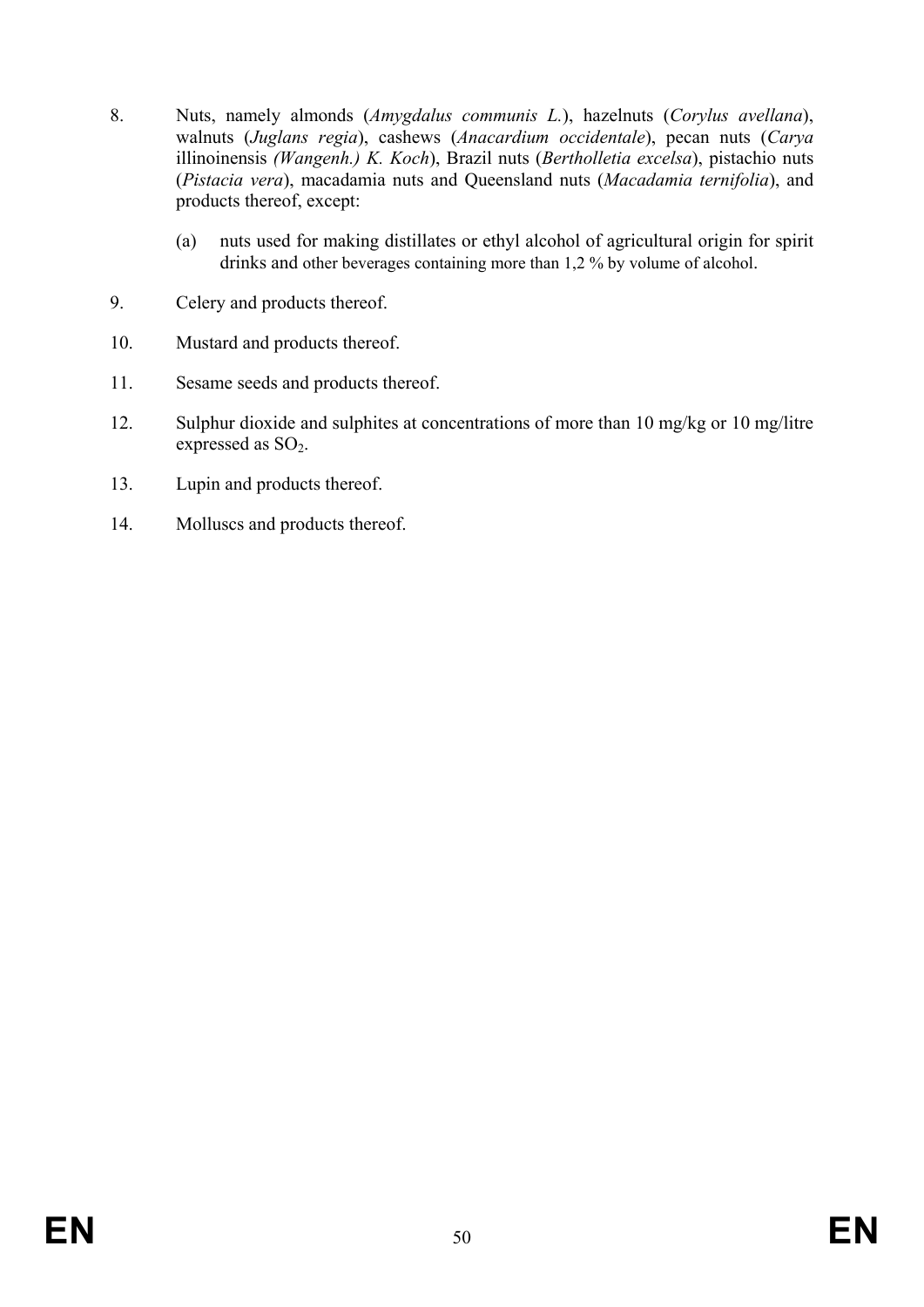- 8. Nuts, namely almonds (*Amygdalus communis L.*), hazelnuts (*Corylus avellana*), walnuts (*Juglans regia*), cashews (*Anacardium occidentale*), pecan nuts (*Carya*  illinoinensis *(Wangenh.) K. Koch*), Brazil nuts (*Bertholletia excelsa*), pistachio nuts (*Pistacia vera*), macadamia nuts and Queensland nuts (*Macadamia ternifolia*), and products thereof, except:
	- (a) nuts used for making distillates or ethyl alcohol of agricultural origin for spirit drinks and other beverages containing more than 1,2 % by volume of alcohol.
- 9. Celery and products thereof.
- 10. Mustard and products thereof.
- 11. Sesame seeds and products thereof.
- 12. Sulphur dioxide and sulphites at concentrations of more than 10 mg/kg or 10 mg/litre expressed as  $SO<sub>2</sub>$ .
- 13. Lupin and products thereof.
- 14. Molluscs and products thereof.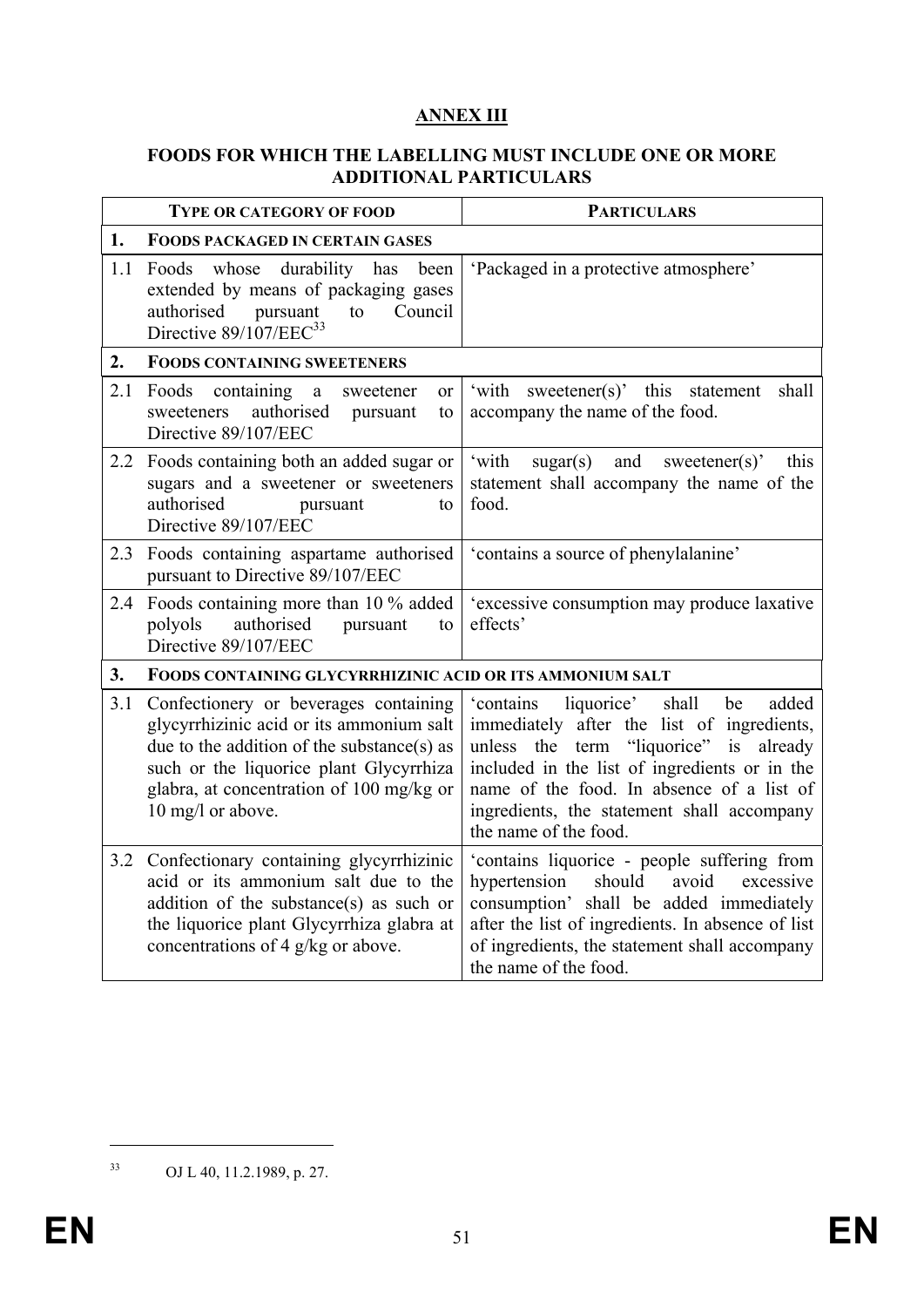# **ANNEX III**

### **FOODS FOR WHICH THE LABELLING MUST INCLUDE ONE OR MORE ADDITIONAL PARTICULARS**

|     | <b>TYPE OR CATEGORY OF FOOD</b>                                                                                                                                                                                                             | <b>PARTICULARS</b>                                                                                                                                                                                                                                                                                                    |
|-----|---------------------------------------------------------------------------------------------------------------------------------------------------------------------------------------------------------------------------------------------|-----------------------------------------------------------------------------------------------------------------------------------------------------------------------------------------------------------------------------------------------------------------------------------------------------------------------|
| 1.  | <b>FOODS PACKAGED IN CERTAIN GASES</b>                                                                                                                                                                                                      |                                                                                                                                                                                                                                                                                                                       |
| 1.1 | durability has<br>Foods whose<br>been<br>extended by means of packaging gases<br>authorised<br>Council<br>pursuant<br>to<br>Directive 89/107/EEC <sup>33</sup>                                                                              | 'Packaged in a protective atmosphere'                                                                                                                                                                                                                                                                                 |
| 2.  | <b>FOODS CONTAINING SWEETENERS</b>                                                                                                                                                                                                          |                                                                                                                                                                                                                                                                                                                       |
| 2.1 | Foods containing<br>$\rm{a}$<br>sweetener<br>or<br>authorised<br>sweeteners<br>pursuant<br>to<br>Directive 89/107/EEC                                                                                                                       | 'with<br>sweetener(s)' this<br>shall<br>statement<br>accompany the name of the food.                                                                                                                                                                                                                                  |
| 2.2 | Foods containing both an added sugar or<br>sugars and a sweetener or sweeteners<br>authorised<br>pursuant<br>to<br>Directive 89/107/EEC                                                                                                     | 'with<br>sugar(s)<br>and<br>this<br>sweetener(s)'<br>statement shall accompany the name of the<br>food.                                                                                                                                                                                                               |
| 2.3 | Foods containing aspartame authorised<br>pursuant to Directive 89/107/EEC                                                                                                                                                                   | 'contains a source of phenylalanine'                                                                                                                                                                                                                                                                                  |
| 2.4 | Foods containing more than 10 % added<br>authorised<br>polyols<br>pursuant<br>to<br>Directive 89/107/EEC                                                                                                                                    | 'excessive consumption may produce laxative<br>effects'                                                                                                                                                                                                                                                               |
| 3.  | <b>FOODS CONTAINING GLYCYRRHIZINIC ACID OR ITS AMMONIUM SALT</b>                                                                                                                                                                            |                                                                                                                                                                                                                                                                                                                       |
| 3.1 | Confectionery or beverages containing<br>glycyrrhizinic acid or its ammonium salt<br>due to the addition of the substance(s) as<br>such or the liquorice plant Glycyrrhiza<br>glabra, at concentration of 100 mg/kg or<br>10 mg/l or above. | liquorice'<br>added<br>'contains<br>shall<br>be<br>immediately after the list of ingredients,<br>"liquorice"<br>unless the term<br>is<br>already<br>included in the list of ingredients or in the<br>name of the food. In absence of a list of<br>ingredients, the statement shall accompany<br>the name of the food. |
| 3.2 | Confectionary containing glycyrrhizinic<br>acid or its ammonium salt due to the<br>addition of the substance(s) as such or<br>the liquorice plant Glycyrrhiza glabra at<br>concentrations of 4 g/kg or above.                               | 'contains liquorice - people suffering from<br>avoid<br>hypertension<br>should<br>excessive<br>consumption' shall be added immediately<br>after the list of ingredients. In absence of list<br>of ingredients, the statement shall accompany<br>the name of the food.                                                 |

1

<sup>33</sup> OJ L 40, 11.2.1989, p. 27.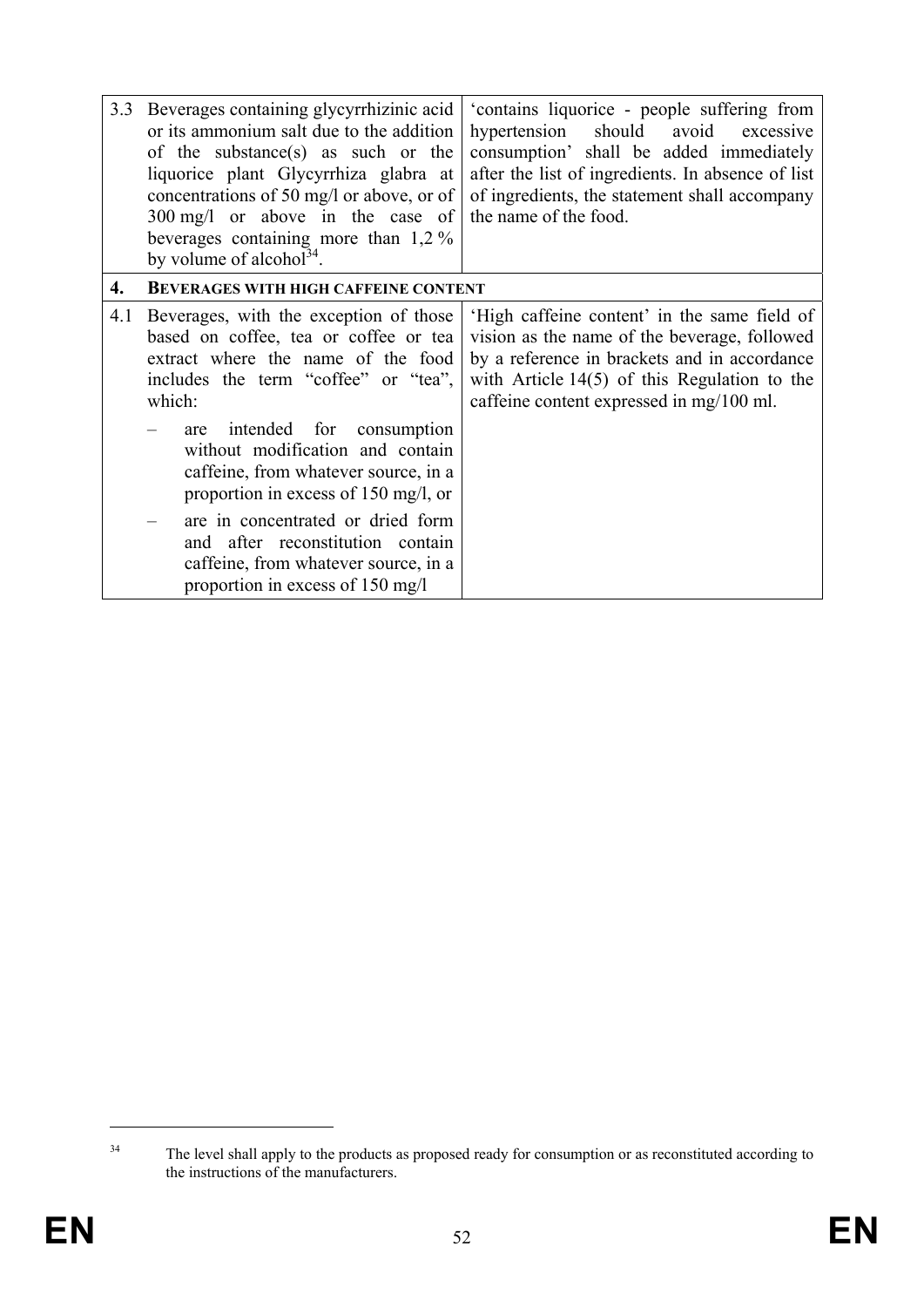| 3.3 | Beverages containing glycyrrhizinic acid<br>or its ammonium salt due to the addition<br>of the substance(s) as such or the<br>liquorice plant Glycyrrhiza glabra at<br>concentrations of 50 mg/l or above, or of<br>300 mg/l or above in the case of<br>beverages containing more than $1,2\%$<br>by volume of alcohol <sup>34</sup> . | 'contains liquorice - people suffering from<br>hypertension<br>should<br>avoid<br>excessive<br>consumption' shall be added immediately<br>after the list of ingredients. In absence of list<br>of ingredients, the statement shall accompany<br>the name of the food. |
|-----|----------------------------------------------------------------------------------------------------------------------------------------------------------------------------------------------------------------------------------------------------------------------------------------------------------------------------------------|-----------------------------------------------------------------------------------------------------------------------------------------------------------------------------------------------------------------------------------------------------------------------|
| 4.  | <b>BEVERAGES WITH HIGH CAFFEINE CONTENT</b>                                                                                                                                                                                                                                                                                            |                                                                                                                                                                                                                                                                       |
| 4.1 | Beverages, with the exception of those<br>based on coffee, tea or coffee or tea<br>extract where the name of the food<br>includes the term "coffee" or "tea",<br>which:                                                                                                                                                                | 'High caffeine content' in the same field of<br>vision as the name of the beverage, followed<br>by a reference in brackets and in accordance<br>with Article $14(5)$ of this Regulation to the<br>caffeine content expressed in mg/100 ml.                            |
|     | intended<br>for<br>consumption<br>are<br>without modification and contain<br>caffeine, from whatever source, in a<br>proportion in excess of 150 mg/l, or                                                                                                                                                                              |                                                                                                                                                                                                                                                                       |
|     | are in concentrated or dried form<br>and after reconstitution contain<br>caffeine, from whatever source, in a<br>proportion in excess of 150 mg/l                                                                                                                                                                                      |                                                                                                                                                                                                                                                                       |

<u>.</u>

<sup>&</sup>lt;sup>34</sup> The level shall apply to the products as proposed ready for consumption or as reconstituted according to the instructions of the manufacturers.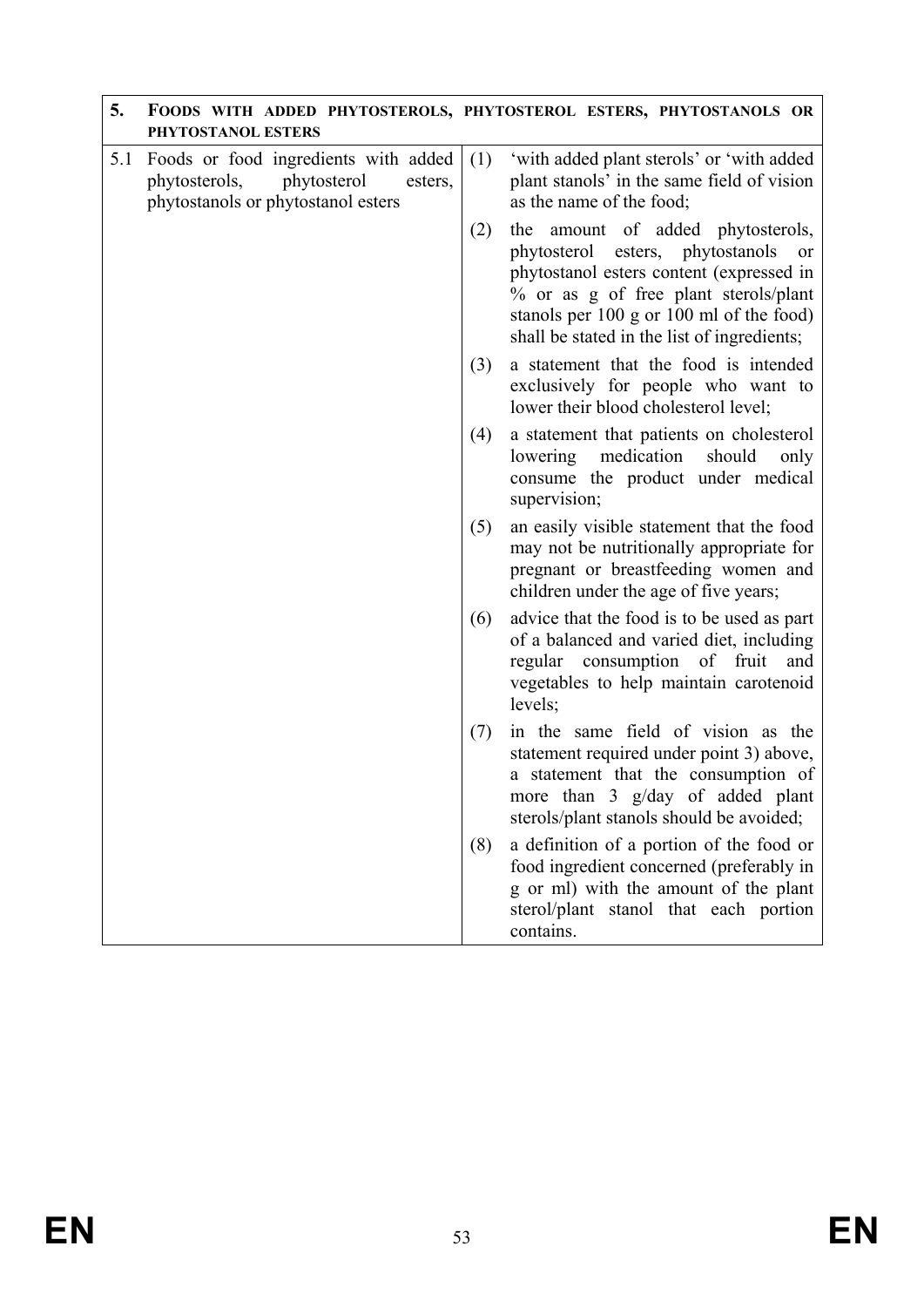| 5.  | PHYTOSTANOL ESTERS                                                                                                    |     | FOODS WITH ADDED PHYTOSTEROLS, PHYTOSTEROL ESTERS, PHYTOSTANOLS OR                                                                                                                                                                                             |
|-----|-----------------------------------------------------------------------------------------------------------------------|-----|----------------------------------------------------------------------------------------------------------------------------------------------------------------------------------------------------------------------------------------------------------------|
| 5.1 | Foods or food ingredients with added<br>phytosterols,<br>phytosterol<br>esters,<br>phytostanols or phytostanol esters | (1) | 'with added plant sterols' or 'with added<br>plant stanols' in the same field of vision<br>as the name of the food;                                                                                                                                            |
|     |                                                                                                                       | (2) | amount of added phytosterols,<br>the<br>phytosterol esters, phytostanols<br>or<br>phytostanol esters content (expressed in<br>% or as g of free plant sterols/plant<br>stanols per 100 g or 100 ml of the food)<br>shall be stated in the list of ingredients; |
|     |                                                                                                                       | (3) | a statement that the food is intended<br>exclusively for people who want to<br>lower their blood cholesterol level;                                                                                                                                            |
|     |                                                                                                                       | (4) | a statement that patients on cholesterol<br>lowering medication<br>should<br>only<br>consume the product under medical<br>supervision;                                                                                                                         |
|     |                                                                                                                       | (5) | an easily visible statement that the food<br>may not be nutritionally appropriate for<br>pregnant or breastfeeding women and<br>children under the age of five years;                                                                                          |
|     |                                                                                                                       | (6) | advice that the food is to be used as part<br>of a balanced and varied diet, including<br>regular consumption of fruit<br>and<br>vegetables to help maintain carotenoid<br>levels;                                                                             |
|     |                                                                                                                       | (7) | in the same field of vision as the<br>statement required under point 3) above,<br>a statement that the consumption of<br>more than 3 g/day of added plant<br>sterols/plant stanols should be avoided;                                                          |
|     |                                                                                                                       | (8) | a definition of a portion of the food or<br>food ingredient concerned (preferably in<br>g or ml) with the amount of the plant<br>sterol/plant stanol that each portion<br>contains.                                                                            |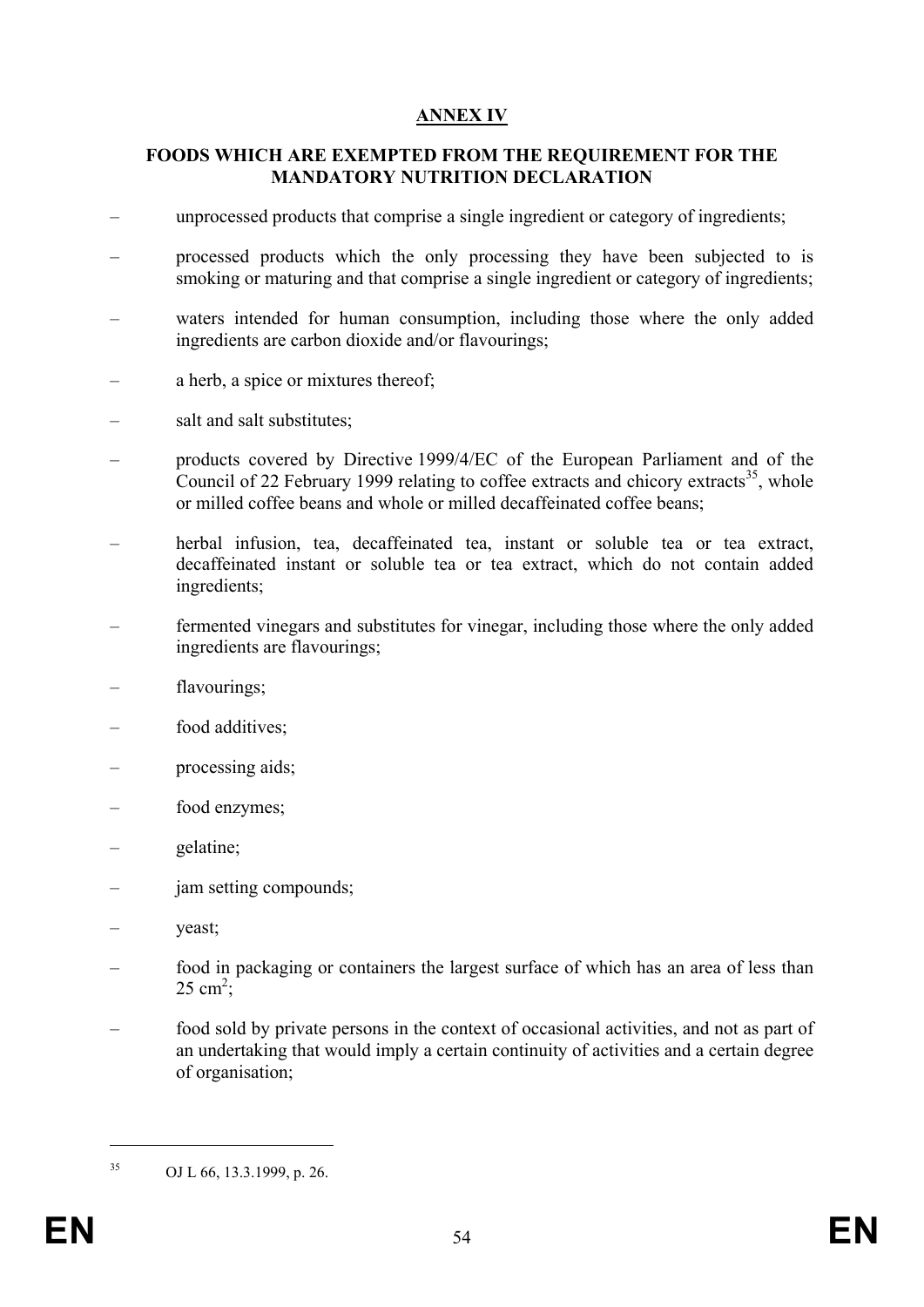# **ANNEX IV**

### **FOODS WHICH ARE EXEMPTED FROM THE REQUIREMENT FOR THE MANDATORY NUTRITION DECLARATION**

- unprocessed products that comprise a single ingredient or category of ingredients;
- processed products which the only processing they have been subjected to is smoking or maturing and that comprise a single ingredient or category of ingredients;
- waters intended for human consumption, including those where the only added ingredients are carbon dioxide and/or flavourings;
- a herb, a spice or mixtures thereof;
- salt and salt substitutes;
- products covered by Directive 1999/4/EC of the European Parliament and of the Council of 22 February 1999 relating to coffee extracts and chicory extracts<sup>35</sup>, whole or milled coffee beans and whole or milled decaffeinated coffee beans;
- herbal infusion, tea, decaffeinated tea, instant or soluble tea or tea extract, decaffeinated instant or soluble tea or tea extract, which do not contain added ingredients;
- fermented vinegars and substitutes for vinegar, including those where the only added ingredients are flavourings;
- flavourings;
- food additives:
- processing aids;
- food enzymes;
- gelatine;
- jam setting compounds;
- yeast;
- food in packaging or containers the largest surface of which has an area of less than  $25 \text{ cm}^2$ ;
- food sold by private persons in the context of occasional activities, and not as part of an undertaking that would imply a certain continuity of activities and a certain degree of organisation;

1

<sup>35</sup> OJ L 66, 13.3.1999, p. 26.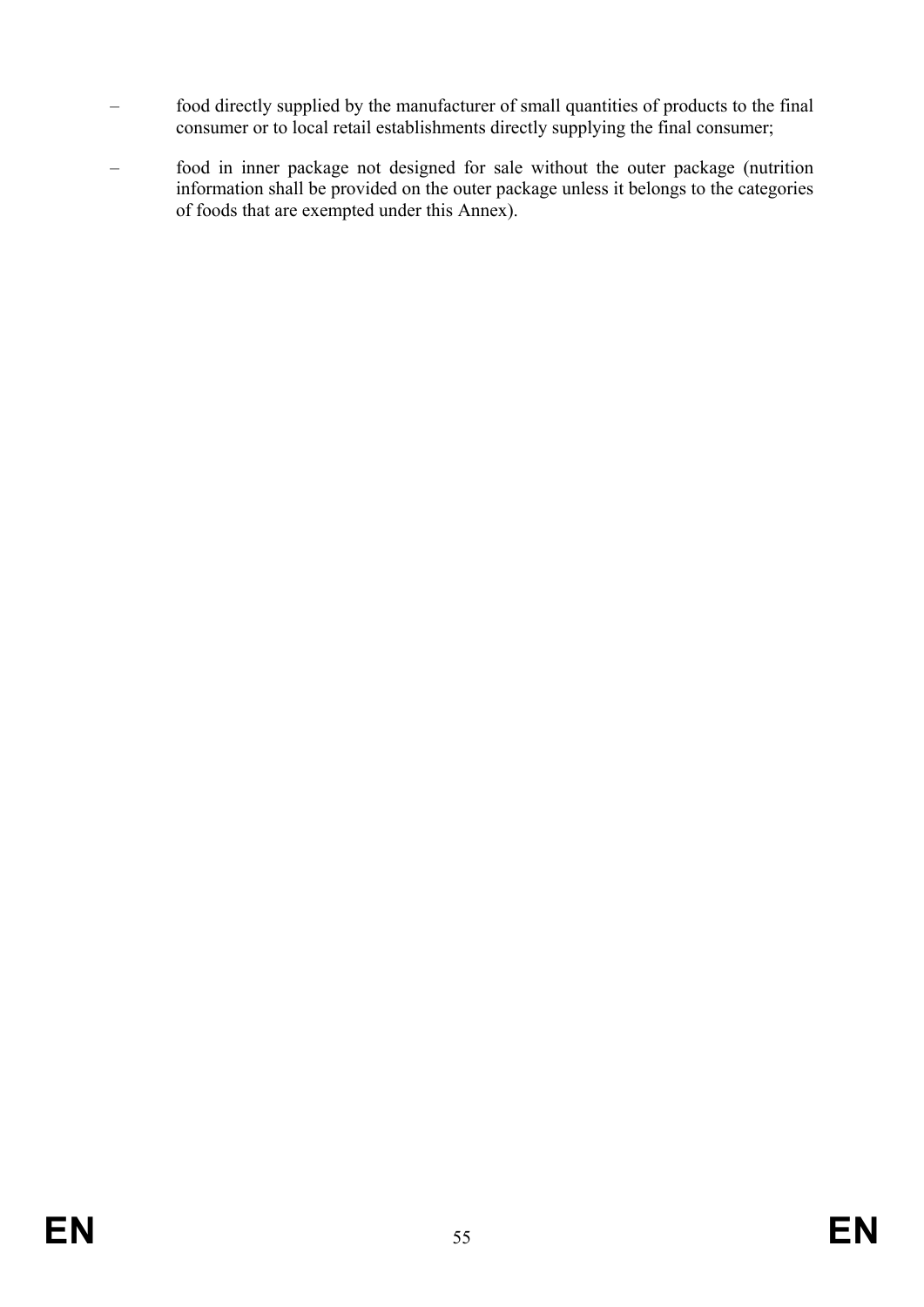- food directly supplied by the manufacturer of small quantities of products to the final consumer or to local retail establishments directly supplying the final consumer;
- food in inner package not designed for sale without the outer package (nutrition information shall be provided on the outer package unless it belongs to the categories of foods that are exempted under this Annex).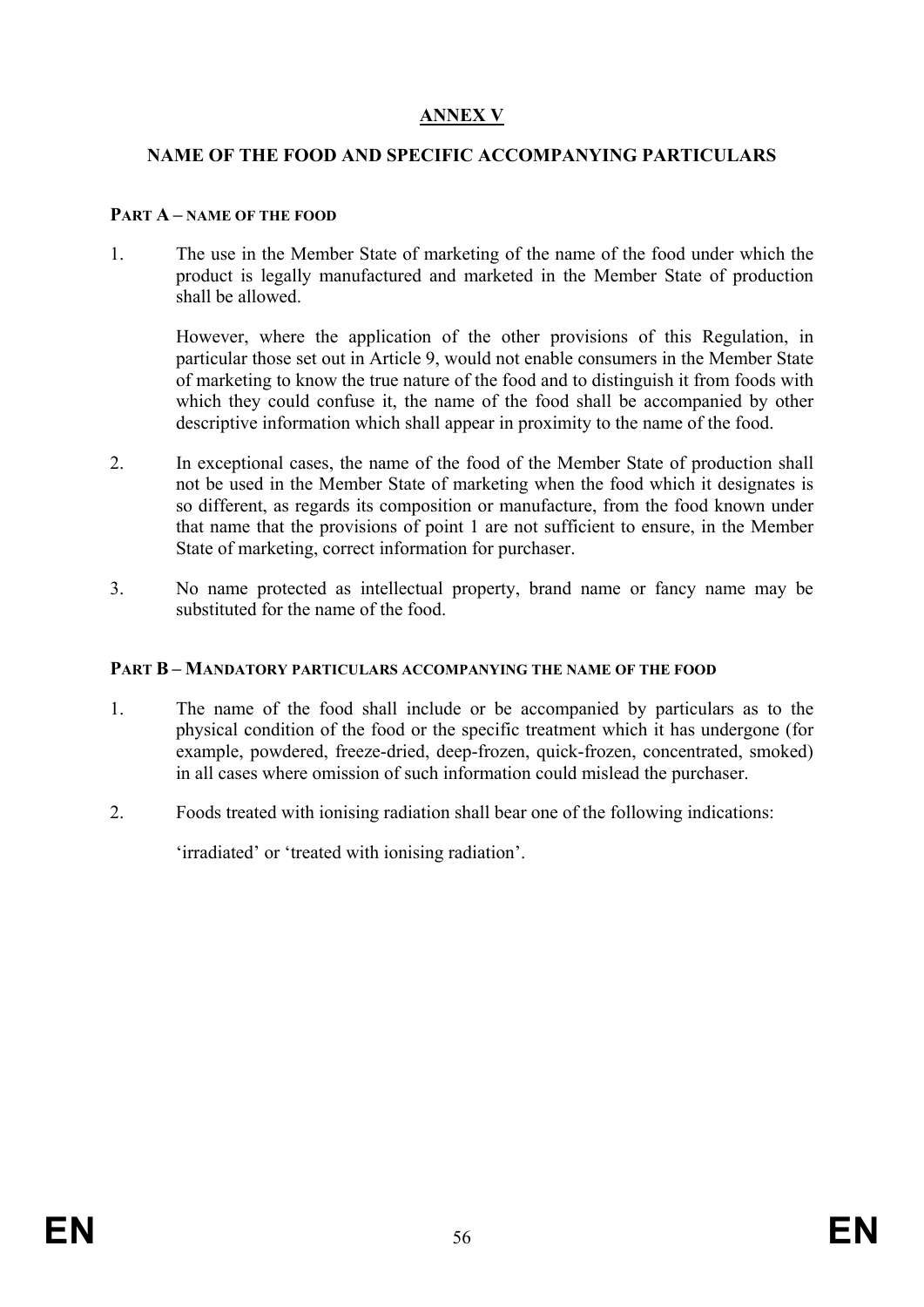# **ANNEX V**

### **NAME OF THE FOOD AND SPECIFIC ACCOMPANYING PARTICULARS**

#### **PART A – NAME OF THE FOOD**

1. The use in the Member State of marketing of the name of the food under which the product is legally manufactured and marketed in the Member State of production shall be allowed.

However, where the application of the other provisions of this Regulation, in particular those set out in Article 9, would not enable consumers in the Member State of marketing to know the true nature of the food and to distinguish it from foods with which they could confuse it, the name of the food shall be accompanied by other descriptive information which shall appear in proximity to the name of the food.

- 2. In exceptional cases, the name of the food of the Member State of production shall not be used in the Member State of marketing when the food which it designates is so different, as regards its composition or manufacture, from the food known under that name that the provisions of point 1 are not sufficient to ensure, in the Member State of marketing, correct information for purchaser.
- 3. No name protected as intellectual property, brand name or fancy name may be substituted for the name of the food.

### **PART B – MANDATORY PARTICULARS ACCOMPANYING THE NAME OF THE FOOD**

- 1. The name of the food shall include or be accompanied by particulars as to the physical condition of the food or the specific treatment which it has undergone (for example, powdered, freeze-dried, deep-frozen, quick-frozen, concentrated, smoked) in all cases where omission of such information could mislead the purchaser.
- 2. Foods treated with ionising radiation shall bear one of the following indications:

'irradiated' or 'treated with ionising radiation'.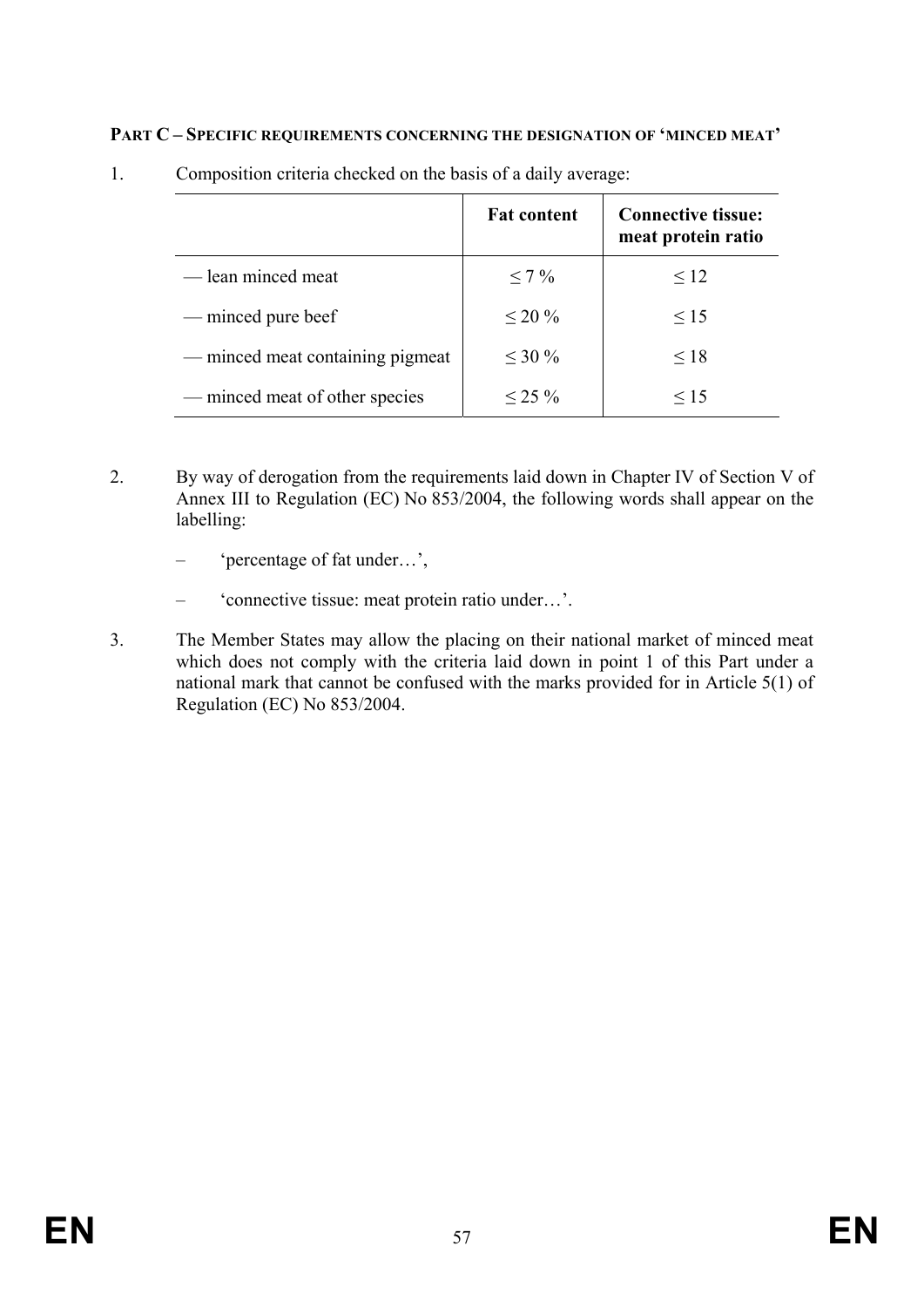### **PART C – SPECIFIC REQUIREMENTS CONCERNING THE DESIGNATION OF 'MINCED MEAT'**

|                                  | <b>Fat content</b> | <b>Connective tissue:</b><br>meat protein ratio |
|----------------------------------|--------------------|-------------------------------------------------|
| — lean minced meat               | $< 7\%$            | $\leq 12$                                       |
| — minced pure beef               | $\leq 20 \%$       | $\leq 15$                                       |
| — minced meat containing pigmeat | $\leq 30\%$        | $\leq 18$                                       |
| — minced meat of other species   | $< 25\%$           | $\leq 15$                                       |

1. Composition criteria checked on the basis of a daily average:

- 2. By way of derogation from the requirements laid down in Chapter IV of Section V of Annex III to Regulation (EC) No 853/2004, the following words shall appear on the labelling:
	- 'percentage of fat under…',
	- 'connective tissue: meat protein ratio under…'.
- 3. The Member States may allow the placing on their national market of minced meat which does not comply with the criteria laid down in point 1 of this Part under a national mark that cannot be confused with the marks provided for in Article 5(1) of Regulation (EC) No 853/2004.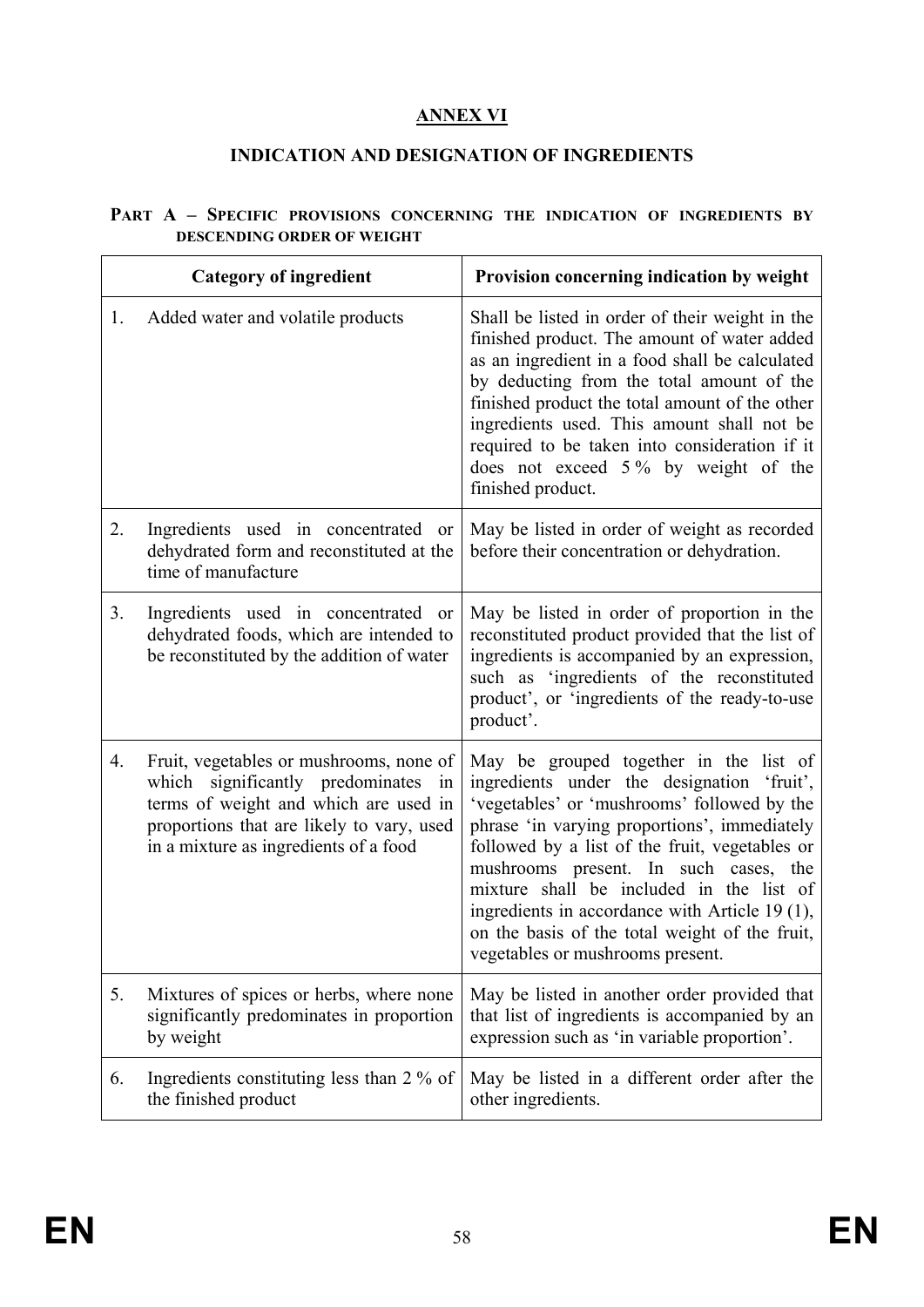# **ANNEX VI**

# **INDICATION AND DESIGNATION OF INGREDIENTS**

|                                   |  |  |  |  |  | PART A - SPECIFIC PROVISIONS CONCERNING THE INDICATION OF INGREDIENTS BY |  |
|-----------------------------------|--|--|--|--|--|--------------------------------------------------------------------------|--|
| <b>DESCENDING ORDER OF WEIGHT</b> |  |  |  |  |  |                                                                          |  |

|    | <b>Category of ingredient</b>                                                                                                                                                                                    | Provision concerning indication by weight                                                                                                                                                                                                                                                                                                                                                                                                                          |
|----|------------------------------------------------------------------------------------------------------------------------------------------------------------------------------------------------------------------|--------------------------------------------------------------------------------------------------------------------------------------------------------------------------------------------------------------------------------------------------------------------------------------------------------------------------------------------------------------------------------------------------------------------------------------------------------------------|
| 1. | Added water and volatile products                                                                                                                                                                                | Shall be listed in order of their weight in the<br>finished product. The amount of water added<br>as an ingredient in a food shall be calculated<br>by deducting from the total amount of the<br>finished product the total amount of the other<br>ingredients used. This amount shall not be<br>required to be taken into consideration if it<br>does not exceed 5% by weight of the<br>finished product.                                                         |
| 2. | Ingredients used in concentrated or<br>dehydrated form and reconstituted at the<br>time of manufacture                                                                                                           | May be listed in order of weight as recorded<br>before their concentration or dehydration.                                                                                                                                                                                                                                                                                                                                                                         |
| 3. | Ingredients used in concentrated or<br>dehydrated foods, which are intended to<br>be reconstituted by the addition of water                                                                                      | May be listed in order of proportion in the<br>reconstituted product provided that the list of<br>ingredients is accompanied by an expression,<br>such as 'ingredients of the reconstituted<br>product', or 'ingredients of the ready-to-use<br>product'.                                                                                                                                                                                                          |
| 4. | Fruit, vegetables or mushrooms, none of<br>which significantly predominates<br>in<br>terms of weight and which are used in<br>proportions that are likely to vary, used<br>in a mixture as ingredients of a food | May be grouped together in the list of<br>ingredients under the designation 'fruit',<br>'vegetables' or 'mushrooms' followed by the<br>phrase 'in varying proportions', immediately<br>followed by a list of the fruit, vegetables or<br>mushrooms present. In such cases, the<br>mixture shall be included in the list of<br>ingredients in accordance with Article 19 (1),<br>on the basis of the total weight of the fruit,<br>vegetables or mushrooms present. |
| 5. | Mixtures of spices or herbs, where none<br>significantly predominates in proportion<br>by weight                                                                                                                 | May be listed in another order provided that<br>that list of ingredients is accompanied by an<br>expression such as 'in variable proportion'.                                                                                                                                                                                                                                                                                                                      |
| 6. | Ingredients constituting less than 2 % of<br>the finished product                                                                                                                                                | May be listed in a different order after the<br>other ingredients.                                                                                                                                                                                                                                                                                                                                                                                                 |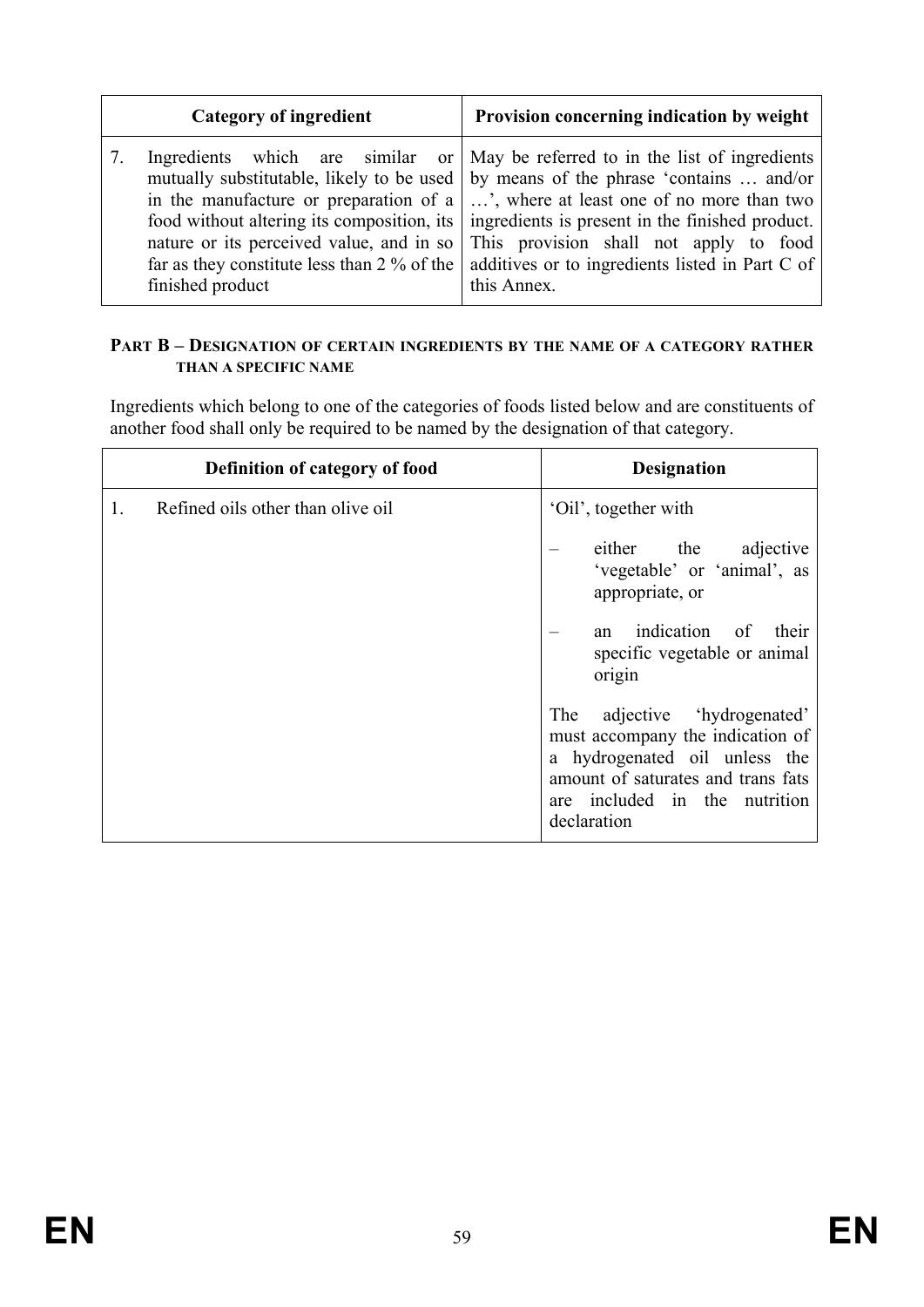| <b>Category of ingredient</b>                                                                                       | Provision concerning indication by weight                                                                                                                                                                                                                                                                                                                                                                                                                                                  |
|---------------------------------------------------------------------------------------------------------------------|--------------------------------------------------------------------------------------------------------------------------------------------------------------------------------------------------------------------------------------------------------------------------------------------------------------------------------------------------------------------------------------------------------------------------------------------------------------------------------------------|
| 7.<br>nature or its perceived value, and in so<br>far as they constitute less than $2\%$ of the<br>finished product | Ingredients which are similar or May be referred to in the list of ingredients<br>mutually substitutable, likely to be used   by means of the phrase 'contains  and/or<br>in the manufacture or preparation of a $\vert \ldots \rangle$ , where at least one of no more than two<br>food without altering its composition, its ingredients is present in the finished product.<br>This provision shall not apply to food<br>additives or to ingredients listed in Part C of<br>this Annex. |

### **PART B – DESIGNATION OF CERTAIN INGREDIENTS BY THE NAME OF A CATEGORY RATHER THAN A SPECIFIC NAME**

Ingredients which belong to one of the categories of foods listed below and are constituents of another food shall only be required to be named by the designation of that category.

| Definition of category of food          | <b>Designation</b>                                                                                                                                                                         |
|-----------------------------------------|--------------------------------------------------------------------------------------------------------------------------------------------------------------------------------------------|
| Refined oils other than olive oil<br>1. | 'Oil', together with                                                                                                                                                                       |
|                                         | either the adjective<br>'vegetable' or 'animal', as<br>appropriate, or                                                                                                                     |
|                                         | indication of<br>their<br>an<br>specific vegetable or animal<br>origin                                                                                                                     |
|                                         | adjective 'hydrogenated'<br>The<br>must accompany the indication of<br>a hydrogenated oil unless the<br>amount of saturates and trans fats<br>are included in the nutrition<br>declaration |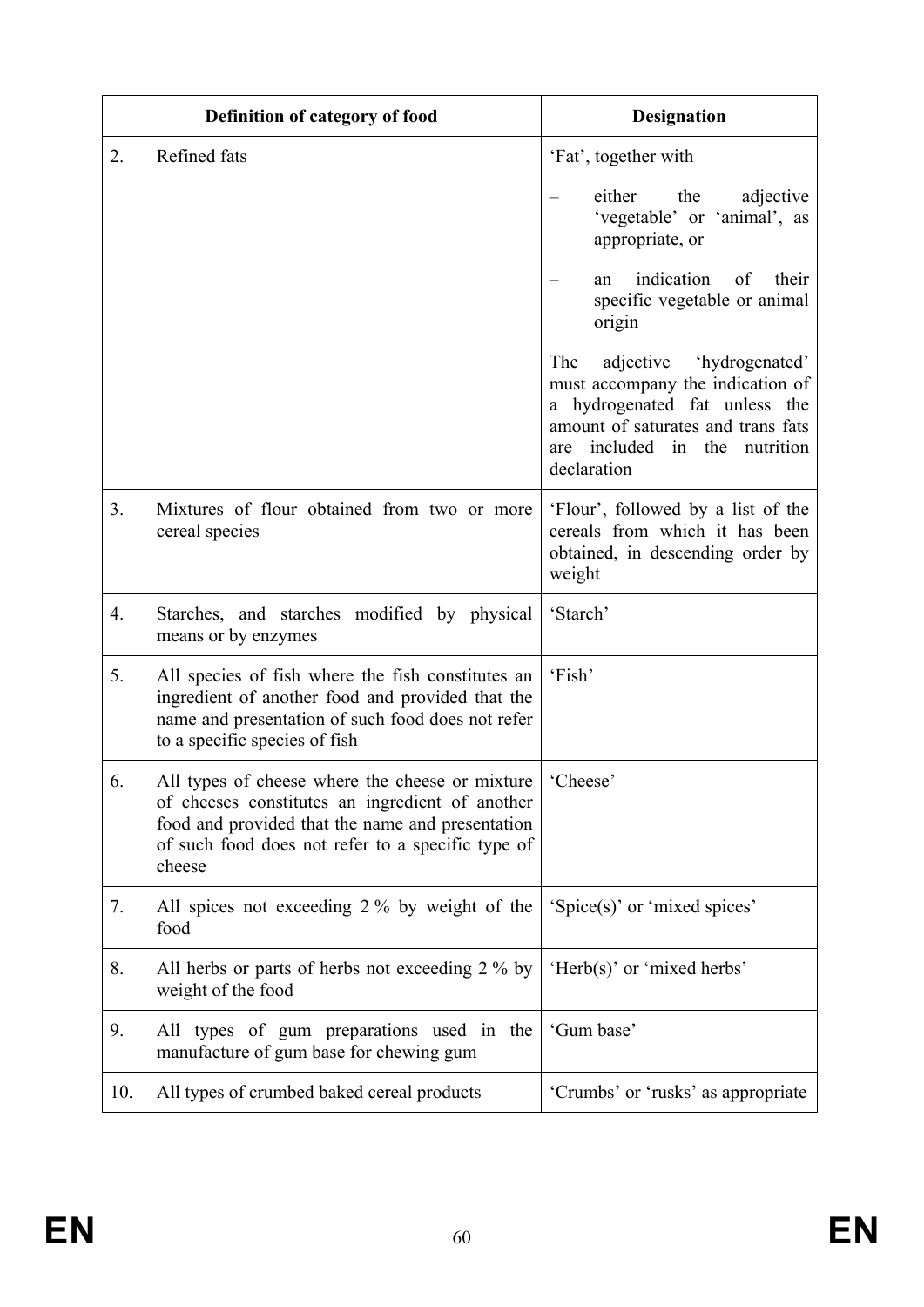|     | Definition of category of food                                                                                                                                                                                        | <b>Designation</b>                                                                                                                                                                                     |
|-----|-----------------------------------------------------------------------------------------------------------------------------------------------------------------------------------------------------------------------|--------------------------------------------------------------------------------------------------------------------------------------------------------------------------------------------------------|
| 2.  | Refined fats                                                                                                                                                                                                          | 'Fat', together with                                                                                                                                                                                   |
|     |                                                                                                                                                                                                                       | either<br>the<br>adjective<br>'vegetable' or 'animal', as<br>appropriate, or                                                                                                                           |
|     |                                                                                                                                                                                                                       | indication<br>of<br>their<br>an<br>specific vegetable or animal<br>origin                                                                                                                              |
|     |                                                                                                                                                                                                                       | The<br>'hydrogenated'<br>adjective<br>must accompany the indication of<br>a hydrogenated fat unless the<br>amount of saturates and trans fats<br>included<br>in the<br>nutrition<br>are<br>declaration |
| 3.  | Mixtures of flour obtained from two or more<br>cereal species                                                                                                                                                         | 'Flour', followed by a list of the<br>cereals from which it has been<br>obtained, in descending order by<br>weight                                                                                     |
| 4.  | Starches, and starches modified by physical<br>means or by enzymes                                                                                                                                                    | 'Starch'                                                                                                                                                                                               |
| 5.  | All species of fish where the fish constitutes an<br>ingredient of another food and provided that the<br>name and presentation of such food does not refer<br>to a specific species of fish                           | 'Fish'                                                                                                                                                                                                 |
| 6.  | All types of cheese where the cheese or mixture<br>of cheeses constitutes an ingredient of another<br>food and provided that the name and presentation<br>of such food does not refer to a specific type of<br>cheese | 'Cheese'                                                                                                                                                                                               |
| 7.  | All spices not exceeding 2 % by weight of the<br>food                                                                                                                                                                 | 'Spice(s)' or 'mixed spices'                                                                                                                                                                           |
| 8.  | All herbs or parts of herbs not exceeding 2 % by<br>weight of the food                                                                                                                                                | 'Herb(s)' or 'mixed herbs'                                                                                                                                                                             |
| 9.  | All types of gum preparations used in the<br>manufacture of gum base for chewing gum                                                                                                                                  | 'Gum base'                                                                                                                                                                                             |
| 10. | All types of crumbed baked cereal products                                                                                                                                                                            | 'Crumbs' or 'rusks' as appropriate                                                                                                                                                                     |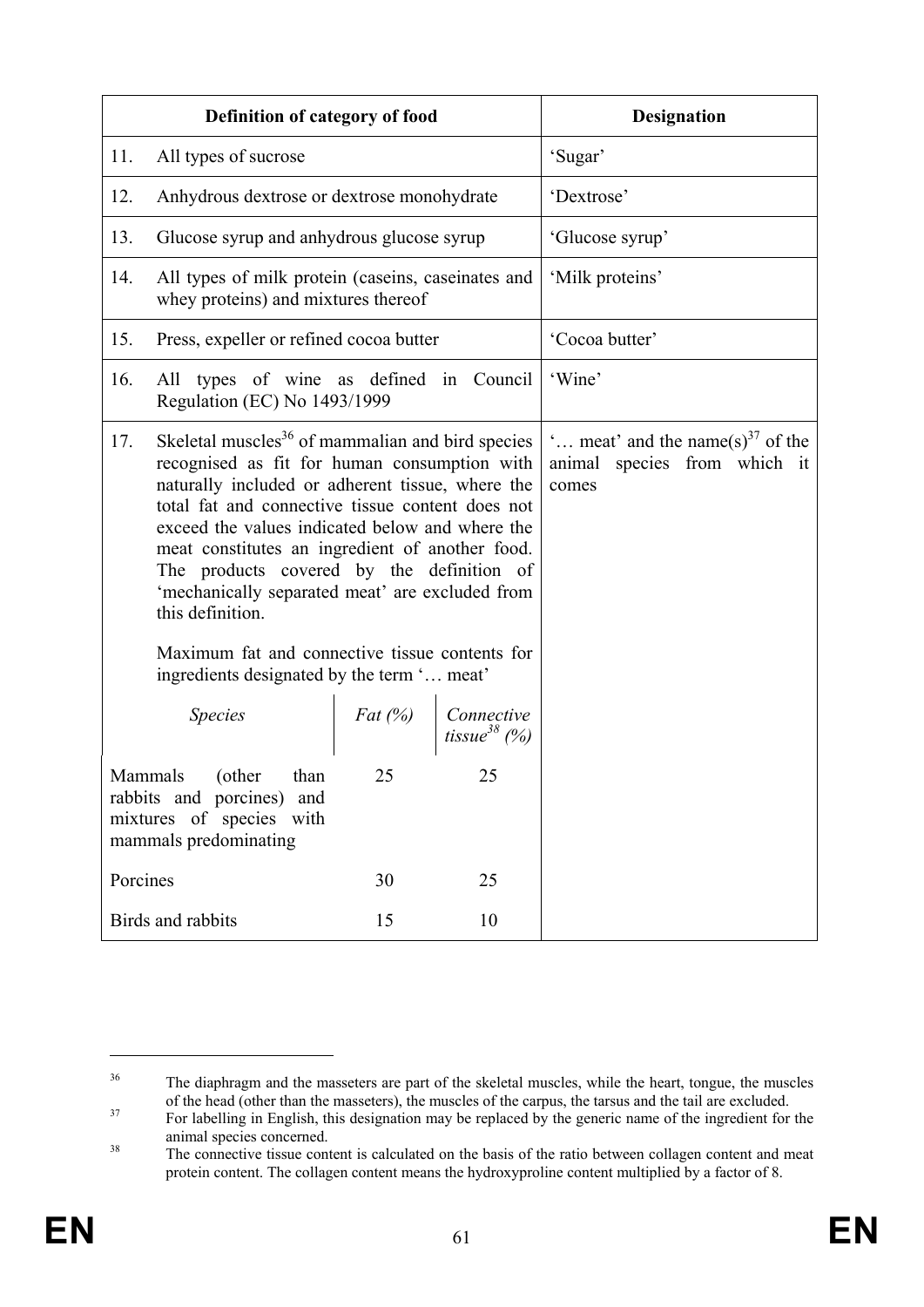|                                                                                                                         | Definition of category of food                                                                                                                                                                                                                                                                                                                                                                                                                                                                                                                 |    |         | <b>Designation</b>                                                                    |
|-------------------------------------------------------------------------------------------------------------------------|------------------------------------------------------------------------------------------------------------------------------------------------------------------------------------------------------------------------------------------------------------------------------------------------------------------------------------------------------------------------------------------------------------------------------------------------------------------------------------------------------------------------------------------------|----|---------|---------------------------------------------------------------------------------------|
| 11.                                                                                                                     | All types of sucrose                                                                                                                                                                                                                                                                                                                                                                                                                                                                                                                           |    | 'Sugar' |                                                                                       |
| 12.                                                                                                                     | Anhydrous dextrose or dextrose monohydrate                                                                                                                                                                                                                                                                                                                                                                                                                                                                                                     |    |         | 'Dextrose'                                                                            |
| 13.                                                                                                                     | Glucose syrup and anhydrous glucose syrup                                                                                                                                                                                                                                                                                                                                                                                                                                                                                                      |    |         | 'Glucose syrup'                                                                       |
| 14.                                                                                                                     | All types of milk protein (caseins, caseinates and<br>whey proteins) and mixtures thereof                                                                                                                                                                                                                                                                                                                                                                                                                                                      |    |         | 'Milk proteins'                                                                       |
| 15.                                                                                                                     | Press, expeller or refined cocoa butter                                                                                                                                                                                                                                                                                                                                                                                                                                                                                                        |    |         | 'Cocoa butter'                                                                        |
| 16.                                                                                                                     | All types of wine as defined in Council<br>Regulation (EC) No 1493/1999                                                                                                                                                                                                                                                                                                                                                                                                                                                                        |    |         | 'Wine'                                                                                |
| 17.                                                                                                                     | Skeletal muscles <sup>36</sup> of mammalian and bird species<br>recognised as fit for human consumption with<br>naturally included or adherent tissue, where the<br>total fat and connective tissue content does not<br>exceed the values indicated below and where the<br>meat constitutes an ingredient of another food.<br>The products covered by the definition of<br>'mechanically separated meat' are excluded from<br>this definition.<br>Maximum fat and connective tissue contents for<br>ingredients designated by the term ' meat' |    |         | " meat" and the name(s) <sup>37</sup> of the<br>animal species from which it<br>comes |
| <b>Species</b><br>Fat (%)<br>Connective<br>tissue <sup>38</sup> (%)                                                     |                                                                                                                                                                                                                                                                                                                                                                                                                                                                                                                                                |    |         |                                                                                       |
| 25<br>25<br>Mammals<br>(other<br>than<br>rabbits and porcines) and<br>mixtures of species with<br>mammals predominating |                                                                                                                                                                                                                                                                                                                                                                                                                                                                                                                                                |    |         |                                                                                       |
| Porcines                                                                                                                |                                                                                                                                                                                                                                                                                                                                                                                                                                                                                                                                                | 30 | 25      |                                                                                       |
| 15<br>Birds and rabbits<br>10                                                                                           |                                                                                                                                                                                                                                                                                                                                                                                                                                                                                                                                                |    |         |                                                                                       |

1

<sup>&</sup>lt;sup>36</sup> The diaphragm and the masseters are part of the skeletal muscles, while the heart, tongue, the muscles of the head (other than the masseters), the muscles of the carpus, the tarsus and the tail are excluded.

<sup>&</sup>lt;sup>37</sup> For labelling in English, this designation may be replaced by the generic name of the ingredient for the animal species concerned.<br><sup>38</sup> The connective tissue content is calculated on the basis of the ratio between collagen content and meat

protein content. The collagen content means the hydroxyproline content multiplied by a factor of 8.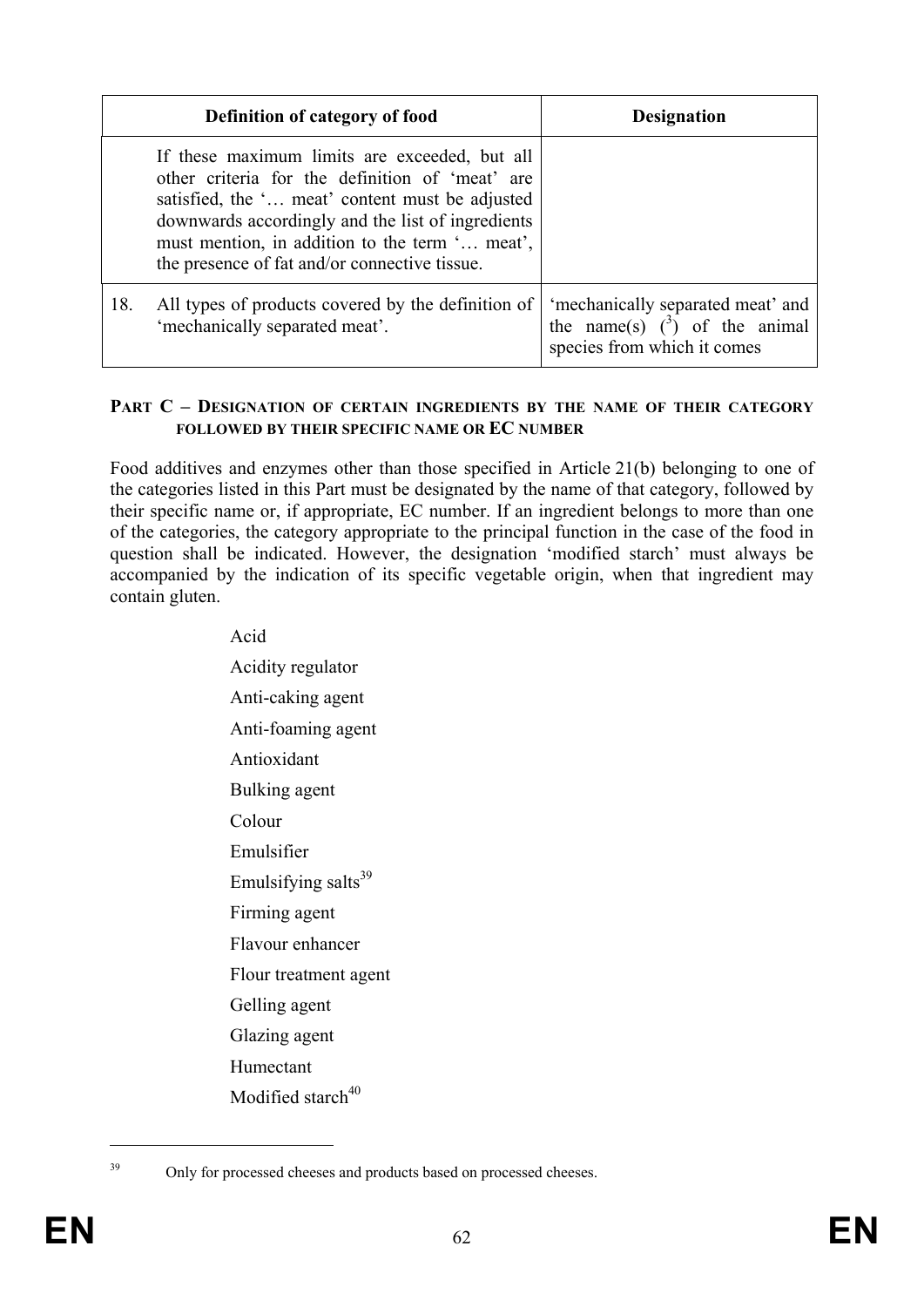|     | Definition of category of food                                                                                                                                                                                                                                                                              | <b>Designation</b>                                                                                           |
|-----|-------------------------------------------------------------------------------------------------------------------------------------------------------------------------------------------------------------------------------------------------------------------------------------------------------------|--------------------------------------------------------------------------------------------------------------|
|     | If these maximum limits are exceeded, but all<br>other criteria for the definition of 'meat' are<br>satisfied, the ' meat' content must be adjusted<br>downwards accordingly and the list of ingredients<br>must mention, in addition to the term ' meat',<br>the presence of fat and/or connective tissue. |                                                                                                              |
| 18. | All types of products covered by the definition of<br>'mechanically separated meat'.                                                                                                                                                                                                                        | 'mechanically separated meat' and<br>the name(s) $\binom{3}{2}$ of the animal<br>species from which it comes |

#### **PART C – DESIGNATION OF CERTAIN INGREDIENTS BY THE NAME OF THEIR CATEGORY FOLLOWED BY THEIR SPECIFIC NAME OR EC NUMBER**

Food additives and enzymes other than those specified in Article 21(b) belonging to one of the categories listed in this Part must be designated by the name of that category, followed by their specific name or, if appropriate, EC number. If an ingredient belongs to more than one of the categories, the category appropriate to the principal function in the case of the food in question shall be indicated. However, the designation 'modified starch' must always be accompanied by the indication of its specific vegetable origin, when that ingredient may contain gluten.

> Acid Acidity regulator Anti-caking agent Anti-foaming agent Antioxidant Bulking agent Colour Emulsifier Emulsifying salts $39$ Firming agent Flavour enhancer Flour treatment agent Gelling agent Glazing agent Humectant Modified starch $40$

<sup>1</sup> 

<sup>&</sup>lt;sup>39</sup> Only for processed cheeses and products based on processed cheeses.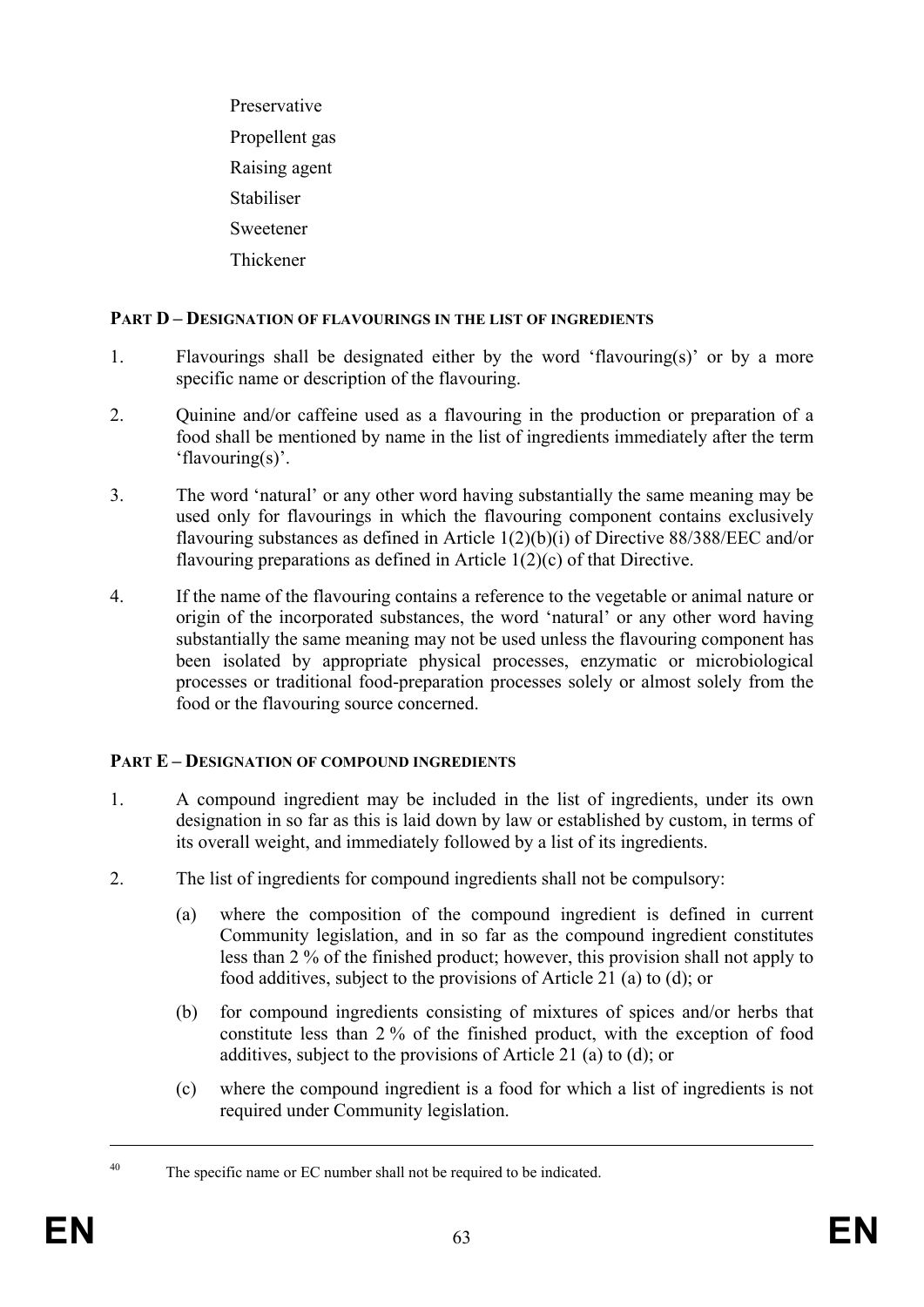Preservative Propellent gas Raising agent Stabiliser Sweetener Thickener

## **PART D – DESIGNATION OF FLAVOURINGS IN THE LIST OF INGREDIENTS**

- 1. Flavourings shall be designated either by the word 'flavouring(s)' or by a more specific name or description of the flavouring.
- 2. Quinine and/or caffeine used as a flavouring in the production or preparation of a food shall be mentioned by name in the list of ingredients immediately after the term 'flavouring(s)'.
- 3. The word 'natural' or any other word having substantially the same meaning may be used only for flavourings in which the flavouring component contains exclusively flavouring substances as defined in Article 1(2)(b)(i) of Directive 88/388/EEC and/or flavouring preparations as defined in Article 1(2)(c) of that Directive.
- 4. If the name of the flavouring contains a reference to the vegetable or animal nature or origin of the incorporated substances, the word 'natural' or any other word having substantially the same meaning may not be used unless the flavouring component has been isolated by appropriate physical processes, enzymatic or microbiological processes or traditional food-preparation processes solely or almost solely from the food or the flavouring source concerned.

## **PART E – DESIGNATION OF COMPOUND INGREDIENTS**

- 1. A compound ingredient may be included in the list of ingredients, under its own designation in so far as this is laid down by law or established by custom, in terms of its overall weight, and immediately followed by a list of its ingredients.
- 2. The list of ingredients for compound ingredients shall not be compulsory:
	- (a) where the composition of the compound ingredient is defined in current Community legislation, and in so far as the compound ingredient constitutes less than 2 % of the finished product; however, this provision shall not apply to food additives, subject to the provisions of Article 21 (a) to (d); or
	- (b) for compound ingredients consisting of mixtures of spices and/or herbs that constitute less than 2 % of the finished product, with the exception of food additives, subject to the provisions of Article 21 (a) to (d); or
	- (c) where the compound ingredient is a food for which a list of ingredients is not required under Community legislation.

1

<sup>&</sup>lt;sup>40</sup> The specific name or EC number shall not be required to be indicated.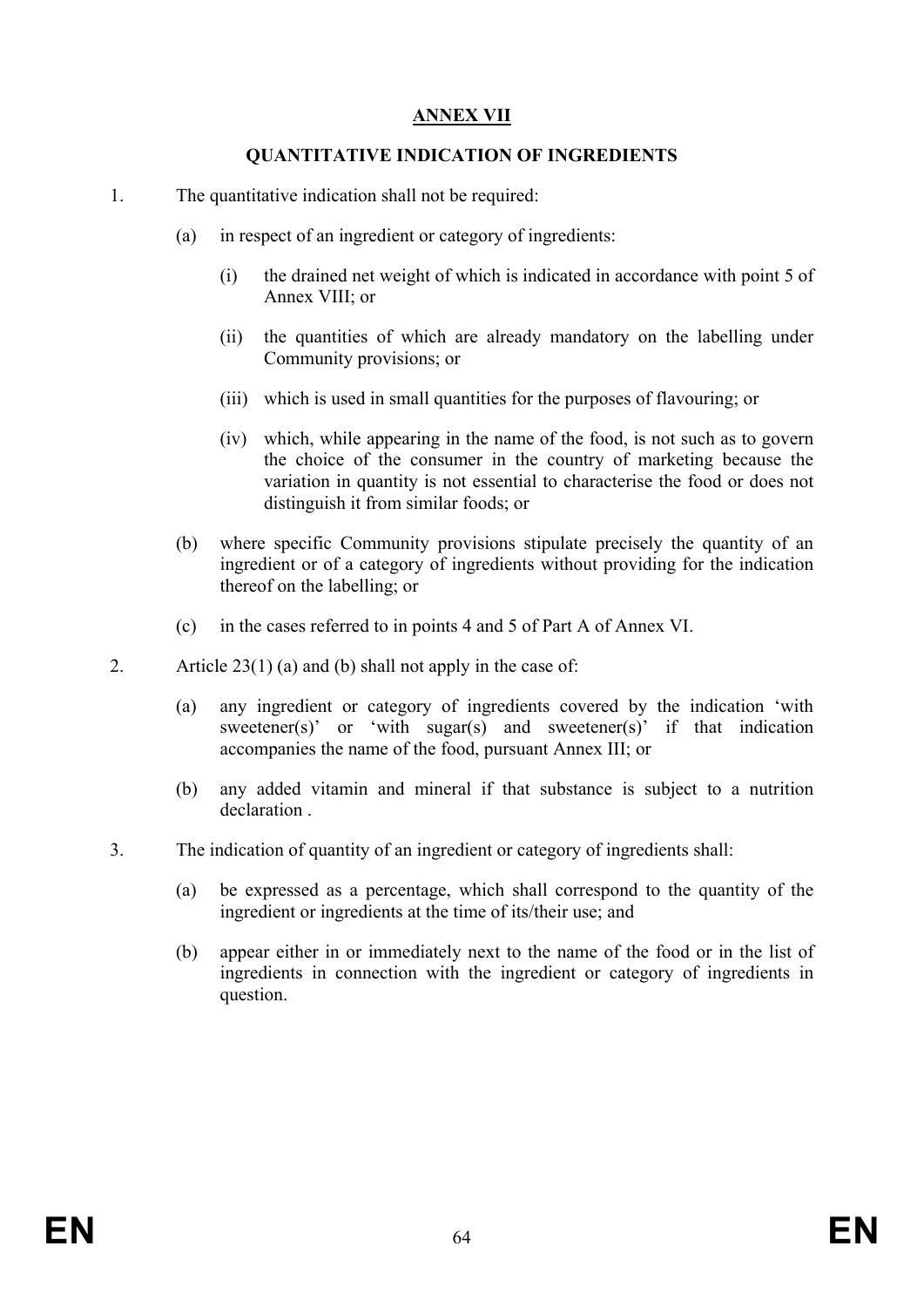# **ANNEX VII**

### **QUANTITATIVE INDICATION OF INGREDIENTS**

- 1. The quantitative indication shall not be required:
	- (a) in respect of an ingredient or category of ingredients:
		- (i) the drained net weight of which is indicated in accordance with point 5 of Annex VIII; or
		- (ii) the quantities of which are already mandatory on the labelling under Community provisions; or
		- (iii) which is used in small quantities for the purposes of flavouring; or
		- (iv) which, while appearing in the name of the food, is not such as to govern the choice of the consumer in the country of marketing because the variation in quantity is not essential to characterise the food or does not distinguish it from similar foods; or
	- (b) where specific Community provisions stipulate precisely the quantity of an ingredient or of a category of ingredients without providing for the indication thereof on the labelling; or
	- (c) in the cases referred to in points 4 and 5 of Part A of Annex VI.
- 2. Article 23(1) (a) and (b) shall not apply in the case of:
	- (a) any ingredient or category of ingredients covered by the indication 'with sweetener(s)' or 'with sugar(s) and sweetener(s)' if that indication accompanies the name of the food, pursuant Annex III; or
	- (b) any added vitamin and mineral if that substance is subject to a nutrition declaration .
- 3. The indication of quantity of an ingredient or category of ingredients shall:
	- (a) be expressed as a percentage, which shall correspond to the quantity of the ingredient or ingredients at the time of its/their use; and
	- (b) appear either in or immediately next to the name of the food or in the list of ingredients in connection with the ingredient or category of ingredients in question.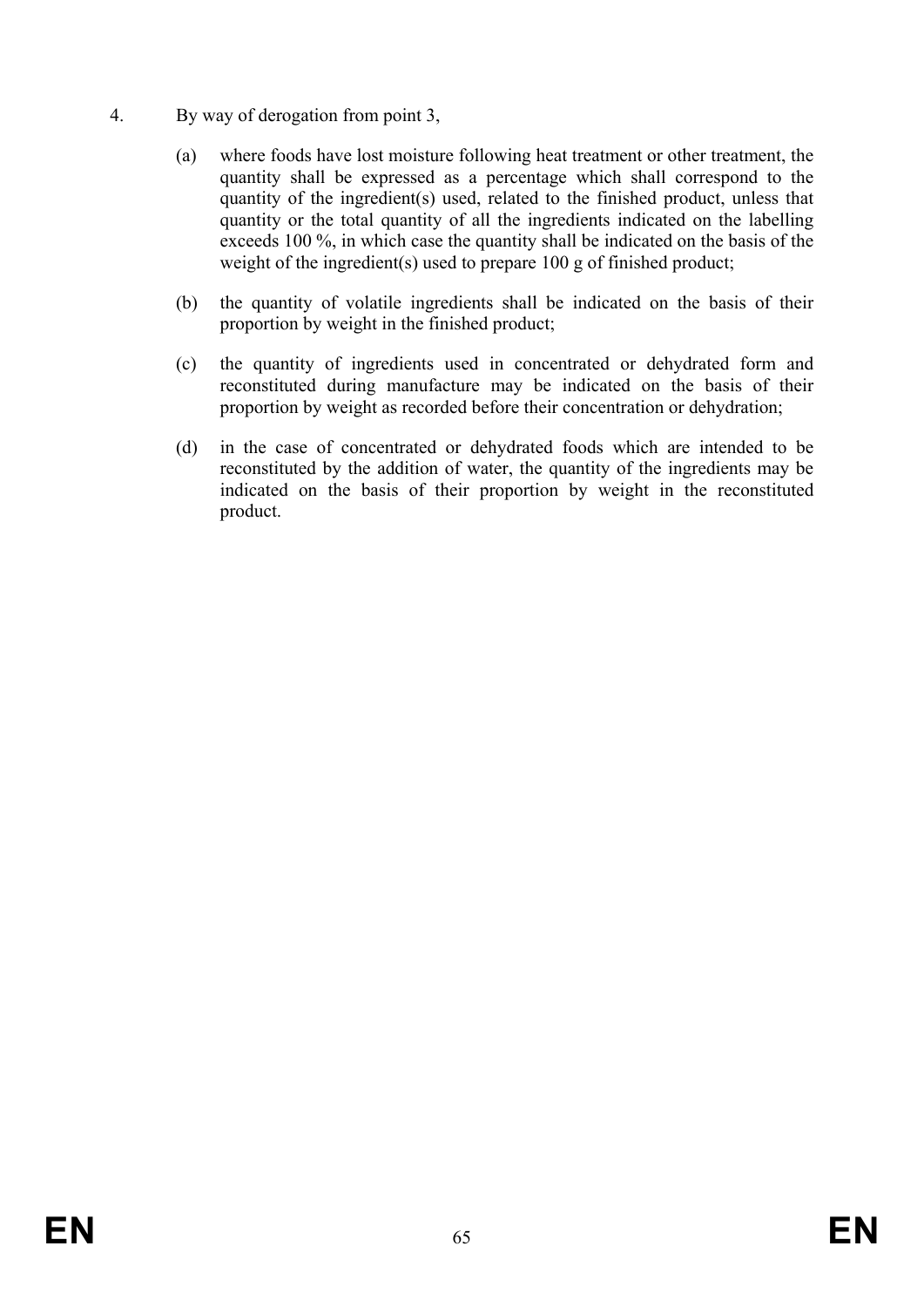- 4. By way of derogation from point 3,
	- (a) where foods have lost moisture following heat treatment or other treatment, the quantity shall be expressed as a percentage which shall correspond to the quantity of the ingredient(s) used, related to the finished product, unless that quantity or the total quantity of all the ingredients indicated on the labelling exceeds 100 %, in which case the quantity shall be indicated on the basis of the weight of the ingredient(s) used to prepare 100 g of finished product;
	- (b) the quantity of volatile ingredients shall be indicated on the basis of their proportion by weight in the finished product;
	- (c) the quantity of ingredients used in concentrated or dehydrated form and reconstituted during manufacture may be indicated on the basis of their proportion by weight as recorded before their concentration or dehydration;
	- (d) in the case of concentrated or dehydrated foods which are intended to be reconstituted by the addition of water, the quantity of the ingredients may be indicated on the basis of their proportion by weight in the reconstituted product.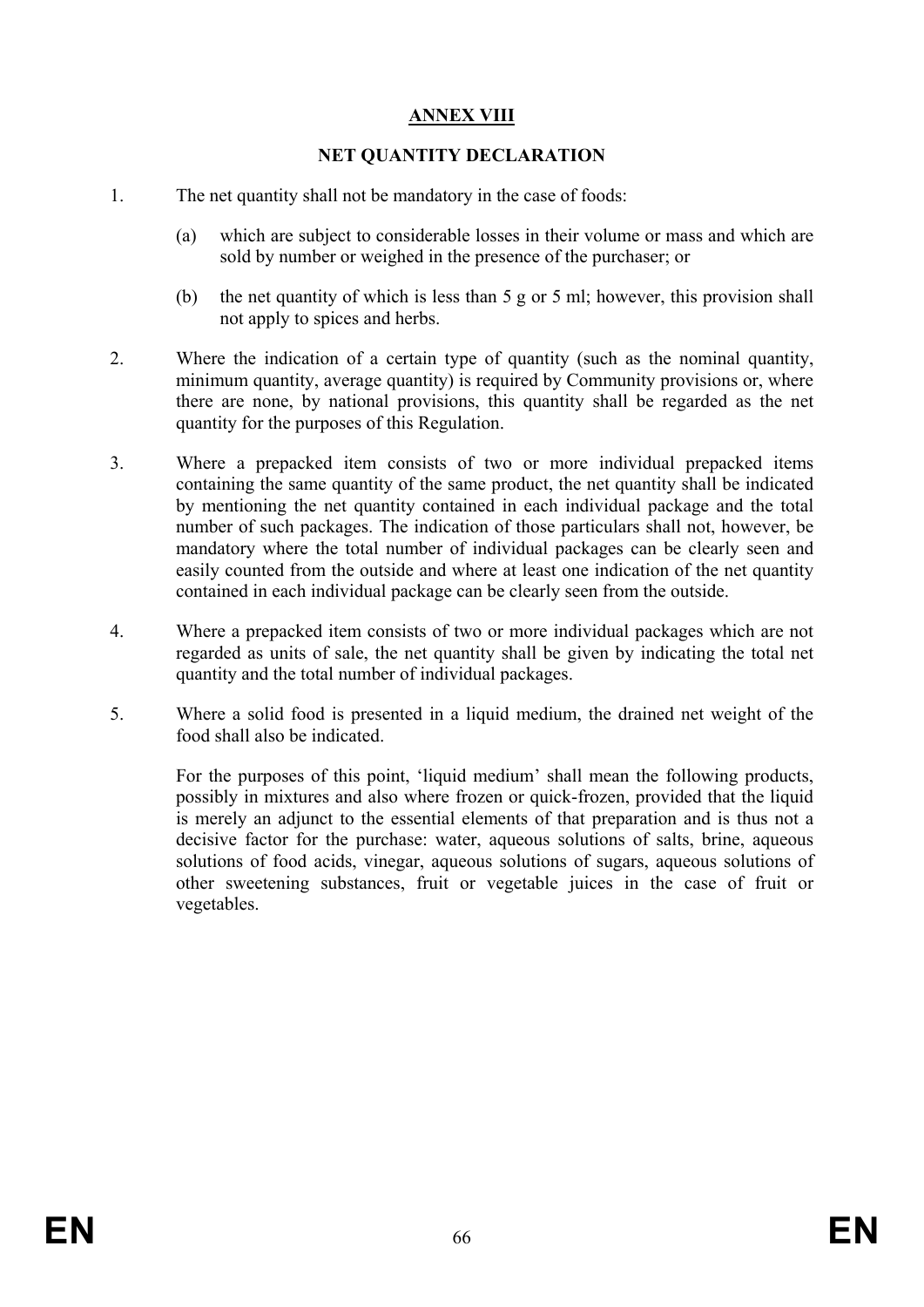# **ANNEX VIII**

## **NET QUANTITY DECLARATION**

- 1. The net quantity shall not be mandatory in the case of foods:
	- (a) which are subject to considerable losses in their volume or mass and which are sold by number or weighed in the presence of the purchaser; or
	- (b) the net quantity of which is less than 5 g or 5 ml; however, this provision shall not apply to spices and herbs.
- 2. Where the indication of a certain type of quantity (such as the nominal quantity, minimum quantity, average quantity) is required by Community provisions or, where there are none, by national provisions, this quantity shall be regarded as the net quantity for the purposes of this Regulation.
- 3. Where a prepacked item consists of two or more individual prepacked items containing the same quantity of the same product, the net quantity shall be indicated by mentioning the net quantity contained in each individual package and the total number of such packages. The indication of those particulars shall not, however, be mandatory where the total number of individual packages can be clearly seen and easily counted from the outside and where at least one indication of the net quantity contained in each individual package can be clearly seen from the outside.
- 4. Where a prepacked item consists of two or more individual packages which are not regarded as units of sale, the net quantity shall be given by indicating the total net quantity and the total number of individual packages.
- 5. Where a solid food is presented in a liquid medium, the drained net weight of the food shall also be indicated.

For the purposes of this point, 'liquid medium' shall mean the following products, possibly in mixtures and also where frozen or quick-frozen, provided that the liquid is merely an adjunct to the essential elements of that preparation and is thus not a decisive factor for the purchase: water, aqueous solutions of salts, brine, aqueous solutions of food acids, vinegar, aqueous solutions of sugars, aqueous solutions of other sweetening substances, fruit or vegetable juices in the case of fruit or vegetables.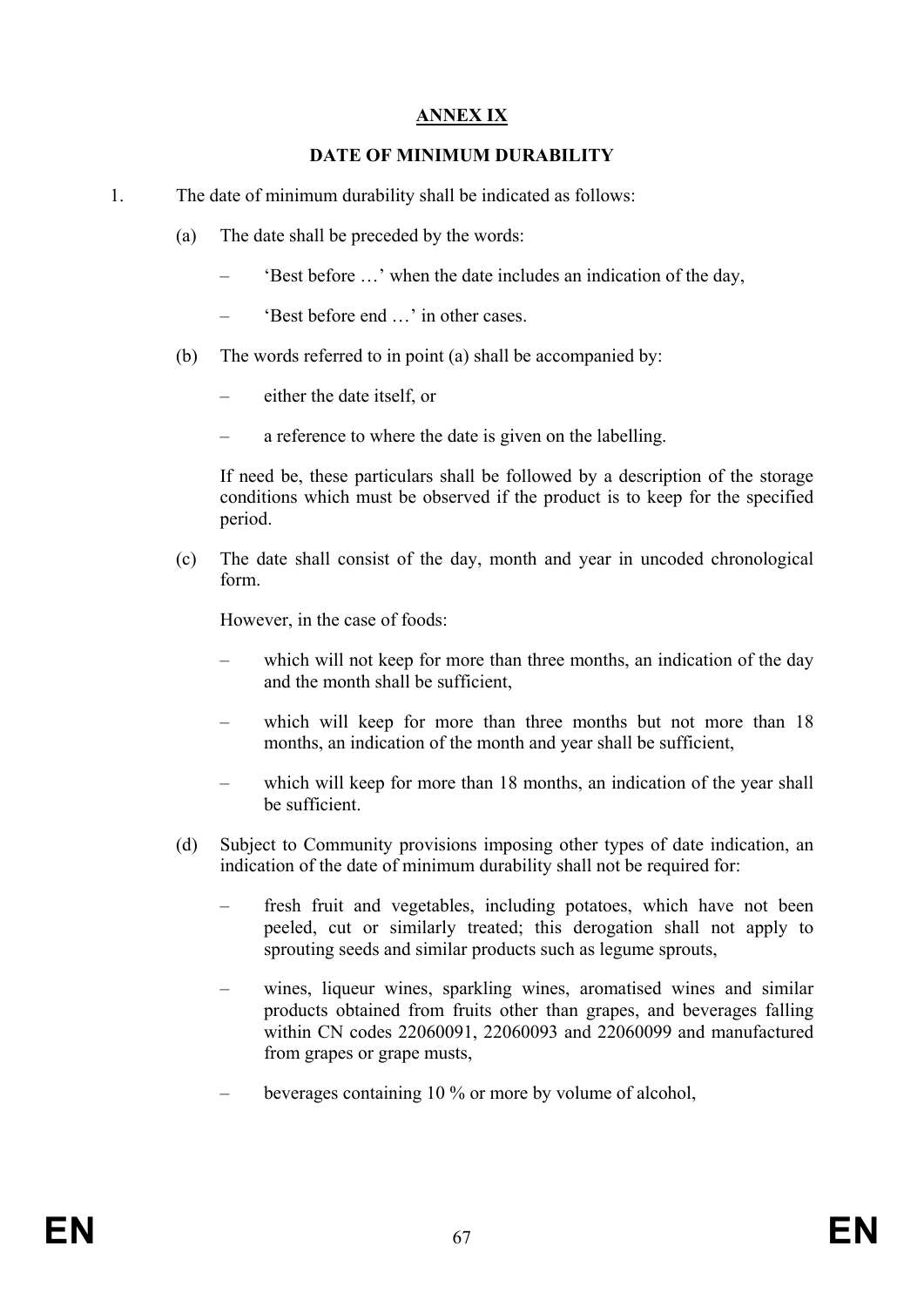# **ANNEX IX**

## **DATE OF MINIMUM DURABILITY**

- 1. The date of minimum durability shall be indicated as follows:
	- (a) The date shall be preceded by the words:
		- 'Best before …' when the date includes an indication of the day,
		- 'Best before end …' in other cases.
	- (b) The words referred to in point (a) shall be accompanied by:
		- either the date itself, or
		- a reference to where the date is given on the labelling.

 If need be, these particulars shall be followed by a description of the storage conditions which must be observed if the product is to keep for the specified period.

(c) The date shall consist of the day, month and year in uncoded chronological form.

However, in the case of foods:

- which will not keep for more than three months, an indication of the day and the month shall be sufficient,
- which will keep for more than three months but not more than 18 months, an indication of the month and year shall be sufficient,
- which will keep for more than 18 months, an indication of the year shall be sufficient.
- (d) Subject to Community provisions imposing other types of date indication, an indication of the date of minimum durability shall not be required for:
	- fresh fruit and vegetables, including potatoes, which have not been peeled, cut or similarly treated; this derogation shall not apply to sprouting seeds and similar products such as legume sprouts,
	- wines, liqueur wines, sparkling wines, aromatised wines and similar products obtained from fruits other than grapes, and beverages falling within CN codes 22060091, 22060093 and 22060099 and manufactured from grapes or grape musts,
	- beverages containing 10 % or more by volume of alcohol,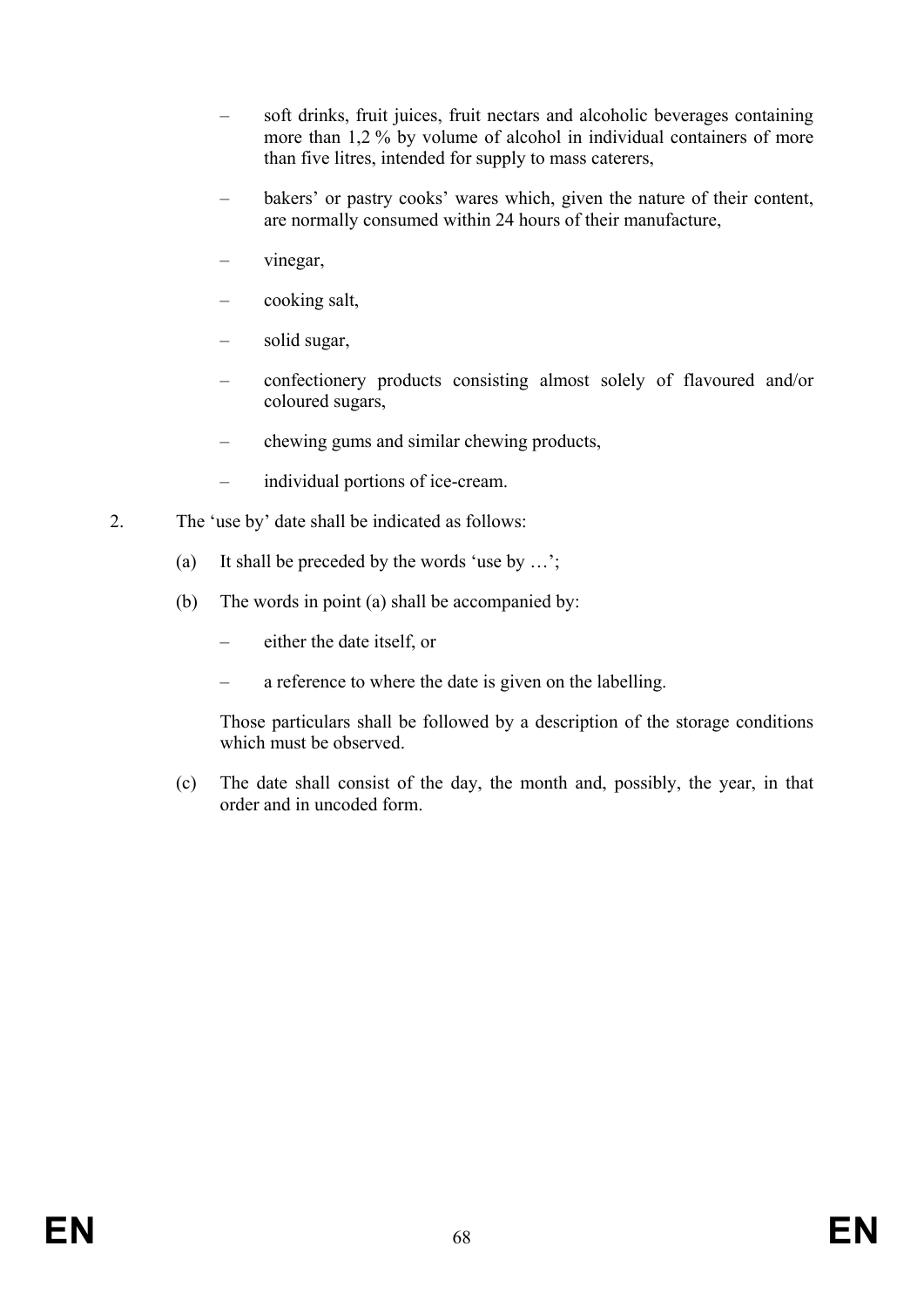- soft drinks, fruit juices, fruit nectars and alcoholic beverages containing more than 1,2 % by volume of alcohol in individual containers of more than five litres, intended for supply to mass caterers,
- bakers' or pastry cooks' wares which, given the nature of their content, are normally consumed within 24 hours of their manufacture,
- vinegar,
- cooking salt,
- solid sugar,
- confectionery products consisting almost solely of flavoured and/or coloured sugars,
- chewing gums and similar chewing products,
- individual portions of ice-cream.
- 2. The 'use by' date shall be indicated as follows:
	- (a) It shall be preceded by the words 'use by …';
	- (b) The words in point (a) shall be accompanied by:
		- either the date itself, or
		- a reference to where the date is given on the labelling.

 Those particulars shall be followed by a description of the storage conditions which must be observed.

(c) The date shall consist of the day, the month and, possibly, the year, in that order and in uncoded form.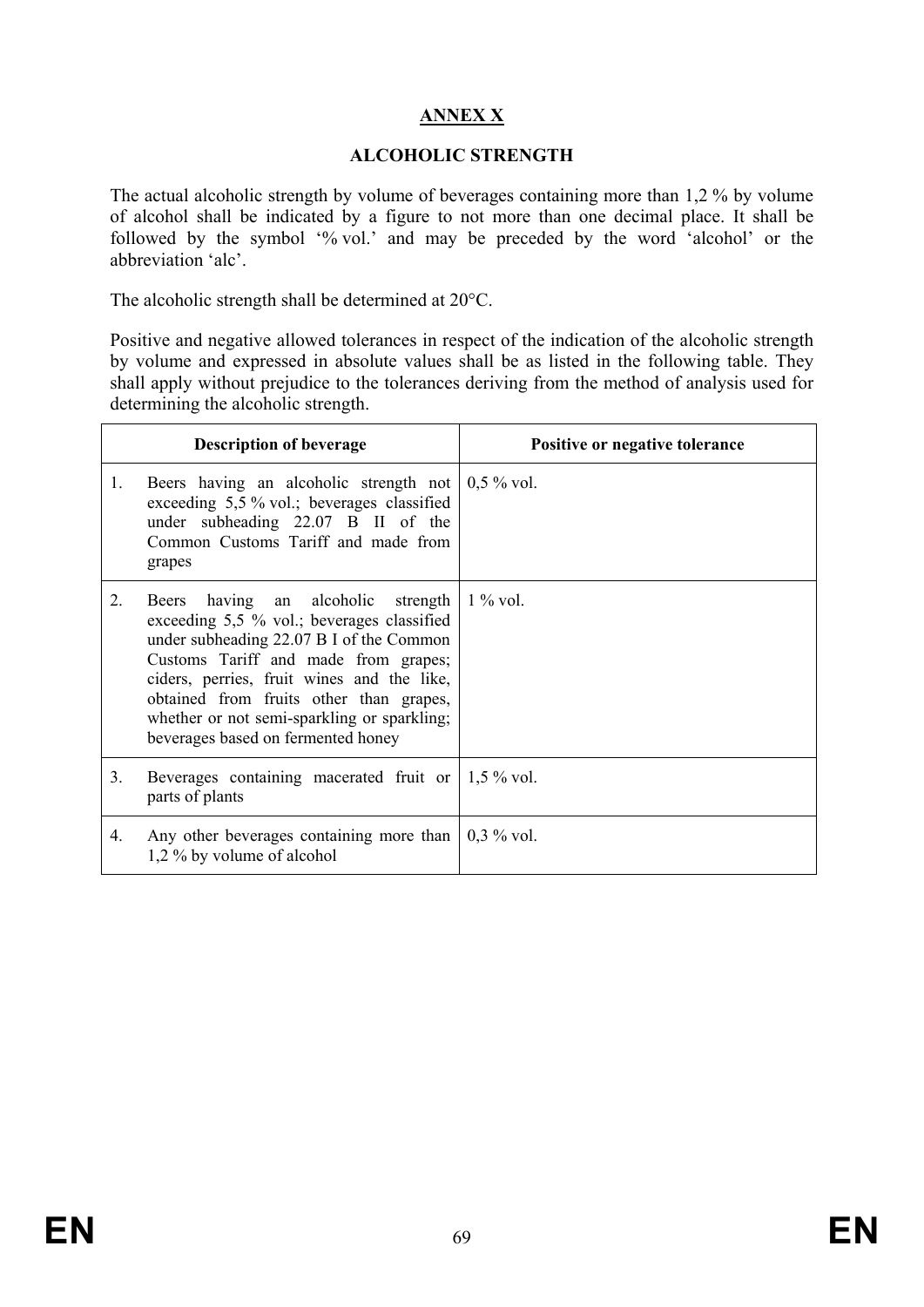# **ANNEX X**

### **ALCOHOLIC STRENGTH**

The actual alcoholic strength by volume of beverages containing more than 1,2 % by volume of alcohol shall be indicated by a figure to not more than one decimal place. It shall be followed by the symbol '% vol.' and may be preceded by the word 'alcohol' or the abbreviation 'alc'.

The alcoholic strength shall be determined at 20°C.

Positive and negative allowed tolerances in respect of the indication of the alcoholic strength by volume and expressed in absolute values shall be as listed in the following table. They shall apply without prejudice to the tolerances deriving from the method of analysis used for determining the alcoholic strength.

|                  | <b>Description of beverage</b>                                                                                                                                                                                                                                                                                                                     | Positive or negative tolerance |
|------------------|----------------------------------------------------------------------------------------------------------------------------------------------------------------------------------------------------------------------------------------------------------------------------------------------------------------------------------------------------|--------------------------------|
| 1.               | Beers having an alcoholic strength not<br>exceeding 5,5 % vol.; beverages classified<br>under subheading 22.07 B II of the<br>Common Customs Tariff and made from<br>grapes                                                                                                                                                                        | $0.5\%$ vol.                   |
| $\overline{2}$ . | Beers having an alcoholic strength<br>exceeding 5,5 % vol.; beverages classified<br>under subheading 22.07 B I of the Common<br>Customs Tariff and made from grapes;<br>ciders, perries, fruit wines and the like,<br>obtained from fruits other than grapes,<br>whether or not semi-sparkling or sparkling;<br>beverages based on fermented honey | $1\%$ vol.                     |
| 3.               | Beverages containing macerated fruit or $\vert 1,5 \degree$ vol.<br>parts of plants                                                                                                                                                                                                                                                                |                                |
| 4.               | Any other beverages containing more than<br>1,2 % by volume of alcohol                                                                                                                                                                                                                                                                             | $0,3\%$ vol.                   |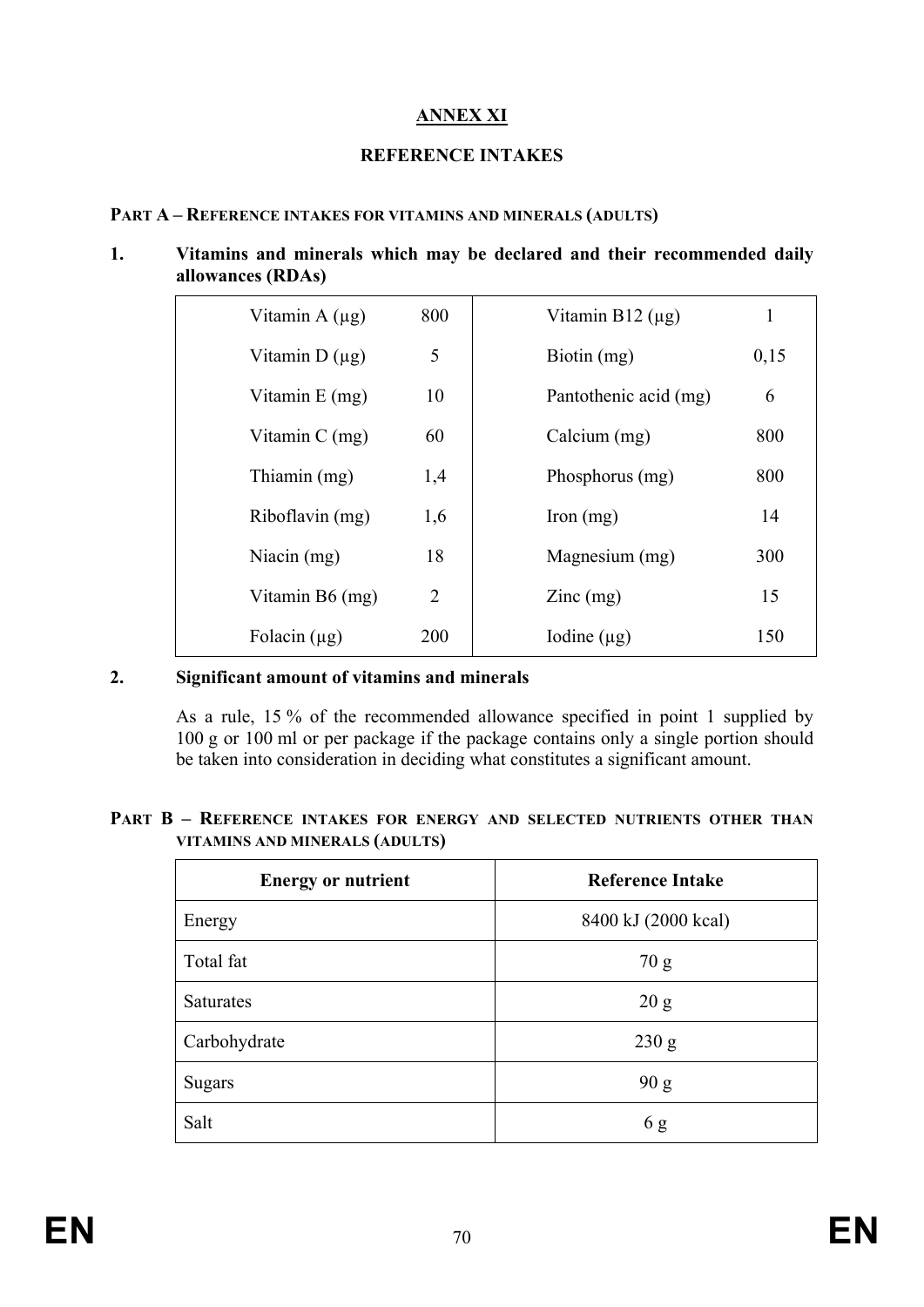# **ANNEX XI**

### **REFERENCE INTAKES**

#### **PART A – REFERENCE INTAKES FOR VITAMINS AND MINERALS (ADULTS)**

#### **1. Vitamins and minerals which may be declared and their recommended daily allowances (RDAs)**

| Vitamin A $(\mu g)$ | 800            | Vitamin $B12 \, (\mu g)$               | 1    |
|---------------------|----------------|----------------------------------------|------|
| Vitamin $D(\mu g)$  | 5              | Biotin (mg)                            | 0,15 |
| Vitamin $E$ (mg)    | 10             | Pantothenic acid (mg)                  | 6    |
| Vitamin $C$ (mg)    | 60             | Calcium (mg)                           | 800  |
| Thiamin (mg)        | 1,4            | Phosphorus (mg)                        | 800  |
| Riboflavin (mg)     | 1,6            | Iron $(mg)$                            | 14   |
| Niacin $(mg)$       | 18             | Magnesium (mg)                         | 300  |
| Vitamin B6 (mg)     | $\overline{2}$ | $\text{Zinc} \left( \text{mg} \right)$ | 15   |
| Folacin $(\mu g)$   | 200            | Iodine $(\mu g)$                       | 150  |
|                     |                |                                        |      |

### **2. Significant amount of vitamins and minerals**

As a rule, 15 % of the recommended allowance specified in point 1 supplied by 100 g or 100 ml or per package if the package contains only a single portion should be taken into consideration in deciding what constitutes a significant amount.

#### **PART B – REFERENCE INTAKES FOR ENERGY AND SELECTED NUTRIENTS OTHER THAN VITAMINS AND MINERALS (ADULTS)**

| <b>Energy or nutrient</b> | <b>Reference Intake</b> |  |
|---------------------------|-------------------------|--|
| Energy                    | 8400 kJ (2000 kcal)     |  |
| Total fat                 | 70 g                    |  |
| Saturates                 | 20 g                    |  |
| Carbohydrate              | 230 g                   |  |
| <b>Sugars</b>             | 90 g                    |  |
| Salt                      | 6g                      |  |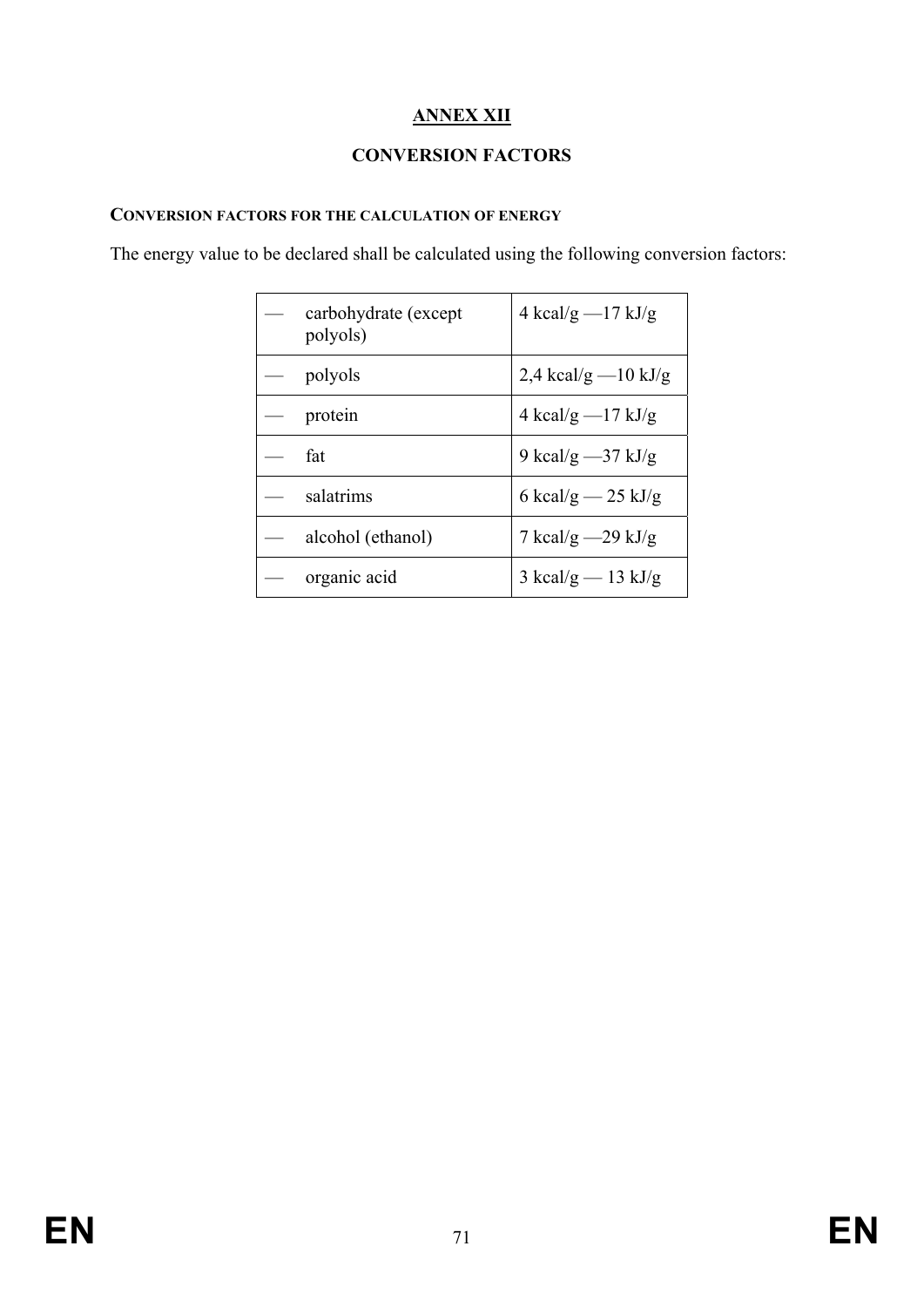# **ANNEX XII**

# **CONVERSION FACTORS**

### **CONVERSION FACTORS FOR THE CALCULATION OF ENERGY**

The energy value to be declared shall be calculated using the following conversion factors:

| carbohydrate (except<br>polyols) | 4 kcal/g $-17$ kJ/g   |
|----------------------------------|-----------------------|
| polyols                          | 2,4 kcal/g $-10$ kJ/g |
| protein                          | 4 kcal/g $-17$ kJ/g   |
| fat                              | 9 kcal/g $-37$ kJ/g   |
| salatrims                        | 6 kcal/g $-$ 25 kJ/g  |
| alcohol (ethanol)                | 7 kcal/g $-29$ kJ/g   |
| organic acid                     | 3 kcal/g $-$ 13 kJ/g  |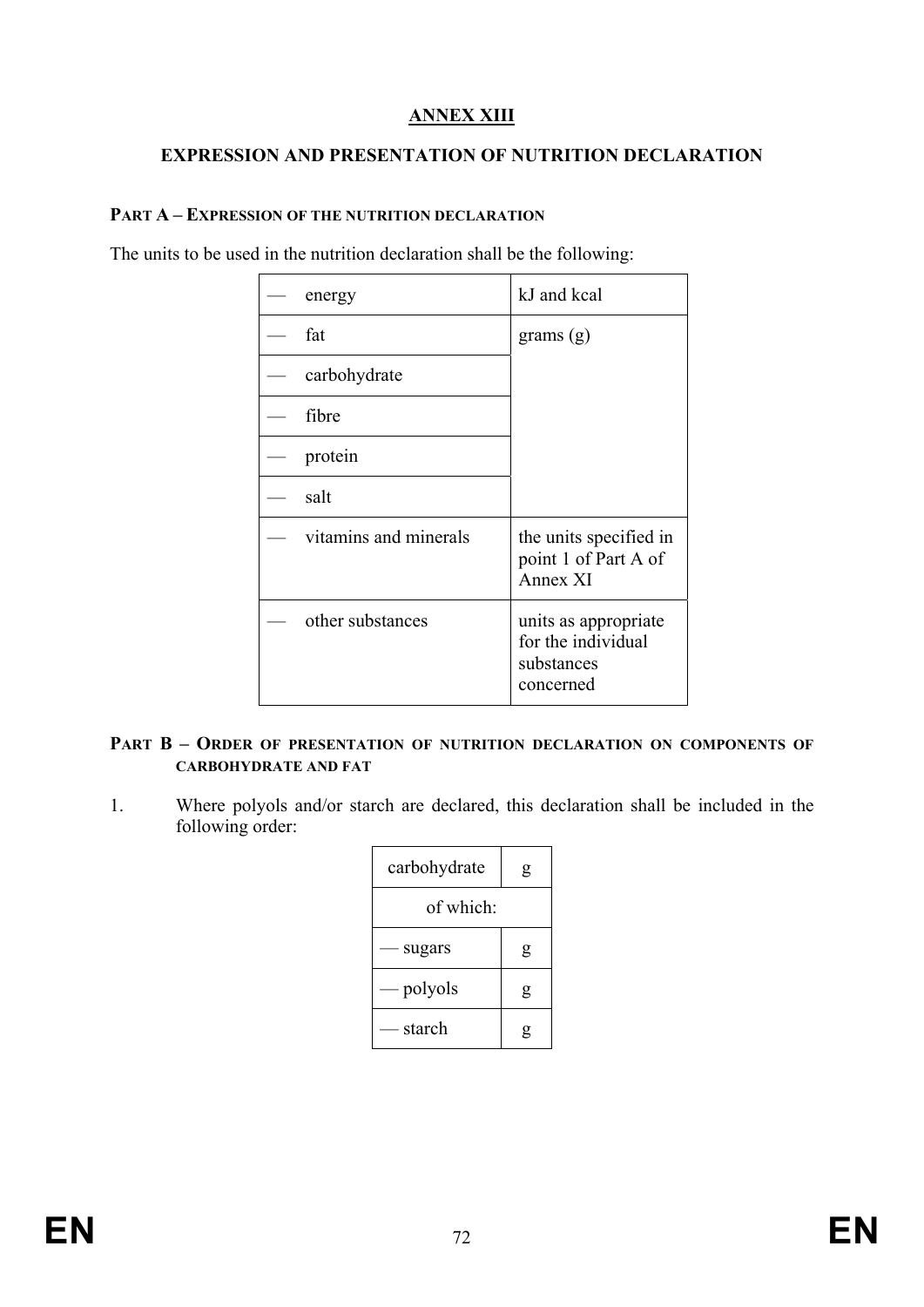# **ANNEX XIII**

## **EXPRESSION AND PRESENTATION OF NUTRITION DECLARATION**

#### **PART A – EXPRESSION OF THE NUTRITION DECLARATION**

The units to be used in the nutrition declaration shall be the following:

| energy                | kJ and kcal                                                           |
|-----------------------|-----------------------------------------------------------------------|
| fat                   | grams $(g)$                                                           |
| carbohydrate          |                                                                       |
| fibre                 |                                                                       |
| protein               |                                                                       |
| salt                  |                                                                       |
| vitamins and minerals | the units specified in<br>point 1 of Part A of<br>Annex XI            |
| other substances      | units as appropriate<br>for the individual<br>substances<br>concerned |

#### **PART B – ORDER OF PRESENTATION OF NUTRITION DECLARATION ON COMPONENTS OF CARBOHYDRATE AND FAT**

1. Where polyols and/or starch are declared, this declaration shall be included in the following order:

| carbohydrate | g |  |
|--------------|---|--|
| of which:    |   |  |
| - sugars     | g |  |
| — polyols    | g |  |
| — starch     |   |  |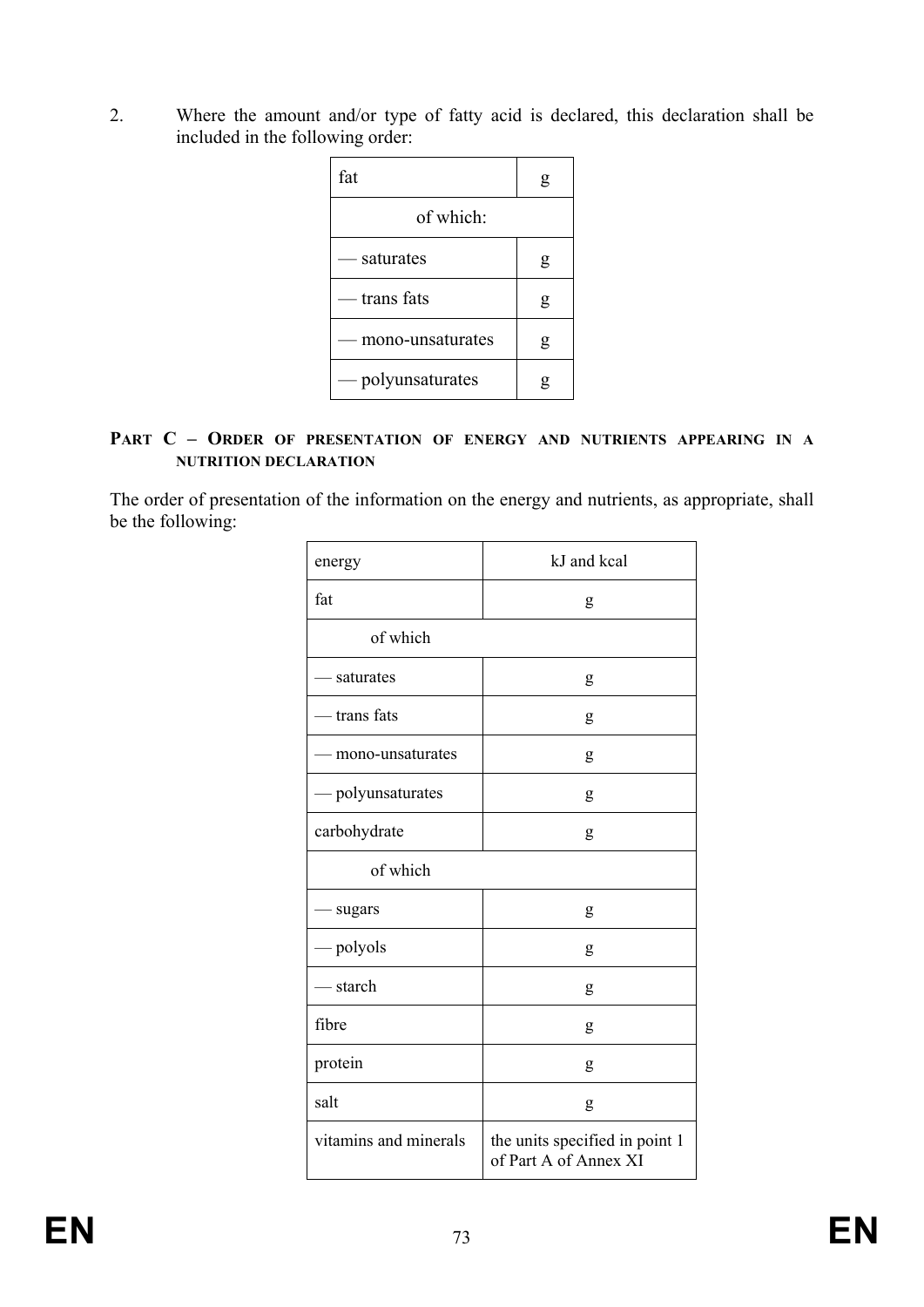2. Where the amount and/or type of fatty acid is declared, this declaration shall be included in the following order:

| fat               | g |
|-------------------|---|
| of which:         |   |
| — saturates       | g |
| — trans fats      | g |
| mono-unsaturates  | g |
| — polyunsaturates |   |

#### **PART C – ORDER OF PRESENTATION OF ENERGY AND NUTRIENTS APPEARING IN A NUTRITION DECLARATION**

The order of presentation of the information on the energy and nutrients, as appropriate, shall be the following:

| energy                | kJ and kcal                                             |  |  |  |  |  |  |  |
|-----------------------|---------------------------------------------------------|--|--|--|--|--|--|--|
| fat                   | g                                                       |  |  |  |  |  |  |  |
| of which              |                                                         |  |  |  |  |  |  |  |
| - saturates           | g                                                       |  |  |  |  |  |  |  |
| - trans fats          | g                                                       |  |  |  |  |  |  |  |
| mono-unsaturates      | g                                                       |  |  |  |  |  |  |  |
| - polyunsaturates     | g                                                       |  |  |  |  |  |  |  |
| carbohydrate          | g                                                       |  |  |  |  |  |  |  |
| of which              |                                                         |  |  |  |  |  |  |  |
| sugars                | g                                                       |  |  |  |  |  |  |  |
| — polyols             | g                                                       |  |  |  |  |  |  |  |
| - starch              | g                                                       |  |  |  |  |  |  |  |
| fibre                 | g                                                       |  |  |  |  |  |  |  |
| protein               | g                                                       |  |  |  |  |  |  |  |
| salt                  | g                                                       |  |  |  |  |  |  |  |
| vitamins and minerals | the units specified in point 1<br>of Part A of Annex XI |  |  |  |  |  |  |  |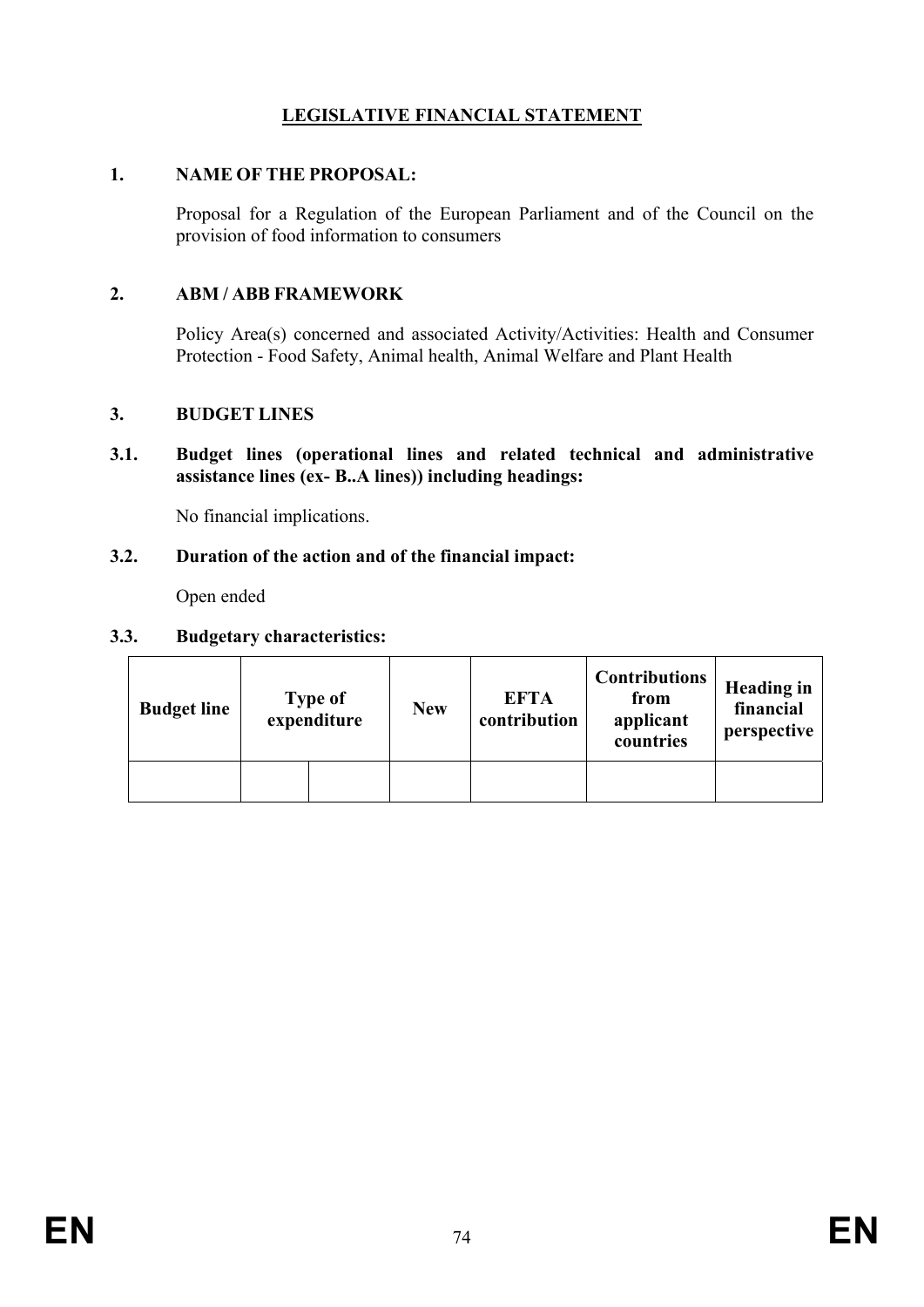# **LEGISLATIVE FINANCIAL STATEMENT**

### **1. NAME OF THE PROPOSAL:**

Proposal for a Regulation of the European Parliament and of the Council on the provision of food information to consumers

## **2. ABM / ABB FRAMEWORK**

Policy Area(s) concerned and associated Activity/Activities: Health and Consumer Protection - Food Safety, Animal health, Animal Welfare and Plant Health

### **3. BUDGET LINES**

**3.1. Budget lines (operational lines and related technical and administrative assistance lines (ex- B..A lines)) including headings:** 

No financial implications.

#### **3.2. Duration of the action and of the financial impact:**

Open ended

### **3.3. Budgetary characteristics:**

| <b>Budget line</b> | <b>Type of</b><br>expenditure |  | <b>New</b> | <b>EFTA</b><br>contribution | <b>Contributions</b><br>from<br>applicant<br>countries | <b>Heading in</b><br>financial<br>perspective |  |
|--------------------|-------------------------------|--|------------|-----------------------------|--------------------------------------------------------|-----------------------------------------------|--|
|                    |                               |  |            |                             |                                                        |                                               |  |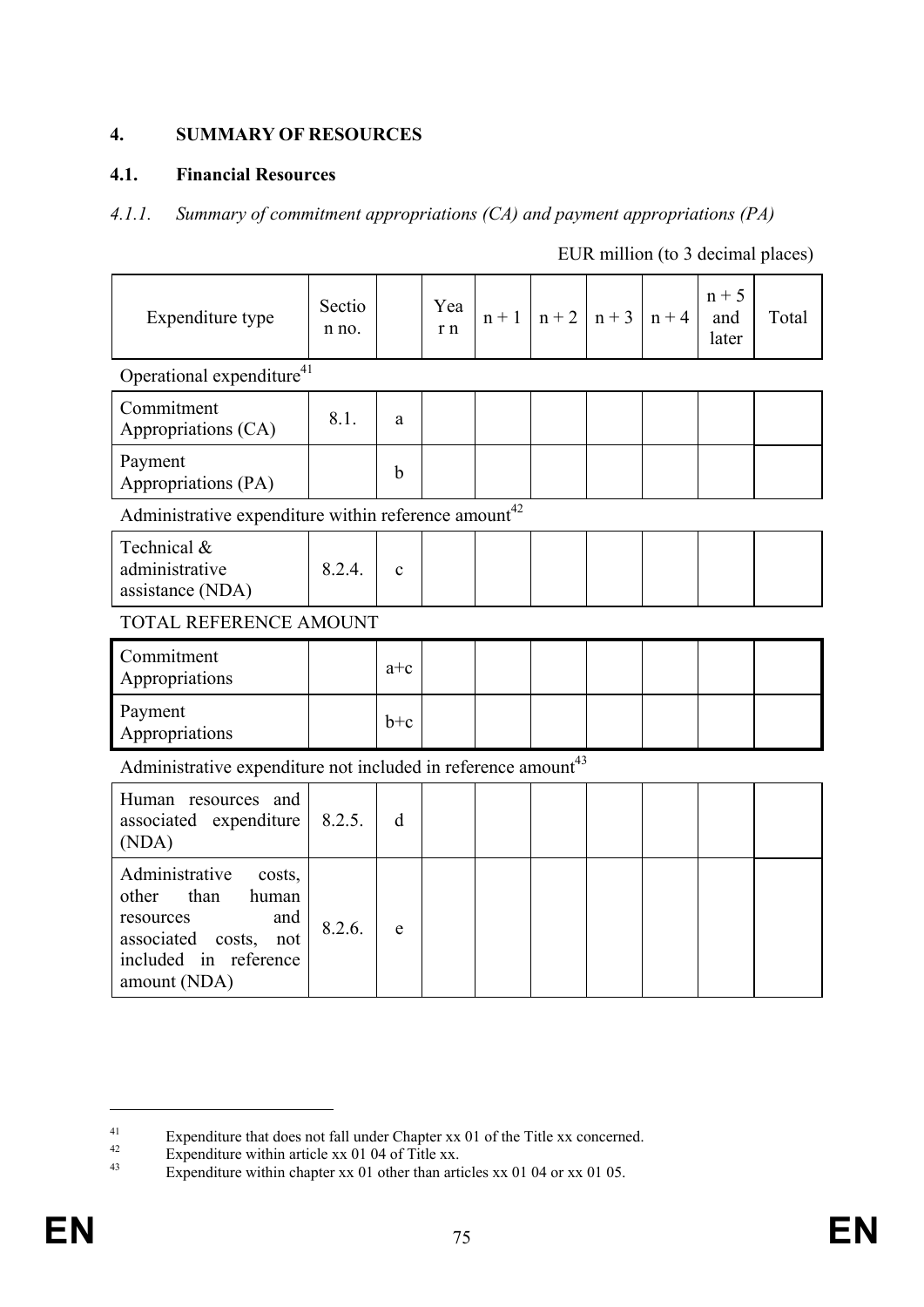# **4. SUMMARY OF RESOURCES**

## **4.1. Financial Resources**

### *4.1.1. Summary of commitment appropriations (CA) and payment appropriations (PA)*

| Expenditure type                                                                                                                                  | Sectio<br>n no. |              | Yea<br>r n | $n + 1$ | $n + 2$ | $n + 3$ | $n + 4$ | $n + 5$<br>and<br>later | Total |
|---------------------------------------------------------------------------------------------------------------------------------------------------|-----------------|--------------|------------|---------|---------|---------|---------|-------------------------|-------|
| Operational expenditure $41$                                                                                                                      |                 |              |            |         |         |         |         |                         |       |
| Commitment<br>Appropriations (CA)                                                                                                                 | 8.1.            | $\rm{a}$     |            |         |         |         |         |                         |       |
| Payment<br>Appropriations (PA)                                                                                                                    |                 | $\mathbf b$  |            |         |         |         |         |                         |       |
| Administrative expenditure within reference amount <sup>42</sup>                                                                                  |                 |              |            |         |         |         |         |                         |       |
| Technical &<br>administrative<br>assistance (NDA)                                                                                                 | 8.2.4.          | $\mathbf{c}$ |            |         |         |         |         |                         |       |
| TOTAL REFERENCE AMOUNT                                                                                                                            |                 |              |            |         |         |         |         |                         |       |
| Commitment<br>Appropriations                                                                                                                      |                 | $a+c$        |            |         |         |         |         |                         |       |
| Payment<br>Appropriations                                                                                                                         |                 | $b+c$        |            |         |         |         |         |                         |       |
| Administrative expenditure not included in reference amount <sup>43</sup>                                                                         |                 |              |            |         |         |         |         |                         |       |
| Human resources and<br>associated expenditure<br>(NDA)                                                                                            | 8.2.5.          | d            |            |         |         |         |         |                         |       |
| Administrative<br>costs,<br>other<br>than<br>human<br>and<br>resources<br>associated<br>costs,<br>not<br>included<br>in reference<br>amount (NDA) | 8.2.6.          | e            |            |         |         |         |         |                         |       |

EUR million (to 3 decimal places)

1

Expenditure that does not fall under Chapter xx 01 of the Title xx concerned.<br>
Expenditure within article xx 01 04 of Title xx.<br>
Expenditure within about xx 01 of the reticles xx 01 04 or xx 01 05

Expenditure within chapter xx 01 other than articles xx 01 04 or xx 01 05.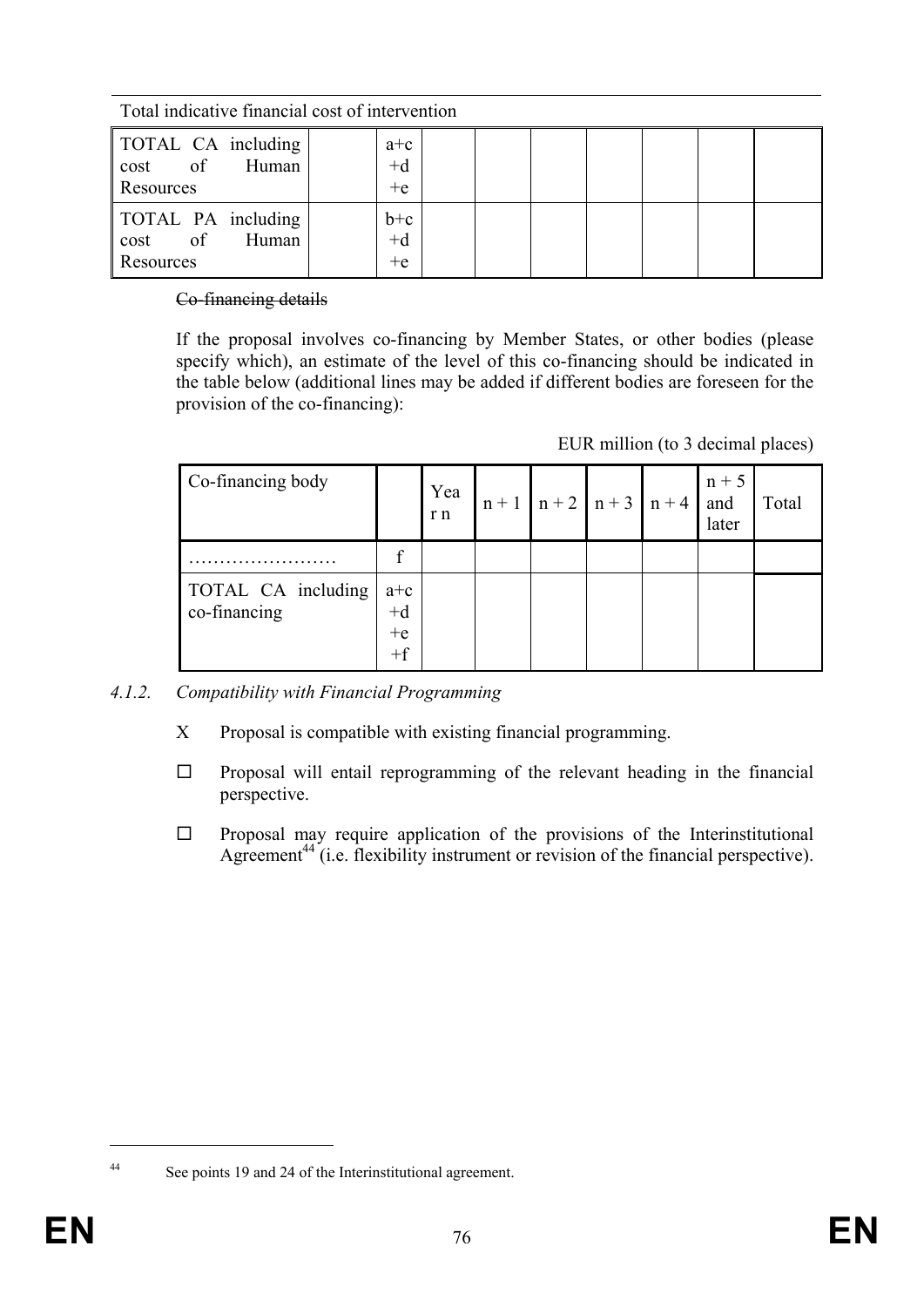|  | Total indicative financial cost of intervention |
|--|-------------------------------------------------|
|  |                                                 |

| TOTAL CA including<br>of<br>Human<br>cost<br>Resources | $a+c$<br>$+d$<br>$+e$ |  |  |  |
|--------------------------------------------------------|-----------------------|--|--|--|
| TOTAL PA including<br>of<br>Human<br>cost<br>Resources | $b+c$<br>$+d$<br>$+e$ |  |  |  |

### Co-financing details

If the proposal involves co-financing by Member States, or other bodies (please specify which), an estimate of the level of this co-financing should be indicated in the table below (additional lines may be added if different bodies are foreseen for the provision of the co-financing):

| EUR million (to 3 decimal places) |  |  |
|-----------------------------------|--|--|
|                                   |  |  |

| Co-financing body                  |                               | Yea<br>r n |  | $n+1$ $n+2$ $n+3$ $n+4$ | $n + 5$<br>and<br>later | Total |
|------------------------------------|-------------------------------|------------|--|-------------------------|-------------------------|-------|
|                                    | c                             |            |  |                         |                         |       |
| TOTAL CA including<br>co-financing | $a+c$<br>$+d$<br>$+e$<br>$+f$ |            |  |                         |                         |       |

- *4.1.2. Compatibility with Financial Programming* 
	- X Proposal is compatible with existing financial programming.
	- $\Box$  Proposal will entail reprogramming of the relevant heading in the financial perspective.
	- $\Box$  Proposal may require application of the provisions of the Interinstitutional Agreement<sup>44</sup> (i.e. flexibility instrument or revision of the financial perspective).

<sup>&</sup>lt;u>.</u>

<sup>44</sup> See points 19 and 24 of the Interinstitutional agreement.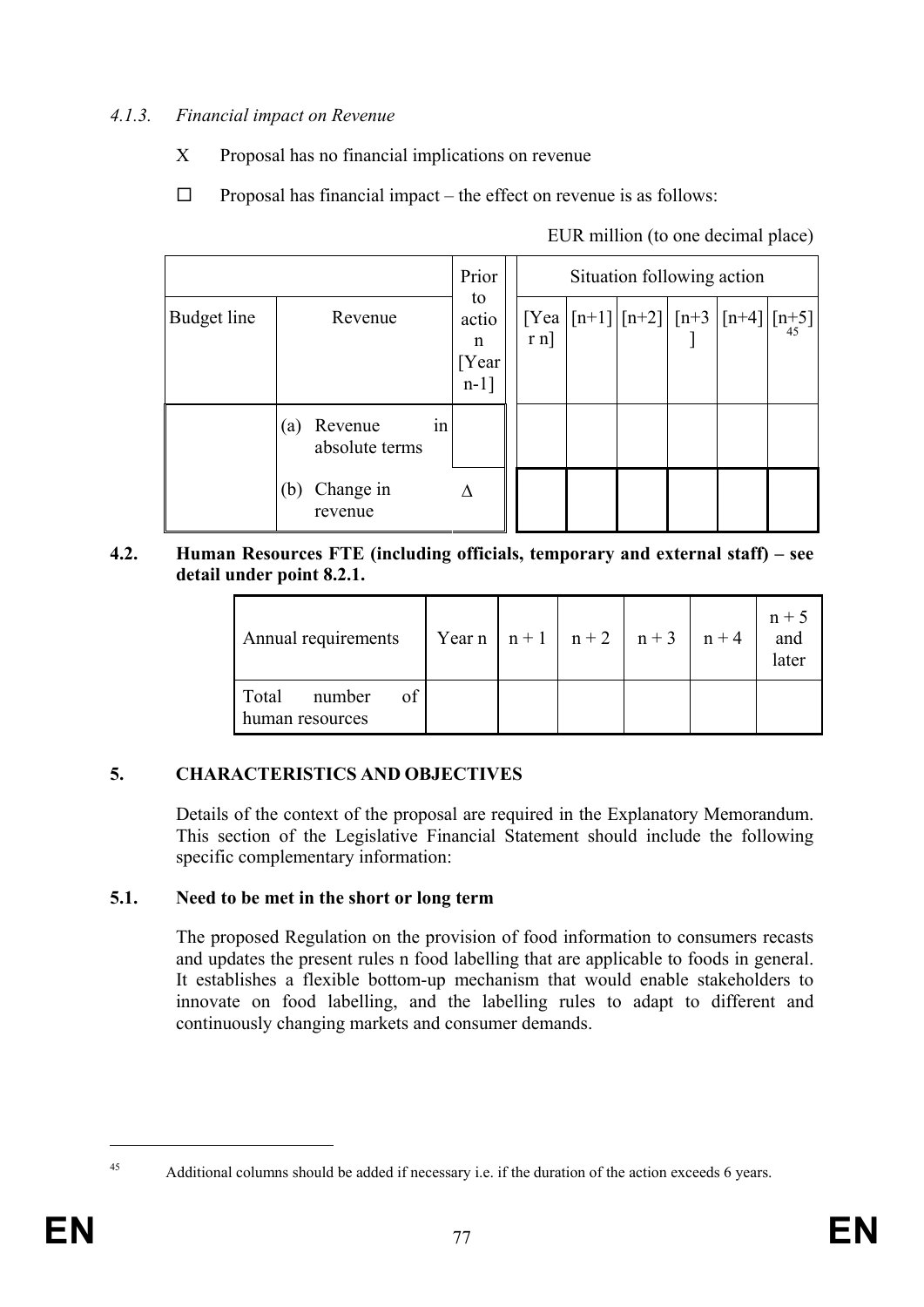# *4.1.3. Financial impact on Revenue*

- X Proposal has no financial implications on revenue
- $\Box$  Proposal has financial impact the effect on revenue is as follows:

|  | EUR million (to one decimal place) |  |
|--|------------------------------------|--|
|  |                                    |  |

|             |     |                                      |    |           |  |  | Situation following action |                                               |  |  |  |  |  |  |  |
|-------------|-----|--------------------------------------|----|-----------|--|--|----------------------------|-----------------------------------------------|--|--|--|--|--|--|--|
| Budget line |     | to<br>actio<br>n<br>[Year<br>$n-1$ ] |    |           |  |  |                            | $[Yea   [n+1]   [n+2]   [n+3   [n+4]   [n+5]$ |  |  |  |  |  |  |  |
|             | (a) | Revenue<br>absolute terms            | 1n |           |  |  |                            |                                               |  |  |  |  |  |  |  |
|             | (b) | Change in<br>revenue                 |    | $\Lambda$ |  |  |                            |                                               |  |  |  |  |  |  |  |

### **4.2. Human Resources FTE (including officials, temporary and external staff) – see detail under point 8.2.1.**

| Annual requirements                      | Year n   n + 1   n + 2   n + 3   n + 4 |  |  | $n + 5$<br>and<br>later |
|------------------------------------------|----------------------------------------|--|--|-------------------------|
| Total<br>of<br>number<br>human resources |                                        |  |  |                         |

# **5. CHARACTERISTICS AND OBJECTIVES**

Details of the context of the proposal are required in the Explanatory Memorandum. This section of the Legislative Financial Statement should include the following specific complementary information:

# **5.1. Need to be met in the short or long term**

The proposed Regulation on the provision of food information to consumers recasts and updates the present rules n food labelling that are applicable to foods in general. It establishes a flexible bottom-up mechanism that would enable stakeholders to innovate on food labelling, and the labelling rules to adapt to different and continuously changing markets and consumer demands.

<u>.</u>

<sup>45</sup> Additional columns should be added if necessary i.e. if the duration of the action exceeds 6 years.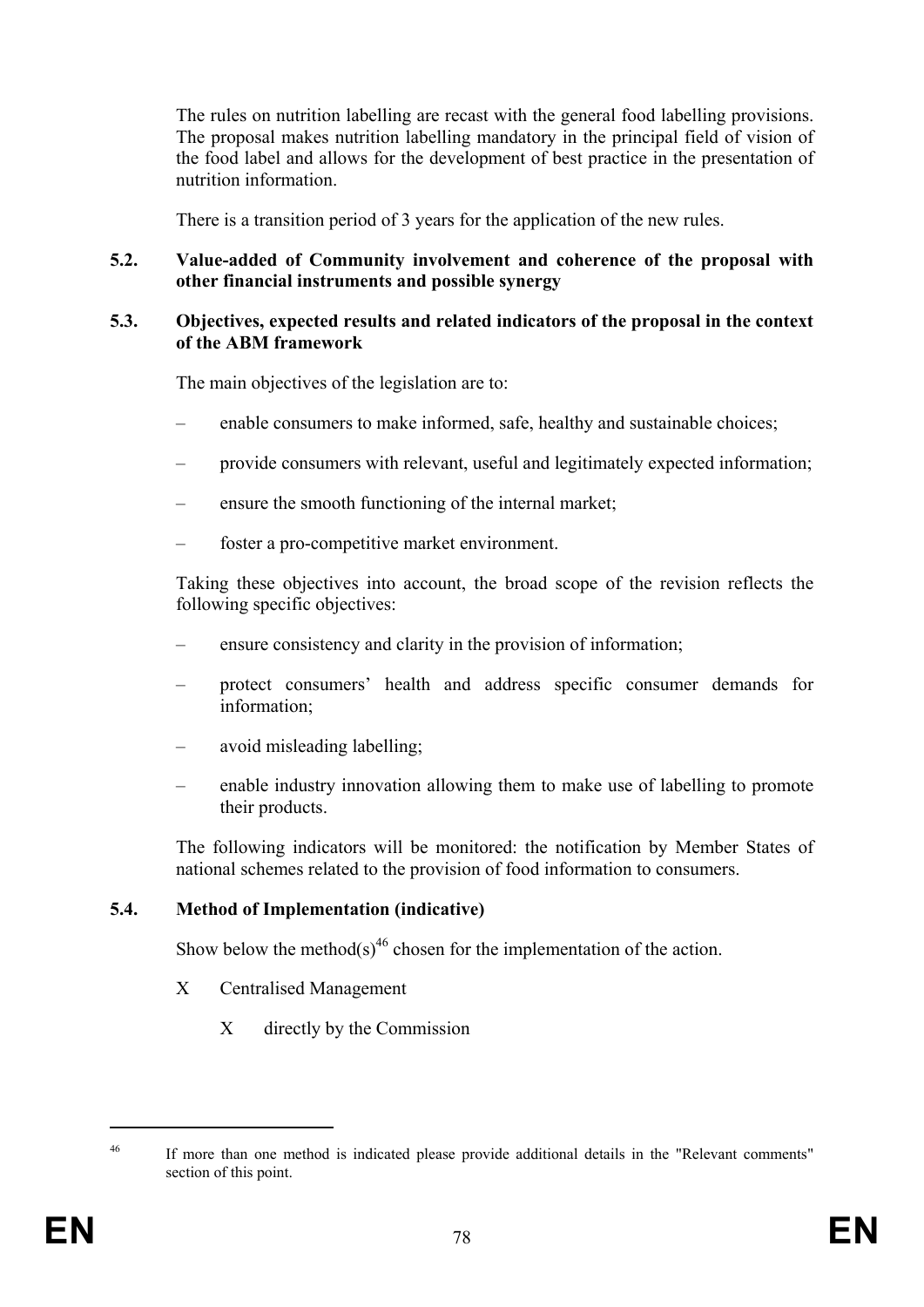The rules on nutrition labelling are recast with the general food labelling provisions. The proposal makes nutrition labelling mandatory in the principal field of vision of the food label and allows for the development of best practice in the presentation of nutrition information.

There is a transition period of 3 years for the application of the new rules.

## **5.2. Value-added of Community involvement and coherence of the proposal with other financial instruments and possible synergy**

#### **5.3. Objectives, expected results and related indicators of the proposal in the context of the ABM framework**

The main objectives of the legislation are to:

- enable consumers to make informed, safe, healthy and sustainable choices;
- provide consumers with relevant, useful and legitimately expected information;
- ensure the smooth functioning of the internal market;
- foster a pro-competitive market environment.

Taking these objectives into account, the broad scope of the revision reflects the following specific objectives:

- ensure consistency and clarity in the provision of information;
- protect consumers' health and address specific consumer demands for information;
- avoid misleading labelling;
- enable industry innovation allowing them to make use of labelling to promote their products.

The following indicators will be monitored: the notification by Member States of national schemes related to the provision of food information to consumers.

## **5.4. Method of Implementation (indicative)**

Show below the method(s)<sup>46</sup> chosen for the implementation of the action.

- X Centralised Management
	- X directly by the Commission

1

<sup>&</sup>lt;sup>46</sup> If more than one method is indicated please provide additional details in the "Relevant comments" section of this point.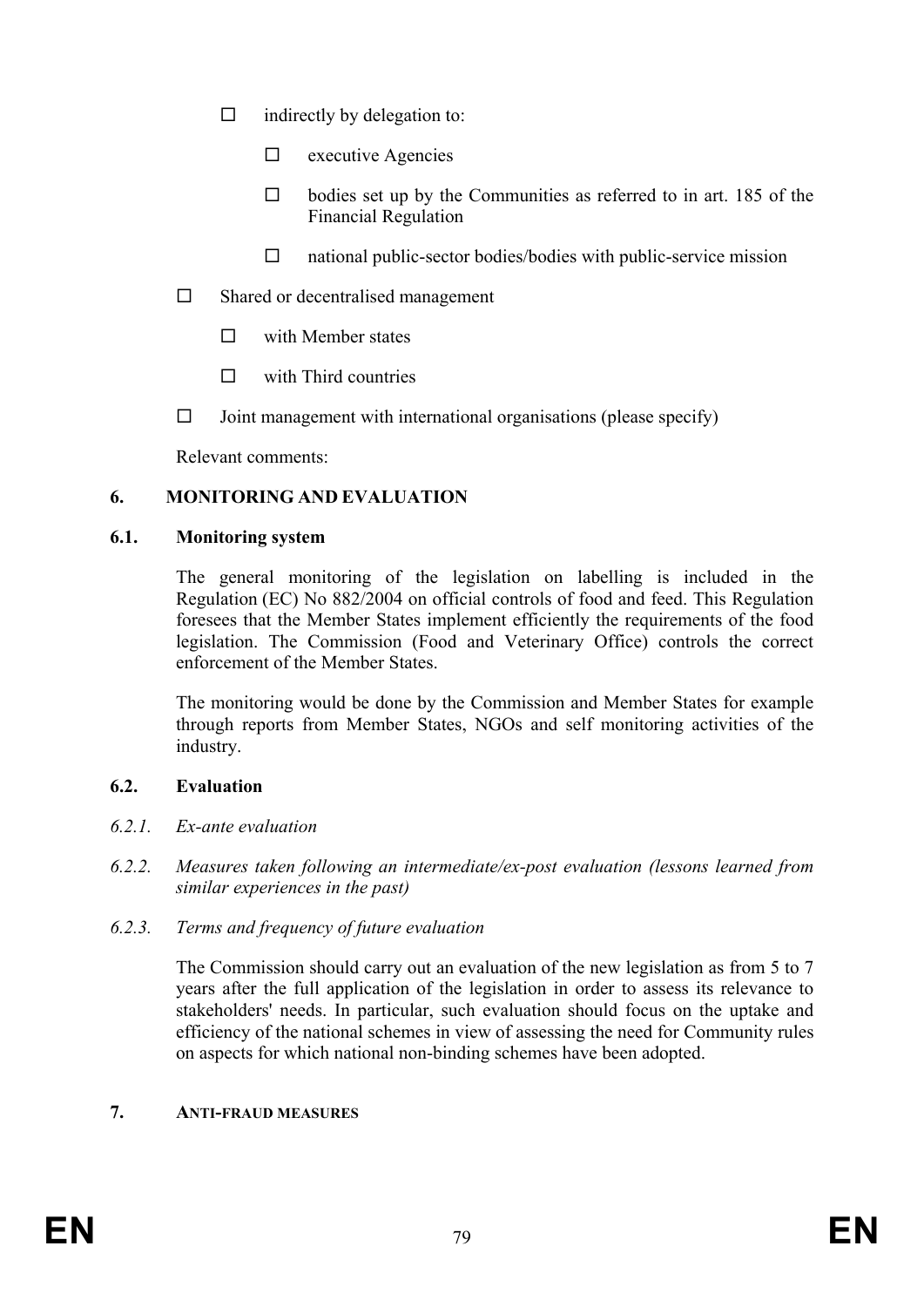- $\Box$  indirectly by delegation to:
	- $\Box$  executive Agencies
	- $\Box$  bodies set up by the Communities as referred to in art. 185 of the Financial Regulation
	- $\Box$  national public-sector bodies/bodies with public-service mission
- $\square$  Shared or decentralised management
	- $\square$  with Member states
	- $\n  $\Box$ \n with Third countries$
- $\Box$  Joint management with international organisations (please specify)

Relevant comments:

## **6. MONITORING AND EVALUATION**

### **6.1. Monitoring system**

The general monitoring of the legislation on labelling is included in the Regulation (EC) No 882/2004 on official controls of food and feed. This Regulation foresees that the Member States implement efficiently the requirements of the food legislation. The Commission (Food and Veterinary Office) controls the correct enforcement of the Member States.

The monitoring would be done by the Commission and Member States for example through reports from Member States, NGOs and self monitoring activities of the industry.

## **6.2. Evaluation**

- *6.2.1. Ex-ante evaluation*
- *6.2.2. Measures taken following an intermediate/ex-post evaluation (lessons learned from similar experiences in the past)*
- *6.2.3. Terms and frequency of future evaluation*

The Commission should carry out an evaluation of the new legislation as from 5 to 7 years after the full application of the legislation in order to assess its relevance to stakeholders' needs. In particular, such evaluation should focus on the uptake and efficiency of the national schemes in view of assessing the need for Community rules on aspects for which national non-binding schemes have been adopted.

## **7. ANTI-FRAUD MEASURES**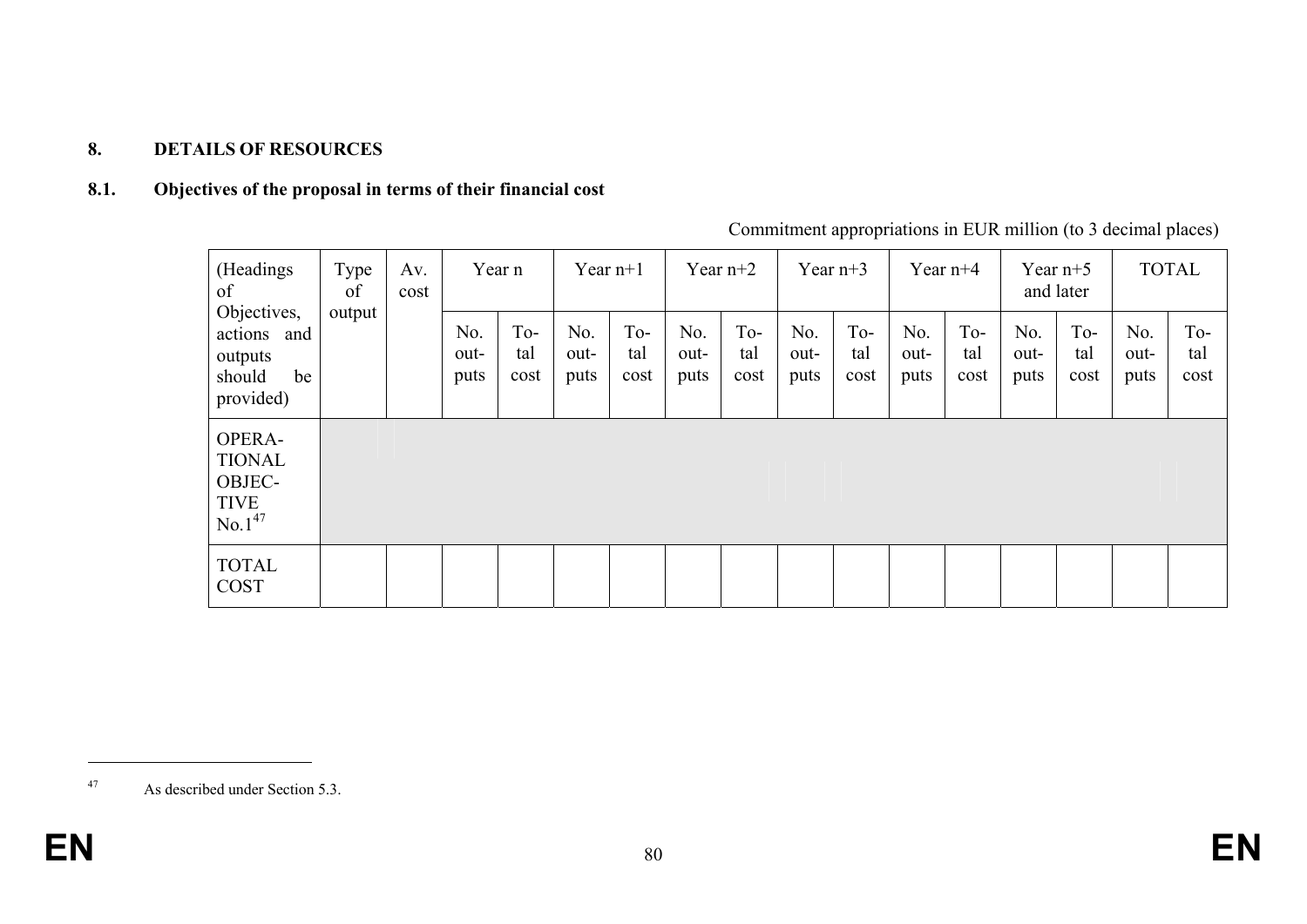# **8. DETAILS OF RESOURCES**

### **8.1. Objectives of the proposal in terms of their financial cost**

| (Headings)<br>of<br>Objectives,<br>actions and<br>outputs<br>should<br>be<br>provided) | Type<br>Av.<br>of |  | Year n<br>cost      |                    | Year $n+1$          |                    | Year $n+2$          |                    | Year $n+3$          |                    | Year $n+4$          |                    | Year $n+5$<br>and later |                    | <b>TOTAL</b>        |                    |
|----------------------------------------------------------------------------------------|-------------------|--|---------------------|--------------------|---------------------|--------------------|---------------------|--------------------|---------------------|--------------------|---------------------|--------------------|-------------------------|--------------------|---------------------|--------------------|
|                                                                                        | output            |  | No.<br>out-<br>puts | To-<br>tal<br>cost | No.<br>out-<br>puts | To-<br>tal<br>cost | No.<br>out-<br>puts | To-<br>tal<br>cost | No.<br>out-<br>puts | To-<br>tal<br>cost | No.<br>out-<br>puts | To-<br>tal<br>cost | No.<br>out-<br>puts     | To-<br>tal<br>cost | No.<br>out-<br>puts | To-<br>tal<br>cost |
| OPERA-<br><b>TIONAL</b><br>OBJEC-<br><b>TIVE</b><br>No.1 <sup>47</sup>                 |                   |  |                     |                    |                     |                    |                     |                    |                     |                    |                     |                    |                         |                    |                     |                    |
| <b>TOTAL</b><br><b>COST</b>                                                            |                   |  |                     |                    |                     |                    |                     |                    |                     |                    |                     |                    |                         |                    |                     |                    |

Commitment appropriations in EUR million (to 3 decimal places)

<sup>47</sup> As described under Section 5.3.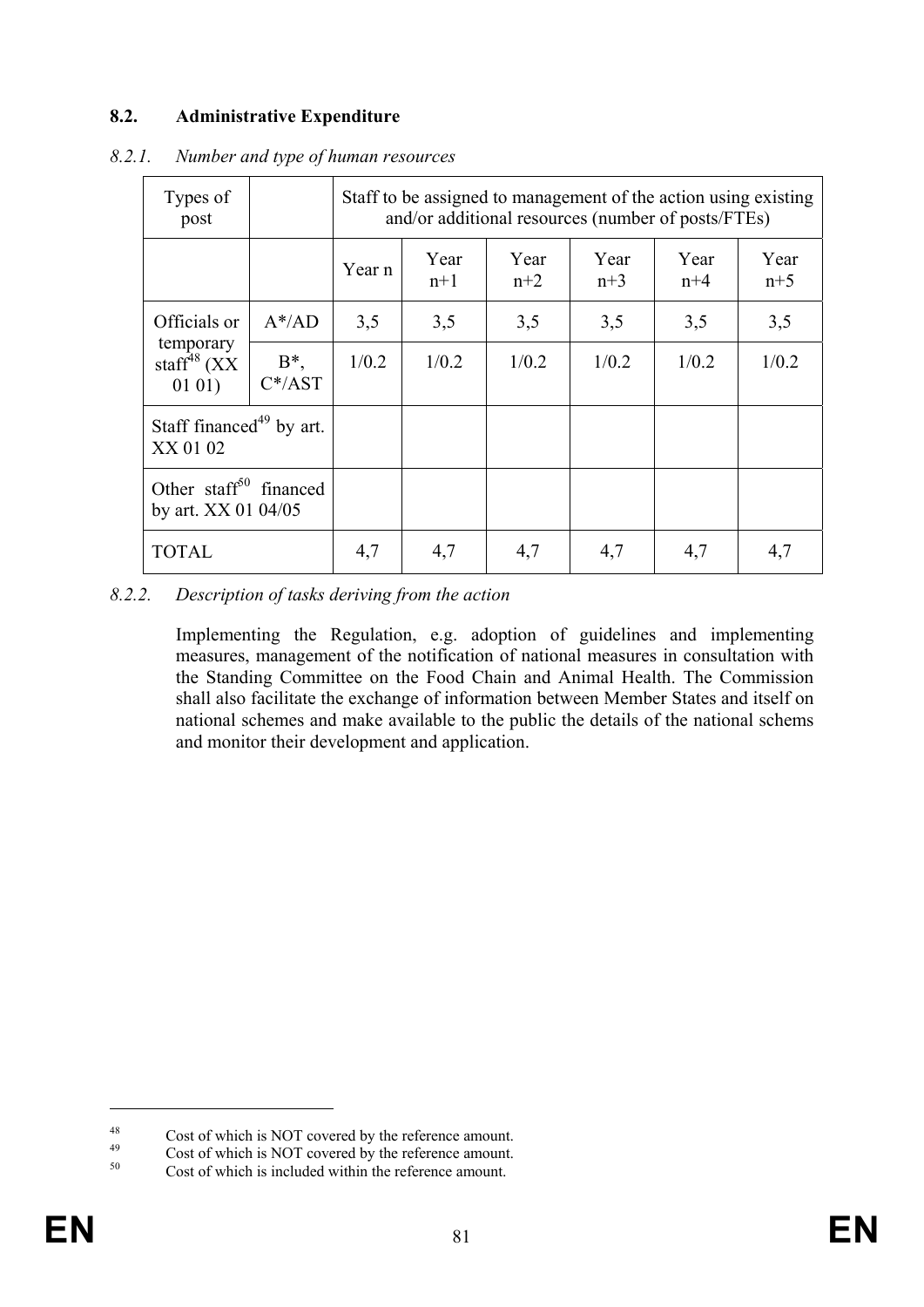# **8.2. Administrative Expenditure**

| Types of<br>post                                                 |                      | Staff to be assigned to management of the action using existing<br>and/or additional resources (number of posts/FTEs) |               |               |               |               |               |  |  |  |
|------------------------------------------------------------------|----------------------|-----------------------------------------------------------------------------------------------------------------------|---------------|---------------|---------------|---------------|---------------|--|--|--|
|                                                                  |                      | Year n                                                                                                                | Year<br>$n+1$ | Year<br>$n+2$ | Year<br>$n+3$ | Year<br>$n+4$ | Year<br>$n+5$ |  |  |  |
| Officials or<br>temporary<br>staff <sup>48</sup> $(XX)$<br>0101) | $A^*$ /AD            | 3,5                                                                                                                   | 3,5           | 3,5           | 3,5           | 3,5           | 3,5           |  |  |  |
|                                                                  | $B^*$ ,<br>$C^*/AST$ | 1/0.2                                                                                                                 | 1/0.2         | 1/0.2         | 1/0.2         | 1/0.2         | 1/0.2         |  |  |  |
| Staff financed <sup>49</sup> by art.<br>XX 01 02                 |                      |                                                                                                                       |               |               |               |               |               |  |  |  |
| Other staff <sup>50</sup> financed<br>by art. XX 01 04/05        |                      |                                                                                                                       |               |               |               |               |               |  |  |  |
| <b>TOTAL</b>                                                     |                      | 4,7                                                                                                                   | 4,7           | 4,7           | 4,7           | 4,7           | 4,7           |  |  |  |

#### *8.2.1. Number and type of human resources*

*8.2.2. Description of tasks deriving from the action* 

Implementing the Regulation, e.g. adoption of guidelines and implementing measures, management of the notification of national measures in consultation with the Standing Committee on the Food Chain and Animal Health. The Commission shall also facilitate the exchange of information between Member States and itself on national schemes and make available to the public the details of the national schems and monitor their development and application.

<u>.</u>

 $^{48}$  Cost of which is NOT covered by the reference amount.

 $^{49}$  Cost of which is NOT covered by the reference amount.

Cost of which is included within the reference amount.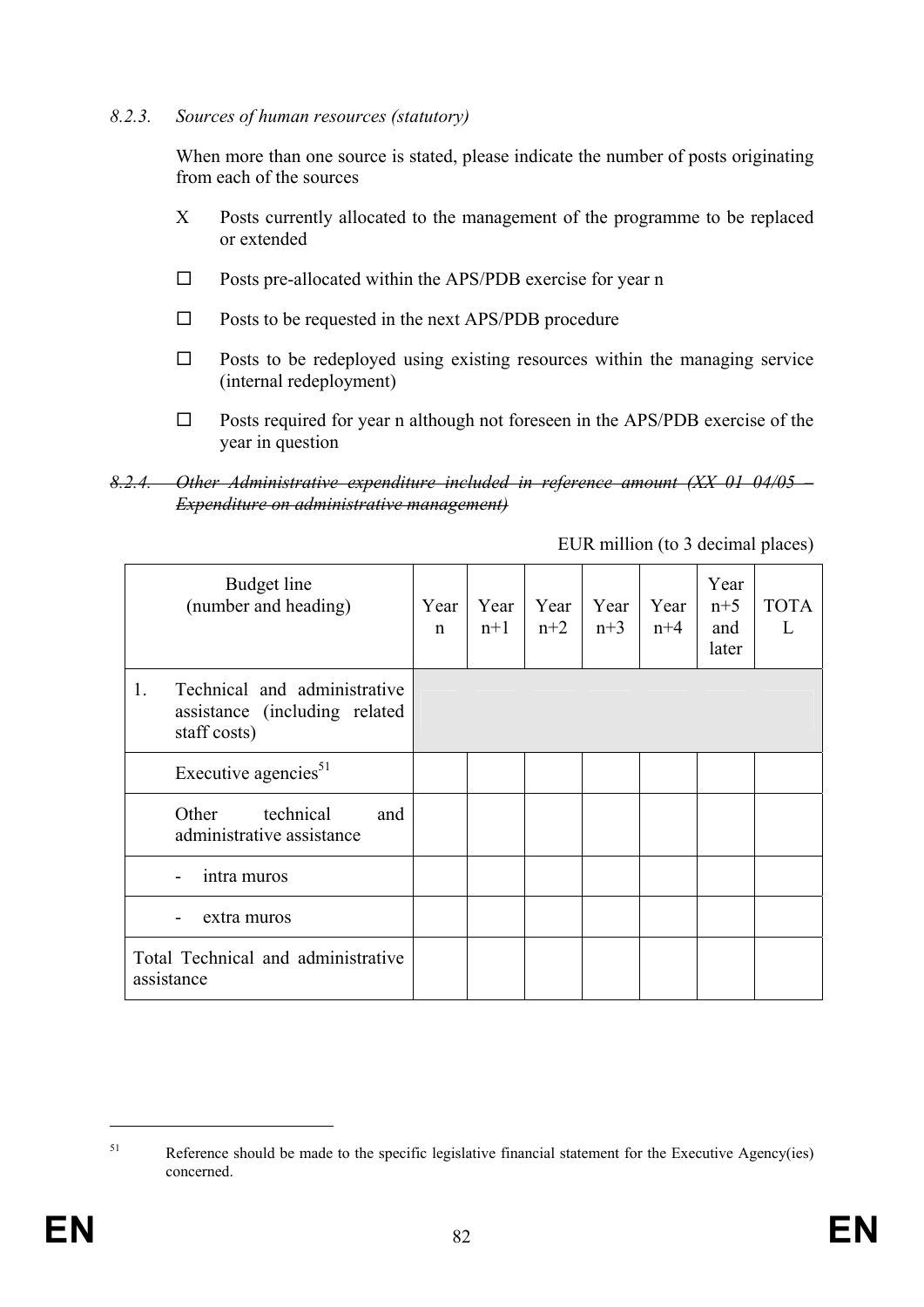#### *8.2.3. Sources of human resources (statutory)*

When more than one source is stated, please indicate the number of posts originating from each of the sources

- X Posts currently allocated to the management of the programme to be replaced or extended
- $\square$  Posts pre-allocated within the APS/PDB exercise for year n
- $\square$  Posts to be requested in the next APS/PDB procedure
- $\Box$  Posts to be redeployed using existing resources within the managing service (internal redeployment)
- $\square$  Posts required for year n although not foreseen in the APS/PDB exercise of the year in question

EUR million (to 3 decimal places)

| Budget line<br>(number and heading)                                                 | Year<br>n | Year<br>$n+1$ | Year<br>$n+2$ | Year<br>$n+3$ | Year<br>$n+4$ | Year<br>$n+5$<br>and<br>later | <b>TOTA</b> |
|-------------------------------------------------------------------------------------|-----------|---------------|---------------|---------------|---------------|-------------------------------|-------------|
| Technical and administrative<br>1.<br>assistance (including related<br>staff costs) |           |               |               |               |               |                               |             |
| Executive agencies <sup>51</sup>                                                    |           |               |               |               |               |                               |             |
| technical<br>Other<br>and<br>administrative assistance                              |           |               |               |               |               |                               |             |
| intra muros                                                                         |           |               |               |               |               |                               |             |
| extra muros                                                                         |           |               |               |               |               |                               |             |
| Total Technical and administrative<br>assistance                                    |           |               |               |               |               |                               |             |

1

*<sup>8.2.4.</sup> Other Administrative expenditure included in reference amount (XX 01 04/05 – Expenditure on administrative management)*

<sup>&</sup>lt;sup>51</sup> Reference should be made to the specific legislative financial statement for the Executive Agency(ies) concerned.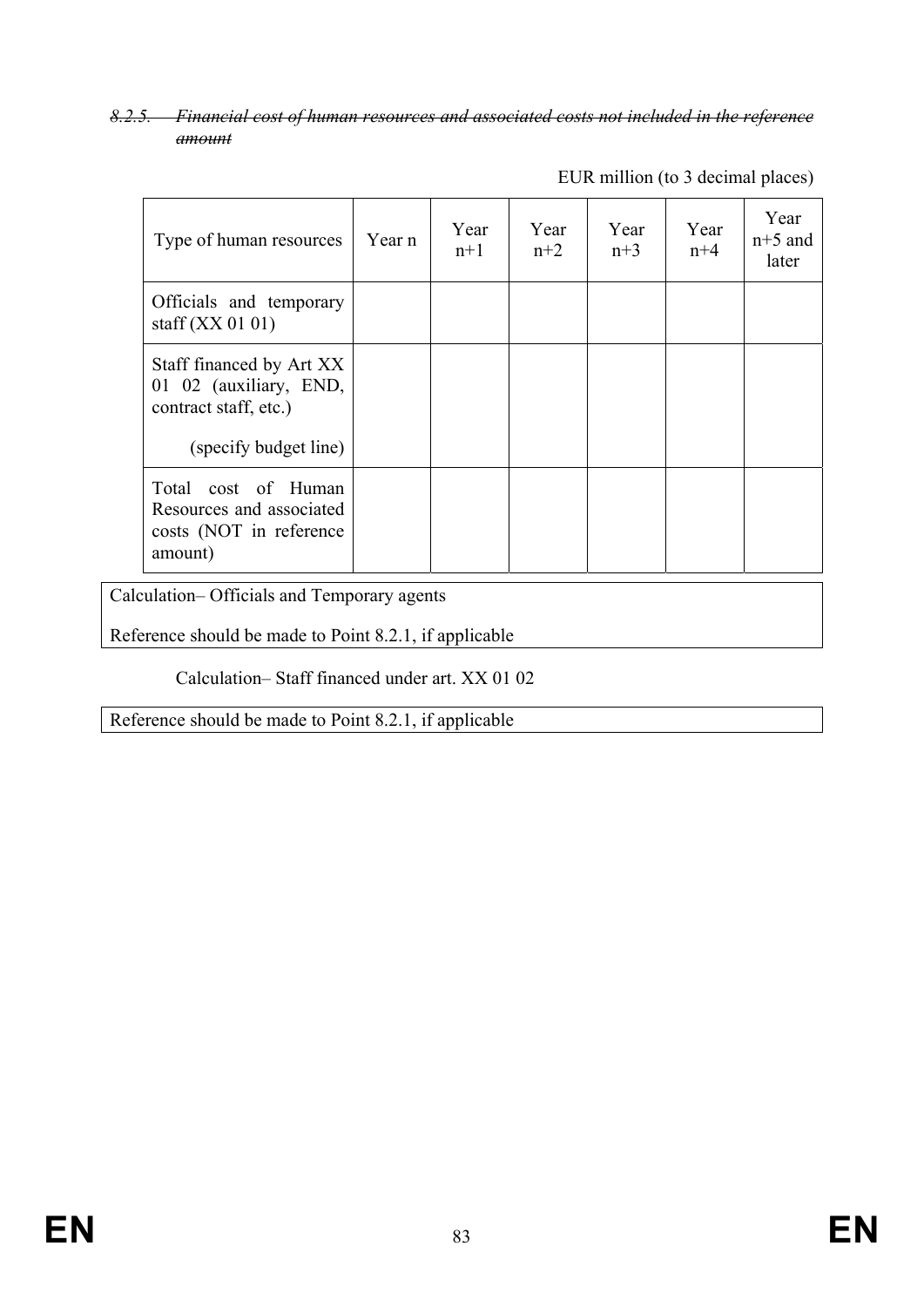## *8.2.5. Financial cost of human resources and associated costs not included in the reference amount*

| Type of human resources                                                                              | Year n | Year<br>$n+1$ | Year<br>$n+2$ | Year<br>$n+3$ | Year<br>$n+4$ | Year<br>$n+5$ and<br>later |
|------------------------------------------------------------------------------------------------------|--------|---------------|---------------|---------------|---------------|----------------------------|
| Officials and temporary<br>staff $(XX 01 01)$                                                        |        |               |               |               |               |                            |
| Staff financed by Art XX<br>01 02 (auxiliary, END,<br>contract staff, etc.)<br>(specify budget line) |        |               |               |               |               |                            |
| Total cost of Human<br>Resources and associated<br>costs (NOT in reference<br>amount)                |        |               |               |               |               |                            |

EUR million (to 3 decimal places)

Calculation– Officials and Temporary agents

Reference should be made to Point 8.2.1, if applicable

Calculation– Staff financed under art. XX 01 02

Reference should be made to Point 8.2.1, if applicable